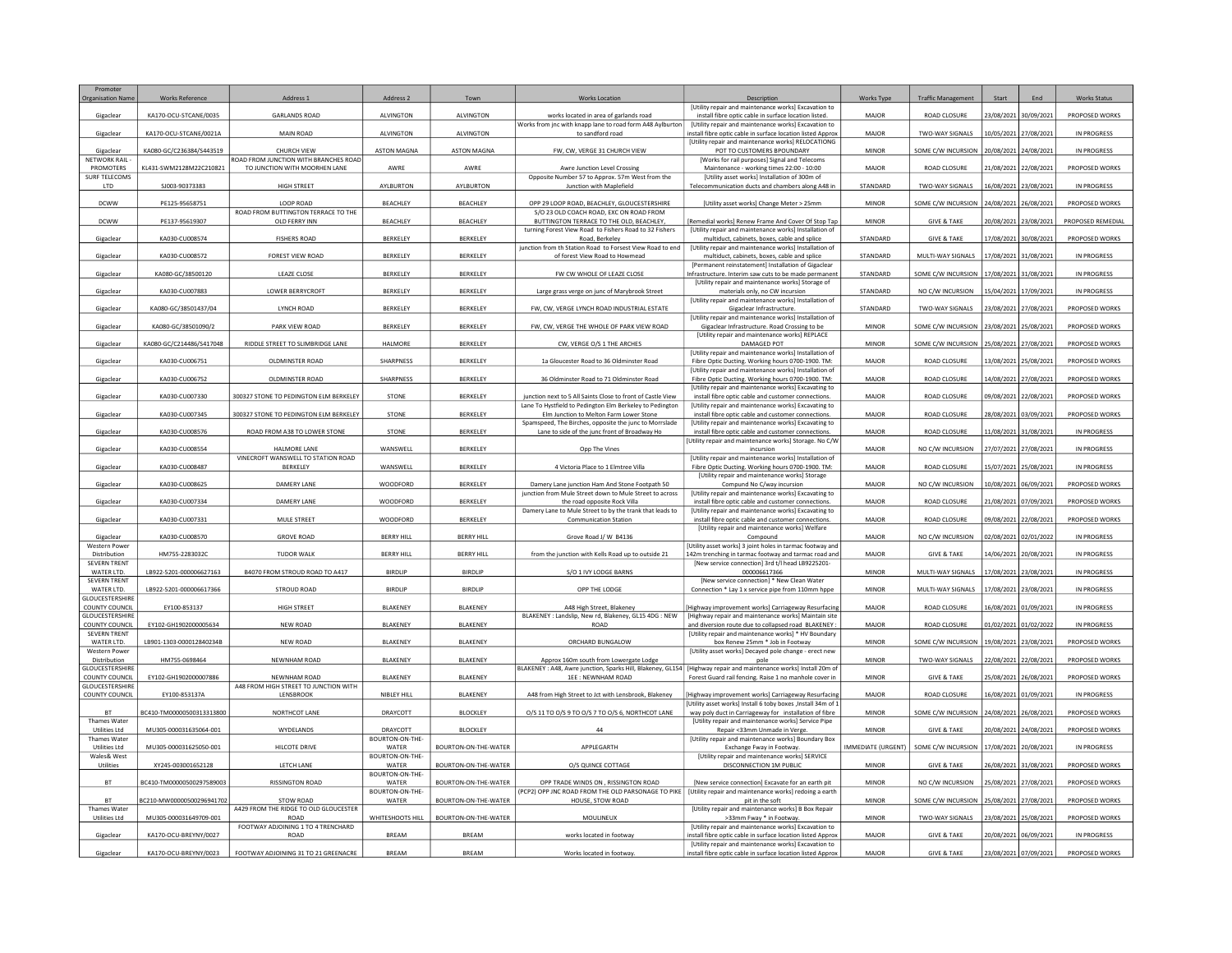| Promoter<br><b>Organisation Nar</b>      | <b>Works Reference</b>    | Address <sub>1</sub>                                  | Address <sub>2</sub>     | Town                 | <b>Norks Location</b>                                                                                                                                      | Description                                                                                                               | Works Type                | <b>Traffic Managemen</b> | Start                 |                       | <b>Works Status</b> |
|------------------------------------------|---------------------------|-------------------------------------------------------|--------------------------|----------------------|------------------------------------------------------------------------------------------------------------------------------------------------------------|---------------------------------------------------------------------------------------------------------------------------|---------------------------|--------------------------|-----------------------|-----------------------|---------------------|
| Gigaclear                                | KA170-OCU-STCANE/0035     | <b>GARLANDS ROAD</b>                                  | ALVINGTON                | <b>ALVINGTON</b>     | works located in area of garlands road                                                                                                                     | [Utility repair and maintenance works] Excavation to<br>install fibre optic cable in surface location listed.             | MAJOR                     | ROAD CLOSURE             | 23/08/2021 30/09/2021 |                       | PROPOSED WORKS      |
| Gigaclear                                | KA170-OCU-STCANE/0021A    | <b>MAIN ROAD</b>                                      | ALVINGTON                | <b>ALVINGTON</b>     | Works from inc with knapp lane to road form A48 Aylburton<br>to sandford road                                                                              | <b>IUtility repair and maintenance works] Excavation to</b><br>nstall fibre optic cable in surface location listed Approx | MAJOR                     | TWO-WAY SIGNALS          | 10/05/2021            | 27/08/2021            | IN PROGRESS         |
|                                          | KA080-GC/C236384/S443519  | <b>CHURCH VIEW</b>                                    |                          | <b>ASTON MAGNA</b>   | FW, CW, VERGE 31 CHURCH VIEW                                                                                                                               | [Utility repair and maintenance works] RELOCATIONG<br>POT TO CUSTOMERS BPOUNDARY                                          | <b>MINOR</b>              | SOME C/W INCURSION       | 20/08/2021 24/08/202  |                       | <b>IN PROGRESS</b>  |
| Gigaclear<br><b>NETWORK RAIL</b>         |                           | ROAD FROM JUNCTION WITH BRANCHES ROAD                 | <b>ASTON MAGNA</b>       |                      |                                                                                                                                                            | [Works for rail purposes] Signal and Telecoms                                                                             |                           |                          |                       |                       |                     |
| PROMOTERS<br><b>SURF TELECOMS</b>        | KL431-SWM2128M22C210821   | TO JUNCTION WITH MOORHEN LANE                         | AWRE                     | AWRE                 | Awre Junction Level Crossing<br>Opposite Number 57 to Approx. 57m West from the                                                                            | Maintenance - working times 22:00 - 10:00<br>[Utility asset works] Installation of 300m of                                | MAJOR                     | ROAD CLOSURE             | 21/08/2021 22/08/2021 |                       | PROPOSED WORKS      |
| LTD                                      | SJ003-90373383            | HIGH STREET                                           | AYLBURTON                | AYLBURTON            | Junction with Maplefield                                                                                                                                   | Telecommunication ducts and chambers along A48 in                                                                         | STANDARD                  | TWO-WAY SIGNALS          | 16/08/2021            | 23/08/2021            | IN PROGRESS         |
| DCWW                                     | PE125-95658751            | LOOP ROAD                                             | BEACHLEY                 | BEACHLEY             | OPP 29 LOOP ROAD, BEACHLEY, GLOUCESTERSHIRE                                                                                                                | [Utility asset works] Change Meter > 25mm                                                                                 | <b>MINOR</b>              | SOME C/W INCURSION       |                       | 24/08/2021 26/08/2021 | PROPOSED WORKS      |
| <b>DCWW</b>                              | PE137-95619307            | ROAD FROM BUTTINGTON TERRACE TO THE<br>OLD FERRY INN  | BEACHLEY                 | BEACHLEY             | S/O 23 OLD COACH ROAD, EXC ON ROAD FROM<br>BUTTINGTON TERRACE TO THE OLD. BEACHLEY.                                                                        | Remedial works] Renew Frame And Cover Of Stop Tap                                                                         | <b>MINOR</b>              | <b>GIVE &amp; TAKE</b>   |                       | 20/08/2021 23/08/2021 | PROPOSED REMEDIAL   |
| Gigaclear                                | KA030-CU008574            | <b>FISHERS ROAD</b>                                   | BERKELEY                 | BERKELEY             | turning Forest View Road to Fishers Road to 32 Fishers<br>Road, Berkeley                                                                                   | [Utility repair and maintenance works] Installation of<br>multiduct, cabinets, boxes, cable and splice                    | STANDARD                  | <b>GIVE &amp; TAKE</b>   | 17/08/2021 30/08/2021 |                       | PROPOSED WORKS      |
|                                          |                           |                                                       |                          |                      | junction from th Station Road to Forsest View Road to end                                                                                                  | [Utility repair and maintenance works] Installation of                                                                    |                           |                          |                       |                       |                     |
| Gigaclear                                | KA030-CU008572            | FOREST VIEW ROAD                                      | BERKELEY                 | BERKELEY             | of forest View Road to Howmead                                                                                                                             | multiduct, cabinets, boxes, cable and splice<br>[Permanent reinstatement] Installation of Gigaclear                       | STANDARD                  | MULTI-WAY SIGNALS        | 17/08/2021 31/08/2021 |                       | IN PROGRESS         |
| Gigaclear                                | KA080-GC/38500120         | LEAZE CLOSE                                           | BERKELEY                 | BERKELEY             | FW CW WHOLE OF LEAZE CLOSE                                                                                                                                 | nfrastructure. Interim saw cuts to be made permanent<br>[Utility repair and maintenance works] Storage of                 | STANDARD                  | SOME C/W INCURSION       | 17/08/2021            | 31/08/2021            | IN PROGRESS         |
| Gigaclear                                | KA030-CU007883            | LOWER BERRYCROFT                                      | BERKELEY                 | BERKELEY             | Large grass verge on junc of Marybrook Street                                                                                                              | materials only, no CW incursion                                                                                           | STANDARD                  | NO C/W INCURSION         | 15/04/2021            | 17/09/2021            | IN PROGRESS         |
| Gigaclear                                | KA080-GC/38501437/04      | LYNCH ROAD                                            | BERKELEY                 | BERKELEY             | FW, CW, VERGE LYNCH ROAD INDUSTRIAL ESTATE                                                                                                                 | [Utility repair and maintenance works] Installation of<br>Gigaclear Infrastructure.                                       | STANDARD                  | TWO-WAY SIGNALS          | 23/08/2021 27/08/2021 |                       | PROPOSED WORKS      |
| Gigaclear                                | KA080-GC/38501090/2       | PARK VIEW ROAD                                        | BERKELEY                 | BERKELEY             | FW, CW, VERGE THE WHOLE OF PARK VIEW ROAD                                                                                                                  | [Utility repair and maintenance works] Installation of<br>Gigaclear Infrastructure. Road Crossing to be                   | MINOR                     | SOME C/W INCURSION       | 23/08/2021 25/08/2021 |                       | PROPOSED WORKS      |
| Gigaclear                                | KA080-GC/C214486/S417048  | RIDDLE STREET TO SLIMBRIDGE LANE                      | HALMORE                  | BERKELEY             | CW, VERGE O/S 1 THE ARCHES                                                                                                                                 | [Utility repair and maintenance works] REPLACE<br>DAMAGED POT                                                             | <b>MINOR</b>              | SOME C/W INCURSION       | 25/08/2021 27/08/2021 |                       | PROPOSED WORKS      |
|                                          |                           |                                                       |                          |                      |                                                                                                                                                            | <b>IUtility repair and maintenance works] Installation of</b>                                                             |                           |                          |                       |                       |                     |
| Gigaclear                                | KA030-CU006751            | OLDMINSTER ROAD                                       | SHARPNESS                | BERKELEY             | 1a Gloucester Road to 36 Oldminster Road                                                                                                                   | Fibre Optic Ducting. Working hours 0700-1900. TM:<br><b>IUtility repair and maintenance works] Installation of</b>        | MAJOR                     | ROAD CLOSURE             | 13/08/2021            | 25/08/2021            | PROPOSED WORKS      |
| Gigaclear                                | KA030-CU006752            | OLDMINSTER ROAD                                       | SHARPNESS                | BERKELEY             | 36 Oldminster Road to 71 Oldminster Road                                                                                                                   | Fibre Optic Ducting. Working hours 0700-1900. TM:<br>[Utility repair and maintenance works] Excavating to                 | MAJOR                     | ROAD CLOSURE             | 14/08/2021 27/08/202  |                       | PROPOSED WORKS      |
| Gigaclear                                | KA030-CU007330            | 300327 STONE TO PEDINGTON ELM BERKELEY                | STONE                    | BERKELEY             | junction next to 5 All Saints Close to front of Castle View                                                                                                | install fibre optic cable and customer connections.                                                                       | MAJOR                     | ROAD CLOSURE             | 09/08/2021 22/08/2021 |                       | PROPOSED WORKS      |
| Gigaclear                                | KA030-CU007345            | 300327 STONE TO PEDINGTON ELM BERKELEY                | STONE                    | BERKELEY             | Lane To Hystfield to Pedington Elm Berkeley to Pedington<br>Elm Junction to Melton Farm Lower Stone                                                        | [Utility repair and maintenance works] Excavating to<br>install fibre optic cable and customer connections                | MAJOR                     | ROAD CLOSURE             | 28/08/2021            | 03/09/202             | PROPOSED WORKS      |
| Gigaclear                                | KA030-CU008576            | ROAD FROM A38 TO LOWER STONE                          | STONE                    | BERKELEY             | Spamspeed, The Birches, opposite the junc to Morrslade<br>Lane to side of the junc front of Broadway Ho                                                    | <b>IUtility repair and maintenance works) Excavating to</b><br>install fibre optic cable and customer connections         | MAJOR                     | ROAD CLOSURE             | 11/08/2021            | 31/08/2021            | <b>IN PROGRESS</b>  |
|                                          |                           | <b>HALMORE LANE</b>                                   |                          | BERKELEY             |                                                                                                                                                            | Utility repair and maintenance works] Storage. No C/W                                                                     |                           |                          |                       |                       |                     |
| Gigaclear                                | KA030-CU008554            | VINECROFT WANSWELL TO STATION ROAD                    | WANSWELL                 |                      | Opp The Vines                                                                                                                                              | incursion<br>[Utility repair and maintenance works] Installation of                                                       | MAJOR                     | NO C/W INCURSION         | 27/07/2021            | 27/08/2021            | IN PROGRESS         |
| Gigaclear                                | KA030-CU008487            | BERKELEY                                              | WANSWELL                 | BERKELEY             | 4 Victoria Place to 1 Elmtree Villa                                                                                                                        | Fibre Optic Ducting. Working hours 0700-1900. TM:<br>[Utility repair and maintenance works] Storage                       | MAJOR                     | ROAD CLOSURE             |                       | 15/07/2021 25/08/2021 | IN PROGRESS         |
| Gigaclear                                | KA030-CU008625            | <b>DAMERY LANE</b>                                    | WOODFORD                 | BERKELEY             | Damery Lane junction Ham And Stone Footpath 50<br>junction from Mule Street down to Mule Street to across                                                  | Compund No C/way incursion<br><b>IUtility repair and maintenance works] Excavating to</b>                                 | MAJOR                     | NO C/W INCURSION         | 10/08/2021 06/09/2021 |                       | PROPOSED WORKS      |
| Gigaclear                                | KA030-CU007334            | DAMERY LANE                                           | WOODFORD                 | BERKELEY             | the road opposite Rock Villa                                                                                                                               | install fibre optic cable and customer connections                                                                        | MAJOR                     | ROAD CLOSURE             | 21/08/2021            | 07/09/2021            | PROPOSED WORKS      |
| Gigaclear                                | KA030-CU007331            | MULE STREET                                           | WOODFORD                 | BERKELEY             | Damery Lane to Mule Street to by the trank that leads to<br><b>Communication Station</b>                                                                   | [Utility repair and maintenance works] Excavating to<br>install fibre optic cable and customer connections                | <b>MAJOR</b>              | ROAD CLOSURE             | 09/08/2021            | 22/08/2021            | PROPOSED WORKS      |
| Gigaclear                                | KA030-CU008570            | <b>GROVE ROAD</b>                                     | <b>BERRY HILL</b>        | <b>BERRY HILL</b>    | Grove Road J/ W B4136                                                                                                                                      | [Utility repair and maintenance works] Welfare<br>Compound                                                                | MAJOR                     | NO C/W INCURSION         | 02/08/2021 02/01/2022 |                       | IN PROGRESS         |
| Western Powe                             |                           |                                                       |                          |                      |                                                                                                                                                            | [Utility asset works] 3 joint holes in tarmac footway and                                                                 |                           |                          |                       |                       |                     |
| Distribution<br><b>SEVERN TRENT</b>      | HM755-2283032C            | TUDOR WALK                                            | <b>BERRY HILL</b>        | <b>BERRY HILL</b>    | from the junction with Kells Road up to outside 21                                                                                                         | 142m trenching in tarmac footway and tarmac road and<br>[New service connection] 3rd t/l head LB9225201-                  | MAJOR                     | <b>GIVE &amp; TAKE</b>   | 14/06/2021 20/08/2021 |                       | IN PROGRESS         |
| WATER LTD.<br><b>SEVERN TRENT</b>        | LB922-5201-000006627163   | B4070 FROM STROUD ROAD TO A417                        | <b>BIRDLIP</b>           | <b>BIRDLIP</b>       | S/O 1 IVY LODGE BARNS                                                                                                                                      | 000006617366<br>[New service connection] * New Clean Water                                                                | <b>MINOR</b>              | MULTI-WAY SIGNALS        | 17/08/2021 23/08/2021 |                       | <b>IN PROGRESS</b>  |
| WATER LTD.<br><b>GLOUCESTERSHIRE</b>     | LB922-5201-000006617366   | STROUD ROAD                                           | <b>BIRDLIP</b>           | <b>BIRDLIP</b>       | OPP THE LODGE                                                                                                                                              | Connection * Lay 1 x service pipe from 110mm hppe                                                                         | <b>MINOR</b>              | MULTI-WAY SIGNALS        | 17/08/2021            | 23/08/2021            | <b>IN PROGRESS</b>  |
| COUNTY COUNCIL                           | EY100-853137              | HIGH STREET                                           | <b>BLAKENEY</b>          | BLAKENEY             | A48 High Street, Blakeney                                                                                                                                  | Highway improvement works] Carriageway Resurfacing                                                                        | MAJOR                     | ROAD CLOSURE             | 16/08/2021            | 01/09/202             | IN PROGRESS         |
| <b>GLOUCESTERSHIRE</b><br>COUNTY COUNCIL | EY102-GH1902000005634     | <b>NEW ROAD</b>                                       | BLAKENEY                 | BLAKENEY             | BLAKENEY : Landslip, New rd, Blakeney, GL15 4DG : NEW<br><b>ROAD</b>                                                                                       | [Highway repair and maintenance works] Maintain site<br>and diversion route due to collapsed road BLAKENEY :              | MAJOR                     | ROAD CLOSURE             | 01/02/2021 01/02/2022 |                       | IN PROGRESS         |
| SEVERN TRENT<br>WATER LTD.               | LB901-1303-000012840234B  | NEW ROAD                                              | BLAKENEY                 | BLAKENEY             | ORCHARD BUNGALOW                                                                                                                                           | [Utility repair and maintenance works] * HV Boundary<br>box Renew 25mm * Job in Footway                                   | MINOR                     | SOME C/W INCURSION       | 19/08/2021            | 23/08/202             | PROPOSED WORKS      |
| Western Powe                             |                           |                                                       |                          |                      |                                                                                                                                                            | [Utility asset works] Decayed pole change - erect new                                                                     |                           |                          |                       |                       |                     |
| Distribution<br>GLOUCESTERSHIRI          | HM755-0698464             | NEWNHAM ROAD                                          | BLAKENEY                 | BLAKENEY             | Approx 160m south from Lowergate Lodge<br>BLAKENEY: A48, Awre junction, Sparks Hill, Blakeney, GL154 [Highway repair and maintenance works] Install 20m of | pole                                                                                                                      | <b>MINOR</b>              | TWO-WAY SIGNALS          | 22/08/2021            | 22/08/2021            | PROPOSED WORKS      |
| COUNTY COUNCIL<br>GLOUCESTERSHIRE        | EY102-GH1902000007886     | NEWNHAM ROAD<br>A48 FROM HIGH STREET TO JUNCTION WITH | <b>BLAKENEY</b>          | BLAKENEY             | 1EE: NEWNHAM ROAD                                                                                                                                          | Forest Guard rail fencing. Raise 1 no manhole cover ir                                                                    | <b>MINOR</b>              | <b>GIVE &amp; TAKE</b>   | 25/08/2021            | 26/08/2021            | PROPOSED WORKS      |
| COUNTY COUNCIL                           | EY100-853137A             | LENSBROOK                                             | NIBLEY HILL              | BLAKENEY             | A48 from High Street to Jct with Lensbrook, Blakeney                                                                                                       | Highway improvement works] Carriageway Resurfacing                                                                        | MAJOR                     | ROAD CLOSURE             | 16/08/2021 01/09/2021 |                       | IN PROGRESS         |
| <b>BT</b>                                | BC410-TM00000500313313800 | NORTHCOT LANE                                         | DRAYCOTT                 | <b>BLOCKLEY</b>      | 0/S 11 TO 0/S 9 TO 0/S 7 TO 0/S 6, NORTHCOT LANE                                                                                                           | IUtility asset works] Install 6 toby boxes .Install 34m of 1<br>way poly duct in Carriageway for installation of fibre    | <b>MINOR</b>              | SOME C/W INCURSION       | 24/08/2021 26/08/2021 |                       | PROPOSED WORKS      |
| <b>Thames Water</b><br>Utilities Ltd     | MU305-000031635064-001    | WYDELANDS                                             | DRAYCOTT                 | <b>BLOCKLEY</b>      | 44                                                                                                                                                         | <b>IUtility repair and maintenance works] Service Pipe</b><br>Repair <33mm Unmade in Verge.                               | <b>MINOR</b>              | <b>GIVE &amp; TAKE</b>   | 20/08/2021            | 24/08/2021            | PROPOSED WORKS      |
| Thames Water<br><b>Utilities Ltd</b>     | MU305-000031625050-001    | HILCOTE DRIVE                                         | BOURTON-ON-THE-<br>WATER | BOURTON-ON-THE-WATER | APPLEGARTH                                                                                                                                                 | [Utility repair and maintenance works] Boundary Box                                                                       | <b>IMMEDIATE (URGENT)</b> | SOME C/W INCURSION       | 17/08/2021            | 20/08/202             | <b>IN PROGRESS</b>  |
| Wales& West                              |                           |                                                       | BOURTON-ON-THE-          |                      |                                                                                                                                                            | Exchange Fway in Footway<br>[Utility repair and maintenance works] SERVICE                                                |                           |                          |                       |                       |                     |
| Utilities                                | XY245-003001652128        | LETCH LANE                                            | WATER<br>BOURTON-ON-THE- | BOURTON-ON-THE-WATER | O/S QUINCE COTTAGE                                                                                                                                         | DISCONNECTION 1M PUBLIC                                                                                                   | <b>MINOR</b>              | <b>GIVE &amp; TAKE</b>   |                       | 26/08/2021 31/08/2021 | PROPOSED WORKS      |
| <b>BT</b>                                | BC410-TM00000500297589003 | <b>RISSINGTON ROAD</b>                                | WATER<br>BOURTON-ON-THE- | BOURTON-ON-THE-WATER | OPP TRADE WINDS ON , RISSINGTON ROAD<br>(PCP2) OPP JNC ROAD FROM THE OLD PARSONAGE TO PIKE   [Utility repair and maintenance works] redoing a earth        | [New service connection] Excavate for an earth pit                                                                        | <b>MINOR</b>              | NO C/W INCURSION         | 25/08/2021 27/08/2021 |                       | PROPOSED WORKS      |
| <b>BT</b>                                | 8C210-MW00000500296941702 | STOW ROAD                                             | WATER                    | BOURTON-ON-THE-WATER | HOUSE, STOW ROAD                                                                                                                                           | pit in the soft                                                                                                           | <b>MINOR</b>              | SOME C/W INCURSION       | 25/08/2021 27/08/2021 |                       | PROPOSED WORKS      |
| Thames Water<br><b>Utilities Ltd</b>     | MU305-000031649709-001    | A429 FROM THE RIDGE TO OLD GLOUCESTER<br><b>ROAD</b>  | WHITESHOOTS HILL         | BOURTON-ON-THE-WATER | MOULINEUX                                                                                                                                                  | <b>IUtility repair and maintenance works1 B Box Repair</b><br>>33mm Fway * in Footway                                     | <b>MINOR</b>              | TWO-WAY SIGNALS          | 23/08/2021            | 25/08/2021            | PROPOSED WORKS      |
| Gigaclear                                | KA170-OCU-BREYNY/0027     | FOOTWAY ADJOINING 1 TO 4 TRENCHARD<br><b>ROAD</b>     | <b>BREAM</b>             | <b>BREAM</b>         | works located in footway                                                                                                                                   | [Utility repair and maintenance works] Excavation to<br>nstall fibre optic cable in surface location listed Approx        | MAJOR                     | <b>GIVE &amp; TAKE</b>   | 20/08/2021 06/09/2021 |                       | IN PROGRESS         |
|                                          |                           |                                                       |                          |                      |                                                                                                                                                            | [Utility repair and maintenance works] Excavation to                                                                      |                           |                          |                       |                       |                     |
| Gigaclear                                | KA170-OCU-BREYNY/0023     | FOOTWAY ADJOINING 31 TO 21 GREENACRE                  | <b>BREAM</b>             | <b>BREAM</b>         | Works located in footway                                                                                                                                   | install fibre optic cable in surface location listed Approx                                                               | <b>MAJOR</b>              | <b>GIVE &amp; TAKE</b>   | 23/08/2021 07/09/2021 |                       | PROPOSED WORKS      |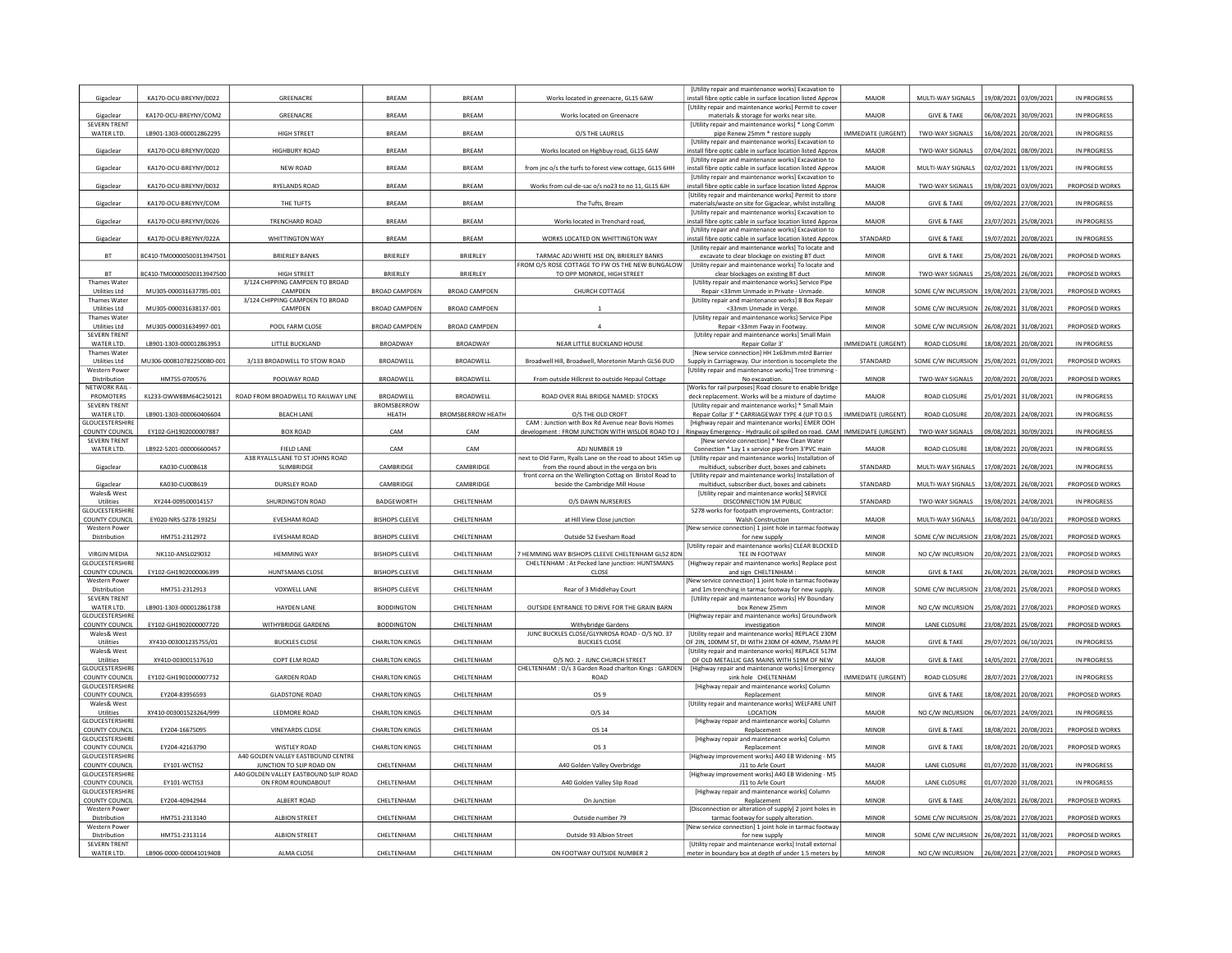| Gigaclear                                         | KA170-OCU-BREYNY/0022                    | GREENACRE                                                   | BREAM                    | <b>BREAM</b>             | Works located in greenacre, GL15 6AW                                                                                            | [Utility repair and maintenance works] Excavation to<br>install fibre optic cable in surface location listed Approx                | MAJOR                        | MULTI-WAY SIGNALS                      | 19/08/2021                                     | 03/09/2021            | IN PROGRESS                      |
|---------------------------------------------------|------------------------------------------|-------------------------------------------------------------|--------------------------|--------------------------|---------------------------------------------------------------------------------------------------------------------------------|------------------------------------------------------------------------------------------------------------------------------------|------------------------------|----------------------------------------|------------------------------------------------|-----------------------|----------------------------------|
| Gigaclear                                         | KA170-OCU-BREYNY/COM2                    | GREENACRE                                                   | <b>BREAM</b>             | <b>BREAM</b>             | Works located on Greenacre                                                                                                      | [Utility repair and maintenance works] Permit to cover<br>materials & storage for works near site.                                 | MAJOR                        | <b>GIVE &amp; TAKE</b>                 | 06/08/2021 30/09/202                           |                       | IN PROGRESS                      |
| <b>SEVERN TRENT</b><br>WATER LTD.                 |                                          | <b>HIGH STREET</b>                                          | <b>BREAM</b>             | RREAM                    |                                                                                                                                 | <b>IUtility repair and maintenance works1 * Long Comm</b>                                                                          | <b>IMMEDIATE (URGENT)</b>    | <b>TWO-WAY SIGNALS</b>                 |                                                |                       | IN PROGRESS                      |
|                                                   | LB901-1303-000012862295                  |                                                             |                          |                          | O/S THE LAURELS                                                                                                                 | pipe Renew 25mm * restore supply<br>[Utility repair and maintenance works] Excavation to                                           |                              |                                        | 16/08/2021                                     | 20/08/202             |                                  |
| Gigaclear                                         | KA170-OCU-BREYNY/0020                    | <b>HIGHBURY ROAD</b>                                        | <b>BRFAM</b>             | <b>BRFAM</b>             | Works located on Highbuy road, GL15 6AW                                                                                         | nstall fibre optic cable in surface location listed Approx<br>[Utility repair and maintenance works] Excavation to                 | MAIOR                        | TWO-WAY SIGNALS                        | 07/04/2021                                     | 08/09/202             | IN PROGRESS                      |
| Gigaclear                                         | KA170-OCU-BREYNY/0012                    | NEW ROAD                                                    | BREAM                    | BREAM                    | from jnc o/s the turfs to forest view cottage, GL15 6HH                                                                         | install fibre optic cable in surface location listed Approx<br>[Utility repair and maintenance works] Excavation to                | MAJOR                        | MULTI-WAY SIGNALS                      | 02/02/2021 13/09/2021                          |                       | IN PROGRESS                      |
| Gigaclear                                         | KA170-OCU-BREYNY/0032                    | RYELANDS ROAD                                               | BREAM                    | <b>BREAM</b>             | Works from cul-de-sac o/s no23 to no 11, GL15 6JH                                                                               | nstall fibre optic cable in surface location listed Approx<br><b>IUtility repair and maintenance works] Permit to store</b>        | MAJOR                        | TWO-WAY SIGNALS                        | 19/08/2021                                     | 03/09/202             | PROPOSED WORKS                   |
| Gigaclear                                         | KA170-OCU-BREYNY/COM                     | THE TUFTS                                                   | <b>BRFAM</b>             | <b>BRFAM</b>             | The Tufts, Bream                                                                                                                | materials/waste on site for Gigaclear, whilst installing                                                                           | MAJOR                        | <b>GIVE &amp; TAKE</b>                 | 09/02/2021                                     | 27/08/2021            | IN PROGRESS                      |
| Gigaclear                                         | KA170-OCU-BREYNY/0026                    | TRENCHARD ROAD                                              | <b>BRFAM</b>             | <b>BRFAM</b>             | Works located in Trenchard road                                                                                                 | [Utility repair and maintenance works] Excavation to<br>install fibre optic cable in surface location listed Approx                | MAIOR                        | <b>GIVE &amp; TAKE</b>                 | 23/07/2021                                     | 25/08/202             | IN PROGRESS                      |
| Gigaclear                                         | KA170-OCU-BREYNY/022A                    | WHITTINGTON WAY                                             | BREAM                    | <b>BREAM</b>             | WORKS LOCATED ON WHITTINGTON WAY                                                                                                | [Utility repair and maintenance works] Excavation to<br>nstall fibre optic cable in surface location listed Approx                 | STANDARD                     | <b>GIVE &amp; TAKE</b>                 | 19/07/2021                                     | 20/08/202             | IN PROGRESS                      |
| <b>BT</b>                                         | BC410-TM00000500313947501                | <b>BRIERLEY BANKS</b>                                       | BRIERLEY                 | BRIERLEY                 | TARMAC ADJ WHITE HSE ON. BRIERLEY BANKS                                                                                         | [Utility repair and maintenance works] To locate and<br>excavate to clear blockage on existing BT duct                             | <b>MINOR</b>                 | <b>GIVE &amp; TAKE</b>                 | 25/08/2021 26/08/2021                          |                       | PROPOSED WORKS                   |
| <b>BT</b>                                         |                                          | <b>HIGH STREET</b>                                          | BRIERLEY                 |                          | FROM O/S ROSE COTTAGE TO FW OS THE NEW BUNGALOW                                                                                 | [Utility repair and maintenance works] To locate and                                                                               | <b>MINOR</b>                 |                                        |                                                |                       |                                  |
| Thames Water                                      | BC410-TM00000500313947500                | 3/124 CHIPPING CAMPDEN TO BROAD                             |                          | BRIERLEY                 | TO OPP MONROE, HIGH STREET                                                                                                      | clear blockages on existing BT duct<br>[Utility repair and maintenance works] Service Pipe                                         |                              | TWO-WAY SIGNALS                        | 25/08/2021                                     | 26/08/2021            | PROPOSED WORKS                   |
| <b>Utilities Itd.</b><br>Thames Wate              | MU305-000031637785-001                   | CAMPDEN<br>3/124 CHIPPING CAMPDEN TO BROAD                  | BROAD CAMPDEN            | BROAD CAMPDEN            | CHURCH COTTAGE                                                                                                                  | Renair <33mm Unmade in Private - Unmade.<br>[Utility repair and maintenance works] B Box Repair                                    | <b>MINOR</b>                 | SOME C/W INCURSION                     | 19/08/2021 23/08/2021                          |                       | PROPOSED WORKS                   |
| Utilities Ltd<br>Thames Water                     | MU305-000031638137-001                   | CAMPDEN                                                     | <b>BROAD CAMPDEN</b>     | <b>BROAD CAMPDEN</b>     |                                                                                                                                 | <33mm Unmade in Verge<br>[Utility repair and maintenance works] Service Pipe                                                       | <b>MINOR</b>                 | SOME C/W INCURSION                     | 26/08/2021                                     | 31/08/2021            | PROPOSED WORKS                   |
| <b>Utilities Ltd</b><br><b>SEVERN TRENT</b>       | MU305-000031634997-001                   | POOL FARM CLOSE                                             | <b>BROAD CAMPDEN</b>     | <b>BROAD CAMPDEN</b>     |                                                                                                                                 | Repair <33mm Fway in Footway.                                                                                                      | <b>MINOR</b>                 | SOME C/W INCURSION                     | 26/08/2021                                     | 31/08/2021            | PROPOSED WORKS                   |
| WATER LTD.                                        | LB901-1303-000012863953                  | LITTLE BUCKLAND                                             | <b>BROADWAY</b>          | <b>BROADWAY</b>          | NEAR LITTLE BUCKLAND HOUSE                                                                                                      | [Utility repair and maintenance works] Small Main<br>Repair Collar 3'                                                              | MMEDIATE (URGENT)            | <b>ROAD CLOSURE</b>                    |                                                | 18/08/2021 20/08/2021 | IN PROGRESS                      |
| <b>Thames Water</b><br>Utilities Ltd              | MU306-000810782250080-001                | 3/133 BROADWELL TO STOW ROAD                                | <b>BROADWELL</b>         | BROADWELL                | Broadwell Hill, Broadwell, Moretonin Marsh GL56 0UD                                                                             | [New service connection] HH 1x63mm mtrd Barrier<br>Supply in Carriageway. Our intention is tocomplete the                          | <b>STANDARD</b>              | SOME C/W INCURSION                     | 25/08/2021                                     | 01/09/2021            | PROPOSED WORKS                   |
| Western Power<br>Distribution                     | HM755-0700576                            | POOLWAY ROAD                                                | <b>BROADWELL</b>         | BROADWELL                | From outside Hillcrest to outside Hepaul Cottage                                                                                | [Utility repair and maintenance works] Tree trimming<br>No excavation.                                                             | <b>MINOR</b>                 | TWO-WAY SIGNALS                        | 20/08/2021                                     | 20/08/202             | PROPOSED WORKS                   |
| NETWORK RAIL<br><b>PROMOTERS</b>                  | KL233-OWW88M64C250121                    | ROAD FROM BROADWELL TO RAILWAY LINE                         | <b>BROADWELL</b>         | BROADWELL                | ROAD OVER RIAL BRIDGE NAMED: STOCKS                                                                                             | [Works for rail purposes] Road closure to enable bridge<br>deck replacement. Works will be a mixture of daytime                    | <b>MAJOR</b>                 | ROAD CLOSURE                           | 25/01/2021 31/08/2021                          |                       | IN PROGRESS                      |
| <b>SEVERN TRENT</b>                               |                                          |                                                             | BROMSBERROW              |                          |                                                                                                                                 | [Utility repair and maintenance works] * Small Main                                                                                |                              |                                        |                                                |                       |                                  |
| WATER LTD.<br>GLOUCESTERSHIRI                     | LB901-1303-000060406604                  | <b>BEACH LANE</b>                                           | HEATH                    | <b>BROMSBERROW HEATH</b> | O/S THE OLD CROFT<br>CAM : Junction with Box Rd Avenue near Bovis Homes                                                         | Repair Collar 3' * CARRIAGEWAY TYPE 4 (UP TO 0.5<br>[Highway repair and maintenance works] EMER OOH                                | IMMEDIATE (URGENT)           | <b>ROAD CLOSURE</b>                    | 20/08/2021                                     | 24/08/202             | IN PROGRESS                      |
| COUNTY COUNCIL<br><b>SEVERN TRENT</b>             | EY102-GH1902000007887                    | <b>BOX ROAD</b>                                             | CAM                      | CAM                      | development : FROM JUNCTION WITH WISLOE ROAD TO J   Ringway Emergency - Hydraulic oil spilled on road. CAM   IMMEDIATE (URGENT) | [New service connection] * New Clean Water                                                                                         |                              | TWO-WAY SIGNALS                        | 09/08/2021                                     | 30/09/2021            | IN PROGRESS                      |
| WATER LTD.                                        | LB922-5201-000006600457                  | <b>FIFIDIANE</b><br>A38 RYALLS LANE TO ST JOHNS ROAD        | CAM                      | CAM                      | ADI NUMBER 19<br>ext to Old Farm, Ryalls Lane on the road to about 145m up                                                      | Connection * Lay 1 x service pipe from 3'PVC main<br>[Utility repair and maintenance works] Installation of                        | MAIOR                        | <b>ROAD CLOSURE</b>                    | 18/08/2021                                     | 20/08/202             | IN PROGRESS                      |
| Gigaclear                                         | KA030-CU008618                           | SLIMBRIDGE                                                  | CAMBRIDGE                | CAMBRIDGE                | from the round about in the verga on bris                                                                                       | multiduct, subscriber duct, boxes and cabinets                                                                                     | STANDARD                     | MULTI-WAY SIGNALS                      | 17/08/2021                                     | 26/08/202             | <b>IN PROGRESS</b>               |
| Gigaclear                                         | KA030-CU008619                           | <b>DURSLEY ROAD</b>                                         | CAMBRIDGE                | CAMBRIDGE                | front corna on the Wellington Cottag on Bristol Road to<br>beside the Cambridge Mill House                                      | [Utility repair and maintenance works] Installation of<br>multiduct, subscriber duct, boxes and cabinets                           | STANDARD                     | MULTI-WAY SIGNALS                      | 13/08/2021 26/08/2021                          |                       | PROPOSED WORKS                   |
| Wales& West<br>Utilities                          | XY244-009500014157                       | SHURDINGTON ROAD                                            | BADGEWORTH               | CHELTENHAM               | O/S DAWN NURSERIES                                                                                                              | [Utility repair and maintenance works] SERVICE<br>DISCONNECTION 1M PUBLIC                                                          | STANDARD                     | TWO-WAY SIGNALS                        | 19/08/2021                                     | 24/08/2021            | IN PROGRESS                      |
| GLOUCESTERSHIRE<br>COUNTY COUNCIL                 | EY020-NRS-S278-19325J                    | <b>FVESHAM ROAD</b>                                         | <b>BISHOPS CLEEVE</b>    | <b>CHEITENHAM</b>        | at Hill View Close junction                                                                                                     | S278 works for footpath improvements, Contractor:<br>Walsh Construction                                                            | MAIOR                        | MULTI-WAY SIGNALS                      |                                                | 16/08/2021 04/10/2021 | PROPOSED WORKS                   |
| Western Powe<br>Distribution                      | HM751-2312972                            | <b>EVESHAM ROAD</b>                                         | <b>BISHOPS CLEEVE</b>    | CHELTENHAM               | Outside 52 Evesham Road                                                                                                         | New service connection] 1 joint hole in tarmac footway<br>for new supply                                                           | <b>MINOR</b>                 | SOME C/W INCURSION                     | 23/08/2021                                     | 25/08/2021            | PROPOSED WORKS                   |
|                                                   |                                          |                                                             |                          |                          |                                                                                                                                 | [Utility repair and maintenance works] CLEAR BLOCKED                                                                               |                              |                                        |                                                |                       |                                  |
| <b>VIRGIN MEDIA</b><br><b>GLOUCESTERSHIRE</b>     | NK110-ANSL029032                         | <b>HEMMING WAY</b>                                          | <b>BISHOPS CLEEVE</b>    | CHELTENHAM               | HEMMING WAY BISHOPS CLEEVE CHELTENHAM GL52 8DI<br>CHELTENHAM : At Pecked lane junction: HUNTSMANS                               | TEE IN FOOTWAY<br>[Highway repair and maintenance works] Replace post                                                              | <b>MINOR</b>                 | NO C/W INCURSION                       |                                                | 20/08/2021 23/08/2021 | PROPOSED WORKS                   |
| COUNTY COUNCIL<br><b>Western Power</b>            | EY102-GH1902000006399                    | HUNTSMANS CLOSE                                             | <b>BISHOPS CLEEVE</b>    | CHELTENHAM               | CLOSE                                                                                                                           | and sign CHELTENHAM :<br>New service connection] 1 joint hole in tarmac footway                                                    | <b>MINOR</b>                 | <b>GIVE &amp; TAKE</b>                 |                                                | 26/08/2021 26/08/2021 | PROPOSED WORKS                   |
| Distribution<br><b>SEVERN TRENT</b>               | HM751-2312913                            | <b>VOXWELL LANE</b>                                         | <b>BISHOPS CLEEVE</b>    | CHELTENHAM               | Rear of 3 Middlehay Court                                                                                                       | and 1m trenching in tarmac footway for new supply.<br>[Utility repair and maintenance works] HV Boundary                           | <b>MINOR</b>                 | SOME C/W INCURSION                     | 23/08/2021                                     | 25/08/2021            | PROPOSED WORKS                   |
| WATER ITD.                                        | LB901-1303-000012861738                  | HAYDEN LANE                                                 | <b>BODDINGTON</b>        | CHELTENHAM               | OUTSIDE ENTRANCE TO DRIVE FOR THE GRAIN BARN                                                                                    | box Renew 25mm                                                                                                                     | <b>MINOR</b>                 | NO C/W INCURSION                       | 25/08/2021                                     | 27/08/202             | PROPOSED WORKS                   |
| <b>GLOUCESTERSHIR</b><br>COUNTY COUNCIL           | EY102-GH1902000007720                    | WITHYBRIDGE GARDENS                                         | <b>BODDINGTON</b>        | CHELTENHAM               | Withybridge Gardens                                                                                                             | [Highway repair and maintenance works] Groundwork<br>investigation                                                                 | <b>MINOR</b>                 | <b>LANE CLOSURE</b>                    | 23/08/2021                                     | 25/08/2021            | PROPOSED WORKS                   |
| Wales& West<br>Utilities                          | XY410-003001235755/01                    | <b>BUCKLES CLOSE</b>                                        | <b>CHARLTON KINGS</b>    | CHELTENHAM               | JUNC BUCKLES CLOSE/GLYNROSA ROAD - O/S NO. 37<br><b>BUCKLES CLOSE</b>                                                           | [Utility repair and maintenance works] REPLACE 230M<br>OF 2IN, 100MM ST, DI WITH 230M OF 40MM, 75MM PE                             | MAJOR                        | <b>GIVE &amp; TAKE</b>                 | 29/07/2021                                     | 06/10/2021            | IN PROGRESS                      |
| Wales& West<br>Utilities                          | XY410-003001517610                       | COPT ELM ROAD                                               | <b>CHARLTON KINGS</b>    | CHELTENHAM               | O/S NO. 2 - JUNC CHURCH STREET                                                                                                  | IUtility repair and maintenance works] REPLACE 517M<br>OF OLD METALLIC GAS MAINS WITH 519M OF NEW                                  | MAJOR                        | <b>GIVE &amp; TAKE</b>                 | 14/05/2021                                     | 27/08/2021            | IN PROGRESS                      |
| <b>GLOUCESTERSHIRE</b><br><b>COUNTY COUNCIL</b>   | EY102-GH1901000007732                    | <b>GARDEN ROAD</b>                                          | <b>CHARLTON KINGS</b>    | CHELTENHAM               | HELTENHAM: O/s 3 Garden Road charlton Kings: GARDEN<br>ROAD                                                                     | [Highway repair and maintenance works] Emergency<br>sink hole CHELTENHAM                                                           | IMMEDIATE (URGENT)           | ROAD CLOSURE                           | 28/07/2021                                     | 27/08/2021            | IN PROGRESS                      |
| <b>GLOUCESTERSHIRE</b>                            |                                          |                                                             |                          |                          |                                                                                                                                 | [Highway repair and maintenance works] Column                                                                                      |                              |                                        |                                                |                       |                                  |
| COUNTY COUNCIL<br>Wales& West                     | EY204-83956593                           | <b>GLADSTONE ROAD</b>                                       | <b>CHARLTON KINGS</b>    | CHELTENHAM               | OS 9                                                                                                                            | Replacement<br>[Utility repair and maintenance works] WELFARE UNIT                                                                 | <b>MINOR</b>                 | <b>GIVE &amp; TAKE</b>                 | 18/08/2021                                     | 20/08/202             | PROPOSED WORKS                   |
| Utilities<br><b>GLOUCESTERSHIRE</b>               | XY410-003001523264/999                   | LEDMORE ROAD                                                | <b>CHARLTON KINGS</b>    | CHELTENHAM               | $O/S$ 34                                                                                                                        | LOCATION<br>[Highway repair and maintenance works] Column                                                                          | <b>MAJOR</b>                 | NO C/W INCURSION                       | 06/07/2021 24/09/2021                          |                       | IN PROGRESS                      |
| COUNTY COUNCIL<br><b>GLOUCESTERSHIRE</b>          | EY204-16675095                           | <b>VINEYARDS CLOSE</b>                                      | <b>CHARLTON KINGS</b>    | CHELTENHAM               | OS 14                                                                                                                           | Replacement<br>[Highway repair and maintenance works] Column                                                                       | MINOR                        | <b>GIVE &amp; TAKE</b>                 | 18/08/2021                                     | 0/08/2021             | PROPOSED WORKS                   |
| <b>COUNTY COUNCIL</b><br><b>GLOUCESTERSHIRE</b>   | EY204-42163790                           | WISTLEY ROAD<br>A40 GOLDEN VALLEY EASTBOUND CENTRE          | <b>CHARLTON KINGS</b>    | CHELTENHAM               | OS <sub>3</sub>                                                                                                                 | Replacement                                                                                                                        | <b>MINOR</b>                 | <b>GIVE &amp; TAKE</b>                 |                                                | 18/08/2021 20/08/2021 | PROPOSED WORKS                   |
| COUNTY COUNCIL                                    |                                          |                                                             |                          |                          | A40 Golden Valley Overbridge                                                                                                    | [Highway improvement works] A40 EB Widening - M5<br>J11 to Arle Court                                                              | MAJOR                        | LANE CLOSURE                           | 01/07/2020                                     | 31/08/2021            | IN PROGRESS                      |
| <b>GLOUCESTERSHIRE</b><br><b>COUNTY COUNCIL</b>   | EY101-WCTIS2                             | JUNCTION TO SLIP ROAD ON                                    | CHELTENHAM               | CHELTENHAM               |                                                                                                                                 |                                                                                                                                    |                              |                                        |                                                |                       |                                  |
| <b>GLOUCESTERSHIRE</b>                            | EY101-WCTIS3                             | A40 GOLDEN VALLEY EASTBOUND SLIP ROAD<br>ON FROM ROUNDABOUT | CHELTENHAM               | CHELTENHAM               | A40 Golden Valley Slip Road                                                                                                     | [Highway improvement works] A40 EB Widening - M5<br>J11 to Arle Court                                                              | <b>MAJOR</b>                 | LANE CLOSURE                           | 01/07/2020                                     | 31/08/2021            | IN PROGRESS                      |
|                                                   |                                          |                                                             |                          |                          |                                                                                                                                 | [Highway repair and maintenance works] Column                                                                                      | <b>MINOR</b>                 |                                        |                                                |                       |                                  |
| COUNTY COUNCIL<br><b>Western Power</b>            | EY204-40942944                           | ALBERT ROAD                                                 | CHELTENHAM               | CHELTENHAM               | On Junction                                                                                                                     | Replacement<br>[Disconnection or alteration of supply] 2 joint holes in                                                            |                              | <b>GIVE &amp; TAKE</b>                 |                                                | 24/08/2021 26/08/2021 | PROPOSED WORKS                   |
| Distribution<br><b>Western Power</b>              | HM751-2313140                            | <b>ALBION STREET</b>                                        | CHELTENHAM               | CHELTENHAM               | Outside number 79                                                                                                               | tarmac footway for supply alteration<br>[New service connection] 1 joint hole in tarmac footway                                    | MINOR                        | SOME C/W INCURSION                     | 25/08/2021                                     | 27/08/2021            | PROPOSED WORKS                   |
| Distribution<br><b>SEVERN TRENT</b><br>WATER LTD. | HM751-2313114<br>LB906-0000-000041019408 | ALBION STREET<br>ALMA CLOSE                                 | CHELTENHAM<br>CHELTENHAM | CHELTENHAM<br>CHELTENHAM | Outside 93 Albion Street<br>ON FOOTWAY OUTSIDE NUMBER 2                                                                         | for new supply<br>[Utility repair and maintenance works] Install external<br>meter in boundary box at depth of under 1.5 meters by | <b>MINOR</b><br><b>MINOR</b> | SOME C/W INCURSION<br>NO C/W INCURSION | 26/08/2021 31/08/2021<br>26/08/2021 27/08/2021 |                       | PROPOSED WORKS<br>PROPOSED WORKS |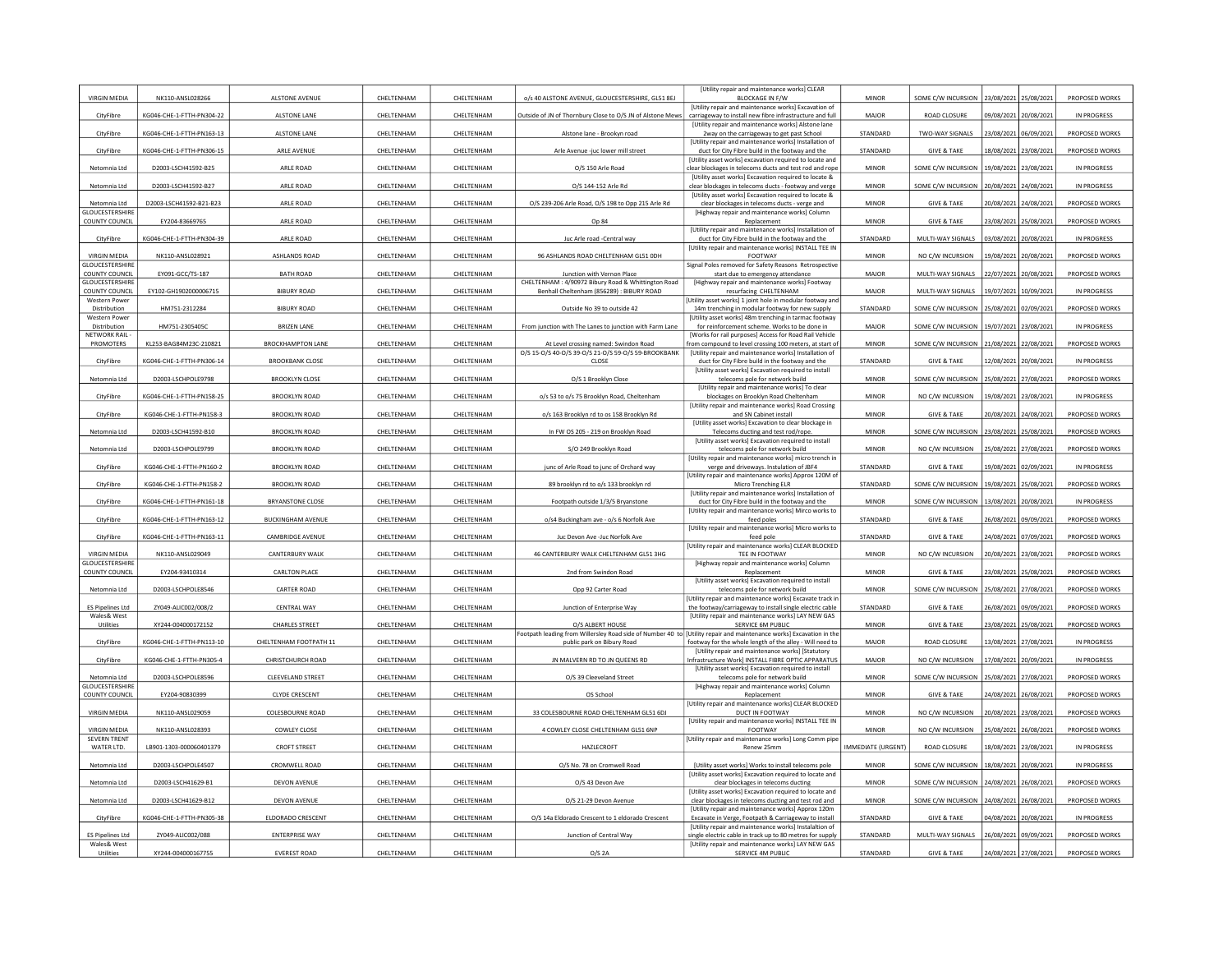| <b>VIRGIN MEDIA</b>                           | NK110-ANSL028266          | ALSTONE AVENUE           | CHELTENHAM | CHELTENHAM | o/s 40 ALSTONE AVENUE, GLOUCESTERSHIRE, GL51 8EJ                                                                                                  | [Utility repair and maintenance works] CLEAR<br><b>BLOCKAGE IN F/W</b>                                                | <b>MINOR</b>       | SOME C/W INCURSION                       | 23/08/2021            | 25/08/2021            | PROPOSED WORKS     |
|-----------------------------------------------|---------------------------|--------------------------|------------|------------|---------------------------------------------------------------------------------------------------------------------------------------------------|-----------------------------------------------------------------------------------------------------------------------|--------------------|------------------------------------------|-----------------------|-----------------------|--------------------|
|                                               |                           |                          |            |            |                                                                                                                                                   | [Utility repair and maintenance works] Excavation of                                                                  |                    |                                          |                       |                       |                    |
| CityFibre                                     | KG046-CHE-1-FTTH-PN304-22 | ALSTONE LANE             | CHELTENHAM | CHELTENHAM | Outside of JN of Thornbury Close to O/S JN of Alstone Mews                                                                                        | carriageway to install new fibre infrastructure and full<br>[Utility repair and maintenance works] Alstone lane       | MAJOR              | ROAD CLOSURE                             | 09/08/2021 20/08/2021 |                       | IN PROGRESS        |
| CityFibre                                     | KG046-CHE-1-FTTH-PN163-13 | ALSTONE LANE             | CHELTENHAM | CHELTENHAM | Alstone lane - Brookyn road                                                                                                                       | 2way on the carriageway to get past School<br><b>IUtility repair and maintenance works] Installation of</b>           | STANDARD           | TWO-WAY SIGNALS                          | 23/08/2021            | 06/09/2021            | PROPOSED WORKS     |
| CityFibre                                     | KG046-CHE-1-FTTH-PN306-15 | ARLE AVENUE              | CHELTENHAM | CHELTENHAM | Arle Avenue -juc lower mill street                                                                                                                | duct for City Fibre build in the footway and the<br>[Utility asset works] excavation required to locate and           | STANDARD           | <b>GIVE &amp; TAKE</b>                   |                       | 18/08/2021 23/08/2021 | PROPOSED WORKS     |
| Netomnia Ltd                                  | D2003-LSCH41592-B25       | ARLE ROAD                | CHELTENHAM | CHELTENHAM | O/S 150 Arle Road                                                                                                                                 | clear blockages in telecoms ducts and test rod and rope                                                               | <b>MINOR</b>       | SOME C/W INCURSION                       | 19/08/2021            | 23/08/2021            | IN PROGRESS        |
| Netomnia Ltd                                  | D2003-LSCH41592-B27       | ARLE ROAD                | CHELTENHAM | CHELTENHAM | O/S 144-152 Arle Rd                                                                                                                               | [Utility asset works] Excavation required to locate &<br>clear blockages in telecoms ducts - footway and verge        | <b>MINOR</b>       | SOME C/W INCURSION                       |                       | 20/08/2021 24/08/2021 | IN PROGRESS        |
| Netomnia Ltd                                  | D2003-LSCH41592-B21-B23   | ARLE ROAD                | CHELTENHAM | CHELTENHAM | O/S 239-206 Arle Road, O/S 198 to Opp 215 Arle Rd                                                                                                 | [Utility asset works] Excavation required to locate &<br>clear blockages in telecoms ducts - verge and                | <b>MINOR</b>       | <b>GIVE &amp; TAKE</b>                   |                       | 20/08/2021 24/08/2021 | PROPOSED WORKS     |
| <b>GLOUCESTERSHIRE</b><br>COUNTY COUNCIL      | EY204-83669765            | ARLE ROAD                | CHELTENHAM | CHELTENHAM | Op 84                                                                                                                                             | [Highway repair and maintenance works] Column<br>Replacement                                                          | <b>MINOR</b>       | <b>GIVE &amp; TAKE</b>                   | 23/08/2021            | 25/08/2021            | PROPOSED WORKS     |
|                                               | KG046-CHE-1-FTTH-PN304-39 | ARLE ROAD                |            |            |                                                                                                                                                   | [Utility repair and maintenance works] Installation of                                                                | STANDARD           |                                          |                       |                       |                    |
| CityFibre                                     |                           |                          | CHELTENHAM | CHELTENHAM | Juc Arle road -Central way                                                                                                                        | duct for City Fibre build in the footway and the<br>[Utility repair and maintenance works] INSTALL TEE IN             |                    | MULTI-WAY SIGNALS                        | 03/08/2021            | 20/08/202             | IN PROGRESS        |
| <b>VIRGIN MEDIA</b><br><b>GLOUCESTERSHIRE</b> | NK110-ANSL028921          | ASHLANDS ROAD            | CHELTENHAM | CHELTENHAM | 96 ASHLANDS ROAD CHELTENHAM GL51 0DH                                                                                                              | FOOTWAY<br>Signal Poles removed for Safety Reasons Retrospective                                                      | <b>MINOR</b>       | NO C/W INCURSION                         |                       | 19/08/2021 20/08/2021 | PROPOSED WORKS     |
| COUNTY COUNCIL<br><b>GLOUCESTERSHIRE</b>      | EY091-GCC/TS-187          | <b>BATH ROAD</b>         | CHELTENHAM | CHELTENHAM | Junction with Vernon Place<br>CHELTENHAM: 4/90972 Bibury Road & Whittington Road                                                                  | start due to emergency attendance<br>[Highway repair and maintenance works] Footway                                   | MAJOR              | MULTI-WAY SIGNALS                        | 22/07/2021            | 20/08/2021            | PROPOSED WORKS     |
| COUNTY COUNCIL<br><b>Western Power</b>        | EY102-GH1902000006715     | <b>BIBURY ROAD</b>       | CHELTENHAM | CHELTENHAM | Benhall Cheltenham (856289) : BIBURY ROAD                                                                                                         | resurfacing CHELTENHAM<br>Utility asset works] 1 joint hole in modular footway and                                    | MAJOR              | MULTI-WAY SIGNALS                        | 19/07/2021 10/09/2021 |                       | <b>IN PROGRESS</b> |
| Distribution                                  | HM751-2312284             | <b>BIBURY ROAD</b>       | CHELTENHAM | CHELTENHAM | Outside No 39 to outside 42                                                                                                                       | 14m trenching in modular footway for new supply                                                                       | STANDARD           | SOME C/W INCURSION                       | 25/08/2021 02/09/202  |                       | PROPOSED WORKS     |
| Western Powe<br>Distribution                  | HM751-2305405C            | <b>BRIZEN LANE</b>       | CHELTENHAM | CHELTENHAM | From junction with The Lanes to junction with Farm Lane                                                                                           | [Utility asset works] 48m trenching in tarmac footway<br>for reinforcement scheme. Works to be done in                | MAJOR              | SOME C/W INCURSION                       | 19/07/2021            | 23/08/202             | IN PROGRESS        |
| NETWORK RAIL<br>PROMOTERS                     | KL253-BAG84M23C-210821    | <b>BROCKHAMPTON LANE</b> | CHELTENHAM | CHELTENHAM | At Level crossing named: Swindon Road                                                                                                             | [Works for rail purposes] Access for Road Rail Vehicle<br>from compound to level crossing 100 meters, at start of     | <b>MINOR</b>       | SOME C/W INCURSION 21/08/2021 22/08/2021 |                       |                       | PROPOSED WORKS     |
| CityFibre                                     | KG046-CHE-1-FTTH-PN306-14 | <b>BROOKBANK CLOSE</b>   | CHELTENHAM | CHELTENHAM | 0/S 15-0/S 40-0/S 39-0/S 21-0/S 59-0/S 59-BROOKBANK<br>CLOSE                                                                                      | [Utility repair and maintenance works] Installation of<br>duct for City Fibre build in the footway and the            | STANDARD           | <b>GIVE &amp; TAKE</b>                   | 12/08/2021            | 20/08/2021            | IN PROGRESS        |
|                                               |                           |                          |            |            |                                                                                                                                                   | <b>IUtility asset works] Excavation required to install</b>                                                           |                    |                                          |                       |                       |                    |
| Netomnia Ltd                                  | D2003-LSCHPOLE9798        | <b>BROOKLYN CLOSE</b>    | CHELTENHAM | CHELTENHAM | O/S 1 Brooklyn Close                                                                                                                              | telecoms pole for network build<br>[Utility repair and maintenance works] To clear                                    | <b>MINOR</b>       | SOME C/W INCURSION                       | 25/08/2021 27/08/2021 |                       | PROPOSED WORKS     |
| CityFibre                                     | KG046-CHE-1-FTTH-PN158-25 | <b>BROOKLYN ROAD</b>     | CHELTENHAM | CHELTENHAM | o/s 53 to o/s 75 Brooklyn Road, Cheltenham                                                                                                        | blockages on Brooklyn Road Cheltenham<br>[Utility repair and maintenance works] Road Crossing                         | <b>MINOR</b>       | NO C/W INCURSION                         | 19/08/2021            | 23/08/2021            | IN PROGRESS        |
| CityFibre                                     | KG046-CHE-1-FTTH-PN158-3  | <b>BROOKLYN ROAD</b>     | CHELTENHAM | CHELTENHAM | o/s 163 Brooklyn rd to os 158 Brooklyn Rd                                                                                                         | and SN Cabinet install<br>[Utility asset works] Excavation to clear blockage in                                       | <b>MINOR</b>       | <b>GIVE &amp; TAKE</b>                   | 20/08/2021            | 24/08/2021            | PROPOSED WORKS     |
| Netomnia Ltd                                  | D2003-LSCH41592-B10       | <b>BROOKLYN ROAD</b>     | CHELTENHAM | CHELTENHAM | In FW OS 205 - 219 on Brooklyn Road                                                                                                               | Telecoms ducting and test rod/rope.                                                                                   | <b>MINOR</b>       | SOME C/W INCURSION                       | 23/08/2021 25/08/2021 |                       | PROPOSED WORKS     |
| Netomnia Ltd                                  | D2003-LSCHPOLE9799        | <b>BROOKLYN ROAD</b>     | CHELTENHAM | CHELTENHAM | S/O 249 Brooklyn Road                                                                                                                             | <b>IUtility asset worksl Excavation required to install</b><br>telecoms pole for network build                        | <b>MINOR</b>       | NO C/W INCURSION                         | 25/08/2021            | 27/08/202             | PROPOSED WORKS     |
| CityFibre                                     | KG046-CHE-1-FTTH-PN160-2  | <b>BROOKLYN ROAD</b>     | CHELTENHAM | CHELTENHAM | junc of Arle Road to junc of Orchard way                                                                                                          | [Utility repair and maintenance works] micro trench in<br>verge and driveways. Instulation of JBF4                    | STANDARD           | <b>GIVE &amp; TAKE</b>                   | 19/08/2021            | 02/09/202             | IN PROGRESS        |
| CityFibre                                     | KG046-CHE-1-FTTH-PN158-2  | <b>BROOKLYN ROAD</b>     | CHELTENHAM | CHELTENHAM | 89 brooklyn rd to o/s 133 brooklyn rd                                                                                                             | [Utility repair and maintenance works] Approx 120M of<br>Micro Trenching ELR                                          | STANDARD           | SOME C/W INCURSION                       | 19/08/2021 25/08/2021 |                       | PROPOSED WORKS     |
| CityFibre                                     | KG046-CHE-1-FTTH-PN161-18 | <b>BRYANSTONE CLOSE</b>  | CHELTENHAM | CHELTENHAM | Footpath outside 1/3/5 Bryanstone                                                                                                                 | <b>IUtility repair and maintenance works] Installation of</b><br>duct for City Fibre build in the footway and the     | <b>MINOR</b>       | SOME C/W INCURSION                       | 13/08/2021            | 20/08/2021            | IN PROGRESS        |
|                                               |                           |                          |            |            |                                                                                                                                                   | [Utility repair and maintenance works] Mirco works to                                                                 |                    |                                          |                       |                       |                    |
| CityFibre                                     | KG046-CHE-1-FTTH-PN163-12 | <b>BUCKINGHAM AVENUE</b> | CHELTENHAM | CHELTENHAM | o/s4 Buckingham ave - o/s 6 Norfolk Ave                                                                                                           | feed poles<br>[Utility repair and maintenance works] Micro works to                                                   | STANDARD           | <b>GIVE &amp; TAKE</b>                   |                       | 26/08/2021 09/09/2021 | PROPOSED WORKS     |
| CityFibre                                     | KG046-CHE-1-FTTH-PN163-11 | <b>CAMBRIDGE AVENUE</b>  | CHELTENHAM | CHELTENHAM | Juc Devon Ave -Juc Norfolk Ave                                                                                                                    | feed pole<br>[Utility repair and maintenance works] CLEAR BLOCKED                                                     | STANDARD           | <b>GIVE &amp; TAKE</b>                   | 24/08/2021            | 07/09/2021            | PROPOSED WORKS     |
| <b>VIRGIN MEDIA</b><br><b>GLOUCESTERSHIRE</b> | NK110-ANSL029049          | CANTERBURY WALK          | CHELTENHAM | CHELTENHAM | 46 CANTERBURY WALK CHELTENHAM GL51 3HG                                                                                                            | TEE IN FOOTWAY<br>[Highway repair and maintenance works] Column                                                       | <b>MINOR</b>       | NO C/W INCURSION                         | 20/08/2021            | 23/08/2021            | PROPOSED WORKS     |
| COUNTY COUNCIL                                | EY204-93410314            | <b>CARLTON PLACE</b>     | CHELTENHAM | CHELTENHAM | 2nd from Swindon Road                                                                                                                             | Replacement                                                                                                           | <b>MINOR</b>       | <b>GIVE &amp; TAKE</b>                   |                       | 23/08/2021 25/08/2021 | PROPOSED WORKS     |
| Netomnia Ltd                                  | D2003-LSCHPOLE8546        | <b>CARTER ROAD</b>       | CHELTENHAM | CHELTENHAM | Opp 92 Carter Road                                                                                                                                | <b>IUtility asset works] Excavation required to install</b><br>telecoms pole for network build                        | MINOR              | SOME C/W INCURSION                       | 25/08/2021            | 27/08/2021            | PROPOSED WORKS     |
| <b>ES Pipelines Ltd</b>                       | ZY049-ALIC002/008/2       | <b>CENTRAL WAY</b>       | CHELTENHAM | CHELTENHAM | Junction of Enterprise Way                                                                                                                        | Utility repair and maintenance works] Excavate track in<br>the footway/carriageway to install single electric cable   | STANDARD           | <b>GIVE &amp; TAKE</b>                   |                       | 26/08/2021 09/09/2021 | PROPOSED WORKS     |
| Wales& West<br>Utilities                      | XY244-004000172152        | <b>CHARLES STREET</b>    | CHELTENHAM | CHELTENHAM | O/S ALBERT HOUSE                                                                                                                                  | [Utility repair and maintenance works] LAY NEW GAS<br>SERVICE 6M PUBLIC                                               | <b>MINOR</b>       | <b>GIVE &amp; TAKE</b>                   | 23/08/2021            | 25/08/2021            | PROPOSED WORKS     |
| CityFibre                                     | KG046-CHE-1-FTTH-PN113-10 | CHELTENHAM FOOTPATH 11   | CHELTENHAM | CHELTENHAM | Footpath leading from Willersley Road side of Number 40 to [Utility repair and maintenance works] Excavation in the<br>public park on Bibury Road | ootway for the whole length of the alley - Will need to                                                               | MAJOR              | ROAD CLOSURE                             |                       | 13/08/2021 27/08/2021 | IN PROGRESS        |
|                                               |                           |                          |            |            |                                                                                                                                                   | [Utility repair and maintenance works] [Statutory                                                                     |                    |                                          |                       |                       |                    |
| CityFibre                                     | KG046-CHE-1-FTTH-PN305-4  | CHRISTCHURCH ROAD        | CHELTENHAM | CHELTENHAM | JN MALVERN RD TO JN QUEENS RD                                                                                                                     | nfrastructure Work] INSTALL FIBRE OPTIC APPARATUS<br><b>IUtility asset worksl Excavation required to install</b>      | MAJOR              | NO C/W INCURSION                         |                       | 17/08/2021 20/09/2021 | IN PROGRESS        |
| Netomnia Ltd<br>GLOUCESTERSHIRE               | D2003-LSCHPOLE8596        | <b>CLEEVELAND STREET</b> | CHELTENHAM | CHELTENHAM | O/S 39 Cleeveland Street                                                                                                                          | telecoms pole for network build<br>[Highway repair and maintenance works] Column                                      | <b>MINOR</b>       | SOME C/W INCURSION                       | 25/08/2021            | 27/08/2021            | PROPOSED WORKS     |
| COUNTY COUNCIL                                | EY204-90830399            | <b>CLYDE CRESCENT</b>    | CHELTENHAM | CHELTENHAM | OS School                                                                                                                                         | Replacement<br>[Utility repair and maintenance works] CLEAR BLOCKED                                                   | <b>MINOR</b>       | <b>GIVE &amp; TAKE</b>                   | 24/08/2021            | 26/08/202             | PROPOSED WORKS     |
| <b>VIRGIN MEDIA</b>                           | NK110-ANSL029059          | COLESBOURNE ROAD         | CHELTENHAM | CHELTENHAM | 33 COLESBOURNE ROAD CHELTENHAM GL51 6DJ                                                                                                           | DUCT IN FOOTWAY                                                                                                       | <b>MINOR</b>       | NO C/W INCURSION                         |                       | 20/08/2021 23/08/2021 | PROPOSED WORKS     |
| <b>VIRGIN MEDIA</b>                           | NK110-ANSL028393          | COWLEY CLOSE             | CHELTENHAM | CHELTENHAM | 4 COWLEY CLOSE CHELTENHAM GL51 6NP                                                                                                                | [Utility repair and maintenance works] INSTALL TEE IN<br>FOOTWAY                                                      | MINOR              | NO C/W INCURSION                         | 25/08/2021            | 26/08/2021            | PROPOSED WORKS     |
| <b>SEVERN TRENT</b><br>WATER LTD.             | LB901-1303-000060401379   | <b>CROFT STREET</b>      | CHELTENHAM | CHELTENHAM | HAZLECROFT                                                                                                                                        | [Utility repair and maintenance works] Long Comm pipe<br>Renew 25mm                                                   | IMMEDIATE (URGENT) | ROAD CLOSURE                             |                       | 18/08/2021 23/08/2021 | <b>IN PROGRESS</b> |
| Netomnia Ltd                                  | D2003-LSCHPOLE4507        | CROMWELL ROAD            | CHELTENHAM | CHELTENHAM | O/S No. 78 on Cromwell Road                                                                                                                       | [Utility asset works] Works to install telecoms pole                                                                  | <b>MINOR</b>       | SOME C/W INCURSION                       | 18/08/2021            | 20/08/2021            | IN PROGRESS        |
|                                               |                           |                          |            |            |                                                                                                                                                   | [Utility asset works] Excavation required to locate and                                                               | <b>MINOR</b>       |                                          |                       |                       |                    |
| Netomnia Ltd                                  | D2003-LSCH41629-B1        | DEVON AVENUE             | CHELTENHAM | CHELTENHAM | O/S 43 Devon Ave                                                                                                                                  | clear blockages in telecoms ducting<br>[Utility asset works] Excavation required to locate and                        |                    | SOME C/W INCURSION                       | 24/08/2021 26/08/2021 |                       | PROPOSED WORKS     |
| Netomnia Ltd                                  | D2003-LSCH41629-B12       | DEVON AVENUE             | CHELTENHAM | CHELTENHAM | O/S 21-29 Devon Avenue                                                                                                                            | clear blockages in telecoms ducting and test rod and<br>[Utility repair and maintenance works] Approx 120m            | MINOR              | SOME C/W INCURSION 24/08/2021 26/08/2021 |                       |                       | PROPOSED WORKS     |
| CityFibre                                     | KG046-CHE-1-FTTH-PN305-38 | ELDORADO CRESCENT        | CHELTENHAM | CHELTENHAM | O/S 14a Eldorado Crescent to 1 eldorado Crescent                                                                                                  | Excavate in Verge, Footpath & Carriageway to install<br><b>IUtility repair and maintenance works] Instalaltion of</b> | STANDARD           | <b>GIVE &amp; TAKE</b>                   | 04/08/2021            | 20/08/2021            | IN PROGRESS        |
| <b>ES Pipelines Ltd</b><br>Wales& West        | ZY049-ALIC002/088         | <b>ENTERPRISE WAY</b>    | CHELTENHAM | CHELTENHAM | Junction of Central Way                                                                                                                           | single electric cable in track up to 80 metres for supply<br>[Utility repair and maintenance works] LAY NEW GAS       | STANDARD           | MULTI-WAY SIGNALS                        | 26/08/2021 09/09/2021 |                       | PROPOSED WORKS     |
| Utilities                                     | XY244-004000167755        | <b>EVEREST ROAD</b>      | CHELTENHAM | CHELTENHAM | $O/S$ 2A                                                                                                                                          | SERVICE 4M PUBLIC                                                                                                     | STANDARD           | <b>GIVE &amp; TAKE</b>                   |                       | 24/08/2021 27/08/2021 | PROPOSED WORKS     |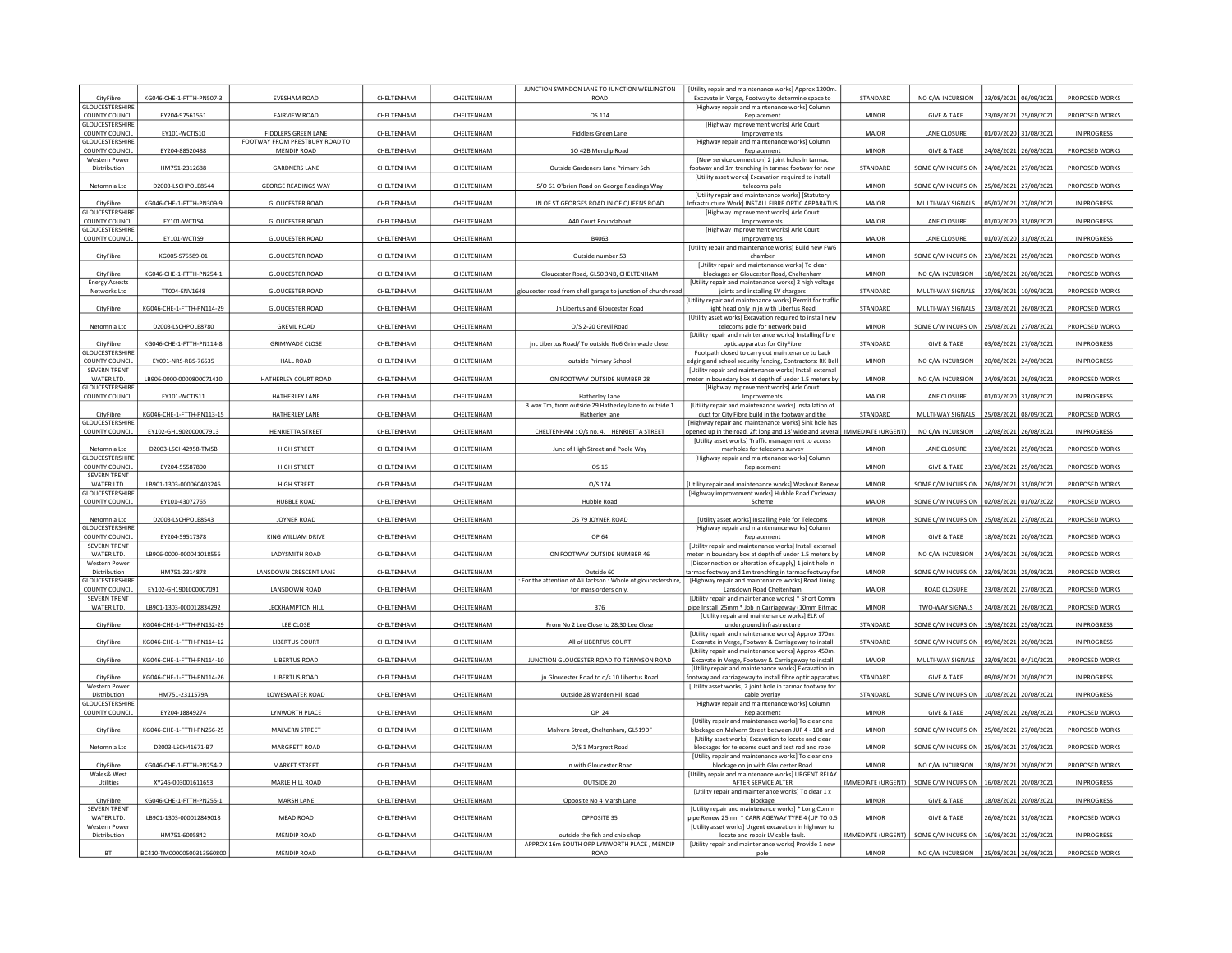|                                                 |                           |                                               |            |                   | JUNCTION SWINDON LANE TO JUNCTION WELLINGTON                                  | [Utility repair and maintenance works] Approx 1200m                                                                       | STANDARD                  |                                          |                       |                       |                    |
|-------------------------------------------------|---------------------------|-----------------------------------------------|------------|-------------------|-------------------------------------------------------------------------------|---------------------------------------------------------------------------------------------------------------------------|---------------------------|------------------------------------------|-----------------------|-----------------------|--------------------|
| CityFibre<br><b>GLOUCESTERSHIRE</b>             | KG046-CHE-1-FTTH-PN507-3  | EVESHAM ROAD                                  | CHELTENHAM | CHELTENHAM        | ROAD                                                                          | Excavate in Verge, Footway to determine space to<br>[Highway repair and maintenance works] Column                         |                           | NO C/W INCURSION                         | 23/08/2021 06/09/2021 |                       | PROPOSED WORKS     |
| COUNTY COUNCIL<br><b>GLOUCESTERSHIRE</b>        | EY204-97561551            | <b>FAIRVIEW ROAD</b>                          | CHELTENHAM | CHELTENHAM        | OS 114                                                                        | Replacement<br>[Highway improvement works] Arle Court                                                                     | <b>MINOR</b>              | <b>GIVE &amp; TAKE</b>                   | 23/08/2021 25/08/2021 |                       | PROPOSED WORKS     |
| COUNTY COUNCIL                                  | EY101-WCTIS10             | <b>FIDDLERS GREEN LANE</b>                    | CHELTENHAM | CHELTENHAM        | <b>Fiddlers Green Lane</b>                                                    | Improvements                                                                                                              | MAJOR                     | LANE CLOSURE                             | 01/07/2020            | 31/08/2021            | IN PROGRESS        |
| <b>GLOUCESTERSHIRE</b><br><b>COUNTY COUNCIL</b> | EY204-88520488            | FOOTWAY FROM PRESTBURY ROAD TO<br>MENDIP ROAD | CHELTENHAM | CHELTENHAM        | SO 42B Mendip Road                                                            | [Highway repair and maintenance works] Column<br>Replacement                                                              | <b>MINOR</b>              | <b>GIVE &amp; TAKE</b>                   | 24/08/2021            | 26/08/2021            | PROPOSED WORKS     |
| <b>Western Power</b>                            |                           |                                               |            |                   |                                                                               | [New service connection] 2 joint holes in tarmac                                                                          |                           |                                          |                       |                       |                    |
| Distribution                                    | HM751-2312688             | <b>GARDNERS LANE</b>                          | CHELTENHAM | CHELTENHAM        | Outside Gardeners Lane Primary Sch                                            | footway and 1m trenching in tarmac footway for new<br>[Utility asset works] Excavation required to install                | STANDARD                  | SOME C/W INCURSION                       | 24/08/2021            | 27/08/2021            | PROPOSED WORKS     |
| Netomnia Ltd                                    | D2003-LSCHPOLE8544        | <b>GEORGE READINGS WAY</b>                    | CHELTENHAM | CHELTENHAM        | S/O 61 O'brien Road on George Readings Way                                    | telecoms pole                                                                                                             | <b>MINOR</b>              | SOME C/W INCURSION                       | 25/08/2021            | 27/08/2021            | PROPOSED WORKS     |
| CityFibre                                       | KG046-CHE-1-FTTH-PN309-9  | <b>GLOUCESTER ROAD</b>                        | CHELTENHAM | CHELTENHAM        | JN OF ST GEORGES ROAD JN OF QUEENS ROAD                                       | [Utility repair and maintenance works] [Statutory<br>nfrastructure Work] INSTALL FIBRE OPTIC APPARATUS                    | MAJOR                     | MULTI-WAY SIGNALS                        | 05/07/2021 27/08/202  |                       | IN PROGRESS        |
| <b>GLOUCESTERSHIRE</b><br><b>COUNTY COUNCIL</b> | EY101-WCTIS4              | <b>GLOUCESTER ROAD</b>                        | CHELTENHAM | CHELTENHAM        | A40 Court Roundabout                                                          | [Highway improvement works] Arle Court<br>Improvements                                                                    | MAJOR                     | LANE CLOSURE                             | 01/07/2020            | 31/08/2021            | IN PROGRESS        |
| GLOUCESTERSHIRE                                 |                           |                                               |            |                   |                                                                               | [Highway improvement works] Arle Court                                                                                    |                           |                                          |                       |                       |                    |
| <b>COUNTY COUNCIL</b>                           | EY101-WCTIS9              | <b>GLOUCESTER ROAD</b>                        | CHELTENHAM | CHELTENHAM        | B4063                                                                         | Improvements<br>[Utility repair and maintenance works] Build new FW6                                                      | <b>MAJOR</b>              | LANE CLOSURE                             | 01/07/2020            | 31/08/2021            | IN PROGRESS        |
| CityFibre                                       | KG005-S75589-01           | <b>GLOUCESTER ROAD</b>                        | CHELTENHAM | CHELTENHAM        | Outside number 53                                                             | chamber                                                                                                                   | <b>MINOR</b>              | SOME C/W INCURSION                       | 23/08/2021            | 25/08/2021            | PROPOSED WORKS     |
| CityFibre                                       | KG046-CHE-1-FTTH-PN254-1  | <b>GLOUCESTER ROAD</b>                        | CHELTENHAM | CHELTENHAM        | Gloucester Road, GL50 3NB, CHELTENHAM                                         | [Utility repair and maintenance works] To clear<br>blockages on Gloucester Road, Cheltenham                               | <b>MINOR</b>              | NO C/W INCURSION                         | 18/08/2021            | 20/08/202             | PROPOSED WORKS     |
| <b>Energy Assests</b>                           |                           |                                               |            |                   |                                                                               | [Utility repair and maintenance works] 2 high voltage                                                                     | STANDARD                  |                                          |                       |                       |                    |
| Networks Ltd                                    | TT004-ENV1648             | <b>GLOUCESTER ROAD</b>                        | CHELTENHAM | CHELTENHAM        | gloucester road from shell garage to junction of church road                  | joints and installing EV chargers<br>[Utility repair and maintenance works] Permit for traffic                            |                           | MULTI-WAY SIGNALS                        |                       | 27/08/2021 10/09/2021 | PROPOSED WORKS     |
| CityFibre                                       | KG046-CHF-1-FTTH-PN114-29 | <b>GLOUCESTER ROAD</b>                        | CHELTENHAM | <b>CHEITENHAM</b> | Jn Libertus and Gloucester Road                                               | light head only in jn with Libertus Road<br>[Utility asset works] Excavation required to install nev                      | <b>STANDARD</b>           | MULTI-WAY SIGNALS                        | 23/08/2021            | 26/08/2021            | PROPOSED WORKS     |
| Netomnia Ltd                                    | D2003-LSCHPOLE8780        | <b>GREVIL ROAD</b>                            | CHELTENHAM | CHELTENHAM        | O/S 2-20 Grevil Road                                                          | telecoms pole for network build                                                                                           | <b>MINOR</b>              | SOME C/W INCURSION                       | 25/08/2021            | 27/08/2021            | PROPOSED WORKS     |
| CityFibre                                       | KG046-CHE-1-FTTH-PN114-8  | <b>GRIMWADE CLOSE</b>                         | CHELTENHAM | CHELTENHAM        | inc Libertus Road/ To outside No6 Grimwade close                              | [Utility repair and maintenance works] Installing fibre<br>optic apparatus for CityFibre                                  | STANDARD                  | <b>GIVE &amp; TAKE</b>                   | 03/08/2021 27/08/2021 |                       | IN PROGRESS        |
| <b>GLOUCESTERSHIRE</b>                          |                           |                                               |            |                   |                                                                               | Footpath closed to carry out maintenance to back                                                                          |                           |                                          |                       |                       |                    |
| COUNTY COUNCIL<br><b>SEVERN TRENT</b>           | EY091-NRS-RBS-76535       | <b>HALL ROAD</b>                              | CHELTENHAM | CHELTENHAM        | outside Primary Schoo                                                         | edging and school security fencing, Contractors: RK Bel<br><b>IUtility repair and maintenance works] Install external</b> | <b>MINOR</b>              | NO C/W INCURSION                         | 20/08/2021            | 24/08/202             | IN PROGRESS        |
| WATER LTD.                                      | LB906-0000-0000800071410  | HATHERLEY COURT ROAD                          | CHELTENHAM | CHELTENHAM        | ON FOOTWAY OUTSIDE NUMBER 28                                                  | meter in boundary box at depth of under 1.5 meters by                                                                     | <b>MINOR</b>              | NO C/W INCURSION                         | 24/08/2021            | 26/08/2021            | PROPOSED WORKS     |
| <b>GLOUCESTERSHIRE</b><br>COUNTY COUNCIL        | EY101-WCTIS11             | HATHERLEY LANE                                | CHELTENHAM | CHELTENHAM        | Hatherley Lane                                                                | [Highway improvement works] Arle Court<br>Improvements                                                                    | MAIOR                     | LANE CLOSURE                             | 01/07/2020            | 31/08/2021            | IN PROGRESS        |
| CityFibre                                       | KG046-CHE-1-FTTH-PN113-15 | HATHERLEY LANE                                | CHELTENHAM | CHELTENHAM        | 3 way Tm, from outside 29 Hatherley lane to outside 1<br>Hatherley lane       | [Utility repair and maintenance works] Installation of<br>duct for City Fibre build in the footway and the                | STANDARD                  | MULTI-WAY SIGNALS                        | 25/08/2021            | 08/09/202             | PROPOSED WORKS     |
| <b>GLOUCESTERSHIRE</b>                          |                           |                                               |            |                   |                                                                               | [Highway repair and maintenance works] Sink hole has                                                                      |                           |                                          |                       |                       |                    |
| COUNTY COUNCIL                                  | EY102-GH1902000007913     | HENRIETTA STREET                              | CHELTENHAM | CHELTENHAM        | CHELTENHAM: O/s no. 4. : HENRIETTA STREET                                     | opened up in the road. 2ft long and 18' wide and several<br>[Utility asset works] Traffic management to access            | IMMEDIATE (URGENT)        | NO C/W INCURSION                         | 12/08/2021 26/08/2021 |                       | IN PROGRESS        |
| Netomnia Ltd                                    | D2003-LSCH42958-TM5B      | HIGH STREET                                   | CHELTENHAM | CHELTENHAM        | Junc of High Street and Poole Way                                             | manholes for telecoms survey                                                                                              | <b>MINOR</b>              | LANE CLOSURE                             | 23/08/2021            | 25/08/2021            | PROPOSED WORKS     |
| GLOUCESTERSHIRE<br>COUNTY COUNCIL               | EY204-55587800            | HIGH STREET                                   | CHELTENHAM | CHELTENHAM        | OS 16                                                                         | [Highway repair and maintenance works] Column<br>Replacement                                                              | <b>MINOR</b>              | <b>GIVE &amp; TAKE</b>                   | 23/08/2021            | 25/08/2021            | PROPOSED WORKS     |
| <b>SEVERN TRENT</b><br>WATER LTD.               | LB901-1303-000060403246   | HIGH STREET                                   | CHELTENHAM | CHELTENHAM        | O/S 174                                                                       |                                                                                                                           | <b>MINOR</b>              | SOME C/W INCURSION                       | 26/08/2021            | 31/08/2021            | PROPOSED WORKS     |
| <b>GLOUCESTERSHIRE</b>                          |                           |                                               |            |                   |                                                                               | [Utility repair and maintenance works] Washout Renew<br>[Highway improvement works] Hubble Road Cycleway                  |                           |                                          |                       |                       |                    |
| COUNTY COUNCIL                                  | EY101-43072765            | HUBBLE ROAD                                   | CHELTENHAM | CHELTENHAM        | Hubble Road                                                                   | Scheme                                                                                                                    | MAJOR                     | SOME C/W INCURSION                       | 02/08/2021 01/02/2022 |                       | PROPOSED WORKS     |
| Netomnia Ltd                                    | D2003-LSCHPOLE8543        | JOYNER ROAD                                   | CHELTENHAM | CHELTENHAM        | OS 79 JOYNER ROAD                                                             | [Utility asset works] Installing Pole for Telecoms                                                                        | MINOR                     | SOME C/W INCURSION                       | 25/08/2021 27/08/2021 |                       | PROPOSED WORKS     |
| GLOUCESTERSHIRE<br>COUNTY COUNCIL               | FY204-59517378            | KING WILLIAM DRIVE                            | CHELTENHAM | CHELTENHAM        | OP 64                                                                         | [Highway repair and maintenance works] Column<br>Replacement                                                              | <b>MINOR</b>              | <b>GIVE &amp; TAKE</b>                   | 18/08/2021            | 20/08/2021            | PROPOSED WORKS     |
| <b>SEVERN TRENT</b><br>WATER ITD.               | LB906-0000-000041018556   | LADYSMITH ROAD                                | CHELTENHAM | CHELTENHAM        |                                                                               | [Utility repair and maintenance works] Install externa                                                                    | <b>MINOR</b>              |                                          |                       |                       |                    |
| Western Powe                                    |                           |                                               |            |                   | ON FOOTWAY OUTSIDE NUMBER 46                                                  | meter in boundary box at depth of under 1.5 meters by<br>[Disconnection or alteration of supply] 1 joint hole in          |                           | NO C/W INCURSION                         | 24/08/2021            | 26/08/202             | PROPOSED WORKS     |
| Distribution<br><b>GLOUCESTERSHIRE</b>          | HM751-2314878             | LANSDOWN CRESCENT LANE                        | CHELTENHAM | CHELTENHAM        | Outside 60<br>For the attention of Ali Jackson : Whole of gloucestershire,    | tarmac footway and 1m trenching in tarmac footway for<br>[Highway repair and maintenance works] Road Lining               | <b>MINOR</b>              | SOME C/W INCURSION                       | 23/08/2021 25/08/2021 |                       | PROPOSED WORKS     |
| COUNTY COUNCIL                                  | EY102-GH1901000007091     | LANSDOWN ROAD                                 | CHELTENHAM | CHELTENHAM        | for mass orders only                                                          | Lansdown Road Cheltenham                                                                                                  | MAJOR                     | ROAD CLOSURE                             | 23/08/2021            | 27/08/2021            | PROPOSED WORKS     |
| <b>SEVERN TRENT</b><br>WATER LTD.               | LB901-1303-000012834292   | LECKHAMPTON HILL                              | CHELTENHAM | CHELTENHAM        | 376                                                                           | <b>IUtility repair and maintenance works1 * Short Comm</b><br>pipe Install 25mm * Job in Carriageway (10mm Bitmad         | MINOR                     | TWO-WAY SIGNALS                          | 24/08/2021            | 26/08/202             | PROPOSED WORKS     |
|                                                 |                           |                                               |            |                   |                                                                               | [Utility repair and maintenance works] ELR of                                                                             |                           |                                          |                       |                       |                    |
| CityFibre                                       | KG046-CHE-1-FTTH-PN152-29 | LEE CLOSE                                     | CHELTENHAM | CHELTENHAM        | From No 2 Lee Close to 28;30 Lee Close                                        | underground infrastructure<br>[Utility repair and maintenance works] Approx 170m.                                         | STANDARD                  | SOME C/W INCURSION                       | 19/08/2021            | 25/08/2021            | IN PROGRESS        |
| CityFibre                                       | KG046-CHE-1-FTTH-PN114-12 | <b>LIBERTUS COURT</b>                         | CHELTENHAM | CHELTENHAM        | All of LIBERTUS COURT                                                         | Excavate in Verge, Footway & Carriageway to install<br>[Utility repair and maintenance works] Approx 450m.                | STANDARD                  | SOME C/W INCURSION                       | 09/08/2021            | 20/08/2021            | <b>IN PROGRESS</b> |
| CityFibre                                       | KG046-CHE-1-FTTH-PN114-10 | <b>LIBERTUS ROAD</b>                          | CHELTENHAM | CHELTENHAM        | JUNCTION GLOUCESTER ROAD TO TENNYSON ROAD                                     | Excavate in Verge, Footway & Carriageway to install                                                                       | <b>MAJOR</b>              | MULTI-WAY SIGNALS                        | 23/08/2021 04/10/2021 |                       | PROPOSED WORKS     |
| CityFibre                                       | KG046-CHE-1-FTTH-PN114-26 | <b>LIBERTUS ROAD</b>                          | CHELTENHAM | CHELTENHAM        | jn Gloucester Road to o/s 10 Libertus Road                                    | [Utility repair and maintenance works] Excavation in<br>ootway and carriageway to install fibre optic apparatus           | STANDARD                  | <b>GIVE &amp; TAKE</b>                   | 09/08/2021            | 20/08/2021            | IN PROGRESS        |
| Western Powe                                    |                           |                                               |            |                   |                                                                               | [Utility asset works] 2 joint hole in tarmac footway for                                                                  |                           |                                          |                       |                       |                    |
| Distribution<br><b>GLOUCESTERSHIRE</b>          | HM751-2311579A            | LOWESWATER ROAD                               | CHELTENHAM | CHELTENHAM        | Outside 28 Warden Hill Road                                                   | cable overlay<br>[Highway repair and maintenance works] Column                                                            | STANDARD                  | SOME C/W INCURSION                       | 10/08/2021 20/08/202  |                       | IN PROGRESS        |
| COUNTY COUNCIL                                  | EY204-18849274            | LYNWORTH PLACE                                | CHELTENHAM | CHELTENHAM        | OP 24                                                                         | Replacement                                                                                                               | <b>MINOR</b>              | <b>GIVE &amp; TAKE</b>                   | 24/08/2021            | 26/08/2021            | PROPOSED WORKS     |
| CityFibre                                       | KG046-CHE-1-FTTH-PN256-25 | MALVERN STREET                                | CHELTENHAM | CHELTENHAM        | Malvern Street, Cheltenham, GL519DF                                           | [Utility repair and maintenance works] To clear one<br>blockage on Malvern Street between JUF 4 - 108 and                 | <b>MINOR</b>              | SOME C/W INCURSION                       | 25/08/2021 27/08/2021 |                       | PROPOSED WORKS     |
| Netomnia Ltd                                    | D2003-LSCH41671-B7        | MARGRETT ROAD                                 | CHELTENHAM | CHELTENHAM        | O/S 1 Margrett Road                                                           | [Utility asset works] Excavation to locate and clear<br>blockages for telecoms duct and test rod and rope                 | <b>MINOR</b>              | SOME C/W INCURSION 25/08/2021 27/08/2021 |                       |                       | PROPOSED WORKS     |
|                                                 |                           |                                               |            |                   |                                                                               | <b>IUtility repair and maintenance works) To clear one</b>                                                                |                           |                                          |                       |                       |                    |
| CityFibre<br>Wales& West                        | KG046-CHE-1-FTTH-PN254-2  | <b>MARKET STREET</b>                          | CHELTENHAM | CHELTENHAM        | Jn with Gloucester Road                                                       | blockage on jn with Gloucester Road<br>[Utility repair and maintenance works] URGENT RELAY                                | <b>MINOR</b>              | NO C/W INCURSION                         | 18/08/2021            | 20/08/2021            | PROPOSED WORKS     |
| Utilities                                       | XY245-003001611653        | MARLE HILL ROAD                               | CHELTENHAM | CHELTENHAM        | OUTSIDE 20                                                                    | AFTER SERVICE ALTER                                                                                                       | <b>IMMEDIATE (URGENT)</b> | SOME C/W INCURSION                       | 16/08/2021            | 20/08/202             | IN PROGRESS        |
| CityFibre                                       | KG046-CHE-1-FTTH-PN255-1  | MARSH LANE                                    | CHELTENHAM | CHELTENHAM        | Opposite No 4 Marsh Lane                                                      | [Utility repair and maintenance works] To clear 1 x<br>blockage                                                           | <b>MINOR</b>              | <b>GIVE &amp; TAKE</b>                   |                       | 18/08/2021 20/08/2021 | IN PROGRESS        |
| <b>SEVERN TRENT</b><br>WATER LTD.               | LB901-1303-000012849018   | MEAD ROAD                                     | CHELTENHAM | CHELTENHAM        | OPPOSITE 35                                                                   | [Utility repair and maintenance works] * Long Comm<br>oipe Renew 25mm * CARRIAGEWAY TYPE 4 (UP TO 0.5                     | <b>MINOR</b>              | <b>GIVE &amp; TAKE</b>                   | 26/08/2021            | 31/08/2021            | PROPOSED WORKS     |
| <b>Western Power</b>                            |                           |                                               |            |                   |                                                                               | [Utility asset works] Urgent excavation in highway to                                                                     |                           |                                          |                       |                       |                    |
| Distribution                                    | HM751-6005842             | MENDIP ROAD                                   | CHELTENHAM | CHELTENHAM        | outside the fish and chip shop<br>APPROX 16m SOUTH OPP LYNWORTH PLACE, MENDIP | locate and repair LV cable fault.<br>[Utility repair and maintenance works] Provide 1 new                                 | <b>IMMEDIATE (URGENT)</b> | SOME C/W INCURSION                       | 16/08/2021 22/08/2021 |                       | IN PROGRESS        |
| <b>BT</b>                                       | BC410-TM00000500313560800 | MENDIP ROAD                                   | CHELTENHAM | CHELTENHAM        | ROAD                                                                          | pole                                                                                                                      | <b>MINOR</b>              | NO C/W INCURSION                         | 25/08/2021 26/08/2021 |                       | PROPOSED WORKS     |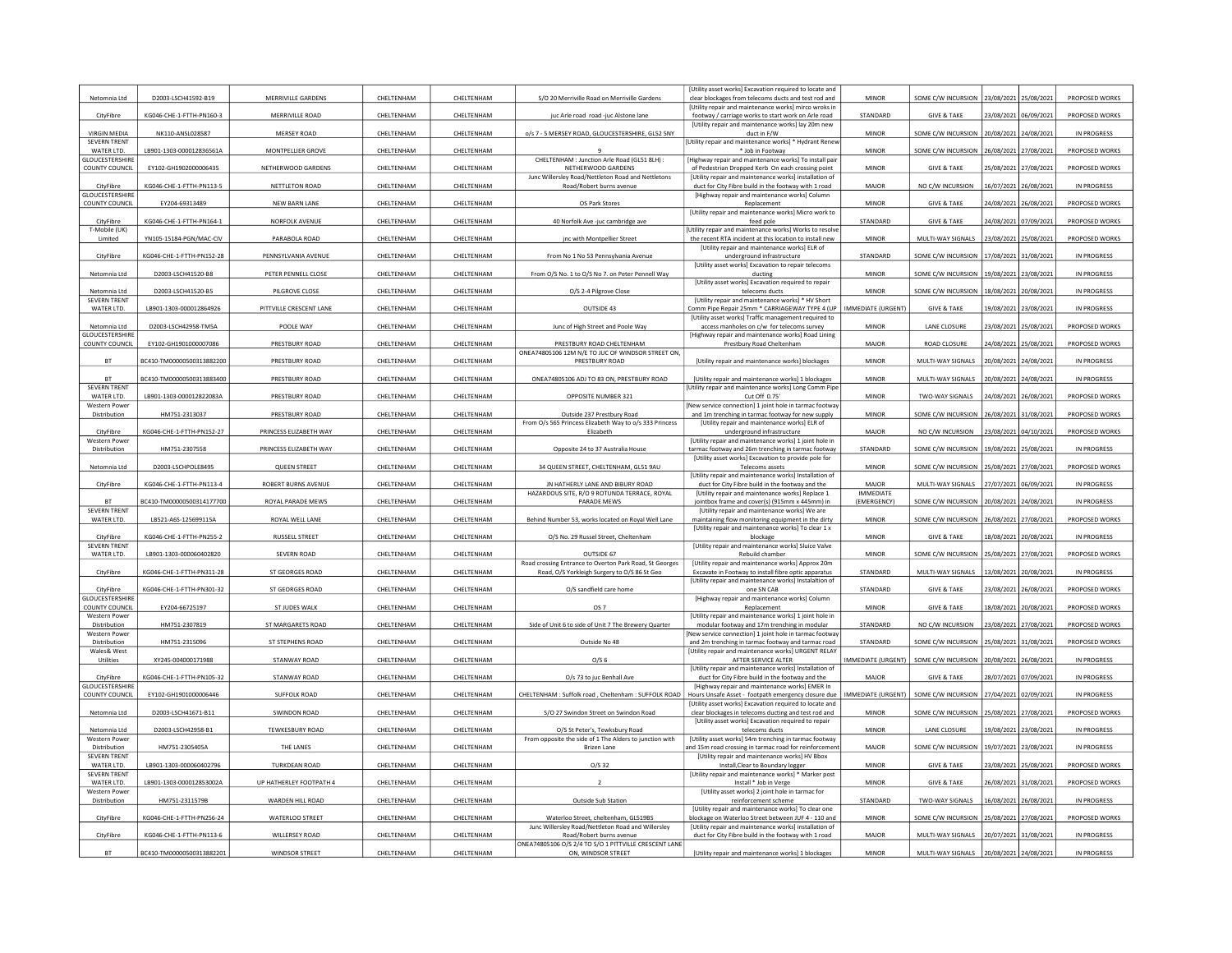| Netomnia Ltd                         | D2003-LSCH41592-B19       | MERRIVILLE GARDENS      | CHELTENHAM        | CHELTENHAM        | S/O 20 Merriville Road on Merriville Gardens                                               | [Utility asset works] Excavation required to locate and<br>clear blockages from telecoms ducts and test rod and      | MINOR                     | SOME C/W INCURSION                          | 23/08/2021            | 25/08/2021            | PROPOSED WORKS     |
|--------------------------------------|---------------------------|-------------------------|-------------------|-------------------|--------------------------------------------------------------------------------------------|----------------------------------------------------------------------------------------------------------------------|---------------------------|---------------------------------------------|-----------------------|-----------------------|--------------------|
| CityFibre                            | KG046-CHE-1-FTTH-PN160-3  | MERRIVILLE ROAD         | CHELTENHAM        | CHELTENHAM        | juc Arle road road -juc Alstone lane                                                       | [Utility repair and maintenance works] mirco wroks in<br>footway / carriage works to start work on Arle road         | STANDARD                  | <b>GIVE &amp; TAKE</b>                      | 23/08/2021 06/09/202  |                       | PROPOSED WORKS     |
| <b>VIRGIN MEDIA</b>                  | NK110-ANSL028587          | MERSEY ROAD             | CHELTENHAM        | CHELTENHAM        | o/s 7 - 5 MERSEY ROAD, GLOUCESTERSHIRE, GL52 5NY                                           | IUtility repair and maintenance works] lay 20m new<br>duct in F/W                                                    | <b>MINOR</b>              | SOME C/W INCURSION                          | 20/08/2021            | 24/08/202             | IN PROGRESS        |
| <b>SEVERN TRENT</b><br>WATER ITD.    | LB901-1303-000012836561A  | MONTPELLIER GROVE       | CHELTENHAM        | CHELTENHAM        |                                                                                            | [Utility repair and maintenance works] * Hydrant Renew<br>* Job in Footway                                           | <b>MINOR</b>              | SOME C/W INCURSION                          | 26/08/2021            | 27/08/2021            | PROPOSED WORKS     |
| GLOUCESTERSHIRE<br>COUNTY COUNCIL    | EY102-GH1902000006435     | NETHERWOOD GARDENS      | CHELTENHAM        | CHELTENHAM        | CHELTENHAM : Junction Arle Road (GL51 8LH) :<br>NETHERWOOD GARDENS                         | Highway repair and maintenance works] To install pair<br>of Pedestrian Dropped Kerb On each crossing point           | MINOR                     | <b>GIVE &amp; TAKE</b>                      |                       | 25/08/2021 27/08/2021 | PROPOSED WORKS     |
| CityFibre                            | KG046-CHE-1-FTTH-PN113-5  | NETTLETON ROAD          | CHELTENHAM        | CHELTENHAM        | Junc Willersley Road/Nettleton Road and Nettletons<br>Road/Robert burns avenue             | [Utility repair and maintenance works] installation of<br>duct for City Fibre build in the footway with 1 road       | MAJOR                     | NO C/W INCURSION                            | 16/07/2021            | 26/08/2021            | IN PROGRESS        |
| <b>GLOUCESTERSHIRI</b>               |                           | <b>NEW BARN LANE</b>    |                   |                   |                                                                                            | [Highway repair and maintenance works] Column                                                                        | <b>MINOR</b>              | <b>GIVE &amp; TAKE</b>                      |                       |                       |                    |
| <b>COUNTY COUNCIL</b>                | EY204-69313489            |                         | CHELTENHAM        | CHELTENHAM        | OS Park Stores                                                                             | Replacement<br>[Utility repair and maintenance works] Micro work to                                                  |                           |                                             | 14/08/2021            | 26/08/2021            | PROPOSED WORKS     |
| CityFibre<br>T-Mobile (UK)           | KG046-CHE-1-FTTH-PN164-1  | NORFOLK AVENUE          | <b>CHELTENHAM</b> | CHELTENHAM        | 40 Norfolk Ave -juc cambridge ave                                                          | feed pole<br>[Utility repair and maintenance works] Works to resolve                                                 | STANDARD                  | <b>GIVE &amp; TAKE</b>                      | 24/08/2021            | 07/09/2021            | PROPOSED WORKS     |
| Limited                              | YN105-15184-PGN/MAC-CIV   | PARABOLA ROAD           | CHELTENHAM        | CHELTENHAM        | inc with Montpellier Street                                                                | the recent RTA incident at this location to install new<br>[Utility repair and maintenance works] ELR of             | <b>MINOR</b>              | MULTI-WAY SIGNALS                           | 23/08/2021            | 25/08/2021            | PROPOSED WORKS     |
| CityFibre                            | KG046-CHE-1-FTTH-PN152-28 | PENNSYLVANIA AVENUE     | CHELTENHAM        | CHELTENHAM        | From No 1 No 53 Pennsylvania Avenue                                                        | underground infrastructure<br><b>IUtility asset worksl Excavation to repair telecoms</b>                             | STANDARD                  | SOME C/W INCURSION 17/08/2021 31/08/2021    |                       |                       | IN PROGRESS        |
| Netomnia Ltd                         | D2003-LSCH41520-B8        | PETER PENNELL CLOSE     | CHELTENHAM        | CHELTENHAM        | From O/S No. 1 to O/S No 7. on Peter Pennell Way                                           | ducting                                                                                                              | <b>MINOR</b>              | SOME C/W INCURSION                          | 19/08/2021            | 23/08/2021            | IN PROGRESS        |
| Netomnia I td                        | D2003-LSCH41520-B5        | PILGROVE CLOSE          | CHELTENHAM        | CHELTENHAM        | O/S 2-4 Pilgrove Close                                                                     | [Utility asset works] Excavation required to repair<br>telecoms ducts                                                | <b>MINOR</b>              | SOME C/W INCURSION                          | 18/08/2021            | 20/08/202             | IN PROGRESS        |
| <b>SEVERN TRENT</b><br>WATER LTD.    | LB901-1303-000012864926   | PITTVILLE CRESCENT LANE | CHELTENHAM        | CHELTENHAM        | OUTSIDE 43                                                                                 | [Utility repair and maintenance works] * HV Short<br>Comm Pipe Repair 25mm * CARRIAGEWAY TYPE 4 (UP                  | IMMEDIATE (URGENT)        | <b>GIVE &amp; TAKE</b>                      | 19/08/2021            | 23/08/2021            | <b>IN PROGRESS</b> |
| Netomnia Ltd                         | D2003-LSCH42958-TM5A      | POOLE WAY               | CHELTENHAM        | CHELTENHAM        | Junc of High Street and Poole Way                                                          | [Utility asset works] Traffic management required to<br>access manholes on c/w for telecoms survey                   | <b>MINOR</b>              | LANE CLOSURE                                | 23/08/2021            | 25/08/202             | PROPOSED WORKS     |
| <b>GLOUCESTERSHIRE</b>               |                           |                         |                   |                   |                                                                                            | [Highway repair and maintenance works] Road Lining                                                                   | <b>MAJOR</b>              |                                             |                       |                       |                    |
| <b>COUNTY COUNCIL</b>                | EY102-GH1901000007086     | PRESTBURY ROAD          | CHELTENHAM        | <b>CHELTENHAM</b> | PRESTBURY ROAD CHELTENHAM<br>ONEA74805106 12M N/E TO JUC OF WINDSOR STREET ON              | Prestbury Road Cheltenham                                                                                            |                           | ROAD CLOSURE                                |                       | 24/08/2021 25/08/2021 | PROPOSED WORKS     |
| <b>BT</b>                            | BC410-TM00000500313882200 | PRESTBURY ROAD          | CHELTENHAM        | <b>CHELTENHAM</b> | PRESTBURY ROAD                                                                             | [Utility repair and maintenance works] blockages                                                                     | <b>MINOR</b>              | MULTI-WAY SIGNALS                           | 20/08/2021            | 24/08/2021            | <b>IN PROGRESS</b> |
| <b>BT</b><br><b>SEVERN TRENT</b>     | BC410-TM00000500313883400 | PRESTBURY ROAD          | CHELTENHAM        | CHELTENHAM        | ONEA74805106 ADJ TO 83 ON, PRESTBURY ROAD                                                  | [Utility repair and maintenance works] 1 blockages<br>Utility repair and maintenance works] Long Comm Pipe           | <b>MINOR</b>              | MULTI-WAY SIGNALS                           | 20/08/2021            | 24/08/202             | IN PROGRESS        |
| WATER LTD.<br><b>Western Power</b>   | LB901-1303-000012822083A  | PRESTBURY ROAD          | CHELTENHAM        | CHELTENHAM        | OPPOSITE NUMBER 321                                                                        | Cut Off 0.75'<br>New service connection] 1 joint hole in tarmac footway                                              | <b>MINOR</b>              | TWO-WAY SIGNALS                             |                       | 24/08/2021 26/08/2021 | PROPOSED WORKS     |
| Distribution                         | HM751-2313037             | PRESTBURY ROAD          | CHELTENHAM        | CHELTENHAM        | Outside 237 Prestbury Road                                                                 | and 1m trenching in tarmac footway for new supply                                                                    | <b>MINOR</b>              | SOME C/W INCURSION                          | 26/08/2021            | 31/08/2021            | PROPOSED WORKS     |
| CityFibre                            | KG046-CHE-1-FTTH-PN152-27 | PRINCESS ELIZABETH WAY  | CHELTENHAM        | CHELTENHAM        | From O/s 565 Princess Elizabeth Way to o/s 333 Princess<br>Elizabeth                       | [Utility repair and maintenance works] ELR of<br>underground infrastructure                                          | MAJOR                     | NO C/W INCURSION                            | 23/08/2021            | 04/10/2021            | PROPOSED WORKS     |
| <b>Western Power</b><br>Distribution | HM751-2307558             | PRINCESS ELIZABETH WAY  | CHELTENHAM        | CHELTENHAM        | Opposite 24 to 37 Australia House                                                          | [Utility repair and maintenance works] 1 joint hole in<br>tarmac footway and 26m trenching in tarmac footway         | STANDARD                  | SOME C/W INCURSION                          | 19/08/2021            | 25/08/2021            | IN PROGRESS        |
| Netomnia Ltd                         | D2003-LSCHPOLE8495        | <b>QUEEN STREET</b>     | CHELTENHAM        | CHELTENHAM        | 34 QUEEN STREET, CHELTENHAM, GL51 9AU                                                      | [Utility asset works] Excavation to provide pole for<br>Telecoms assets                                              | <b>MINOR</b>              | SOME C/W INCURSION                          | 25/08/2021            | 27/08/2021            | PROPOSED WORKS     |
| CityFibre                            | KG046-CHE-1-FTTH-PN113-4  | ROBERT BURNS AVENUE     | CHELTENHAM        | CHELTENHAM        | JN HATHERLY LANE AND BIBURY ROAD                                                           | [Utility repair and maintenance works] Installation of<br>duct for City Fibre build in the footway and the           | MAJOR                     | MULTI-WAY SIGNALS                           | 27/07/2021 06/09/2021 |                       | IN PROGRESS        |
| <b>BT</b>                            |                           |                         |                   |                   | HAZARDOUS SITE, R/O 9 ROTUNDA TERRACE, ROYAL                                               | I Utility repair and maintenance works] Replace 1                                                                    | <b>IMMEDIATE</b>          |                                             |                       |                       |                    |
| <b>SEVERN TRENT</b>                  | 3C410-TM00000500314177700 | ROYAL PARADE MEWS       | CHELTENHAM        | CHELTENHAM        | PARADE MEWS                                                                                | jointbox frame and cover(s) (915mm x 445mm) in<br>[Utility repair and maintenance works] We are                      | (EMERGENCY)               | SOME C/W INCURSION                          | 20/08/2021            | 24/08/2021            | IN PROGRESS        |
| WATER LTD.                           | LB521-A6S-125699115A      | ROYAL WELL LANE         | CHELTENHAM        | CHELTENHAM        | Behind Number 53, works located on Roval Well Lane                                         | maintaining flow monitoring equipment in the dirty<br>[Utility repair and maintenance works] To clear 1 x            | <b>MINOR</b>              | SOME C/W INCURSION                          | 26/08/2021 27/08/2021 |                       | PROPOSED WORKS     |
| CityFibre<br><b>SEVERN TRENT</b>     | KG046-CHE-1-FTTH-PN255-2  | <b>RUSSELL STREET</b>   | CHELTENHAM        | CHELTENHAM        | O/S No. 29 Russel Street, Cheltenham                                                       | blockage<br>[Utility repair and maintenance works] Sluice Valve                                                      | <b>MINOR</b>              | <b>GIVE &amp; TAKE</b>                      | 18/08/2021            | 20/08/2021            | <b>IN PROGRESS</b> |
| WATER LTD.                           | LB901-1303-000060402820   | SEVERN ROAD             | CHELTENHAM        | CHELTENHAM        | OUTSIDE 67<br>Road crossing Entrance to Overton Park Road, St Georges                      | Rebuild chamber<br>[Utility repair and maintenance works] Approx 20m                                                 | <b>MINOR</b>              | SOME C/W INCURSION                          | 25/08/2021            | 27/08/202             | PROPOSED WORKS     |
| CityFibre                            | KG046-CHE-1-FTTH-PN311-28 | ST GEORGES ROAD         | CHELTENHAM        | CHELTENHAM        | Road, O/S Yorkleigh Surgery to O/S 86 St Geo                                               | Excavate in Footway to install fibre optic apparatus                                                                 | STANDARD                  | MULTI-WAY SIGNALS   13/08/2021   20/08/2021 |                       |                       | IN PROGRESS        |
| CityFibre                            | KG046-CHE-1-FTTH-PN301-32 | ST GEORGES ROAD         | CHELTENHAM        | CHELTENHAM        | O/S sandfield care home                                                                    | [Utility repair and maintenance works] Instalaltion of<br>one SN CAB                                                 | STANDARD                  | <b>GIVE &amp; TAKE</b>                      | 13/08/2021            | 26/08/2021            | PROPOSED WORKS     |
| GLOUCESTERSHIRE<br>COUNTY COUNCIL    | EY204-66725197            | ST JUDES WALK           | CHELTENHAM        | CHELTENHAM        | OS 7                                                                                       | [Highway repair and maintenance works] Column<br>Replacement                                                         | <b>MINOR</b>              | <b>GIVE &amp; TAKE</b>                      | 18/08/2021            | 20/08/2021            | PROPOSED WORKS     |
| <b>Western Power</b><br>Distribution | HM751-2307819             | ST MARGARETS ROAD       | CHELTENHAM        | CHELTENHAM        | Side of Unit 6 to side of Unit 7 The Brewery Quarter                                       | [Utility repair and maintenance works] 1 joint hole in<br>modular footway and 17m trenching in modular               | STANDARD                  | NO C/W INCURSION                            | 23/08/2021            | 27/08/2021            | PROPOSED WORKS     |
| Western Power<br>Distribution        | HM751-2315096             | <b>ST STEPHENS ROAD</b> | CHELTENHAM        | CHELTENHAM        | Outside No 48                                                                              | [New service connection] 1 joint hole in tarmac footway<br>and 2m trenching in tarmac footway and tarmac road        | STANDARD                  | SOME C/W INCURSION                          | 25/08/2021            | 31/08/2021            | PROPOSED WORKS     |
| Wales& West                          |                           |                         |                   |                   |                                                                                            | [Utility repair and maintenance works] URGENT RELAY                                                                  |                           |                                             |                       |                       |                    |
| Utilities                            | XY245-004000171988        | STANWAY ROAD            | CHELTENHAM        | CHELTENHAM        | O/S <sub>6</sub>                                                                           | AFTER SERVICE ALTER<br>[Utility repair and maintenance works] Installation of                                        | <b>IMMEDIATE (URGENT)</b> | SOME C/W INCURSION                          | 20/08/2021            | 26/08/2021            | IN PROGRESS        |
| CityFibre<br><b>GLOUCESTERSHIRI</b>  | KG046-CHE-1-FTTH-PN105-32 | STANWAY ROAD            | CHELTENHAM        | CHELTENHAM        | O/s 73 to juc Benhall Ave                                                                  | duct for City Fibre build in the footway and the<br>[Highway repair and maintenance works] EMER In                   | MAIOR                     | <b>GIVE &amp; TAKE</b>                      | 28/07/2021            | 07/09/202             | IN PROGRESS        |
| COUNTY COUNCIL                       | EY102-GH1901000006446     | SUFFOLK ROAD            | CHELTENHAM        | CHELTENHAM        | CHELTENHAM : Suffolk road, Cheltenham : SUFFOLK ROAD                                       | Hours Unsafe Asset - footpath emergency closure due<br>[Utility asset works] Excavation required to locate and       | IMMEDIATE (URGENT)        | SOME C/W INCURSION                          | 27/04/2021            | 02/09/202             | IN PROGRESS        |
| Netomnia Ltd                         | D2003-LSCH41671-B11       | <b>SWINDON ROAD</b>     | CHELTENHAM        | CHELTENHAM        | S/O 27 Swindon Street on Swindon Road                                                      | clear blockages in telecoms ducting and test rod and<br>[Utility asset works] Excavation required to repair          | <b>MINOR</b>              | SOME C/W INCURSION                          | 25/08/2021 27/08/2021 |                       | PROPOSED WORKS     |
| Netomnia Ltd                         | D2003-LSCH42958-B1        | <b>TEWKESBURY ROAD</b>  | CHELTENHAM        | CHELTENHAM        | O/S St Peter's, Tewksbury Road                                                             | telecoms ducts                                                                                                       | MINOR                     | LANE CLOSURE                                | 19/08/2021            | 23/08/2021            | IN PROGRESS        |
| <b>Western Power</b><br>Distribution | HM751-2305405A            | THE LANES               | CHELTENHAM        | CHELTENHAM        | From opposite the side of 1 The Alders to junction with<br><b>Brizen Lane</b>              | [Utility asset works] 54m trenching in tarmac footway<br>nd 15m road crossing in tarmac road for reinforcemen        | MAJOR                     | SOME C/W INCURSION                          | 19/07/2021 23/08/2021 |                       | IN PROGRESS        |
| <b>SEVERN TRENT</b><br>WATER LTD.    |                           |                         | CHELTENHAM        | CHELTENHAM        | $O/S$ 32                                                                                   | <b>IUtility repair and maintenance worksl HV Bbox</b><br>Install, Clear to Boundary logger                           | <b>MINOR</b>              | <b>GIVE &amp; TAKE</b>                      | 13/08/2021            | 25/08/2021            | PROPOSED WORKS     |
| <b>SEVERN TRENT</b><br>WATER LTD.    | LB901-1303-000060402796   | <b>TURKDEAN ROAD</b>    |                   |                   |                                                                                            |                                                                                                                      |                           |                                             |                       |                       |                    |
|                                      |                           | UP HATHERLEY FOOTPATH 4 |                   |                   |                                                                                            | [Utility repair and maintenance works] * Marker post                                                                 | <b>MINOR</b>              | <b>GIVE &amp; TAKE</b>                      |                       |                       |                    |
| <b>Western Power</b>                 | LB901-1303-000012853002A  |                         | CHELTENHAM        | CHELTENHAM        |                                                                                            | Install * Job in Verge<br>[Utility asset works] 2 joint hole in tarmac for                                           |                           |                                             | 26/08/2021            | 31/08/2021            | PROPOSED WORKS     |
| Distribution                         | HM751-2311579B            | WARDEN HILL ROAD        | CHELTENHAM        | CHELTENHAM        | Outside Sub Station                                                                        | reinforcement scheme<br><b>IUtility repair and maintenance works) To clear one</b>                                   | STANDARD                  | TWO-WAY SIGNALS                             | 16/08/2021 26/08/2021 |                       | IN PROGRESS        |
| CityFibre                            | KG046-CHE-1-FTTH-PN256-24 | <b>WATERLOO STREET</b>  | CHELTENHAM        | CHELTENHAM        | Waterloo Street, cheltenham, GL519BS<br>Junc Willersley Road/Nettleton Road and Willersley | blockage on Waterloo Street between JUF 4 - 110 and<br><b>IUtility repair and maintenance worksl installation of</b> | <b>MINOR</b>              | SOME C/W INCURSION                          | 25/08/2021            | 27/08/2021            | PROPOSED WORKS     |
| CityFibre                            | KG046-CHE-1-FTTH-PN113-6  | <b>WILLERSEY ROAD</b>   | CHELTENHAM        | CHELTENHAM        | Road/Robert burns avenue<br>ONEA74805106 O/S 2/4 TO S/O 1 PITTVILLE CRESCENT LANE          | duct for City Fibre build in the footway with 1 road                                                                 | MAJOR                     | MULTI-WAY SIGNALS<br>MULTI-WAY SIGNALS      | 20/07/2021            | 31/08/202             | IN PROGRESS        |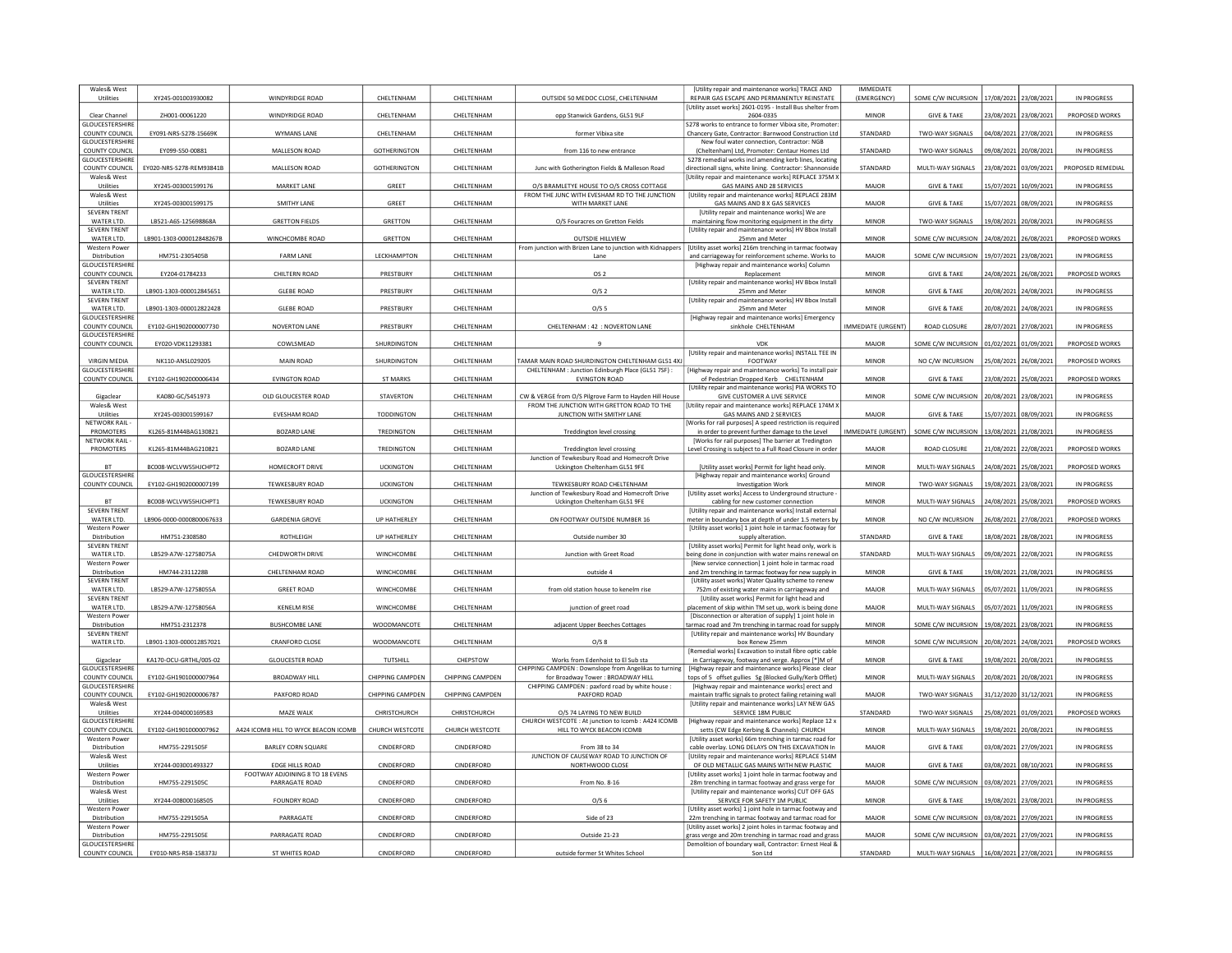| Wales& West                              |                          |                                                   |                     |                         |                                                                                                      | [Utility repair and maintenance works] TRACE AND                                                                                                                              | <b>IMMEDIATE</b>          |                        |                       |                       |                    |
|------------------------------------------|--------------------------|---------------------------------------------------|---------------------|-------------------------|------------------------------------------------------------------------------------------------------|-------------------------------------------------------------------------------------------------------------------------------------------------------------------------------|---------------------------|------------------------|-----------------------|-----------------------|--------------------|
| Utilities                                | XY245-001003930082       | WINDYRIDGE ROAD                                   | CHELTENHAM          | CHELTENHAM              | OUTSIDE 50 MEDOC CLOSE, CHELTENHAM                                                                   | REPAIR GAS ESCAPE AND PERMANENTLY REINSTATE<br>[Utility asset works] 2601-0195 - Install Bus shelter from                                                                     | (EMERGENCY)               | SOME C/W INCURSION     | 17/08/2021            | 23/08/2021            | IN PROGRESS        |
| Clear Channel<br><b>GLOUCESTERSHIRE</b>  | ZH001-00061220           | WINDYRIDGE ROAD                                   | CHELTENHAM          | CHELTENHAM              | opp Stanwick Gardens, GL51 9LF                                                                       | 2604-0335<br>S278 works to entrance to former Vibixa site, Promoter:                                                                                                          | MINOR                     | <b>GIVE &amp; TAKE</b> | 23/08/2021 23/08/2021 |                       | PROPOSED WORKS     |
| COUNTY COUNCIL                           | EY091-NRS-S278-15669K    | WYMANS LANE                                       | CHELTENHAM          | CHELTENHAM              | former Vibixa site                                                                                   | Chancery Gate, Contractor: Barnwood Construction Lt                                                                                                                           | STANDARD                  | TWO-WAY SIGNALS        | 14/08/2021            | 27/08/2021            | IN PROGRESS        |
| <b>GLOUCESTERSHIRE</b><br>COUNTY COUNCIL | EY099-S50-00881          | MALLESON ROAD                                     | GOTHERINGTON        | CHELTENHAM              | from 116 to new entrance                                                                             | New foul water connection. Contractor: NGB<br>(Cheltenham) Ltd, Promoter: Centaur Homes Ltd                                                                                   | STANDARD                  | TWO-WAY SIGNALS        | 09/08/2021            | 20/08/2021            | <b>IN PROGRESS</b> |
| <b>GLOUCESTERSHIRE</b>                   |                          |                                                   |                     |                         |                                                                                                      | S278 remedial works incl amending kerb lines, locating                                                                                                                        |                           |                        |                       |                       |                    |
| COUNTY COUNCIL<br>Wales& West            | EY020-NRS-S278-REM93841B | MALLESON ROAD                                     | <b>GOTHERINGTON</b> | CHELTENHAM              | Junc with Gotherington Fields & Malleson Road                                                        | directionall signs, white lining. Contractor: Shannonside<br>[Utility repair and maintenance works] REPLACE 375M X                                                            | STANDARD                  | MULTI-WAY SIGNALS      | 23/08/2021            | 03/09/2021            | PROPOSED REMEDIAL  |
| Utilities<br>Wales& West                 | XY245-003001599176       | <b>MARKET LANE</b>                                | GREET               | CHELTENHAM              | O/S BRAMLETYE HOUSE TO O/S CROSS COTTAGE<br>FROM THE JUNC WITH EVESHAM RD TO THE JUNCTION            | GAS MAINS AND 28 SERVICES<br>[Utility repair and maintenance works] REPLACE 283M                                                                                              | MAJOR                     | <b>GIVE &amp; TAKE</b> | 15/07/2021            | 10/09/2021            | IN PROGRESS        |
| Utilities                                | XY245-003001599175       | <b>SMITHY LANE</b>                                | GREET               | CHELTENHAM              | WITH MARKET LANE                                                                                     | GAS MAINS AND 8 X GAS SERVICES                                                                                                                                                | MAJOR                     | <b>GIVE &amp; TAKE</b> | 15/07/2021            | 08/09/202             | IN PROGRESS        |
| <b>SEVERN TRENT</b><br>WATER LTD.        | LB521-A6S-125698868A     | <b>GRETTON FIELDS</b>                             | GRETTON             | CHELTENHAM              | O/S Fouracres on Gretton Fields                                                                      | <b>IUtility repair and maintenance works) We are</b><br>maintaining flow monitoring equipment in the dirty                                                                    | MINOR                     | TWO-WAY SIGNALS        | 19/08/2021            | 20/08/2021            | IN PROGRESS        |
| <b>SEVERN TRENT</b>                      |                          |                                                   | <b>GRETTON</b>      |                         |                                                                                                      | [Utility repair and maintenance works] HV Bbox Install                                                                                                                        |                           |                        |                       |                       |                    |
| WATER ITD.<br>Western Power              | LB901-1303-000012848267B | WINCHCOMBE ROAD                                   |                     | CHELTENHAM              | <b>OUTSDIE HILLVIEW</b><br>From junction with Brizen Lane to junction with Kidnappers                | 25mm and Meter<br>[Utility asset works] 216m trenching in tarmac footway                                                                                                      | MINOR                     | SOME C/W INCURSION     | 24/08/2021            | 26/08/202             | PROPOSED WORKS     |
| Distribution<br>GLOUCESTERSHIRI          | HM751-2305405B           | <b>FARM LANE</b>                                  | LECKHAMPTON         | CHELTENHAM              | Lane                                                                                                 | and carriageway for reinforcement scheme. Works to<br>[Highway repair and maintenance works] Column                                                                           | MAJOR                     | SOME C/W INCURSION     | 19/07/2021            | 23/08/2021            | IN PROGRESS        |
| COUNTY COUNCIL                           | EY204-01784233           | CHILTERN ROAD                                     | PRESTBURY           | CHELTENHAM              | OS <sub>2</sub>                                                                                      | Replacement                                                                                                                                                                   | <b>MINOR</b>              | <b>GIVE &amp; TAKE</b> | 24/08/2021            | 26/08/202             | PROPOSED WORKS     |
| <b>SEVERN TRENT</b><br>WATER LTD.        | LB901-1303-000012845651  | <b>GLEBE ROAD</b>                                 | PRESTBURY           | CHELTENHAM              | O/S <sub>2</sub>                                                                                     | [Utility repair and maintenance works] HV Bbox Install<br>25mm and Meter                                                                                                      | <b>MINOR</b>              | <b>GIVE &amp; TAKE</b> | 20/08/2021            | 24/08/2021            | IN PROGRESS        |
| <b>SEVERN TRENT</b><br>WATER ITD.        | LB901-1303-000012822428  | <b>GLEBE ROAD</b>                                 | PRESTRURY           | <b>CHEITENHAM</b>       | 0/55                                                                                                 | [Utility repair and maintenance works] HV Bbox Install                                                                                                                        | <b>MINOR</b>              | <b>GIVE &amp; TAKE</b> | 20/08/2021            | 24/08/202             | IN PROGRESS        |
| GLOUCESTERSHIRE                          |                          |                                                   |                     |                         |                                                                                                      | 25mm and Meter<br>[Highway repair and maintenance works] Emergency                                                                                                            |                           |                        |                       |                       |                    |
| COUNTY COUNCIL<br>GLOUCESTERSHIRE        | EY102-GH1902000007730    | <b>NOVERTON LANE</b>                              | PRESTBURY           | CHELTENHAM              | CHELTENHAM: 42 : NOVERTON LANE                                                                       | sinkhole CHELTENHAM                                                                                                                                                           | <b>IMMEDIATE (URGENT)</b> | <b>ROAD CLOSURE</b>    | 28/07/2021            | 27/08/202             | IN PROGRESS        |
| <b>COUNTY COUNCIL</b>                    | EY020-VDK11293381        | COWLSMEAD                                         | SHURDINGTON         | CHELTENHAM              |                                                                                                      | <b>VDK</b>                                                                                                                                                                    | MAJOR                     | SOME C/W INCURSION     | 01/02/2021 01/09/2021 |                       | PROPOSED WORKS     |
| <b>VIRGIN MEDIA</b>                      | NK110-ANSL029205         | MAIN ROAD                                         | SHURDINGTON         | CHELTENHAM              | AMAR MAIN ROAD SHURDINGTON CHELTENHAM GL51 4XJ                                                       | [Utility repair and maintenance works] INSTALL TEE IN<br>FOOTWAY                                                                                                              | <b>MINOR</b>              | NO C/W INCURSION       | 5/08/2021             | 26/08/202             | PROPOSED WORKS     |
| <b>GLOUCESTERSHIRE</b>                   |                          |                                                   |                     |                         | CHELTENHAM : Junction Edinburgh Place (GL51 7SF) :                                                   | [Highway repair and maintenance works] To install pair                                                                                                                        |                           |                        |                       |                       |                    |
| <b>COUNTY COUNCIL</b>                    | EY102-GH1902000006434    | <b>EVINGTON ROAD</b>                              | <b>ST MARKS</b>     | CHELTENHAM              | <b>EVINGTON ROAD</b>                                                                                 | of Pedestrian Dropped Kerb CHELTENHAM<br><b>IUtility repair and maintenance worksl PIA WORKS TO</b>                                                                           | <b>MINOR</b>              | <b>GIVE &amp; TAKE</b> | 23/08/2021            | 25/08/2021            | PROPOSED WORKS     |
| Gigaclear<br>Wales& West                 | KA080-GC/S451973         | OLD GLOUCESTER ROAD                               | <b>STAVERTON</b>    | CHELTENHAM              | CW & VERGE from O/S Pilgrove Farm to Hayden Hill House<br>FROM THE JUNCTION WITH GRETTON ROAD TO THE | <b>GIVE CUSTOMER A LIVE SERVICE</b><br>[Utility repair and maintenance works] REPLACE 174M X                                                                                  | <b>MINOR</b>              | SOME C/W INCURSION     | 20/08/2021            | 23/08/202             | IN PROGRESS        |
| Utilities                                | XY245-003001599167       | EVESHAM ROAD                                      | <b>TODDINGTON</b>   | CHELTENHAM              | JUNCTION WITH SMITHY LANE                                                                            | GAS MAINS AND 2 SERVICES                                                                                                                                                      | MAJOR                     | <b>GIVE &amp; TAKE</b> | 15/07/2021            | 08/09/202             | IN PROGRESS        |
| NETWORK RAIL<br><b>PROMOTERS</b>         | KL265-81M44BAG130821     | <b>BOZARD LANE</b>                                | <b>TREDINGTON</b>   | CHELTENHAM              | Treddington level crossing                                                                           | [Works for rail purposes] A speed restriction iis required<br>in order to prevent further damage to the Level                                                                 | IMMEDIATE (URGENT)        | SOME C/W INCURSION     | 13/08/2021 21/08/2021 |                       | IN PROGRESS        |
| <b>NETWORK RAIL</b>                      |                          |                                                   |                     |                         |                                                                                                      | [Works for rail purposes] The barrier at Tredington                                                                                                                           |                           |                        |                       |                       |                    |
| PROMOTERS                                | KL265-81M44BAG210821     | <b>BOZARD LANE</b>                                | TREDINGTON          | CHELTENHAM              | Treddington level crossing<br>Junction of Tewkesbury Road and Homecroft Drive                        | evel Crossing is subject to a Full Road Closure in order                                                                                                                      | MAJOR                     | ROAD CLOSURE           | 1/08/2021             | 22/08/2021            | PROPOSED WORKS     |
| <b>BT</b><br>GLOUCESTERSHIRE             | BC008-WCLVW55HJCHPT2     | HOMECROFT DRIVE                                   | <b>UCKINGTON</b>    | <b>CHEITENHAM</b>       | Uckington Cheltenham GL51 9FE                                                                        | [Utility asset works] Permit for light head only.<br>[Highway repair and maintenance works] Ground                                                                            | <b>MINOR</b>              | MULTI-WAY SIGNALS      | 24/08/2021            | 25/08/2021            | PROPOSED WORKS     |
| COUNTY COUNCIL                           | EY102-GH1902000007199    | <b>TEWKESBURY ROAD</b>                            | <b>UCKINGTON</b>    | CHELTENHAM              | TEWKESBURY ROAD CHELTENHAM                                                                           | <b>Investigation Work</b>                                                                                                                                                     | <b>MINOR</b>              | TWO-WAY SIGNALS        | 19/08/2021            | 23/08/2021            | <b>IN PROGRESS</b> |
| <b>BT</b>                                | BC008-WCLVW55HJCHPT1     | <b>TEWKESBURY ROAD</b>                            | <b>UCKINGTON</b>    | CHELTENHAM              | Junction of Tewkesbury Road and Homecroft Drive<br>Uckington Cheltenham GL51 9FE                     | [Utility asset works] Access to Underground structure<br>cabling for new customer connection                                                                                  | <b>MINOR</b>              | MULTI-WAY SIGNALS      | 24/08/2021            | 25/08/202             | PROPOSED WORKS     |
| <b>SEVERN TRENT</b>                      |                          |                                                   |                     |                         |                                                                                                      | [Utility repair and maintenance works] Install external                                                                                                                       |                           |                        |                       |                       |                    |
| WATER LTD.<br>Western Power              | LB906-0000-0000800067633 | <b>GARDENIA GROVE</b>                             | UP HATHERLEY        | CHELTENHAM              | ON FOOTWAY OUTSIDE NUMBER 16                                                                         | meter in boundary box at depth of under 1.5 meters by<br>[Utility asset works] 1 joint hole in tarmac footway for                                                             | <b>MINOR</b>              | NO C/W INCURSION       | 26/08/2021            | 27/08/2021            | PROPOSED WORKS     |
| Distribution<br><b>SEVERN TRENT</b>      | HM751-2308580            | <b>ROTHLEIGH</b>                                  | <b>UP HATHERLEY</b> | <b>CHEITENHAM</b>       | Outside number 30                                                                                    | supply alteration.<br>[Utility asset works] Permit for light head only, work is                                                                                               | <b>STANDARD</b>           | <b>GIVE &amp; TAKE</b> | 18/08/2021            | 28/08/202             | IN PROGRESS        |
| WATER ITD.                               | LB529-A7W-12758075A      | CHEDWORTH DRIVE                                   | WINCHCOMBE          | CHELTENHAM              | Junction with Greet Road                                                                             | being done in conjunction with water mains renewal on                                                                                                                         | STANDARD                  | MULTI-WAY SIGNALS      | 09/08/2021            | 22/08/202             | IN PROGRESS        |
| Western Power<br>Distribution            | HM744-2311228B           | CHELTENHAM ROAD                                   | WINCHCOMBE          | CHELTENHAM              | outside 4                                                                                            | [New service connection] 1 joint hole in tarmac road<br>and 2m trenching in tarmac footway for new supply in                                                                  | <b>MINOR</b>              | <b>GIVE &amp; TAKE</b> |                       | 19/08/2021 21/08/2021 | IN PROGRESS        |
| <b>SEVERN TRENT</b>                      |                          |                                                   |                     |                         |                                                                                                      | [Utility asset works] Water Quality scheme to renew                                                                                                                           |                           |                        |                       |                       |                    |
| WATER LTD.<br><b>SEVERN TRENT</b>        | LB529-A7W-12758055A      | <b>GREET ROAD</b>                                 | WINCHCOMBE          | CHELTENHAM              | from old station house to kenelm rise                                                                | 752m of existing water mains in carriageway and<br>[Utility asset works] Permit for light head and                                                                            | MAJOR                     | MULTI-WAY SIGNALS      | 05/07/2021            | 11/09/202             | IN PROGRESS        |
| WATER LTD.<br>Western Power              | LB529-A7W-12758056A      | <b>KENELM RISE</b>                                | WINCHCOMBE          | CHELTENHAM              | junction of greet road                                                                               | placement of skip within TM set up, work is being done<br>[Disconnection or alteration of supply] 1 joint hole in                                                             | MAJOR                     | MULTI-WAY SIGNALS      | 05/07/2021            | 11/09/2021            | IN PROGRESS        |
| Distribution                             | HM751-2312378            | <b>BUSHCOMBE LANE</b>                             | <b>WOODMANCOTE</b>  | <b>CHEITENHAM</b>       | adjacent Upper Beeches Cottages                                                                      | tarmac road and 7m trenching in tarmac road for supply                                                                                                                        | <b>MINOR</b>              | SOME C/W INCURSION     | 19/08/2021            | 23/08/202             | IN PROGRESS        |
| <b>SEVERN TRENT</b><br>WATER LTD.        | LB901-1303-000012857021  | <b>CRANFORD CLOSE</b>                             | <b>WOODMANCOTE</b>  | CHELTENHAM              | O/S 8                                                                                                | [Utility repair and maintenance works] HV Boundary<br>box Renew 25mm                                                                                                          | <b>MINOR</b>              | SOME C/W INCURSION     | 20/08/2021            | 24/08/202             | PROPOSED WORKS     |
|                                          | KA170-OCU-GRTHL/005-02   | <b>GLOUCESTER ROAD</b>                            | TUTSHILL            | CHEPSTOW                |                                                                                                      | [Remedial works] Excavation to install fibre optic cable                                                                                                                      | <b>MINOR</b>              | <b>GIVE &amp; TAKE</b> |                       |                       | IN PROGRESS        |
| Gigaclear<br><b>GLOUCESTERSHIRE</b>      |                          |                                                   |                     |                         | Works from Edenhoist to El Sub sta<br>CHIPPING CAMPDEN : Downslope from Angelikas to turning         | in Carriageway, footway and verge. Approx [*]M of<br>[Highway repair and maintenance works] Please clear                                                                      |                           |                        | 19/08/2021 20/08/2021 |                       |                    |
| COUNTY COUNCIL<br><b>GLOUCESTERSHIRE</b> | EY102-GH1901000007964    | <b>BROADWAY HILL</b>                              | CHIPPING CAMPDEN    | CHIPPING CAMPDEN        | for Broadway Tower: BROADWAY HILL<br>CHIPPING CAMPDEN : paxford road by white house :                | ops of 5 offset gullies Sg (Blocked Gully/Kerb Offlet)<br>[Highway repair and maintenance works] erect and                                                                    | <b>MINOR</b>              | MULTI-WAY SIGNALS      | 10/08/2021            | 20/08/2021            | IN PROGRESS        |
| COUNTY COUNCIL                           | EY102-GH1902000006787    | PAXFORD ROAD                                      | CHIPPING CAMPDEN    | <b>CHIPPING CAMPDEN</b> | PAXEORD ROAD                                                                                         | maintain traffic signals to protect failing retaining wall                                                                                                                    | MAIOR                     | TWO-WAY SIGNALS        | 31/12/2020            | 31/12/2021            | IN PROGRESS        |
| Wales& West<br>Utilities                 |                          |                                                   |                     |                         |                                                                                                      |                                                                                                                                                                               |                           |                        |                       |                       | PROPOSED WORKS     |
| <b>GLOUCESTERSHIRI</b>                   | XY244-004000169583       | MAZE WALK                                         | CHRISTCHURCH        | CHRISTCHURCH            | O/S 74 LAYING TO NEW BUILD                                                                           | [Utility repair and maintenance works] LAY NEW GAS<br>SERVICE 18M PUBLIC                                                                                                      | STANDARD                  | TWO-WAY SIGNALS        | 25/08/2021            | 01/09/2021            |                    |
|                                          |                          |                                                   |                     |                         | CHURCH WESTCOTE: At junction to Icomb: A424 ICOMB                                                    | [Highway repair and maintenance works] Replace 12 x                                                                                                                           |                           |                        |                       |                       |                    |
| COUNTY COUNCIL<br><b>Western Power</b>   | EY102-GH1901000007962    | A424 ICOMB HILL TO WYCK BEACON ICOMB              | CHURCH WESTCOTE     | CHURCH WESTCOTE         | HILL TO WYCK BEACON ICOMB                                                                            | setts (CW Edge Kerbing & Channels) CHURCH<br>IUtility asset works] 66m trenching in tarmac road for                                                                           | <b>MINOR</b>              | MULTI-WAY SIGNALS      | 19/08/2021            | 20/08/2021            | IN PROGRESS        |
| Distribution                             | HM755-2291505F           | <b>BARLEY CORN SQUARE</b>                         | CINDERFORD          | CINDERFORD              | From 38 to 34                                                                                        | cable overlay. LONG DELAYS ON THIS EXCAVATION In                                                                                                                              | MAJOR                     | <b>GIVE &amp; TAKE</b> | 03/08/2021 27/09/2021 |                       | IN PROGRESS        |
| Wales& West<br>Utilities                 | XY244-003001493327       | <b>EDGE HILLS ROAD</b>                            | CINDERFORD          | CINDERFORD              | JUNCTION OF CAUSEWAY ROAD TO JUNCTION OF<br>NORTHWOOD CLOSE                                          | [Utility repair and maintenance works] REPLACE 514M<br>OF OLD METALLIC GAS MAINS WITH NEW PLASTIC                                                                             | MAJOR                     | <b>GIVE &amp; TAKE</b> | 03/08/2021            | 08/10/202             | IN PROGRESS        |
| <b>Western Power</b><br>Distribution     | HM755-2291505C           | FOOTWAY ADJOINING 8 TO 18 EVENS<br>PARRAGATE ROAD |                     | CINDERFORD              | From No. 8-16                                                                                        | [Utility asset works] 1 joint hole in tarmac footway and                                                                                                                      | MAJOR                     |                        | 03/08/2021            | 27/09/202             |                    |
| Wales& West                              |                          |                                                   | CINDERFORD          |                         |                                                                                                      | 28m trenching in tarmac footway and grass verge for<br><b>IUtility repair and maintenance works] CUT OFF GAS</b>                                                              |                           | SOME C/W INCURSION     |                       |                       | IN PROGRESS        |
| Utilities<br><b>Western Power</b>        | XY244-008000168505       | <b>FOUNDRY ROAD</b>                               | CINDERFORD          | CINDERFORD              | O/S <sub>6</sub>                                                                                     | SERVICE FOR SAFETY 1M PUBLIC<br>[Utility asset works] 1 joint hole in tarmac footway and                                                                                      | <b>MINOR</b>              | <b>GIVE &amp; TAKE</b> |                       | 19/08/2021 23/08/2021 | IN PROGRESS        |
| Distribution<br><b>Western Power</b>     | HM755-2291505A           | PARRAGATE                                         | CINDERFORD          | CINDERFORD              | Side of 23                                                                                           | 22m trenching in tarmac footway and tarmac road for                                                                                                                           | MAJOR                     | SOME C/W INCURSION     | 03/08/2021            | 27/09/2021            | IN PROGRESS        |
| Distribution<br><b>GLOUCESTERSHIRE</b>   | HM755-2291505E           | PARRAGATE ROAD                                    | CINDERFORD          | CINDERFORD              | Outside 21-23                                                                                        | [Utility asset works] 2 joint holes in tarmac footway and<br>grass verge and 20m trenching in tarmac road and grass<br>Demolition of boundary wall. Contractor: Ernest Heal & | MAJOR                     | SOME C/W INCURSION     | 03/08/2021            | 27/09/2021            | IN PROGRESS        |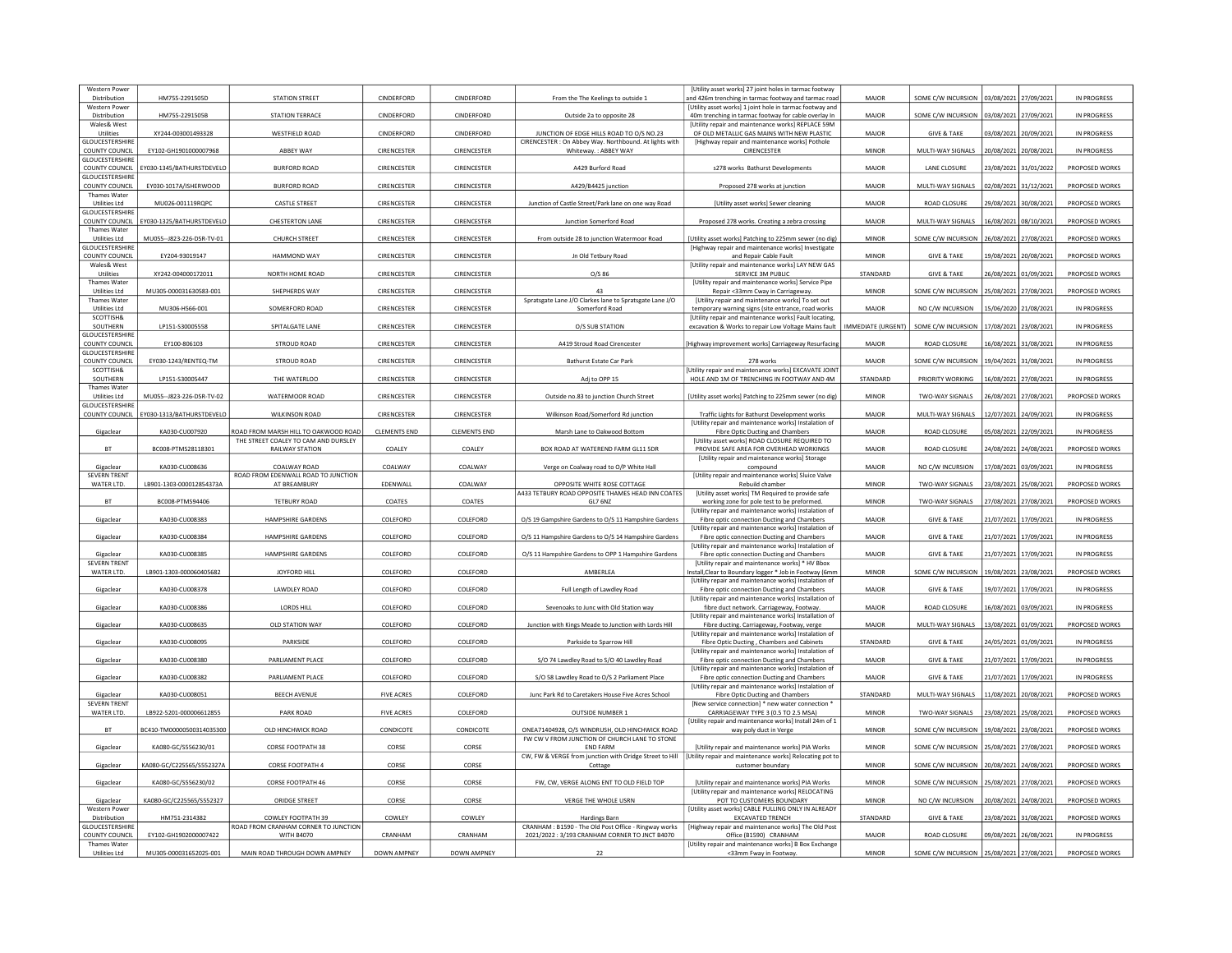| Western Powe<br>Distribution                | HM755-2291505D            | <b>STATION STREET</b>                                                        | CINDERFORD          | CINDERFORD          | From the The Keelings to outside 1                                                                     | [Utility asset works] 27 joint holes in tarmac footway<br>and 426m trenching in tarmac footway and tarmac road | MAIOR                     | SOME C/W INCURSION                        | 03/08/2021            | 27/09/202             | IN PROGRESS        |
|---------------------------------------------|---------------------------|------------------------------------------------------------------------------|---------------------|---------------------|--------------------------------------------------------------------------------------------------------|----------------------------------------------------------------------------------------------------------------|---------------------------|-------------------------------------------|-----------------------|-----------------------|--------------------|
| Western Powe                                |                           |                                                                              |                     |                     |                                                                                                        | [Utility asset works] 1 joint hole in tarmac footway and                                                       |                           |                                           |                       |                       |                    |
| Distribution<br>Wales& West                 | HM755-2291505B            | <b>STATION TERRACE</b>                                                       | CINDERFORD          | CINDERFORD          | Outside 2a to opposite 28                                                                              | 40m trenching in tarmac footway for cable overlay In<br>[Utility repair and maintenance works] REPLACE 59M     | <b>MAJOR</b>              | SOME C/W INCURSION                        | 03/08/2021            | 27/09/2021            | <b>IN PROGRESS</b> |
| Utilities<br>GLOUCESTERSHIRE                | XY244-003001493328        | <b>WESTFIELD ROAD</b>                                                        | CINDERFORD          | CINDERFORD          | JUNCTION OF EDGE HILLS ROAD TO O/S NO.23<br>CIRENCESTER : On Abbey Way. Northbound. At lights with     | OF OLD METALLIC GAS MAINS WITH NEW PLASTIC<br>[Highway repair and maintenance works] Pothole                   | MAJOR                     | <b>GIVE &amp; TAKE</b>                    | 03/08/2021            | 20/09/2021            | <b>IN PROGRESS</b> |
| COUNTY COUNCIL<br><b>GLOUCESTERSHIRE</b>    | EY102-GH1901000007968     | ABBEY WAY                                                                    | CIRENCESTER         | CIRENCESTER         | Whiteway.: ABBEY WAY                                                                                   | CIRENCESTER                                                                                                    | <b>MINOR</b>              | MULTI-WAY SIGNALS                         | 20/08/2021 20/08/2021 |                       | IN PROGRESS        |
| COUNTY COUNCIL<br><b>GLOUCESTERSHIRE</b>    | EY030-1345/BATHURSTDEVELO | <b>BURFORD ROAD</b>                                                          | CIRENCESTER         | CIRENCESTER         | A429 Burford Road                                                                                      | s278 works Bathurst Developments                                                                               | MAJOR                     | LANE CLOSURE                              | 23/08/2021 31/01/2022 |                       | PROPOSED WORKS     |
| <b>COUNTY COUNCIL</b>                       | EY030-1017A/ISHERWOOD     | <b>BURFORD ROAD</b>                                                          | CIRENCESTER         | CIRENCESTER         | A429/B4425 junction                                                                                    | Proposed 278 works at junction                                                                                 | MAJOR                     | MULTI-WAY SIGNALS                         | 02/08/2021            | 31/12/2021            | PROPOSED WORKS     |
| Thames Water<br>Utilities Ltd               | MU026-001119ROPC          | <b>CASTLE STREET</b>                                                         | CIRENCESTER         | <b>CIRENCESTER</b>  | Junction of Castle Street/Park lane on one way Road                                                    | [Utility asset works] Sewer cleaning                                                                           | MAJOR                     | <b>ROAD CLOSURE</b>                       | 29/08/2021            | 30/08/202             | PROPOSED WORKS     |
| <b>GLOUCESTERSHIR</b><br>COUNTY COUNCIL     | EY030-1325/BATHURSTDEVELO | CHESTERTON LANE                                                              | CIRENCESTER         | CIRENCESTER         | Junction Somerford Road                                                                                | Proposed 278 works. Creating a zebra crossing                                                                  | <b>MAJOR</b>              | MULTI-WAY SIGNALS                         | 16/08/2021 08/10/2021 |                       | PROPOSED WORKS     |
| <b>Thames Water</b><br>Utilities Ltd        | MU055--J823-226-DSR-TV-01 | <b>CHURCH STREET</b>                                                         | CIRENCESTER         | CIRENCESTER         | From outside 28 to junction Watermoor Road                                                             | [Utility asset works] Patching to 225mm sewer (no dig)                                                         | <b>MINOR</b>              | SOME C/W INCURSION                        | 26/08/2021            | 27/08/202             | PROPOSED WORKS     |
| <b>GLOUCESTERSHIRE</b><br>COUNTY COUNCIL    | EY204-93019147            | HAMMOND WAY                                                                  | CIRENCESTER         | CIRENCESTER         | Jn Old Tetbury Road                                                                                    | [Highway repair and maintenance works] Investigate<br>and Repair Cable Fault                                   | <b>MINOR</b>              | <b>GIVE &amp; TAKE</b>                    | 19/08/2021            | 20/08/2021            | PROPOSED WORKS     |
| Wales& West                                 |                           |                                                                              | <b>CIRENCESTER</b>  |                     |                                                                                                        | [Utility repair and maintenance works] LAY NEW GAS                                                             |                           |                                           |                       |                       |                    |
| Utilities<br>Thames Water                   | XY242-004000172011        | NORTH HOME ROAD                                                              |                     | <b>CIRENCESTER</b>  | $O/S$ 86                                                                                               | SERVICE 3M PUBLIC<br>[Utility repair and maintenance works] Service Pipe                                       | <b>STANDARD</b>           | <b>GIVE &amp; TAKE</b>                    | 26/08/2021            | 01/09/2021            | PROPOSED WORKS     |
| <b>Utilities Ltd</b><br><b>Thames Water</b> | MU305-000031630583-00:    | SHEPHERDS WAY                                                                | CIRENCESTER         | CIRENCESTER         | 43<br>Spratsgate Lane J/O Clarkes lane to Spratsgate Lane J/O                                          | Repair <33mm Cway in Carriageway.<br>[Utility repair and maintenance works] To set out                         | <b>MINOR</b>              | SOME C/W INCURSION                        | 25/08/2021            | 27/08/202             | PROPOSED WORKS     |
| <b>Utilities Ltd</b><br>SCOTTISH&           | MU306-H566-001            | SOMERFORD ROAD                                                               | CIRENCESTER         | <b>CIRENCESTER</b>  | Somerford Road                                                                                         | temporary warning signs (site entrance, road works<br>[Utility repair and maintenance works] Fault locating,   | MAJOR                     | NO C/W INCURSION                          | 15/06/2020 21/08/2021 |                       | IN PROGRESS        |
| SOUTHERN                                    | LP151-S30005558           | SPITALGATE LANE                                                              | CIRENCESTER         | <b>CIRENCESTER</b>  | O/S SUB STATION                                                                                        | excavation & Works to repair Low Voltage Mains fault                                                           | <b>IMMEDIATE (URGENT)</b> | SOME C/W INCURSION                        | 17/08/2021            | 23/08/2021            | IN PROGRESS        |
| GLOUCESTERSHIRE<br>COUNTY COUNCIL           | EY100-806103              | STROUD ROAD                                                                  | CIRENCESTER         | CIRENCESTER         | A419 Stroud Road Cirencester                                                                           | Highway improvement works] Carriageway Resurfacing                                                             | MAJOR                     | ROAD CLOSURE                              | 16/08/2021            | 31/08/2021            | IN PROGRESS        |
| <b>GLOUCESTERSHIRE</b><br>COUNTY COUNCIL    | EY030-1243/RENTEQ-TM      | STROUD ROAD                                                                  | CIRENCESTER         | CIRENCESTER         | Bathurst Estate Car Park                                                                               | 278 works                                                                                                      | MAJOR                     | SOME C/W INCURSION                        | 19/04/2021            | 31/08/2021            | IN PROGRESS        |
| SCOTTISH&<br>SOUTHERN                       | LP151-S30005447           | THE WATERLOO                                                                 | CIRENCESTER         | CIRENCESTER         | Adi to OPP 15                                                                                          | Utility repair and maintenance works] EXCAVATE JOINT<br>HOLE AND 1M OF TRENCHING IN FOOTWAY AND 4M             | STANDARD                  | PRIORITY WORKING                          | 16/08/2021            | 27/08/202             | IN PROGRESS        |
| Thames Water                                |                           |                                                                              |                     |                     |                                                                                                        |                                                                                                                |                           |                                           |                       |                       |                    |
| Utilities Ltd<br><b>GLOUCESTERSHIRE</b>     | MU055--J823-226-DSR-TV-02 | WATERMOOR ROAD                                                               | CIRENCESTER         | CIRENCESTER         | Outside no.83 to junction Church Street                                                                | [Utility asset works] Patching to 225mm sewer (no dig)                                                         | <b>MINOR</b>              | TWO-WAY SIGNALS                           | 26/08/2021 27/08/2021 |                       | PROPOSED WORKS     |
| COUNTY COUNCIL                              | EY030-1313/BATHURSTDEVELO | WILKINSON ROAD                                                               | CIRENCESTER         | CIRENCESTER         | Wilkinson Road/Somerford Rd junction                                                                   | Traffic Lights for Bathurst Development works<br>[Utility repair and maintenance works] Instalation of         | MAJOR                     | MULTI-WAY SIGNALS                         | 12/07/2021            | 24/09/2021            | IN PROGRESS        |
| Gigaclear                                   | KA030-CU007920            | ROAD FROM MARSH HILL TO OAKWOOD ROAD<br>THE STREET COALEY TO CAM AND DURSLEY | <b>CLEMENTS END</b> | <b>CLEMENTS END</b> | Marsh Lane to Oakwood Bottom                                                                           | Fibre Optic Ducting and Chambers<br>[Utility asset works] ROAD CLOSURE REQUIRED TO                             | MAJOR                     | ROAD CLOSURE                              | 05/08/2021            | 22/09/202             | IN PROGRESS        |
| <b>BT</b>                                   | BC008-PTMS28118301        | <b>RAILWAY STATION</b>                                                       | COALEY              | COALEY              | BOX ROAD AT WATEREND FARM GL11 5DR                                                                     | PROVIDE SAFE AREA FOR OVERHEAD WORKINGS                                                                        | MAJOR                     | ROAD CLOSURE                              | 24/08/2021            | 24/08/2021            | PROPOSED WORKS     |
| Gigaclear                                   | KA030-CU008636            | COALWAY ROAD                                                                 | COALWAY             | COALWAY             | Verge on Coalway road to O/P White Hall                                                                | [Utility repair and maintenance works] Storage<br>compound                                                     | MAJOR                     | NO C/W INCURSION                          | 17/08/2021 03/09/202  |                       | IN PROGRESS        |
| <b>SEVERN TRENT</b><br>WATER LTD.           | LB901-1303-000012854373A  | ROAD FROM EDENWALL ROAD TO JUNCTION<br>AT BREAMBURY                          | EDENWALL            | COALWAY             | OPPOSITE WHITE ROSE COTTAGE                                                                            | [Utility repair and maintenance works] Sluice Valve<br>Rebuild chamber                                         | <b>MINOR</b>              | TWO-WAY SIGNALS                           | 23/08/2021            | 25/08/2021            | PROPOSED WORKS     |
| <b>BT</b>                                   | BC008-PTMS94406           | <b>TETBURY ROAD</b>                                                          | COATES              | COATES              | 433 TETBURY ROAD OPPOSITE THAMES HEAD INN COATES<br>GL7 6NZ                                            | [Utility asset works] TM Required to provide safe<br>working zone for pole test to be preformed.               | <b>MINOR</b>              | TWO-WAY SIGNALS                           | 27/08/2021            | 27/08/2021            | PROPOSED WORKS     |
|                                             |                           |                                                                              |                     |                     |                                                                                                        | [Utility repair and maintenance works] Instalation of                                                          |                           |                                           |                       |                       |                    |
| Gigaclear                                   | KA030-CU008383            | <b>HAMPSHIRE GARDENS</b>                                                     | COLEFORD            | COLEFORD            | O/S 19 Gampshire Gardens to O/S 11 Hampshire Gardens                                                   | Fibre optic connection Ducting and Chambers<br>[Utility repair and maintenance works] Instalation of           | MAJOR                     | <b>GIVE &amp; TAKE</b>                    | 21/07/2021            | 17/09/202             | IN PROGRESS        |
| Gigaclear                                   | KA030-CU008384            | <b>HAMPSHIRE GARDENS</b>                                                     | COLEFORD            | COLEFORD            | O/S 11 Hampshire Gardens to O/S 14 Hampshire Gardens                                                   | Fibre optic connection Ducting and Chambers<br>[Utility repair and maintenance works] Instalation of           | MAJOR                     | <b>GIVE &amp; TAKE</b>                    | 21/07/2021 17/09/2021 |                       | IN PROGRESS        |
| Gigaclear<br><b>SEVERN TRENT</b>            | KA030-CU008385            | HAMPSHIRE GARDENS                                                            | COLEFORD            | COLEFORD            | O/S 11 Hampshire Gardens to OPP 1 Hampshire Gardens                                                    | Fibre optic connection Ducting and Chambers<br>[Utility repair and maintenance works] * HV Bbox                | MAJOR                     | <b>GIVE &amp; TAKE</b>                    | 21/07/2021 17/09/2021 |                       | IN PROGRESS        |
| WATER LTD.                                  | LB901-1303-000060405682   | JOYFORD HILL                                                                 | COLEFORD            | COLEFORD            | AMBERLEA                                                                                               | nstall, Clear to Boundary logger * Job in Footway (6mm                                                         | MINOR                     | SOME C/W INCURSION                        | 19/08/2021 23/08/2021 |                       | PROPOSED WORKS     |
| Gigaclear                                   | KA030-CU008378            | <b>LAWDLEY ROAD</b>                                                          | COLEFORD            | COLEFORD            | Full Length of Lawdley Road                                                                            | [Utility repair and maintenance works] Instalation of<br>Fibre optic connection Ducting and Chambers           | MAJOR                     | <b>GIVE &amp; TAKE</b>                    | 19/07/2021            | 17/09/2021            | IN PROGRESS        |
| Gigaclear                                   | KA030-CU008386            | LORDS HILL                                                                   | COLEFORD            | COLEFORD            | Sevenoaks to Junc with Old Station way                                                                 | [Utility repair and maintenance works] Installation of<br>fibre duct network. Carriageway, Footway.            | <b>MAJOR</b>              | <b>ROAD CLOSURE</b>                       | 16/08/2021            | 03/09/2021            | IN PROGRESS        |
| Gigaclear                                   | KA030-CU008635            | OLD STATION WAY                                                              | COLEFORD            | COLEFORD            | Junction with Kings Meade to Junction with Lords Hill                                                  | [Utility repair and maintenance works] Installation of<br>Fibre ducting. Carriageway, Footway, verge           | MAJOR                     | MULTI-WAY SIGNALS   13/08/2021 01/09/2021 |                       |                       | PROPOSED WORKS     |
|                                             |                           |                                                                              |                     |                     |                                                                                                        | <b>IUtility repair and maintenance works) Instalation of</b>                                                   |                           |                                           |                       |                       |                    |
| Gigaclear                                   | KA030-CU008095            | PARKSIDE                                                                     | COLEFORD            | COLEFORD            | Parkside to Sparrow Hill                                                                               | Fibre Optic Ducting, Chambers and Cabinets<br><b>IUtility repair and maintenance works] Instalation of</b>     | STANDARD                  | <b>GIVE &amp; TAKE</b>                    | 24/05/2021            | 01/09/2021            | IN PROGRESS        |
| Gigaclear                                   | KA030-CU008380            | PARLIAMENT PLACE                                                             | COLEFORD            | COLEFORD            | S/O 74 Lawdley Road to S/O 40 Lawdley Road                                                             | Fibre optic connection Ducting and Chambers<br>[Utility repair and maintenance works] Instalation of           | MAJOR                     | <b>GIVE &amp; TAKE</b>                    | 21/07/2021 17/09/202  |                       | IN PROGRESS        |
| Gigaclear                                   | KA030-CU008382            | PARLIAMENT PLACE                                                             | COLEFORD            | COLEFORD            | S/O 58 Lawdley Road to O/S 2 Parliament Place                                                          | Fibre optic connection Ducting and Chambers<br>[Utility repair and maintenance works] Instalation of           | <b>MAJOR</b>              | <b>GIVE &amp; TAKE</b>                    | 21/07/2021            | 17/09/2021            | IN PROGRESS        |
| Gigaclear<br><b>SEVERN TRENT</b>            | KA030-CU008051            | <b>BEECH AVENUE</b>                                                          | <b>FIVE ACRES</b>   | COLEFORD            | Junc Park Rd to Caretakers House Five Acres School                                                     | Fibre Optic Ducting and Chambers<br>[New service connection] * new water connection                            | STANDARD                  | MULTI-WAY SIGNALS                         | 11/08/2021 20/08/2021 |                       | PROPOSED WORKS     |
| WATER LTD.                                  | LB922-5201-000006612855   | PARK ROAD                                                                    | <b>FIVE ACRES</b>   | COLEFORD            | OUTSIDE NUMBER 1                                                                                       | CARRIAGEWAY TYPE 3 (0.5 TO 2.5 MSA)                                                                            | <b>MINOR</b>              | TWO-WAY SIGNALS                           |                       | 23/08/2021 25/08/2021 | PROPOSED WORKS     |
| <b>BT</b>                                   | BC410-TM00000500314035300 | OLD HINCHWICK ROAD                                                           | CONDICOTE           | CONDICOTE           | ONEA71404928, O/S WINDRUSH, OLD HINCHWICK ROAD                                                         | IUtility repair and maintenance works] Install 24m of 1<br>way poly duct in Verge                              | <b>MINOR</b>              | SOME C/W INCURSION                        | 19/08/2021            | 23/08/2021            | PROPOSED WORKS     |
| Gigaclear                                   | KA080-GC/S556230/01       | CORSE FOOTPATH 38                                                            | CORSE               | CORSE               | FW CW V FROM JUNCTION OF CHURCH LANE TO STONE<br><b>END FARM</b>                                       | [Utility repair and maintenance works] PIA Works                                                               | <b>MINOR</b>              | SOME C/W INCURSION                        | 25/08/2021            | 27/08/202             | PROPOSED WORKS     |
|                                             |                           |                                                                              |                     |                     | CW, FW & VERGE from junction with Oridge Street to Hill                                                | [Utility repair and maintenance works] Relocating pot to                                                       |                           |                                           |                       |                       |                    |
| Gigaclear                                   | KA080-GC/C225565/S552327A | CORSE FOOTPATH 4                                                             | CORSE               | CORSE               | Cottage                                                                                                | customer boundary                                                                                              | <b>MINOR</b>              | SOME C/W INCURSION                        | 20/08/2021            | 24/08/2021            | PROPOSED WORKS     |
| Gigaclear                                   | KA080-GC/S556230/02       | CORSE FOOTPATH 46                                                            | CORSE               | CORSE               | FW, CW, VERGE ALONG ENT TO OLD FIELD TOP                                                               | [Utility repair and maintenance works] PIA Works<br><b>IUtility repair and maintenance worksl RELOCATING</b>   | <b>MINOR</b>              | SOME C/W INCURSION                        | 25/08/2021 27/08/2021 |                       | PROPOSED WORKS     |
| Gigaclear<br><b>Western Power</b>           | KA080-GC/C225565/S552327  | ORIDGE STREET                                                                | CORSE               | CORSE               | VERGE THE WHOLE USRN                                                                                   | POT TO CUSTOMERS BOUNDARY<br><b>IUtility asset worksl CABLE PULLING ONLY IN ALREADY</b>                        | <b>MINOR</b>              | NO C/W INCURSION                          | 20/08/2021 24/08/202  |                       | PROPOSED WORKS     |
| Distribution                                | HM751-2314382             | COWLEY FOOTPATH 39                                                           | COWLEY              | COWLEY              | Hardings Barn                                                                                          | <b>EXCAVATED TRENCH</b>                                                                                        | STANDARD                  | <b>GIVE &amp; TAKE</b>                    | 23/08/2021            | 31/08/2021            | PROPOSED WORKS     |
| <b>GLOUCESTERSHIRE</b><br>COUNTY COUNCIL    | EY102-GH1902000007422     | ROAD FROM CRANHAM CORNER TO JUNCTION<br><b>WITH B4070</b>                    | CRANHAM             | CRANHAM             | CRANHAM: B1590 - The Old Post Office - Ringway works<br>2021/2022 : 3/193 CRANHAM CORNER TO JNCT B4070 | [Highway repair and maintenance works] The Old Post<br>Office (B1590) CRANHAM                                  | MAJOR                     | ROAD CLOSURE                              | 09/08/2021            | 26/08/202             | IN PROGRESS        |
| Thames Water                                |                           |                                                                              |                     |                     |                                                                                                        | [Utility repair and maintenance works] B Box Exchange                                                          |                           |                                           |                       |                       |                    |
| Utilities Ltd                               | MU305-000031652025-001    | MAIN ROAD THROUGH DOWN AMPNEY                                                | <b>DOWN AMPNEY</b>  | <b>DOWN AMPNEY</b>  | 22                                                                                                     | <33mm Fway in Footway.                                                                                         | <b>MINOR</b>              | SOME C/W INCURSION 25/08/2021 27/08/2021  |                       |                       | PROPOSED WORKS     |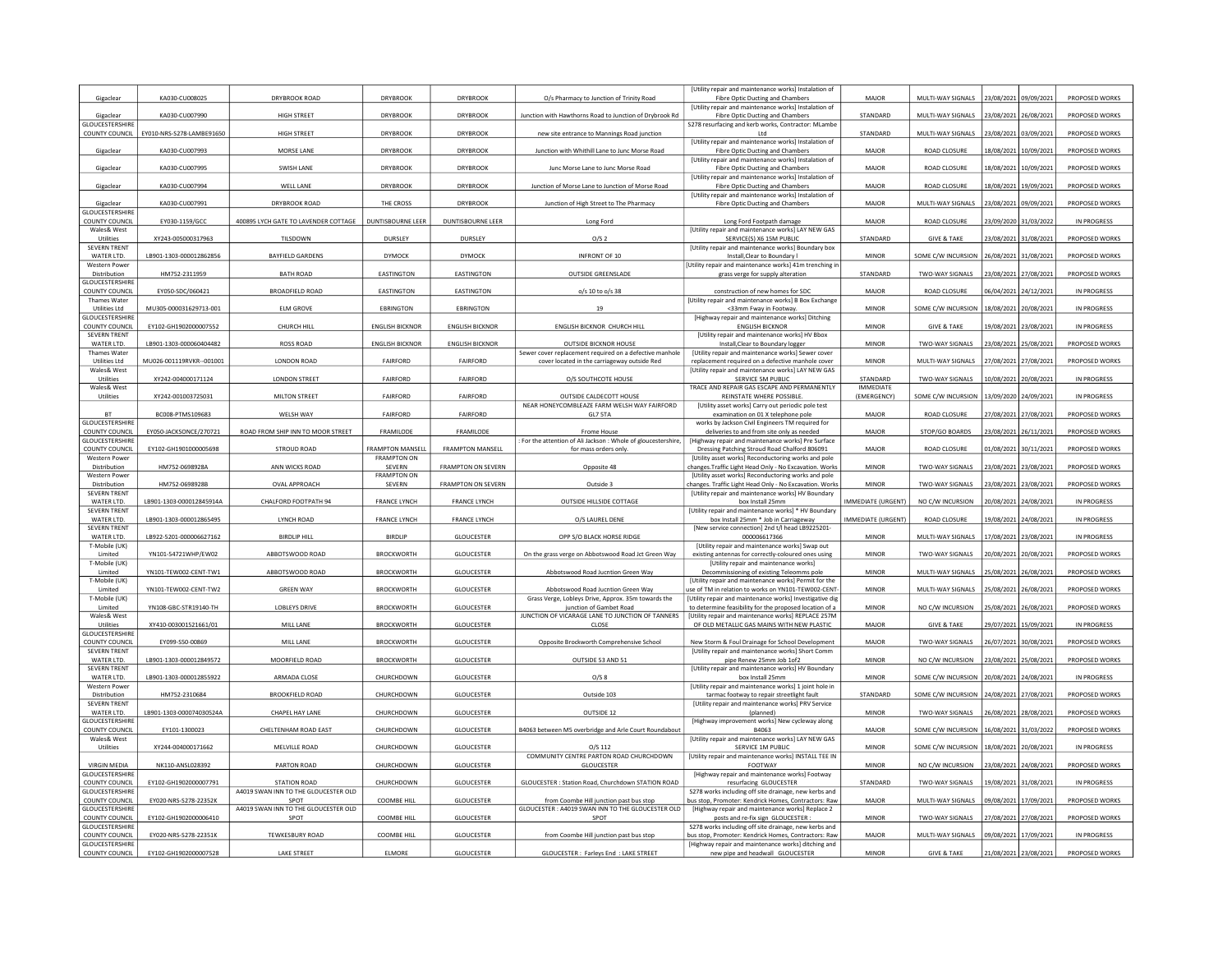|                                                 |                           |                                              | <b>DRYBROOK</b>              |                           |                                                                                | [Utility repair and maintenance works] Instalation of                                                               | MAJOR                               |                                         |                       |                       |                    |
|-------------------------------------------------|---------------------------|----------------------------------------------|------------------------------|---------------------------|--------------------------------------------------------------------------------|---------------------------------------------------------------------------------------------------------------------|-------------------------------------|-----------------------------------------|-----------------------|-----------------------|--------------------|
| Gigaclear                                       | KA030-CU008025            | DRYBROOK ROAD                                |                              | <b>DRYBROOK</b>           | O/s Pharmacy to Junction of Trinity Road                                       | Fibre Optic Ducting and Chambers<br>[Utility repair and maintenance works] Instalation of                           |                                     | MULTI-WAY SIGNALS                       | 23/08/2021 09/09/2021 |                       | PROPOSED WORKS     |
| Gigaclear<br><b>GLOUCESTERSHIRE</b>             | KA030-CU007990            | HIGH STREET                                  | <b>DRYBROOK</b>              | <b>DRYBROOK</b>           | Junction with Hawthorns Road to Junction of Drybrook Rd                        | Fibre Optic Ducting and Chambers<br>S278 resurfacing and kerb works, Contractor: MLambe                             | STANDARD                            | MULTI-WAY SIGNALS 23/08/2021 26/08/2021 |                       |                       | PROPOSED WORKS     |
| COUNTY COUNCIL                                  | EY010-NRS-S278-LAMBE91650 | HIGH STREET                                  | <b>DRYBROOK</b>              | <b>DRYBROOK</b>           | new site entrance to Mannings Road junction                                    | Ltd                                                                                                                 | STANDARD                            | MULTI-WAY SIGNALS                       | 23/08/2021            | 03/09/202             | PROPOSED WORKS     |
| Gigaclear                                       | KA030-CU007993            | MORSE LANE                                   | <b>DRYBROOK</b>              | <b>DRYBROOK</b>           | Junction with Whithill Lane to Junc Morse Road                                 | <b>IUtility repair and maintenance works) Instalation of</b><br>Fibre Optic Ducting and Chambers                    | MAJOR                               | ROAD CLOSURE                            | 18/08/2021            | 10/09/2021            | PROPOSED WORKS     |
|                                                 |                           |                                              |                              |                           |                                                                                | <b>IUtility repair and maintenance works) Instalation of</b>                                                        |                                     |                                         |                       |                       |                    |
| Gigaclear                                       | KA030-CU007995            | <b>SWISH LANE</b>                            | <b>DRYBROOK</b>              | <b>DRYBROOK</b>           | Junc Morse Lane to Junc Morse Road                                             | Fibre Optic Ducting and Chambers<br>[Utility repair and maintenance works] Instalation of                           | <b>MAJOR</b>                        | <b>ROAD CLOSURE</b>                     | 18/08/2021            | 10/09/2021            | PROPOSED WORKS     |
| Gigaclear                                       | KA030-CU007994            | WELL LANE                                    | <b>DRYBROOK</b>              | <b>DRYBROOK</b>           | Junction of Morse Lane to Junction of Morse Road                               | Fibre Optic Ducting and Chambers<br>[Utility repair and maintenance works] Instalation of                           | MAJOR                               | ROAD CLOSURE                            |                       | 18/08/2021 19/09/2021 | PROPOSED WORKS     |
| Gigaclear                                       | KA030-CU007991            | DRYBROOK ROAD                                | THE CROSS                    | <b>DRYBROOK</b>           | Junction of High Street to The Pharmacy                                        | Fibre Optic Ducting and Chambers                                                                                    | MAJOR                               | MULTI-WAY SIGNALS                       |                       | 23/08/2021 09/09/2021 | PROPOSED WORKS     |
| GLOUCESTERSHIRI<br>COUNTY COUNCIL               | EY030-1159/GCC            | 400895 LYCH GATE TO LAVENDER COTTAGE         | DUNTISBOURNE LEER            | DUNTISBOURNE LEER         | Long Ford                                                                      | Long Ford Footpath damage                                                                                           | MAJOR                               | ROAD CLOSURE                            | 23/09/2020            | 31/03/202             | IN PROGRESS        |
| Wales& West                                     |                           |                                              |                              |                           |                                                                                | [Utility repair and maintenance works] LAY NEW GAS                                                                  |                                     |                                         |                       |                       |                    |
| Utilities<br><b>SEVERN TRENT</b>                | XY243-005000317963        | TILSDOWN                                     | DURSLEY                      | DURSLEY                   | O/S <sub>2</sub>                                                               | SERVICE(S) X6 15M PUBLIC<br>[Utility repair and maintenance works] Boundary box                                     | STANDARD                            | <b>GIVE &amp; TAKE</b>                  | 23/08/2021            | 31/08/202             | PROPOSED WORKS     |
| WATER LTD.                                      | LB901-1303-000012862856   | <b>BAYFIELD GARDENS</b>                      | DYMOCK                       | DYMOCK                    | INFRONT OF 10                                                                  | Install, Clear to Boundary I                                                                                        | <b>MINOR</b>                        | SOME C/W INCURSION                      | 26/08/2021 31/08/2021 |                       | PROPOSED WORKS     |
| <b>Western Power</b><br>Distribution            | HM752-2311959             | <b>BATH ROAD</b>                             | EASTINGTON                   | EASTINGTON                | <b>OUTSIDE GREENSLADE</b>                                                      | Utility repair and maintenance works] 41m trenching i<br>grass verge for supply alteration                          | STANDARD                            | TWO-WAY SIGNALS                         | 23/08/2021            | 27/08/2021            | PROPOSED WORKS     |
| GLOUCESTERSHIRE<br>COUNTY COUNCIL               | EY050-SDC/060421          | <b>BROADFIELD ROAD</b>                       | EASTINGTON                   | EASTINGTON                | o/s 10 to o/s 38                                                               | construction of new homes for SDC                                                                                   | MAJOR                               | ROAD CLOSURE                            |                       | 06/04/2021 24/12/2021 | <b>IN PROGRESS</b> |
| Thames Water                                    |                           |                                              |                              |                           |                                                                                | [Utility repair and maintenance works] B Box Exchange                                                               |                                     |                                         |                       |                       |                    |
| <b>Utilities Ltd</b><br>GLOUCESTERSHIRE         | MU305-000031629713-001    | <b>ELM GROVE</b>                             | <b>EBRINGTON</b>             | <b>EBRINGTON</b>          | 19                                                                             | <33mm Fway in Footway<br>[Highway repair and maintenance works] Ditching                                            | <b>MINOR</b>                        | SOME C/W INCURSION                      | 18/08/2021            | 20/08/2021            | <b>IN PROGRESS</b> |
| COUNTY COUNCIL                                  | EY102-GH1902000007552     | CHURCH HILL                                  | <b>ENGLISH BICKNOR</b>       | <b>ENGLISH BICKNOR</b>    | <b>ENGLISH BICKNOR CHURCH HILL</b>                                             | <b>ENGLISH BICKNOR</b>                                                                                              | <b>MINOR</b>                        | <b>GIVE &amp; TAKE</b>                  | 19/08/2021            | 23/08/202             | IN PROGRESS        |
| <b>SEVERN TRENT</b><br>WATER LTD.               | LB901-1303-000060404482   | ROSS ROAD                                    | <b>ENGLISH BICKNOR</b>       | <b>ENGLISH BICKNOR</b>    | OUTSIDE BICKNOR HOUSE                                                          | [Utility repair and maintenance works] HV Bbox<br>Install, Clear to Boundary logger                                 | <b>MINOR</b>                        | TWO-WAY SIGNALS                         | 23/08/2021 25/08/2021 |                       | PROPOSED WORKS     |
| Thames Water                                    |                           |                                              |                              |                           | Sewer cover replacement required on a defective manhole                        | [Utility repair and maintenance works] Sewer cover                                                                  |                                     |                                         |                       |                       |                    |
| <b>Utilities Ltd</b><br>Wales& West             | MU026-001119RVKR--001001  | LONDON ROAD                                  | FAIRFORD                     | FAIRFORD                  | cover located in the carriageway outside Red                                   | replacement required on a defective manhole cove<br><b>IUtility repair and maintenance worksl LAY NEW GAS</b>       | MINOR                               | MULTI-WAY SIGNALS                       | 27/08/2021            | 27/08/2021            | PROPOSED WORKS     |
| Utilities<br>Wales& West                        | XY242-004000171124        | <b>LONDON STREET</b>                         | <b>FAIRFORD</b>              | FAIRFORD                  | O/S SOUTHCOTE HOUSE                                                            | SERVICE 5M PUBLIC<br>TRACE AND REPAIR GAS ESCAPE AND PERMANENTLY                                                    | <b>STANDARD</b><br><b>IMMEDIATE</b> | TWO-WAY SIGNALS                         | 10/08/2021            | 20/08/2021            | IN PROGRESS        |
| Utilities                                       | XY242-001003725031        | MILTON STREET                                | <b>FAIRFORD</b>              | FAIRFORD                  | OUTSIDE CALDECOTT HOUSE                                                        | REINSTATE WHERE POSSIBLE.                                                                                           | (EMERGENCY)                         | SOME C/W INCURSION                      | 13/09/2020            | 24/09/2021            | IN PROGRESS        |
| <b>BT</b>                                       | BC008-PTMS109683          | WELSH WAY                                    | <b>FAIRFORD</b>              | <b>FAIRFORD</b>           | NEAR HONEYCOMBLEAZE FARM WELSH WAY FAIRFORD<br>GL7 5TA                         | [Utility asset works] Carry out periodic pole test<br>examination on 01 X telephone pole                            | MAJOR                               | ROAD CLOSURE                            | 27/08/2021            | 27/08/2021            | PROPOSED WORKS     |
| <b>GLOUCESTERSHIRE</b>                          |                           |                                              |                              |                           |                                                                                | works by Jackson Civil Engineers TM required for                                                                    |                                     |                                         |                       |                       |                    |
| COUNTY COUNCIL<br><b>GLOUCESTERSHIRE</b>        | EY050-JACKSONCE/270721    | ROAD FROM SHIP INN TO MOOR STREET            | FRAMILODE                    | FRAMILODE                 | Frome House<br>For the attention of Ali Jackson : Whole of gloucestershire.    | deliveries to and from site only as needed<br>[Highway repair and maintenance works] Pre Surface                    | MAJOR                               | STOP/GO BOARDS                          | 23/08/2021 26/11/202  |                       | PROPOSED WORKS     |
| COUNTY COUNCIL                                  | EY102-GH1901000005698     | <b>STROUD ROAD</b>                           | <b>FRAMPTON MANSELI</b>      | <b>FRAMPTON MANSELI</b>   | for mass orders only.                                                          | Dressing Patching Stroud Road Chalford 806091                                                                       | MAJOR                               | ROAD CLOSURE                            | 01/08/2021            | 30/11/2021            | PROPOSED WORKS     |
| <b>Western Power</b><br>Distribution            | HM752-0698928A            | ANN WICKS ROAD                               | <b>FRAMPTON ON</b><br>SEVERN | <b>FRAMPTON ON SEVERN</b> | Opposite 48                                                                    | [Utility asset works] Reconductoring works and pole<br>changes. Traffic Light Head Only - No Excavation. Works      | <b>MINOR</b>                        | <b>TWO-WAY SIGNALS</b>                  | 23/08/2021            | 23/08/202             | PROPOSED WORKS     |
| Western Powe                                    |                           | <b>OVAL APPROACH</b>                         | <b>FRAMPTON ON</b>           |                           |                                                                                | [Utility asset works] Reconductoring works and pole                                                                 | <b>MINOR</b>                        |                                         |                       |                       |                    |
| Distribution<br><b>SEVERN TRENT</b>             | HM752-0698928B            |                                              | SEVERN                       | <b>FRAMPTON ON SEVERN</b> | Outside 3                                                                      | changes. Traffic Light Head Only - No Excavation. Works<br>[Utility repair and maintenance works] HV Boundary       |                                     | TWO-WAY SIGNALS                         |                       | 23/08/2021 23/08/2021 | PROPOSED WORKS     |
| WATER LTD.<br><b>SEVERN TRENT</b>               | LB901-1303-000012845914A  | CHALFORD FOOTPATH 94                         | <b>FRANCE LYNCH</b>          | <b>FRANCE LYNCH</b>       | OUTSIDE HILLSIDE COTTAGE                                                       | box Install 25mm<br>[Utility repair and maintenance works] * HV Boundary                                            | <b>IMMEDIATE (URGENT)</b>           | NO C/W INCURSION                        | 20/08/2021            | 24/08/2021            | IN PROGRESS        |
| WATER LTD.                                      | LB901-1303-000012865495   | LYNCH ROAD                                   | <b>FRANCE LYNCH</b>          | <b>FRANCE LYNCH</b>       | O/S LAUREL DENE                                                                | box Install 25mm * Job in Carriageway                                                                               | IMMEDIATE (URGENT)                  | ROAD CLOSURE                            |                       | 19/08/2021 24/08/2021 | <b>IN PROGRESS</b> |
| <b>SEVERN TRENT</b><br>WATER LTD.               | LB922-5201-000006627162   | <b>BIRDLIP HILL</b>                          | <b>BIRDLIP</b>               | <b>GLOUCESTER</b>         | OPP S/O BLACK HORSE RIDGE                                                      | [New service connection] 2nd t/l head LB9225201-<br>000006617366                                                    | <b>MINOR</b>                        | MULTI-WAY SIGNALS                       | 17/08/2021 23/08/202  |                       | <b>IN PROGRESS</b> |
| T-Mobile (UK)                                   |                           |                                              |                              |                           |                                                                                | <b>IUtility repair and maintenance works) Swap out</b>                                                              |                                     |                                         |                       |                       |                    |
| Limited<br>T-Mobile (UK)                        | YN101-54721WHP/EW02       | ABBOTSWOOD ROAD                              | <b>BROCKWORTH</b>            | GLOUCESTER                | On the grass verge on Abbotswood Road Jct Green Way                            | existing antennas for correctly-coloured ones using<br>[Utility repair and maintenance works]                       | <b>MINOR</b>                        | <b>TWO-WAY SIGNALS</b>                  | 20/08/2021            | 20/08/2021            | PROPOSED WORKS     |
| Limited<br>T-Mobile (UK)                        | YN101-TEW002-CENT-TW1     | ABBOTSWOOD ROAD                              | <b>BROCKWORTH</b>            | GLOUCESTER                | Abbotswood Road Jucntion Green Way                                             | Decommissioning of existing Teleomms pole<br><b>IUtility repair and maintenance works) Permit for the</b>           | <b>MINOR</b>                        | MULTI-WAY SIGNALS                       | 25/08/2021 26/08/2021 |                       | PROPOSED WORKS     |
| Limited                                         | YN101-TEW002-CENT-TW2     | <b>GREEN WAY</b>                             | <b>BROCKWORTH</b>            | GLOUCESTER                | Abbotswood Road Jucntion Green Way                                             | se of TM in relation to works on YN101-TEW002-CENT                                                                  | MINOR                               | MULTI-WAY SIGNALS                       | 25/08/2021            | 26/08/2021            | PROPOSED WORKS     |
| T-Mobile (UK)<br><b>Limited</b>                 | YN108-GBC-STR19140-TH     | <b>LOBLEYS DRIVE</b>                         | <b>BROCKWORTH</b>            | <b>GLOUCESTER</b>         | Grass Verge, Lobleys Drive, Approx, 35m towards the<br>junction of Gambet Road | [Utility repair and maintenance works] Investigative dig<br>to determine feasibility for the proposed location of a | <b>MINOR</b>                        | NO C/W INCURSION                        | 25/08/2021            | 26/08/2021            | PROPOSED WORKS     |
| Wales& West                                     |                           |                                              |                              |                           | JUNCTION OF VICARAGE LANE TO JUNCTION OF TANNERS                               | Utility repair and maintenance worksl REPLACE 257N                                                                  |                                     |                                         |                       |                       |                    |
| Utilities<br><b>GLOUCESTERSHIRE</b>             | XY410-003001521661/01     | MILL LANE                                    | <b>BROCKWORTH</b>            | <b>GLOUCESTER</b>         | CLOSE                                                                          | OF OLD METALLIC GAS MAINS WITH NEW PLASTIC                                                                          | <b>MAJOR</b>                        | <b>GIVE &amp; TAKE</b>                  | 29/07/2021            | 15/09/2021            | IN PROGRESS        |
| COUNTY COUNCIL                                  | EY099-S50-00869           | MILL LANE                                    | <b>BROCKWORTH</b>            | GLOUCESTER                | Opposite Brockworth Comprehensive School                                       | New Storm & Foul Drainage for School Development                                                                    | MAJOR                               | TWO-WAY SIGNALS                         | 26/07/2021            | 30/08/2021            | PROPOSED WORKS     |
| SEVERN TRENT<br>WATER LTD.                      | LB901-1303-000012849572   | MOORFIELD ROAD                               | BROCKWORTH                   | GLOUCESTER                | OUTSIDE 53 AND 51                                                              | [Utility repair and maintenance works] Short Comm<br>pipe Renew 25mm Job 1of2                                       | <b>MINOR</b>                        | NO C/W INCURSION                        | 23/08/2021            | 25/08/202             | PROPOSED WORKS     |
| <b>SEVERN TRENT</b><br>WATER LTD.               | LB901-1303-000012855922   | ARMADA CLOSE                                 | CHURCHDOWN                   | <b>GLOUCESTER</b>         | O/S 8                                                                          | <b>IUtility repair and maintenance worksl HV Boundary</b><br>box Install 25mm                                       | <b>MINOR</b>                        | SOME C/W INCURSION                      | 20/08/2021            | 24/08/202             | IN PROGRESS        |
| Western Powe                                    |                           |                                              |                              |                           |                                                                                | <b>IUtility repair and maintenance works] 1 joint hole in</b>                                                       |                                     |                                         |                       |                       |                    |
| Distribution<br><b>SEVERN TRENT</b>             | HM752-2310684             | <b>BROOKFIELD ROAD</b>                       | CHURCHDOWN                   | <b>GLOUCESTER</b>         | Outside 103                                                                    | tarmac footway to repair streetlight fault<br>[Utility repair and maintenance works] PRV Service                    | STANDARD                            | SOME C/W INCURSION                      | 24/08/2021            | 27/08/202             | PROPOSED WORKS     |
| WATER LTD.                                      | LB901-1303-000074030524A  | CHAPEL HAY LANE                              | CHURCHDOWN                   | GLOUCESTER                | OUTSIDE 12                                                                     | (planned)                                                                                                           | <b>MINOR</b>                        | TWO-WAY SIGNALS                         |                       | 26/08/2021 28/08/2021 | PROPOSED WORKS     |
| <b>GLOUCESTERSHIRE</b><br>COUNTY COUNCIL        | EY101-1300023             | CHELTENHAM ROAD EAST                         | CHURCHDOWN                   | <b>GLOUCESTER</b>         | B4063 between M5 overbridge and Arle Court Roundabou                           | [Highway improvement works] New cycleway along<br>B4063                                                             | MAJOR                               | SOME C/W INCURSION                      | 16/08/2021            | 31/03/2022            | PROPOSED WORKS     |
| Wales& West                                     |                           |                                              |                              |                           |                                                                                | [Utility repair and maintenance works] LAY NEW GAS                                                                  |                                     |                                         |                       |                       |                    |
| Utilities                                       | XY244-004000171662        | MELVILLE ROAD                                | CHURCHDOWN                   | GLOUCESTER                | $O/S$ 112<br>COMMUNITY CENTRE PARTON ROAD CHURCHDOWN                           | SERVICE 1M PUBLIC<br>[Utility repair and maintenance works] INSTALL TEE IN                                          | <b>MINOR</b>                        | SOME C/W INCURSION                      | 18/08/2021 20/08/2021 |                       | <b>IN PROGRESS</b> |
| <b>VIRGIN MEDIA</b><br><b>GLOUCESTERSHIRE</b>   | NK110-ANSL028392          | PARTON ROAD                                  | CHURCHDOWN                   | GLOUCESTER                | <b>GLOUCESTER</b>                                                              | FOOTWAY<br>[Highway repair and maintenance works] Footway                                                           | <b>MINOR</b>                        | NO C/W INCURSION                        | 23/08/2021            | 24/08/2021            | PROPOSED WORKS     |
| COUNTY COUNCIL                                  | EY102-GH1902000007791     | STATION ROAD                                 | CHURCHDOWN                   | GLOUCESTER                | GLOUCESTER : Station Road, Churchdown STATION ROAD                             | resurfacing GLOUCESTER                                                                                              | STANDARD                            | TWO-WAY SIGNALS                         | 19/08/2021            | 31/08/2021            | IN PROGRESS        |
| GLOUCESTERSHIRE<br>COUNTY COUNCIL               | EY020-NRS-S278-22352K     | A4019 SWAN INN TO THE GLOUCESTER OLD<br>SPOT | <b>COOMBE HILL</b>           | GLOUCESTER                | from Coombe Hill junction past bus stop                                        | S278 works including off site drainage, new kerbs and<br>bus stop, Promoter: Kendrick Homes, Contractors: Raw       | MAJOR                               | MULTI-WAY SIGNALS 09/08/2021 17/09/2021 |                       |                       | PROPOSED WORKS     |
| <b>GLOUCESTERSHIRE</b>                          |                           | A4019 SWAN INN TO THE GLOUCESTER OLD         |                              |                           | GLOUCESTER: A4019 SWAN INN TO THE GLOUCESTER OLD                               | [Highway repair and maintenance works] Replace 2                                                                    |                                     |                                         |                       |                       |                    |
| COUNTY COUNCIL<br><b>GLOUCESTERSHIRE</b>        | EY102-GH1902000006410     | SPOT                                         | COOMBE HILL                  | GLOUCESTER                | SPOT                                                                           | posts and re-fix sign GLOUCESTER<br>S278 works including off site drainage, new kerbs and                           | MINOR                               | TWO-WAY SIGNALS                         | 27/08/2021            | 27/08/2021            | PROPOSED WORKS     |
| COUNTY COUNCIL                                  | EY020-NRS-S278-22351K     | <b>TEWKESBURY ROAD</b>                       | <b>COOMBE HILL</b>           | <b>GLOUCESTER</b>         | from Coombe Hill junction past bus stop                                        | bus stop, Promoter: Kendrick Homes, Contractors: Raw                                                                | MAJOR                               | MULTI-WAY SIGNALS                       | 09/08/2021 17/09/202  |                       | IN PROGRESS        |
| <b>GLOUCESTERSHIRE</b><br><b>COUNTY COUNCIL</b> | EY102-GH1902000007528     | <b>LAKE STREET</b>                           | <b>ELMORE</b>                | <b>GLOUCESTER</b>         | GLOUCESTER: Farleys End : LAKE STREET                                          | Highway repair and maintenance works] ditching and<br>new pipe and headwall GLOUCESTER                              | <b>MINOR</b>                        | <b>GIVE &amp; TAKE</b>                  | 21/08/2021 23/08/2021 |                       | PROPOSED WORKS     |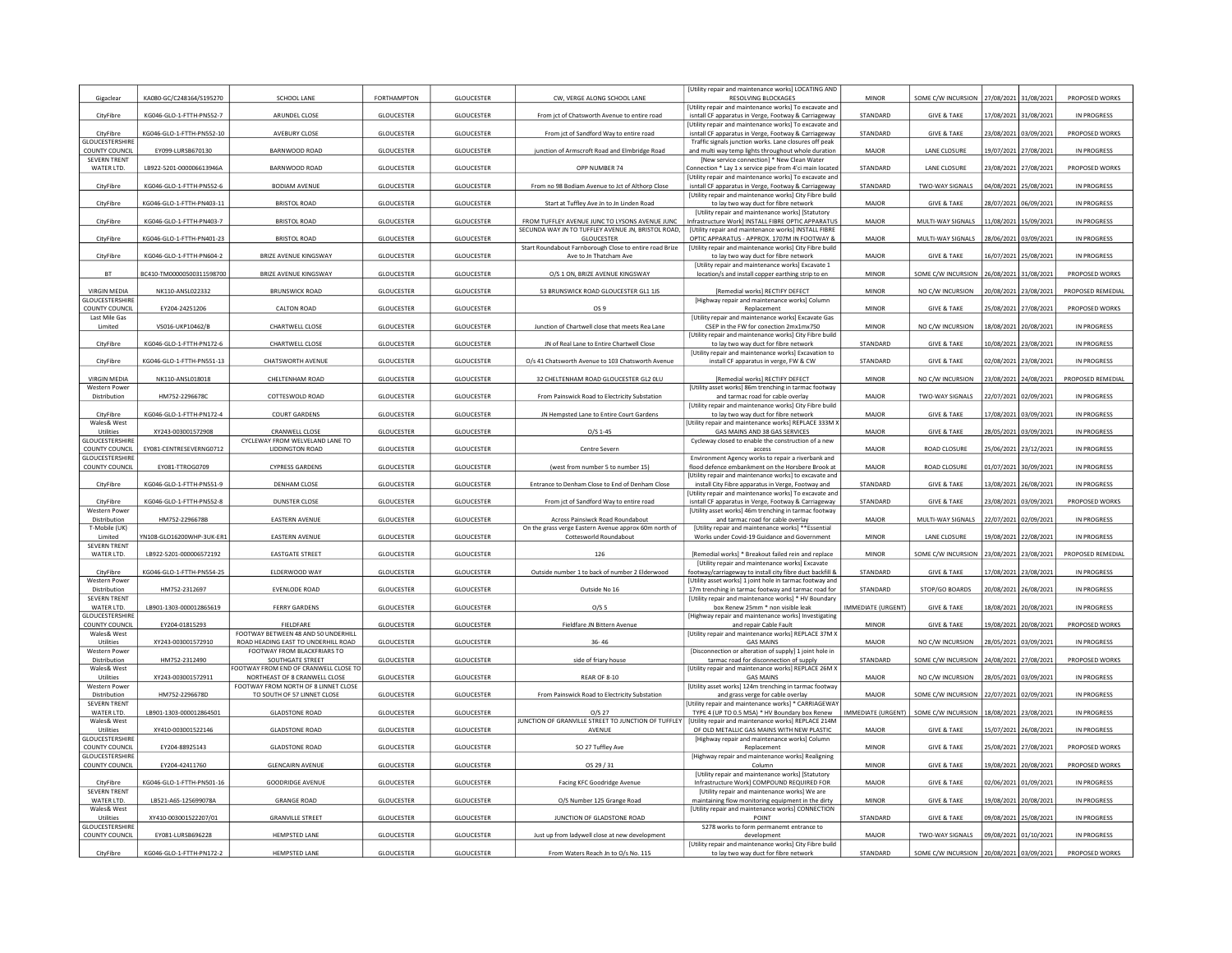| Gigaclear                                | KA080-GC/C248164/S195270  | SCHOOL LANE                                                                | FORTHAMPTON       | GLOUCESTER        | CW, VERGE ALONG SCHOOL LANE                                                                          | Utility repair and maintenance works] LOCATING AND<br><b>RESOLVING BLOCKAGES</b>                               | <b>MINOR</b>       | SOME C/W INCURSION     | 27/08/2021            | 31/08/2021            | PROPOSED WORKS     |
|------------------------------------------|---------------------------|----------------------------------------------------------------------------|-------------------|-------------------|------------------------------------------------------------------------------------------------------|----------------------------------------------------------------------------------------------------------------|--------------------|------------------------|-----------------------|-----------------------|--------------------|
|                                          |                           |                                                                            |                   |                   |                                                                                                      | [Utility repair and maintenance works] To excavate and                                                         |                    |                        |                       |                       |                    |
| CityFibre                                | KG046-GLO-1-FTTH-PN552-7  | ARUNDEL CLOSE                                                              | <b>GLOUCESTER</b> | GLOUCESTER        | From jct of Chatsworth Avenue to entire road                                                         | isntall CF apparatus in Verge, Footway & Carriageway<br>Utility repair and maintenance works] To excavate and  | STANDARD           | <b>GIVE &amp; TAKE</b> | 17/08/2021 31/08/2021 |                       | IN PROGRESS        |
| CityFibre<br>GLOUCESTERSHIRI             | KG046-GLO-1-FTTH-PN552-10 | AVEBURY CLOSE                                                              | <b>GLOUCESTER</b> | <b>GLOUCESTER</b> | From jct of Sandford Way to entire road                                                              | isntall CF apparatus in Verge, Footway & Carriageway<br>Traffic signals junction works. Lane closures off peak | STANDARD           | <b>GIVE &amp; TAKE</b> | 23/08/2021            | 03/09/2021            | PROPOSED WORKS     |
| COUNTY COUNCIL                           | EY099-LURSB670130         | BARNWOOD ROAD                                                              | <b>GLOUCESTER</b> | <b>GLOUCESTER</b> | junction of Armscroft Road and Elmbridge Road                                                        | and multi way temp lights throughout whole duration                                                            | <b>MAJOR</b>       | LANE CLOSURE           | 19/07/2021            | 27/08/2021            | <b>IN PROGRESS</b> |
| <b>SEVERN TRENT</b><br>WATER LTD.        | LB922-5201-000006613946A  | BARNWOOD ROAD                                                              | <b>GLOUCESTER</b> | GLOUCESTER        | OPP NUMBER 74                                                                                        | [New service connection] * New Clean Water<br>Connection * Lay 1 x service pipe from 4'ci main located         | STANDARD           | <b>LANE CLOSURE</b>    | 23/08/2021            | 27/08/2021            | PROPOSED WORKS     |
| CityFibre                                | KG046-GLO-1-FTTH-PN552-6  | <b>BODIAM AVENUE</b>                                                       | <b>GLOUCESTER</b> | GLOUCESTER        | From no 98 Bodiam Avenue to Jct of Althorp Close                                                     | Utility repair and maintenance works] To excavate and<br>isntall CF apparatus in Verge, Footway & Carriageway  | STANDARD           | TWO-WAY SIGNALS        | 04/08/2021            | 25/08/2021            | IN PROGRESS        |
|                                          |                           |                                                                            |                   |                   |                                                                                                      | [Utility repair and maintenance works] City Fibre build                                                        |                    |                        |                       |                       |                    |
| CityFibre                                | KG046-GLO-1-FTTH-PN403-11 | <b>BRISTOL ROAD</b>                                                        | <b>GLOUCESTER</b> | <b>GLOUCESTER</b> | Start at Tuffley Ave Jn to Jn Linden Road                                                            | to lay two way duct for fibre network<br><b>IUtility repair and maintenance works) IStatutory</b>              | MAJOR              | <b>GIVE &amp; TAKE</b> | 28/07/2021            | 06/09/202             | IN PROGRESS        |
| CityFibre                                | KG046-GLO-1-FTTH-PN403-7  | <b>BRISTOL ROAD</b>                                                        | <b>GLOUCESTER</b> | <b>GLOUCESTER</b> | FROM TUFFLEY AVENUE JUNC TO LYSONS AVENUE JUNC<br>SECUNDA WAY JN TO TUFFLEY AVENUE JN, BRISTOL ROAD. | Infrastructure Work] INSTALL FIBRE OPTIC APPARATUS<br>[Utility repair and maintenance works] INSTALL FIBRE     | MAJOR              | MULTI-WAY SIGNALS      | 11/08/2021            | 15/09/202             | IN PROGRESS        |
| CityFibre                                | KG046-GLO-1-FTTH-PN401-23 | <b>BRISTOL ROAD</b>                                                        | <b>GLOUCESTER</b> | <b>GLOUCESTER</b> | GLOUCESTER                                                                                           | OPTIC APPARATUS - APPROX, 1707M IN FOOTWAY &                                                                   | MAJOR              | MULTI-WAY SIGNALS      | 28/06/2021            | 03/09/202             | IN PROGRESS        |
| CityFibre                                | KG046-GLO-1-FTTH-PN604-2  | BRIZE AVENUE KINGSWAY                                                      | <b>GLOUCESTER</b> | GLOUCESTER        | Start Roundabout Farnborough Close to entire road Brize<br>Ave to Jn Thatcham Ave                    | [Utility repair and maintenance works] City Fibre build<br>to lay two way duct for fibre network               | MAJOR              | <b>GIVE &amp; TAKE</b> | 16/07/2021 25/08/2021 |                       | IN PROGRESS        |
| BT                                       | BC410-TM00000500311598700 | BRIZE AVENUE KINGSWAY                                                      | <b>GLOUCESTER</b> | <b>GLOUCESTER</b> | O/S 1 ON, BRIZE AVENUE KINGSWAY                                                                      | [Utility repair and maintenance works] Excavate 1<br>location/s and install copper earthing strip to en        | MINOR              | SOME C/W INCURSION     | 26/08/2021            | 31/08/202             | PROPOSED WORKS     |
| <b>VIRGIN MEDIA</b>                      |                           | <b>BRUNSWICK ROAD</b>                                                      |                   |                   | 53 BRUNSWICK ROAD GLOUCESTER GL1 1JS                                                                 |                                                                                                                | <b>MINOR</b>       | NO C/W INCURSION       |                       |                       | PROPOSED REMEDIAL  |
| <b>GLOUCESTERSHIRE</b>                   | NK110-ANSL022332          |                                                                            | GLOUCESTER        | GLOUCESTER        |                                                                                                      | [Remedial works] RECTIFY DEFECT<br>[Highway repair and maintenance works] Column                               |                    |                        | 20/08/2021            | 23/08/2021            |                    |
| COUNTY COUNCIL<br>Last Mile Gas          | EY204-24251206            | <b>CALTON ROAD</b>                                                         | <b>GLOUCESTER</b> | <b>GLOUCESTER</b> | OS 9                                                                                                 | Replacement<br>[Utility repair and maintenance works] Excavate Gas                                             | <b>MINOR</b>       | <b>GIVE &amp; TAKE</b> | 25/08/2021            | 27/08/2021            | PROPOSED WORKS     |
| Limited                                  | VS016-UKP10462/B          | CHARTWELL CLOSE                                                            | <b>GLOUCESTER</b> | <b>GLOUCESTER</b> | Junction of Chartwell close that meets Rea Lane                                                      | CSEP in the FW for conection 2mx1mx750                                                                         | <b>MINOR</b>       | NO C/W INCURSION       | 18/08/2021            | 20/08/2021            | IN PROGRESS        |
| CityFibre                                | KG046-GLO-1-FTTH-PN172-6  | CHARTWELL CLOSE                                                            | <b>GLOUCESTER</b> | GLOUCESTER        | JN of Real Lane to Entire Chartwell Close                                                            | [Utility repair and maintenance works] City Fibre build<br>to lay two way duct for fibre network               | STANDARD           | <b>GIVE &amp; TAKE</b> | 10/08/2021 23/08/2021 |                       | IN PROGRESS        |
| CityFibre                                | KG046-GLO-1-FTTH-PN551-13 | CHATSWORTH AVENUE                                                          | <b>GLOUCESTER</b> | <b>GLOUCESTER</b> | O/s 41 Chatsworth Avenue to 103 Chatsworth Avenu                                                     | [Utility repair and maintenance works] Excavation to<br>install CF apparatus in verge, FW & CW                 | STANDARD           | <b>GIVE &amp; TAKE</b> | 02/08/2021            | 23/08/2021            | IN PROGRESS        |
| <b>VIRGIN MEDIA</b>                      | NK110-ANSL018018          | CHELTENHAM ROAD                                                            |                   | <b>GLOUCESTER</b> | 32 CHELTENHAM ROAD GLOUCESTER GL2 OLU                                                                |                                                                                                                | <b>MINOR</b>       | NO C/W INCURSION       | 23/08/2021            |                       | PROPOSED REMEDIAL  |
| Western Power                            |                           |                                                                            | <b>GLOUCESTER</b> |                   |                                                                                                      | [Remedial works] RECTIFY DEFECT<br>[Utility asset works] 86m trenching in tarmac footway                       |                    |                        |                       | 24/08/2021            |                    |
| Distribution                             | HM752-2296678C            | COTTESWOLD ROAD                                                            | <b>GLOUCESTER</b> | <b>GLOUCESTER</b> | From Painswick Road to Electricity Substation                                                        | and tarmac road for cable overlay<br>[Utility repair and maintenance works] City Fibre build                   | <b>MAJOR</b>       | TWO-WAY SIGNALS        | 22/07/2021            | 02/09/2021            | IN PROGRESS        |
| CityFibre<br>Wales& West                 | KG046-GLO-1-FTTH-PN172-4  | <b>COURT GARDENS</b>                                                       | GLOUCESTER        | GLOUCESTER        | JN Hempsted Lane to Entire Court Gardens                                                             | to lay two way duct for fibre network<br>[Utility repair and maintenance works] REPLACE 333M X                 | MAJOR              | <b>GIVE &amp; TAKE</b> | 17/08/2021            | 03/09/2021            | IN PROGRESS        |
| Utilities                                | XY243-003001572908        | <b>CRANWELL CLOSE</b>                                                      | GLOUCESTER        | <b>GLOUCESTER</b> | $O/S$ 1-45                                                                                           | GAS MAINS AND 38 GAS SERVICES                                                                                  | MAJOR              | <b>GIVE &amp; TAKE</b> | 28/05/2021            | 03/09/202             | <b>IN PROGRESS</b> |
| GLOUCESTERSHIRI<br><b>COUNTY COUNCIL</b> | EY081-CENTRESEVERNG0712   | CYCLEWAY FROM WELVELAND LANE TO<br>LIDDINGTON ROAD                         | <b>GLOUCESTER</b> | GLOUCESTER        | Centre Severn                                                                                        | Cycleway closed to enable the construction of a new<br>access                                                  | MAJOR              | ROAD CLOSURE           | 25/06/2021            | 23/12/2021            | IN PROGRESS        |
| <b>GLOUCESTERSHIRE</b><br>COUNTY COUNCIL | EY081-TTROG0709           | <b>CYPRESS GARDENS</b>                                                     | GLOUCESTER        | GLOUCESTER        | (west from number 5 to number 15)                                                                    | Environment Agency works to repair a riverbank and<br>flood defence embankment on the Horsbere Brook at        | MAJOR              | ROAD CLOSURE           | 01/07/2021            | 30/09/202             | IN PROGRESS        |
|                                          |                           |                                                                            |                   |                   |                                                                                                      | [Utility repair and maintenance works] to excavate and                                                         |                    |                        |                       |                       |                    |
| CityFibre                                | KG046-GLO-1-FTTH-PN551-9  | DENHAM CLOSE                                                               | <b>GLOUCESTER</b> | GLOUCESTER        | Entrance to Denham Close to End of Denham Close                                                      | install City Fibre apparatus in Verge, Footway and<br>Utility repair and maintenance works] To excavate and    | STANDARD           | <b>GIVE &amp; TAKE</b> | 13/08/2021 26/08/2021 |                       | IN PROGRESS        |
| CityFibre<br><b>Western Power</b>        | KG046-GLO-1-FTTH-PN552-8  | <b>DUNSTER CLOSE</b>                                                       | <b>GLOUCESTER</b> | <b>GLOUCESTER</b> | From jct of Sandford Way to entire road                                                              | isntall CF apparatus in Verge, Footway & Carriageway<br>IUtility asset works] 46m trenching in tarmac footway  | STANDARD           | <b>GIVE &amp; TAKE</b> | 23/08/2021            | 03/09/202             | PROPOSED WORKS     |
| Distribution<br>T-Mobile (UK)            | HM752-2296678B            | <b>EASTERN AVENUE</b>                                                      | GLOUCESTER        | GLOUCESTER        | Across Painsiwck Road Roundabout                                                                     | and tarmac road for cable overlay<br><b>IUtility repair and maintenance works1 **Essential</b>                 | MAJOR              | MULTI-WAY SIGNALS      | 22/07/2021            | 02/09/2021            | IN PROGRESS        |
| Limited                                  | YN108-GLO16200WHP-3UK-ER: | <b>EASTERN AVENUE</b>                                                      | <b>GLOUCESTER</b> | <b>GLOUCESTER</b> | On the grass verge Eastern Avenue approx 60m north of<br>Cottesworld Roundabout                      | Works under Covid-19 Guidance and Government                                                                   | <b>MINOR</b>       | <b>LANE CLOSURE</b>    | 19/08/2021            | 22/08/202             | IN PROGRESS        |
| <b>SEVERN TRENT</b><br>WATER LTD.        | LB922-5201-000006572192   | <b>EASTGATE STREET</b>                                                     | <b>GLOUCESTER</b> | GLOUCESTER        | 126                                                                                                  | [Remedial works] * Breakout failed rein and replace                                                            | <b>MINOR</b>       | SOME C/W INCURSION     | 23/08/2021            | 23/08/2021            | PROPOSED REMEDIAL  |
| CityFibre                                | KG046-GLO-1-FTTH-PN554-25 | ELDERWOOD WAY                                                              | <b>GLOUCESTER</b> | GLOUCESTER        | Outside number 1 to back of number 2 Elderwood                                                       | [Utility repair and maintenance works] Excavate<br>footway/carriageway to install city fibre duct backfill &   | STANDARD           | <b>GIVE &amp; TAKE</b> | 17/08/2021 23/08/2021 |                       | IN PROGRESS        |
| <b>Western Power</b>                     |                           |                                                                            |                   |                   |                                                                                                      | [Utility asset works] 1 joint hole in tarmac footway and                                                       |                    |                        |                       |                       |                    |
| Distribution<br><b>SEVERN TRENT</b>      | HM752-2312697             | EVENLODE ROAD                                                              | <b>GLOUCESTER</b> | <b>GLOUCESTER</b> | Outside No 16                                                                                        | 17m trenching in tarmac footway and tarmac road for<br>[Utility repair and maintenance works] * HV Boundary    | STANDARD           | STOP/GO BOARDS         | 20/08/2021            | 26/08/202             | IN PROGRESS        |
| WATER LTD.<br><b>GLOUCESTERSHIRI</b>     | LB901-1303-000012865619   | <b>FERRY GARDENS</b>                                                       | <b>GLOUCESTER</b> | <b>GLOUCESTER</b> | O/S <sub>5</sub>                                                                                     | box Renew 25mm * non visible leak<br>[Highway repair and maintenance works] Investigating                      | IMMEDIATE (URGENT) | <b>GIVE &amp; TAKE</b> | 18/08/2021            | 20/08/2021            | IN PROGRESS        |
| COUNTY COUNCIL                           | EY204-01815293            | FIELDFARE                                                                  | <b>GLOUCESTER</b> | <b>GLOUCESTER</b> | Fieldfare JN Bittern Avenue                                                                          | and repair Cable Fault                                                                                         | <b>MINOR</b>       | <b>GIVE &amp; TAKE</b> | 19/08/2021            | 20/08/2021            | PROPOSED WORKS     |
| Wales& West<br>Utilities                 | XY243-003001572910        | FOOTWAY BETWEEN 48 AND 50 UNDERHILL<br>ROAD HEADING EAST TO UNDERHILL ROAD | GLOUCESTER        | GLOUCESTER        | $36 - 46$                                                                                            | [Utility repair and maintenance works] REPLACE 37M X<br><b>GAS MAINS</b>                                       | MAJOR              | NO C/W INCURSION       | 28/05/2021 03/09/2021 |                       | IN PROGRESS        |
| <b>Western Power</b><br>Distribution     | HM752-2312490             | FOOTWAY FROM BLACKFRIARS TO<br>SOUTHGATE STREET                            | GLOUCESTER        | <b>GLOUCESTER</b> | side of friary house                                                                                 | [Disconnection or alteration of supply] 1 joint hole in<br>tarmac road for disconnection of supply             | STANDARD           | SOME C/W INCURSION     |                       | 24/08/2021 27/08/2021 | PROPOSED WORKS     |
| Wales& West                              |                           | FOOTWAY FROM END OF CRANWELL CLOSE TO                                      |                   |                   |                                                                                                      | (Utility repair and maintenance works) REPLACE 26M >                                                           | MAIOR              |                        |                       |                       |                    |
| Utilities<br><b>Western Power</b>        | XY243-003001572911        | NORTHEAST OF 8 CRANWELL CLOSE<br>FOOTWAY FROM NORTH OF 8 LINNET CLOSE      | GLOUCESTER        | <b>GLOUCESTER</b> | REAR OF 8-10                                                                                         | <b>GAS MAINS</b><br>[Utility asset works] 124m trenching in tarmac footway                                     |                    | NO C/W INCURSION       | 28/05/2021            | 03/09/202             | IN PROGRESS        |
| Distribution<br><b>SEVERN TRENT</b>      | HM752-2296678D            | TO SOUTH OF 57 LINNET CLOSE                                                | GLOUCESTER        | GLOUCESTER        | From Painswick Road to Electricity Substation                                                        | and grass verge for cable overlay<br>Utility repair and maintenance works] * CARRIAGEWAY                       | MAJOR              | SOME C/W INCURSION     | 22/07/2021            | 02/09/202             | IN PROGRESS        |
| WATER LTD.<br>Wales& West                | LB901-1303-000012864501   | <b>GLADSTONE ROAD</b>                                                      | GLOUCESTER        | GLOUCESTER        | $O/S$ 27<br>IUNCTION OF GRANVILLE STREET TO JUNCTION OF TUFFLEY                                      | TYPE 4 (UP TO 0.5 MSA) * HV Boundary box Renew                                                                 | IMMEDIATE (URGENT) | SOME C/W INCURSION     | 18/08/2021 23/08/2021 |                       | IN PROGRESS        |
| Utilities                                | XY410-003001522146        | <b>GLADSTONE ROAD</b>                                                      | <b>GLOUCESTER</b> | GLOUCESTER        | AVENUE                                                                                               | [Utility repair and maintenance works] REPLACE 214M<br>OF OLD METALLIC GAS MAINS WITH NEW PLASTIC              | MAJOR              | <b>GIVE &amp; TAKE</b> | 15/07/2021            | 26/08/202             | IN PROGRESS        |
| <b>GLOUCESTERSHIRE</b><br>COUNTY COUNCIL | EY204-88925143            | <b>GLADSTONE ROAD</b>                                                      | GLOUCESTER        | GLOUCESTER        | SO 27 Tuffley Ave                                                                                    | [Highway repair and maintenance works] Column<br>Replacement                                                   | <b>MINOR</b>       | <b>GIVE &amp; TAKE</b> | 25/08/2021            | 27/08/2021            | PROPOSED WORKS     |
| GLOUCESTERSHIRI<br>COUNTY COUNCIL        | EY204-42411760            | <b>GLENCAIRN AVENUE</b>                                                    | <b>GLOUCESTER</b> | <b>GLOUCESTER</b> |                                                                                                      | [Highway repair and maintenance works] Realigning<br>Column                                                    | <b>MINOR</b>       | <b>GIVE &amp; TAKE</b> |                       |                       | PROPOSED WORKS     |
|                                          |                           |                                                                            |                   |                   | OS 29 / 31                                                                                           | [Utility repair and maintenance works] [Statutory                                                              |                    |                        | 19/08/2021            | 20/08/2021            |                    |
| CityFibre<br><b>SEVERN TRENT</b>         | KG046-GLO-1-FTTH-PN501-16 | <b>GOODRIDGE AVENUE</b>                                                    | <b>GLOUCESTER</b> | GLOUCESTER        | Facing KFC Goodridge Avenue                                                                          | Infrastructure Work] COMPOUND REQUIRED FOR<br>[Utility repair and maintenance works] We are                    | MAJOR              | <b>GIVE &amp; TAKE</b> | 02/06/2021            | 01/09/2021            | IN PROGRESS        |
| WATER LTD.<br>Wales& West                | LB521-A6S-125699078A      | <b>GRANGE ROAD</b>                                                         | <b>GLOUCESTER</b> | GLOUCESTER        | O/S Number 125 Grange Road                                                                           | maintaining flow monitoring equipment in the dirty<br>[Utility repair and maintenance works] CONNECTION        | MINOR              | <b>GIVE &amp; TAKE</b> | 19/08/2021 20/08/2021 |                       | IN PROGRESS        |
| Utilities                                | XY410-003001522207/01     | <b>GRANVILLE STREET</b>                                                    | <b>GLOUCESTER</b> | <b>GLOUCESTER</b> | JUNCTION OF GLADSTONE ROAD                                                                           | POINT                                                                                                          | STANDARD           | <b>GIVE &amp; TAKE</b> | 09/08/2021            | 25/08/2021            | <b>IN PROGRESS</b> |
| <b>GLOUCESTERSHIRE</b><br>COUNTY COUNCIL | EY081-LURSB696228         | <b>HEMPSTED LANE</b>                                                       | <b>GLOUCESTER</b> | <b>GLOUCESTER</b> | Just up from ladywell close at new development                                                       | \$278 works to form permanemt entrance to<br>development                                                       | <b>MAJOR</b>       | TWO-WAY SIGNALS        | 09/08/2021            | 01/10/202             | IN PROGRESS        |
| CityFibre                                | KG046-GLO-1-FTTH-PN172-2  | <b>HEMPSTED LANE</b>                                                       | <b>GLOUCESTER</b> | <b>GLOUCESTER</b> | From Waters Reach Jn to O/s No. 115                                                                  | <b>IUtility repair and maintenance worksl City Fibre build</b><br>to lay two way duct for fibre network        | STANDARD           | SOME C/W INCURSION     | 20/08/2021 03/09/2021 |                       | PROPOSED WORKS     |
|                                          |                           |                                                                            |                   |                   |                                                                                                      |                                                                                                                |                    |                        |                       |                       |                    |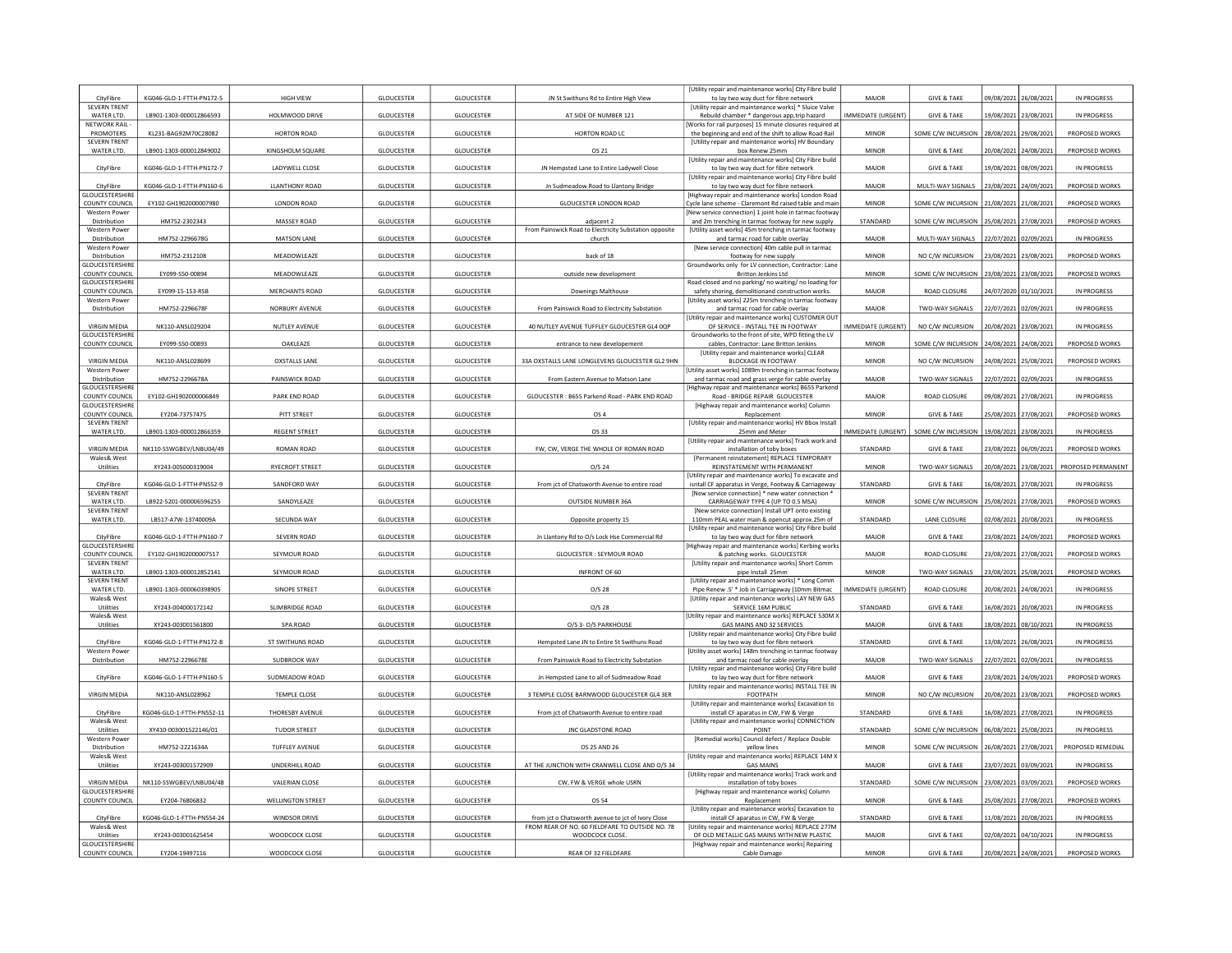| CityFibre                                          | KG046-GLO-1-FTTH-PN172-5  | <b>HIGH VIEW</b>         | <b>GLOUCESTER</b> | <b>GLOUCESTER</b> | JN St Swithuns Rd to Entire High View                                | [Utility repair and maintenance works] City Fibre build<br>to lay two way duct for fibre network                                                      | MAJOR                     | <b>GIVE &amp; TAKE</b> | 09/08/2021            | 26/08/2021            | IN PROGRESS           |
|----------------------------------------------------|---------------------------|--------------------------|-------------------|-------------------|----------------------------------------------------------------------|-------------------------------------------------------------------------------------------------------------------------------------------------------|---------------------------|------------------------|-----------------------|-----------------------|-----------------------|
| <b>SEVERN TRENT</b><br>WATER LTD.                  | LB901-1303-000012866593   | HOLMWOOD DRIVE           | GLOUCESTER        | GLOUCESTER        | AT SIDE OF NUMBER 121                                                | [Utility repair and maintenance works] * Sluice Valve<br>Rebuild chamber * dangerous app, trip hazard                                                 | IMMEDIATE (URGENT)        | <b>GIVE &amp; TAKE</b> | 19/08/2021 23/08/202  |                       | IN PROGRESS           |
| NETWORK RAIL<br>PROMOTERS                          | KL231-BAG92M70C28082      | <b>HORTON ROAD</b>       | <b>GLOUCESTER</b> | GLOUCESTER        | HORTON ROAD LC                                                       | Works for rail purposes] 15 minute closures required at<br>the beginning and end of the shift to allow Road Rail                                      | <b>MINOR</b>              | SOME C/W INCURSION     | 28/08/2021            | 29/08/2021            | PROPOSED WORKS        |
| <b>SEVERN TRENT</b><br>WATER LTD.                  | LB901-1303-000012849002   | KINGSHOLM SQUARE         | <b>GLOUCESTER</b> | <b>GLOUCESTER</b> | OS 21                                                                | [Utility repair and maintenance works] HV Boundary<br>box Renew 25mm                                                                                  | <b>MINOR</b>              | <b>GIVE &amp; TAKE</b> | 20/08/2021            |                       | PROPOSED WORKS        |
|                                                    |                           |                          |                   |                   |                                                                      | [Utility repair and maintenance works] City Fibre build                                                                                               |                           |                        |                       | 24/08/202             |                       |
| CityFibre                                          | KG046-GLO-1-FTTH-PN172-7  | LADYWELL CLOSE           | <b>GLOUCESTER</b> | GLOUCESTER        | JN Hempsted Lane to Entire Ladywell Close                            | to lay two way duct for fibre network<br>[Utility repair and maintenance works] City Fibre build                                                      | MAJOR                     | <b>GIVE &amp; TAKE</b> | 19/08/2021 08/09/2021 |                       | IN PROGRESS           |
| CityFibre<br><b>GLOUCESTERSHIRI</b>                | KG046-GLO-1-FTTH-PN160-6  | <b>LLANTHONY ROAD</b>    | <b>GLOUCESTER</b> | <b>GLOUCESTER</b> | Jn Sudmeadow Road to Llantony Bridge                                 | to lay two way duct for fibre network<br>Highway repair and maintenance works] London Road                                                            | MAJOR                     | MULTI-WAY SIGNALS      | 23/08/2021            | 24/09/202             | PROPOSED WORKS        |
| <b>COUNTY COUNCIL</b><br><b>Western Power</b>      | EY102-GH1902000007980     | <b>LONDON ROAD</b>       | <b>GLOUCESTER</b> | <b>GLOUCESTER</b> | <b>GLOUCESTER LONDON ROAD</b>                                        | Cycle lane scheme - Claremont Rd raised table and main<br>New service connection] 1 joint hole in tarmac footway                                      | <b>MINOR</b>              | SOME C/W INCURSION     | 21/08/2021            | 21/08/2021            | PROPOSED WORKS        |
| Distribution<br>Western Power                      | HM752-2302343             | MASSEY ROAD              | <b>GLOUCESTER</b> | GLOUCESTER        | adjacent 2<br>From Painswick Road to Electricity Substation opposite | and 2m trenching in tarmac footway for new supply<br>[Utility asset works] 45m trenching in tarmac footway                                            | STANDARD                  | SOME C/W INCURSION     | 25/08/2021            | 27/08/2021            | PROPOSED WORKS        |
| Distribution                                       | HM752-2296678G            | MATSON LANE              | <b>GLOUCESTER</b> | GLOUCESTER        | church                                                               | and tarmac road for cable overlay                                                                                                                     | MAJOR                     | MULTI-WAY SIGNALS      | 22/07/2021            | 02/09/202             | IN PROGRESS           |
| <b>Western Power</b><br>Distribution               | HM752-2312108             | MEADOWLEAZE              | GLOUCESTER        | <b>GLOUCESTER</b> | back of 18                                                           | [New service connection] 40m cable pull in tarmac<br>footway for new supply                                                                           | <b>MINOR</b>              | NO C/W INCURSION       | 23/08/2021 23/08/2021 |                       | PROPOSED WORKS        |
| <b>GLOUCESTERSHIR</b><br>COUNTY COUNCIL            | EY099-S50-00894           | MEADOWLEAZE              | GLOUCESTER        | GLOUCESTER        | outside new development                                              | Groundworks only for LV connection. Contractor: Lane<br>Britton Jenkins Ltd                                                                           | <b>MINOR</b>              | SOME C/W INCURSION     | 23/08/2021            | 23/08/2021            | PROPOSED WORKS        |
| GLOUCESTERSHIRE<br>COUNTY COUNCIL                  | EY099-15-153-RSB          | MERCHANTS ROAD           | <b>GLOUCESTER</b> | GLOUCESTER        | Downings Malthouse                                                   | Road closed and no parking/ no waiting/ no loading for<br>safety shoring, demolitionand construction works.                                           | MAIOR                     | ROAD CLOSURE           | 24/07/2020            | 01/10/2021            | IN PROGRESS           |
| Western Power<br>Distribution                      | HM752-2296678F            | NORBURY AVENUE           | <b>GLOUCESTER</b> | <b>GLOUCESTER</b> | From Painswick Road to Electricity Substation                        | Utility asset works] 225m trenching in tarmac footway<br>and tarmac road for cable overlay                                                            | MAJOR                     | TWO-WAY SIGNALS        | 22/07/2021            | 02/09/2021            | <b>IN PROGRESS</b>    |
|                                                    |                           |                          |                   |                   |                                                                      | [Utility repair and maintenance works] CUSTOMER OUT                                                                                                   |                           |                        |                       |                       |                       |
| <b>VIRGIN MEDIA</b><br><b>GLOUCESTERSHIRE</b>      | NK110-ANSL029204          | NUTLEY AVENUE            | <b>GLOUCESTER</b> | GLOUCESTER        | 40 NUTLEY AVENUE TUFFLEY GLOUCESTER GL4 0QP                          | OF SERVICE - INSTALL TEE IN FOOTWAY<br>Groundworks to the front of site, WPD fitting the LV                                                           | IMMEDIATE (URGENT)        | NO C/W INCURSION       | 20/08/2021            | 23/08/202             | IN PROGRESS           |
| <b>COUNTY COUNCIL</b>                              | EY099-S50-00893           | OAKLEAZE                 | <b>GLOUCESTER</b> | <b>GLOUCESTER</b> | entrance to new developement                                         | cables, Contractor: Lane Britton Jenkins<br>[Utility repair and maintenance works] CLEAR                                                              | <b>MINOR</b>              | SOME C/W INCURSION     | 24/08/2021            | 24/08/2021            | PROPOSED WORKS        |
| <b>VIRGIN MEDIA</b>                                | NK110-ANSL028699          | <b>OXSTALLS LANE</b>     | <b>GLOUCESTER</b> | <b>GLOUCESTER</b> | 33A OXSTALLS LANE LONGLEVENS GLOUCESTER GL2 9HN                      | <b>BLOCKAGE IN FOOTWAY</b>                                                                                                                            | <b>MINOR</b>              | NO C/W INCURSION       | 4/08/2021             | 25/08/2021            | <b>PROPOSED WORKS</b> |
| Western Power<br>Distribution                      | HM752-2296678A            | PAINSWICK ROAD           | <b>GLOUCESTER</b> | <b>GLOUCESTER</b> | From Eastern Avenue to Matson Lane                                   | Utility asset works] 1089m trenching in tarmac footway<br>and tarmac road and grass verge for cable overlay                                           | MAJOR                     | <b>TWO-WAY SIGNALS</b> | 22/07/2021            | 02/09/202             | IN PROGRESS           |
| <b>GLOUCESTERSHIRI</b><br>COUNTY COUNCIL           | EY102-GH1902000006849     | PARK END ROAD            | <b>GLOUCESTER</b> | GLOUCESTER        | GLOUCESTER : B655 Parkend Road - PARK END ROAD                       | Highway repair and maintenance works] B655 Parkend<br>Road - BRIDGE REPAIR GLOUCESTER                                                                 | MAJOR                     | ROAD CLOSURE           | 09/08/2021 27/08/202  |                       | IN PROGRESS           |
| <b>GLOUCESTERSHIRE</b><br>COUNTY COUNCIL           | EY204-73757475            | PITT STREET              | <b>GLOUCESTER</b> | <b>GLOUCESTER</b> | OS 4                                                                 | [Highway repair and maintenance works] Column<br>Replacement                                                                                          | <b>MINOR</b>              | <b>GIVE &amp; TAKE</b> | 25/08/2021            | 27/08/2021            | PROPOSED WORKS        |
| <b>SEVERN TRENT</b><br>WATER LTD.                  | LB901-1303-000012866359   | <b>REGENT STREET</b>     | <b>GLOUCESTER</b> | <b>GLOUCESTER</b> | OS 33                                                                | [Utility repair and maintenance works] HV Bbox Install<br>25mm and Meter                                                                              | <b>IMMEDIATE (URGENT)</b> | SOME C/W INCURSION     | 19/08/2021            | 23/08/202             | IN PROGRESS           |
|                                                    |                           |                          |                   |                   |                                                                      | [Utility repair and maintenance works] Track work and                                                                                                 |                           |                        |                       |                       |                       |
| <b>VIRGIN MEDIA</b><br>Wales& West                 | NK110-SSWGBEV/LNBU04/49   | <b>ROMAN ROAD</b>        | <b>GLOUCESTER</b> | <b>GLOUCESTER</b> | FW, CW, VERGE THE WHOLE OF ROMAN ROAD                                | installation of toby boxes<br>[Permanent reinstatement] REPLACE TEMPORARY                                                                             | STANDARD                  | <b>GIVE &amp; TAKE</b> | 23/08/2021            | 06/09/2021            | PROPOSED WORKS        |
| Utilities                                          | XY243-005000319004        | <b>RYECROFT STREET</b>   | <b>GLOUCESTER</b> | GLOUCESTER        | O/S <sub>24</sub>                                                    | REINSTATEMENT WITH PERMANENT<br>[Utility repair and maintenance works] To excavate and                                                                | <b>MINOR</b>              | <b>TWO-WAY SIGNALS</b> | 20/08/2021            | 23/08/2021            | PROPOSED PERMANENT    |
| CityFibre<br><b>SEVERN TRENT</b>                   | KG046-GLO-1-FTTH-PN552-9  | SANDFORD WAY             | <b>GLOUCESTER</b> | <b>GLOUCESTER</b> | From jct of Chatsworth Avenue to entire road                         | isntall CF apparatus in Verge, Footway & Carriageway<br>[New service connection] * new water connection *                                             | STANDARD                  | <b>GIVE &amp; TAKE</b> | 16/08/2021 27/08/2021 |                       | IN PROGRESS           |
| WATER LTD.<br><b>SEVERN TRENT</b>                  | LB922-5201-000006596255   | SANDYLEAZE               | <b>GLOUCESTER</b> | GLOUCESTER        | OUTSIDE NUMBER 36A                                                   | CARRIAGEWAY TYPE 4 (UP TO 0.5 MSA)<br>[New service connection] Install UPT onto existing                                                              | <b>MINOR</b>              | SOME C/W INCURSION     | 15/08/2021            | 27/08/2021            | PROPOSED WORKS        |
| WATER LTD.                                         | LB517-A7W-13740009A       | SECUNDA WAY              | <b>GLOUCESTER</b> | <b>GLOUCESTER</b> | Opposite property 15                                                 | 110mm PEAL water main & opencut approx.25m of                                                                                                         | <b>STANDARD</b>           | <b>LANE CLOSURE</b>    | 02/08/2021            | 20/08/2021            | IN PROGRESS           |
| CityFibre                                          | KG046-GLO-1-FTTH-PN160-7  | <b>SEVERN ROAD</b>       | <b>GLOUCESTER</b> | <b>GLOUCESTER</b> | Jn Llantony Rd to O/s Lock Hse Commercial Rd                         | [Utility repair and maintenance works] City Fibre build<br>to lay two way duct for fibre network                                                      | MAJOR                     | <b>GIVE &amp; TAKE</b> | 23/08/2021            | 24/09/2021            | PROPOSED WORKS        |
| <b>GLOUCESTERSHIRI</b><br>COUNTY COUNCIL           | EY102-GH1902000007517     | SEYMOUR ROAD             | <b>GLOUCESTER</b> | <b>GLOUCESTER</b> |                                                                      | Highway repair and maintenance works] Kerbing works                                                                                                   |                           |                        |                       |                       | PROPOSED WORKS        |
| <b>SEVERN TRENT</b><br>WATER LTD.                  |                           |                          |                   |                   | <b>GLOUCESTER: SEYMOUR ROAD</b>                                      | & patching works. GLOUCESTER                                                                                                                          | MAJOR                     | <b>ROAD CLOSURE</b>    | 23/08/2021            | 27/08/2021            |                       |
| <b>SEVERN TRENT</b>                                |                           |                          |                   |                   |                                                                      | [Utility repair and maintenance works] Short Comm                                                                                                     | <b>MINOR</b>              |                        |                       |                       |                       |
|                                                    | LB901-1303-000012852141   | SEYMOUR ROAD             | GLOUCESTER        | GLOUCESTER        | INFRONT OF 60                                                        | pipe Install 25mm<br>[Utility repair and maintenance works] * Long Comm                                                                               |                           | TWO-WAY SIGNALS        | 23/08/2021 25/08/2021 |                       | PROPOSED WORKS        |
| WATER LTD.<br>Wales& West                          | LB901-1303-000060398905   | SINOPE STREET            | GLOUCESTER        | <b>GLOUCESTER</b> | $O/S$ 28                                                             | Pipe Renew .5' * Job in Carriageway (10mm Bitmac<br>[Utility repair and maintenance works] LAY NEW GAS                                                | <b>IMMEDIATE (URGENT)</b> | ROAD CLOSURE           | 10/08/2021            | 24/08/2021            | <b>IN PROGRESS</b>    |
| Utilities<br>Wales& West                           | XY243-004000172142        | SLIMBRIDGE ROAD          | <b>GLOUCESTER</b> | <b>GLOUCESTER</b> | $O/S$ 28                                                             | SERVICE 16M PUBLIC<br>(Utility repair and maintenance works) REPLACE 530M >                                                                           | STANDARD                  | <b>GIVE &amp; TAKE</b> | 16/08/2021            | 20/08/2021            | <b>IN PROGRESS</b>    |
| Utilities                                          | XY243-003001561800        | SPA ROAD                 | <b>GLOUCESTER</b> | <b>GLOUCESTER</b> | O/S 3- O/S PARKHOUSE                                                 | GAS MAINS AND 32 SERVICES<br>[Utility repair and maintenance works] City Fibre build                                                                  | MAJOR                     | <b>GIVE &amp; TAKE</b> | 18/08/2021            | 08/10/2021            | IN PROGRESS           |
| CityFibre<br><b>Western Power</b>                  | KG046-GLO-1-FTTH-PN172-8  | ST SWITHUNS ROAD         | <b>GLOUCESTER</b> | GLOUCESTER        | Hempsted Lane JN to Entire St Swithuns Road                          | to lay two way duct for fibre network                                                                                                                 | STANDARD                  | <b>GIVE &amp; TAKE</b> | 13/08/2021            | 26/08/2021            | IN PROGRESS           |
| Distribution                                       | HM752-2296678E            | SUDBROOK WAY             | <b>GLOUCESTER</b> | GLOUCESTER        | From Painswick Road to Electricity Substation                        | [Utility asset works] 148m trenching in tarmac footway<br>and tarmac road for cable overlay                                                           | MAJOR                     | TWO-WAY SIGNALS        | 2/07/2021             | 02/09/202             | IN PROGRESS           |
| CityFibre                                          | KG046-GLO-1-FTTH-PN160-5  | SUDMEADOW ROAD           | <b>GLOUCESTER</b> | GLOUCESTER        | Jn Hempsted Lane to all of Sudmeadow Road                            | <b>IUtility repair and maintenance works] City Fibre build</b><br>to lay two way duct for fibre network                                               | MAIOR                     | <b>GIVE &amp; TAKE</b> | 23/08/2021            | 24/09/202             | PROPOSED WORKS        |
| <b>VIRGIN MEDIA</b>                                | NK110-ANSL028962          | <b>TEMPLE CLOSE</b>      | <b>GLOUCESTER</b> | GLOUCESTER        | 3 TEMPLE CLOSE BARNWOOD GLOUCESTER GL4 3ER                           | [Utility repair and maintenance works] INSTALL TEE IN<br>FOOTPATH                                                                                     | <b>MINOR</b>              | NO C/W INCURSION       | 20/08/2021            | 23/08/202             | PROPOSED WORKS        |
| CityFibre                                          | KG046-GLO-1-FTTH-PN552-11 | THORESBY AVENUE          | <b>GLOUCESTER</b> | GLOUCESTER        | From jct of Chatsworth Avenue to entire road                         | [Utility repair and maintenance works] Excavation to<br>install CF aparatus in CW, FW & Verge                                                         | STANDARD                  | <b>GIVE &amp; TAKE</b> |                       | 16/08/2021 27/08/2021 | IN PROGRESS           |
| Wales& West                                        |                           |                          |                   |                   |                                                                      | [Utility repair and maintenance works] CONNECTION                                                                                                     |                           |                        |                       |                       |                       |
| Utilities<br><b>Western Power</b>                  | XY410-003001522146/01     | <b>TUDOR STREET</b>      | <b>GLOUCESTER</b> | <b>GLOUCESTER</b> | <b>JNC GLADSTONE ROAD</b>                                            | POINT<br>[Remedial works] Council defect / Replace Double                                                                                             | STANDARD                  | SOME C/W INCURSION     | 06/08/2021            | 25/08/2021            | IN PROGRESS           |
| Distribution<br>Wales& West                        | HM752-2221634A            | <b>TUFFLEY AVENUE</b>    | <b>GLOUCESTER</b> | <b>GLOUCESTER</b> | OS 25 AND 26                                                         | yellow lines<br>[Utility repair and maintenance works] REPLACE 14M X                                                                                  | <b>MINOR</b>              | SOME C/W INCURSION     | 26/08/2021 27/08/2021 |                       | PROPOSED REMEDIAL     |
| Utilities                                          | XY243-003001572909        | UNDERHILL ROAD           | <b>GLOUCESTER</b> | GLOUCESTER        | AT THE JUNCTION WITH CRANWELL CLOSE AND O/S 34                       | <b>GAS MAINS</b><br>[Utility repair and maintenance works] Track work and                                                                             | MAJOR                     | <b>GIVE &amp; TAKE</b> | 13/07/2021            | 03/09/2021            | <b>IN PROGRESS</b>    |
| <b>VIRGIN MEDIA</b><br><b>GLOUCESTERSHIRE</b>      | NK110-SSWGBEV/LNBU04/48   | <b>VALERIAN CLOSE</b>    | <b>GLOUCESTER</b> | <b>GLOUCESTER</b> | CW, FW & VERGE whole USRN                                            | installation of toby boxes<br>[Highway repair and maintenance works] Column                                                                           | STANDARD                  | SOME C/W INCURSION     | 23/08/2021            | 03/09/2021            | PROPOSED WORKS        |
| COUNTY COUNCIL                                     | EY204-76806832            | <b>WELLINGTON STREET</b> | <b>GLOUCESTER</b> | GLOUCESTER        | OS 54                                                                | Replacement<br>[Utility repair and maintenance works] Excavation to                                                                                   | MINOR                     | <b>GIVE &amp; TAKE</b> | 25/08/2021 27/08/2021 |                       | PROPOSED WORKS        |
| CityFibre                                          | KG046-GLO-1-FTTH-PN554-24 | WINDSOR DRIVE            | <b>GLOUCESTER</b> | GLOUCESTER        | from jct o Chatsworth avenue to jct of Ivory Close                   | install CF aparatus in CW, FW & Verge                                                                                                                 | STANDARD                  | <b>GIVE &amp; TAKE</b> | 11/08/2021            | 20/08/202             | IN PROGRESS           |
| Wales& West<br>Utilities<br><b>GLOUCESTERSHIRI</b> | XY243-003001625454        | WOODCOCK CLOSE           | <b>GLOUCESTER</b> | <b>GLOUCESTER</b> | FROM REAR OF NO. 60 FIELDFARE TO OUTSIDE NO. 78<br>WOODCOCK CLOSE    | [Utility repair and maintenance works] REPLACE 277M<br>OF OLD METALLIC GAS MAINS WITH NEW PLASTIC<br>[Highway repair and maintenance works] Repairing | MAJOR                     | <b>GIVE &amp; TAKE</b> | 02/08/2021            | 04/10/202             | <b>IN PROGRESS</b>    |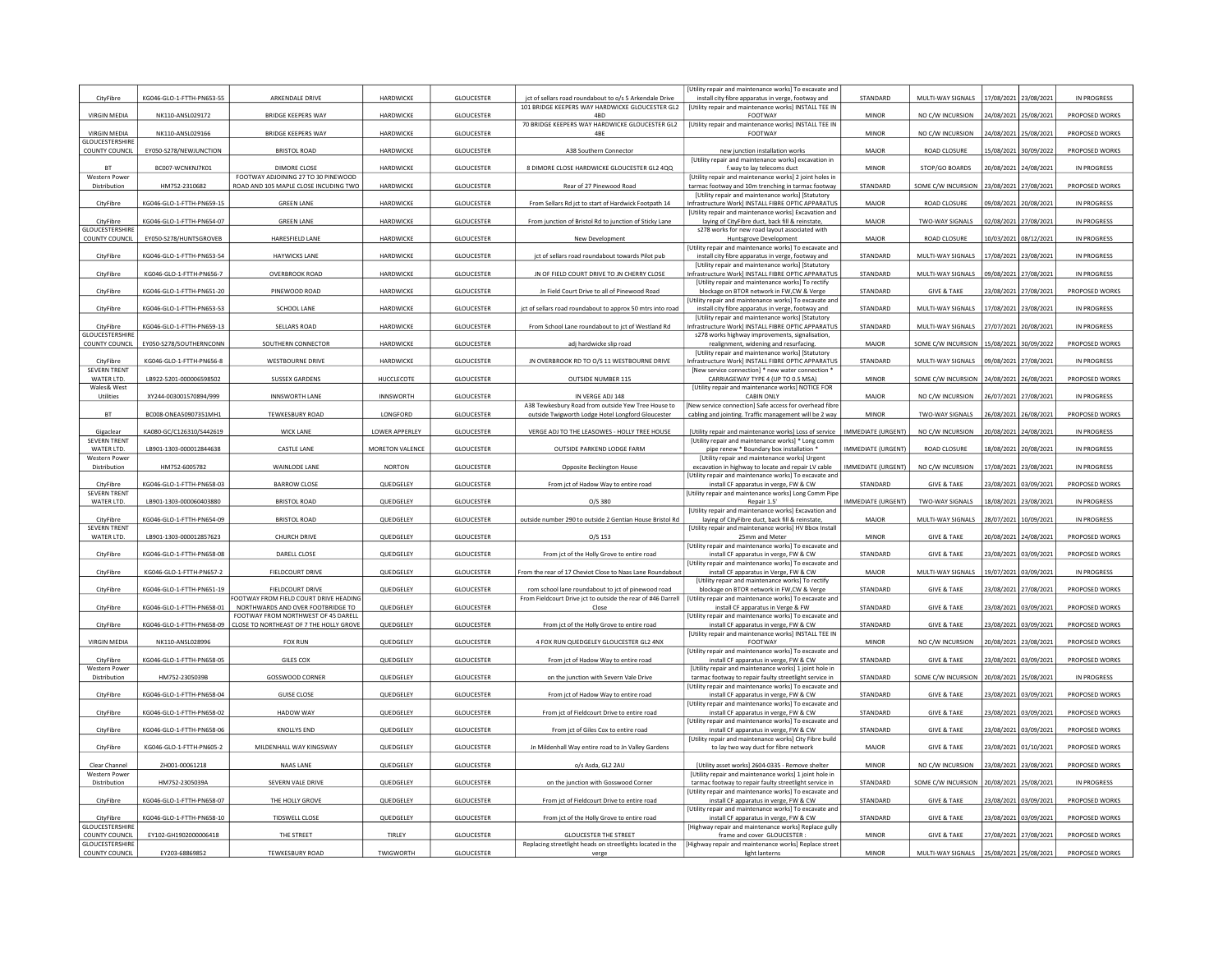|                                                            |                                         |                                                                          |                     |                                        |                                                                                            | Utility repair and maintenance works] To excavate and                                                            |                           |                                             |                                                |                       |                                  |
|------------------------------------------------------------|-----------------------------------------|--------------------------------------------------------------------------|---------------------|----------------------------------------|--------------------------------------------------------------------------------------------|------------------------------------------------------------------------------------------------------------------|---------------------------|---------------------------------------------|------------------------------------------------|-----------------------|----------------------------------|
| CityFibre                                                  | KG046-GLO-1-FTTH-PN653-55               | ARKENDALE DRIVE                                                          | HARDWICKE           | GLOUCESTER                             | jct of sellars road roundabout to o/s 5 Arkendale Drive                                    | install city fibre apparatus in verge, footway and                                                               | STANDARD                  | MULTI-WAY SIGNALS                           | 17/08/2021                                     | 23/08/2021            | IN PROGRESS                      |
| VIRGIN MEDIA                                               | NK110-ANSL029172                        | <b>BRIDGE KEEPERS WAY</b>                                                | HARDWICKE           | GLOUCESTER                             | 101 BRIDGE KEEPERS WAY HARDWICKE GLOUCESTER GL2<br>4BD                                     | [Utility repair and maintenance works] INSTALL TEE IN<br>FOOTWAY                                                 | MINOR                     | NO C/W INCURSION                            | 24/08/2021 25/08/2021                          |                       | PROPOSED WORKS                   |
|                                                            |                                         |                                                                          |                     |                                        | 70 BRIDGE KEEPERS WAY HARDWICKE GLOUCESTER GL2                                             | [Utility repair and maintenance works] INSTALL TEE IN                                                            |                           |                                             |                                                |                       |                                  |
| VIRGIN MEDIA                                               | NK110-ANSL029166                        | <b>BRIDGE KEEPERS WAY</b>                                                | HARDWICKE           | GLOUCESTER                             | 4BE                                                                                        | FOOTWAY                                                                                                          | MINOR                     | NO C/W INCURSION                            | 4/08/2021                                      | 25/08/202             | PROPOSED WORKS                   |
| <b>GLOUCESTERSHIRE</b><br><b>COUNTY COUNCIL</b>            | EY050-S278/NEWJUNCTION                  | <b>BRISTOL ROAD</b>                                                      | HARDWICKE           | <b>GLOUCESTER</b>                      | A38 Southern Connector                                                                     | new junction installation works                                                                                  | <b>MAJOR</b>              | <b>ROAD CLOSURE</b>                         | 5/08/2021                                      | 30/09/2022            | PROPOSED WORKS                   |
|                                                            |                                         |                                                                          |                     |                                        |                                                                                            | [Utility repair and maintenance works] excavation in                                                             |                           |                                             |                                                |                       |                                  |
| <b>BT</b>                                                  | BC007-WCNKNJ7K01                        | DIMORE CLOSE                                                             | HARDWICKE           | <b>GLOUCESTER</b>                      | 8 DIMORE CLOSE HARDWICKE GLOUCESTER GL2 4QQ                                                | f.way to lay telecoms duct                                                                                       | <b>MINOR</b>              | STOP/GO BOARDS                              | 20/08/2021                                     | 24/08/2021            | IN PROGRESS                      |
| Western Power                                              |                                         | FOOTWAY ADJOINING 27 TO 30 PINEWOOD                                      | HARDWICKE           |                                        |                                                                                            | [Utility repair and maintenance works] 2 joint holes in                                                          | STANDARD                  |                                             |                                                |                       |                                  |
| Distribution                                               | HM752-2310682                           | ROAD AND 105 MAPLE CLOSE INCUDING TWO                                    |                     | GLOUCESTER                             | Rear of 27 Pinewood Road                                                                   | tarmac footway and 10m trenching in tarmac footway<br>[Utility repair and maintenance works] [Statutory          |                           | SOME C/W INCURSION                          | 23/08/2021 27/08/2021                          |                       | PROPOSED WORKS                   |
| CityFibre                                                  | KG046-GLO-1-FTTH-PN659-15               | <b>GREEN LANE</b>                                                        | HARDWICKE           | GLOUCESTER                             | From Sellars Rd jct to start of Hardwick Footpath 14                                       | nfrastructure Work] INSTALL FIBRE OPTIC APPARATUS                                                                | <b>MAJOR</b>              | ROAD CLOSURE                                | 09/08/2021 20/08/202                           |                       | IN PROGRESS                      |
|                                                            |                                         |                                                                          |                     |                                        |                                                                                            | Utility repair and maintenance works] Excavation and                                                             |                           |                                             |                                                |                       |                                  |
| CityFibre<br><b>GLOUCESTERSHIR</b>                         | KG046-GLO-1-FTTH-PN654-07               | <b>GREEN LANE</b>                                                        | HARDWICKE           | <b>GLOUCESTER</b>                      | From junction of Bristol Rd to junction of Sticky Lane                                     | laying of CityFibre duct, back fill & reinstate,<br>s278 works for new road layout associated with               | MAJOR                     | TWO-WAY SIGNALS                             | 02/08/2021                                     | 27/08/2021            | IN PROGRESS                      |
| <b>COUNTY COUNCIL</b>                                      | EY050-S278/HUNTSGROVEB                  | HARESFIELD LANE                                                          | HARDWICKE           | GLOUCESTER                             | New Development                                                                            | Huntsgrove Development                                                                                           | <b>MAJOR</b>              | ROAD CLOSURE                                | 10/03/2021                                     | 08/12/202             | IN PROGRESS                      |
|                                                            |                                         |                                                                          |                     |                                        |                                                                                            | Utility repair and maintenance works] To excavate and                                                            |                           |                                             |                                                |                       |                                  |
| CityFibre                                                  | KG046-GLO-1-FTTH-PN653-54               | HAYWICKS LANE                                                            | HARDWICKE           | GLOUCESTER                             | jct of sellars road roundabout towards Pilot pub                                           | install city fibre apparatus in verge, footway and<br>[Utility repair and maintenance works] [Statutory          | STANDARD                  | MULTI-WAY SIGNALS                           | 17/08/2021 23/08/2021                          |                       | IN PROGRESS                      |
| CityFibre                                                  | KG046-GLO-1-FTTH-PN656-7                | OVERBROOK ROAD                                                           | HARDWICKE           | GLOUCESTER                             | JN OF FIELD COURT DRIVE TO JN CHERRY CLOSE                                                 | nfrastructure Work] INSTALL FIBRE OPTIC APPARATUS                                                                | STANDARD                  | MULTI-WAY SIGNALS                           | 09/08/2021                                     | 27/08/202             | IN PROGRESS                      |
|                                                            |                                         |                                                                          |                     |                                        |                                                                                            | <b>IUtility repair and maintenance works) To rectify</b>                                                         |                           |                                             |                                                |                       |                                  |
| CityFibre                                                  | KG046-GLO-1-FTTH-PN651-20               | PINEWOOD ROAD                                                            | HARDWICKE           | GLOUCESTER                             | Jn Field Court Drive to all of Pinewood Road                                               | blockage on BTOR network in FW,CW & Verge<br>Utility repair and maintenance works] To excavate and               | STANDARD                  | <b>GIVE &amp; TAKE</b>                      | 23/08/2021 27/08/2021                          |                       | PROPOSED WORKS                   |
| CityFibre                                                  | KG046-GLO-1-FTTH-PN653-53               | <b>SCHOOL LANE</b>                                                       | HARDWICKE           | <b>GLOUCESTER</b>                      | jct of sellars road roundabout to approx 50 mtrs into road                                 | install city fibre apparatus in verge, footway and                                                               | STANDARD                  | MULTI-WAY SIGNALS                           | 17/08/2021 23/08/202                           |                       | IN PROGRESS                      |
|                                                            |                                         |                                                                          |                     |                                        |                                                                                            | [Utility repair and maintenance works] [Statutory                                                                |                           |                                             |                                                |                       |                                  |
| CityFibre                                                  | KG046-GLO-1-FTTH-PN659-13               | <b>SELLARS ROAD</b>                                                      | HARDWICKE           | GLOUCESTER                             | From School Lane roundabout to jct of Westland Rd                                          | nfrastructure Work] INSTALL FIBRE OPTIC APPARATUS                                                                | STANDARD                  | MULTI-WAY SIGNALS                           | 27/07/2021                                     | 20/08/202             | IN PROGRESS                      |
| <b>GLOUCESTERSHIRI</b><br>COUNTY COUNCIL                   | EY050-S278/SOUTHERNCONN                 | SOUTHERN CONNECTOR                                                       | HARDWICKE           | GLOUCESTER                             | adj hardwicke slip road                                                                    | s278 works highway improvements, signalisation,<br>realignment, widening and resurfacing.                        | MAJOR                     | SOME C/W INCURSION 15/08/2021 30/09/2022    |                                                |                       | PROPOSED WORKS                   |
|                                                            |                                         |                                                                          |                     |                                        |                                                                                            | [Utility repair and maintenance works] [Statutory                                                                |                           |                                             |                                                |                       |                                  |
| CityFibre                                                  | KG046-GLO-1-FTTH-PN656-8                | <b>WESTBOURNE DRIVE</b>                                                  | HARDWICKE           | GLOUCESTER                             | JN OVERBROOK RD TO O/S 11 WESTBOURNE DRIVE                                                 | nfrastructure Work] INSTALL FIBRE OPTIC APPARATU!                                                                | STANDARD                  | MULTI-WAY SIGNALS                           | 09/08/2021                                     | 27/08/2021            | IN PROGRESS                      |
| <b>SEVERN TRENT</b><br>WATER LTD.                          | LB922-5201-000006598502                 | <b>SUSSEX GARDENS</b>                                                    |                     |                                        | OUTSIDE NUMBER 115                                                                         | [New service connection] * new water connection<br>CARRIAGEWAY TYPE 4 (UP TO 0.5 MSA)                            | <b>MINOR</b>              | SOME C/W INCURSION                          |                                                |                       | PROPOSED WORKS                   |
| Wales& West                                                |                                         |                                                                          | <b>HUCCLECOTE</b>   | <b>GLOUCESTER</b>                      |                                                                                            | [Utility repair and maintenance works] NOTICE FOR                                                                |                           |                                             | 24/08/2021                                     | 26/08/2021            |                                  |
| Utilities                                                  | XY244-003001570894/999                  | <b>INNSWORTH LANE</b>                                                    | <b>INNSWORTH</b>    | GLOUCESTER                             | IN VERGE ADJ 148                                                                           | <b>CABIN ONLY</b>                                                                                                | MAJOR                     | NO C/W INCURSION                            | 26/07/2021                                     | 27/08/2021            | IN PROGRESS                      |
| <b>BT</b>                                                  |                                         |                                                                          |                     |                                        | A38 Tewkesbury Road from outside Yew Tree House to                                         | [New service connection] Safe access for overhead fibre                                                          | <b>MINOR</b>              |                                             |                                                |                       |                                  |
|                                                            | BC008-ONEA50907351MH1                   | TEWKESBURY ROAD                                                          | LONGFORD            | GLOUCESTER                             | outside Twigworth Lodge Hotel Longford Gloucester                                          | cabling and jointing. Traffic management will be 2 way                                                           |                           | TWO-WAY SIGNALS                             | 26/08/2021                                     | 26/08/2021            | PROPOSED WORKS                   |
| Gigaclear                                                  | KA080-GC/C126310/S442619                | <b>WICK LANE</b>                                                         | LOWER APPERLEY      | GLOUCESTER                             | VERGE ADJ TO THE LEASOWES - HOLLY TREE HOUSE                                               | [Utility repair and maintenance works] Loss of service                                                           | IMMEDIATE (URGENT)        | NO C/W INCURSION                            | 20/08/2021                                     | 24/08/202             | IN PROGRESS                      |
| <b>SEVERN TRENT</b>                                        |                                         |                                                                          |                     |                                        |                                                                                            | [Utility repair and maintenance works] * Long comm                                                               |                           |                                             |                                                |                       |                                  |
| WATER LTD.<br><b>Western Power</b>                         | LB901-1303-000012844638                 | <b>CASTLE LANE</b>                                                       | MORETON VALENCE     | <b>GLOUCESTER</b>                      | OUTSIDE PARKEND LODGE FARM                                                                 | pipe renew * Boundary box installation *<br>[Utility repair and maintenance works] Urgent                        | <b>IMMEDIATE (URGENT)</b> | <b>ROAD CLOSURE</b>                         | 18/08/2021                                     | 20/08/2021            | IN PROGRESS                      |
| Distribution                                               | HM752-6005782                           | WAINLODE LANE                                                            | <b>NORTON</b>       | GLOUCESTER                             | Opposite Beckington House                                                                  | excavation in highway to locate and repair LV cable                                                              | IMMEDIATE (URGENT)        | NO C/W INCURSION                            | 17/08/2021                                     | 23/08/202             | IN PROGRESS                      |
|                                                            |                                         |                                                                          |                     |                                        |                                                                                            | Utility repair and maintenance works] To excavate and                                                            |                           |                                             |                                                |                       |                                  |
| CityFibre<br><b>SEVERN TRENT</b>                           | KG046-GLO-1-FTTH-PN658-03               | <b>BARROW CLOSE</b>                                                      | QUEDGELEY           | GLOUCESTER                             | From jct of Hadow Way to entire road                                                       | install CF apparatus in verge, FW & CW<br>Utility repair and maintenance works] Long Comm Pipe                   | STANDARD                  | <b>GIVE &amp; TAKE</b>                      | 23/08/2021 03/09/2021                          |                       | PROPOSED WORKS                   |
| WATER LTD.                                                 | LB901-1303-000060403880                 | <b>BRISTOL ROAD</b>                                                      | QUEDGELEY           | GLOUCESTER                             | $O/S$ 380                                                                                  | Repair 1.5'                                                                                                      | <b>IMMEDIATE (URGENT)</b> | TWO-WAY SIGNALS                             | 18/08/2021                                     | 23/08/2021            | IN PROGRESS                      |
|                                                            |                                         |                                                                          |                     |                                        |                                                                                            | <b>IUtility repair and maintenance works] Excavation and</b>                                                     |                           |                                             |                                                |                       |                                  |
| CityFibre<br><b>SEVERN TRENT</b>                           | KG046-GLO-1-FTTH-PN654-09               | <b>BRISTOL ROAD</b>                                                      | QUEDGELEY           | GLOUCESTER                             | outside number 290 to outside 2 Gentian House Bristol Rd                                   | laying of CityFibre duct, back fill & reinstate,<br>[Utility repair and maintenance works] HV Bbox Install       | MAJOR                     | MULTI-WAY SIGNALS                           | 28/07/2021 10/09/2021                          |                       | <b>IN PROGRESS</b>               |
| WATER LTD.                                                 | LB901-1303-000012857623                 | CHURCH DRIVE                                                             | QUEDGELEY           | <b>GLOUCESTER</b>                      | $O/S$ 153                                                                                  | 25mm and Meter                                                                                                   | <b>MINOR</b>              | <b>GIVE &amp; TAKE</b>                      |                                                | 24/08/202             | PROPOSED WORKS                   |
|                                                            |                                         |                                                                          |                     |                                        |                                                                                            |                                                                                                                  |                           |                                             | 20/08/2021                                     |                       |                                  |
| CityFibre                                                  |                                         |                                                                          |                     |                                        |                                                                                            | [Utility repair and maintenance works] To excavate and                                                           |                           |                                             |                                                |                       |                                  |
|                                                            | KG046-GLO-1-FTTH-PN658-08               | DARELL CLOSE                                                             | QUEDGELEY           | <b>GLOUCESTER</b>                      | From jct of the Holly Grove to entire road                                                 | install CF apparatus in verge, FW & CW                                                                           | STANDARD                  | <b>GIVE &amp; TAKE</b>                      | 23/08/2021                                     | 03/09/2021            | PROPOSED WORKS                   |
|                                                            |                                         |                                                                          |                     |                                        |                                                                                            | [Utility repair and maintenance works] To excavate and                                                           |                           |                                             |                                                |                       |                                  |
| CityFibre                                                  | KG046-GLO-1-FTTH-PN657-2                | FIELDCOURT DRIVE                                                         | QUEDGELEY           | GLOUCESTER                             | From the rear of 17 Cheviot Close to Naas Lane Roundabout                                  | install CF apparatus in Verge, FW & CW<br>[Utility repair and maintenance works] To rectify                      | MAJOR                     | MULTI-WAY SIGNALS                           | 19/07/2021 03/09/2021                          |                       | IN PROGRESS                      |
| CityFibre                                                  | KG046-GLO-1-FTTH-PN651-19               | FIELDCOURT DRIVE                                                         | QUEDGELEY           | GLOUCESTER                             | rom school lane roundabout to jct of pinewood road                                         | blockage on BTOR network in FW,CW & Verge                                                                        | STANDARD                  | <b>GIVE &amp; TAKE</b>                      | 13/08/2021                                     | 27/08/2021            | PROPOSED WORKS                   |
|                                                            |                                         | FOOTWAY FROM FIELD COURT DRIVE HEADING                                   |                     |                                        | From Fieldcourt Drive jct to outside the rear of #46 Darrell                               | Utility repair and maintenance works] To excavate and                                                            |                           |                                             |                                                |                       |                                  |
| CityFibre                                                  | KG046-GLO-1-FTTH-PN658-01               | NORTHWARDS AND OVER FOOTBRIDGE TO<br>FOOTWAY FROM NORTHWEST OF 45 DARELL | QUEDGELEY           | <b>GLOUCESTER</b>                      | Close                                                                                      | install CF apparatus in Verge & FW<br>Utility repair and maintenance works] To excavate and                      | STANDARD                  | <b>GIVE &amp; TAKE</b>                      | 23/08/2021                                     | 03/09/2021            | PROPOSED WORKS                   |
| CityFibre                                                  | KG046-GLO-1-FTTH-PN658-09               | CLOSE TO NORTHEAST OF 7 THE HOLLY GROVE                                  | QUEDGELEY           | GLOUCESTER                             | From jct of the Holly Grove to entire road                                                 | install CF apparatus in verge, FW & CW                                                                           | STANDARD                  | <b>GIVE &amp; TAKE</b>                      | 23/08/2021                                     | 03/09/2021            | PROPOSED WORKS                   |
|                                                            |                                         |                                                                          |                     |                                        |                                                                                            | [Utility repair and maintenance works] INSTALL TEE IN                                                            |                           |                                             |                                                |                       |                                  |
| <b>VIRGIN MEDIA</b>                                        | NK110-ANSL028996                        | <b>FOX RUN</b>                                                           | QUEDGELEY           | GLOUCESTER                             | 4 FOX RUN QUEDGELEY GLOUCESTER GL2 4NX                                                     | FOOTWAY<br>[Utility repair and maintenance works] To excavate and                                                | <b>MINOR</b>              | NO C/W INCURSION                            |                                                | 20/08/2021 23/08/2021 | PROPOSED WORKS                   |
| CityFibre                                                  | KG046-GLO-1-FTTH-PN658-05               | <b>GILES COX</b>                                                         | QUEDGELEY           | GLOUCESTER                             | From jct of Hadow Way to entire road                                                       | install CF apparatus in verge, FW & CW                                                                           | STANDARD                  | <b>GIVE &amp; TAKE</b>                      | 23/08/2021 03/09/202                           |                       | PROPOSED WORKS                   |
| Western Power                                              |                                         |                                                                          |                     |                                        |                                                                                            | [Utility repair and maintenance works] 1 joint hole in                                                           |                           |                                             |                                                |                       |                                  |
| Distribution                                               | HM752-2305039B                          | <b>GOSSWOOD CORNER</b>                                                   | QUEDGELEY           | <b>GLOUCESTER</b>                      | on the junction with Severn Vale Drive                                                     | tarmac footway to repair faulty streetlight service in<br>[Utility repair and maintenance works] To excavate and | STANDARD                  | SOME C/W INCURSION                          | 20/08/2021                                     | 25/08/202             | IN PROGRESS                      |
| CityFibre                                                  | KG046-GLO-1-FTTH-PN658-04               | <b>GUISE CLOSE</b>                                                       | QUEDGELEY           | GLOUCESTER                             | From jct of Hadow Way to entire road                                                       | install CF apparatus in verge, FW & CW                                                                           | STANDARD                  | <b>GIVE &amp; TAKE</b>                      | 23/08/2021                                     | 03/09/202             | PROPOSED WORKS                   |
|                                                            |                                         |                                                                          |                     |                                        |                                                                                            | [Utility repair and maintenance works] To excavate and                                                           |                           |                                             |                                                |                       |                                  |
| CityFibre                                                  | KG046-GLO-1-FTTH-PN658-02               | HADOW WAY                                                                | QUEDGELEY           | GLOUCESTER                             | From jct of Fieldcourt Drive to entire road                                                | install CF apparatus in verge, FW & CW<br>Utility repair and maintenance works] To excavate and                  | STANDARD                  | <b>GIVE &amp; TAKE</b>                      | 23/08/2021 03/09/2021                          |                       | PROPOSED WORKS                   |
| CityFibre                                                  | KG046-GLO-1-FTTH-PN658-06               | <b>KNOLLYS END</b>                                                       | QUEDGELEY           | GLOUCESTER                             | From jct of Giles Cox to entire road                                                       | install CF apparatus in verge, FW & CW                                                                           | STANDARD                  | <b>GIVE &amp; TAKE</b>                      | 23/08/2021                                     | 03/09/202             | PROPOSED WORKS                   |
|                                                            |                                         |                                                                          |                     |                                        |                                                                                            | <b>IUtility repair and maintenance worksl City Fibre build</b>                                                   |                           |                                             |                                                |                       |                                  |
| CityFibre                                                  | KG046-GLO-1-FTTH-PN605-2                | MILDENHALL WAY KINGSWAY                                                  | QUEDGELEY           | GLOUCESTER                             | Jn Mildenhall Way entire road to Jn Valley Gardens                                         | to lay two way duct for fibre network                                                                            | <b>MAJOR</b>              | <b>GIVE &amp; TAKE</b>                      | 23/08/2021 01/10/2021                          |                       | PROPOSED WORKS                   |
| Clear Channel                                              | ZH001-00061218                          | <b>NAAS LANE</b>                                                         | QUEDGELEY           | <b>GLOUCESTER</b>                      | o/s Asda, GL2 2AU                                                                          | [Utility asset works] 2604-0335 - Remove shelter                                                                 | <b>MINOR</b>              | NO C/W INCURSION                            | 13/08/2021                                     | 23/08/2021            | PROPOSED WORKS                   |
| <b>Western Power</b>                                       |                                         |                                                                          |                     |                                        |                                                                                            | <b>IUtility repair and maintenance worksl 1 joint hole in</b>                                                    |                           |                                             |                                                |                       |                                  |
| Distribution                                               | HM752-2305039A                          | SEVERN VALE DRIVE                                                        | QUEDGELEY           | <b>GLOUCESTER</b>                      | on the junction with Gosswood Corner                                                       | tarmac footway to repair faulty streetlight service in                                                           | STANDARD                  | SOME C/W INCURSION                          | 20/08/2021                                     | 25/08/2021            | IN PROGRESS                      |
| CityFibre                                                  | KG046-GLO-1-FTTH-PN658-07               | THE HOLLY GROVE                                                          | QUEDGELEY           | GLOUCESTER                             | From jct of Fieldcourt Drive to entire road                                                | [Utility repair and maintenance works] To excavate and                                                           | STANDARD                  | <b>GIVE &amp; TAKE</b>                      | 23/08/2021 03/09/2021                          |                       | PROPOSED WORKS                   |
|                                                            |                                         |                                                                          |                     |                                        |                                                                                            | install CF apparatus in verge, FW & CW<br>[Utility repair and maintenance works] To excavate and                 |                           |                                             |                                                |                       |                                  |
| CityFibre                                                  | KG046-GLO-1-FTTH-PN658-10               | <b>TIDSWELL CLOSE</b>                                                    | QUEDGELEY           | GLOUCESTER                             | From jct of the Holly Grove to entire road                                                 | install CF apparatus in verge, FW & CW                                                                           | STANDARD                  | <b>GIVE &amp; TAKE</b>                      | 23/08/2021                                     | 03/09/2021            | PROPOSED WORKS                   |
| <b>GLOUCESTERSHIRI</b>                                     |                                         |                                                                          |                     |                                        |                                                                                            | [Highway repair and maintenance works] Replace gully                                                             | <b>MINOR</b>              |                                             |                                                |                       |                                  |
| COUNTY COUNCIL<br><b>GLOUCESTERSHIRI</b><br>COUNTY COUNCIL | EY102-GH1902000006418<br>EY203-68869852 | THE STREET<br><b>TEWKESBURY ROAD</b>                                     | TIRLEY<br>TWIGWORTH | <b>GLOUCESTER</b><br><b>GLOUCESTER</b> | <b>GLOUCESTER THE STREET</b><br>Replacing streetlight heads on streetlights located in the | frame and cover GLOUCESTER :<br>[Highway repair and maintenance works] Replace street                            | <b>MINOR</b>              | <b>GIVE &amp; TAKE</b><br>MULTI-WAY SIGNALS | 27/08/2021 27/08/2021<br>25/08/2021 25/08/2021 |                       | PROPOSED WORKS<br>PROPOSED WORKS |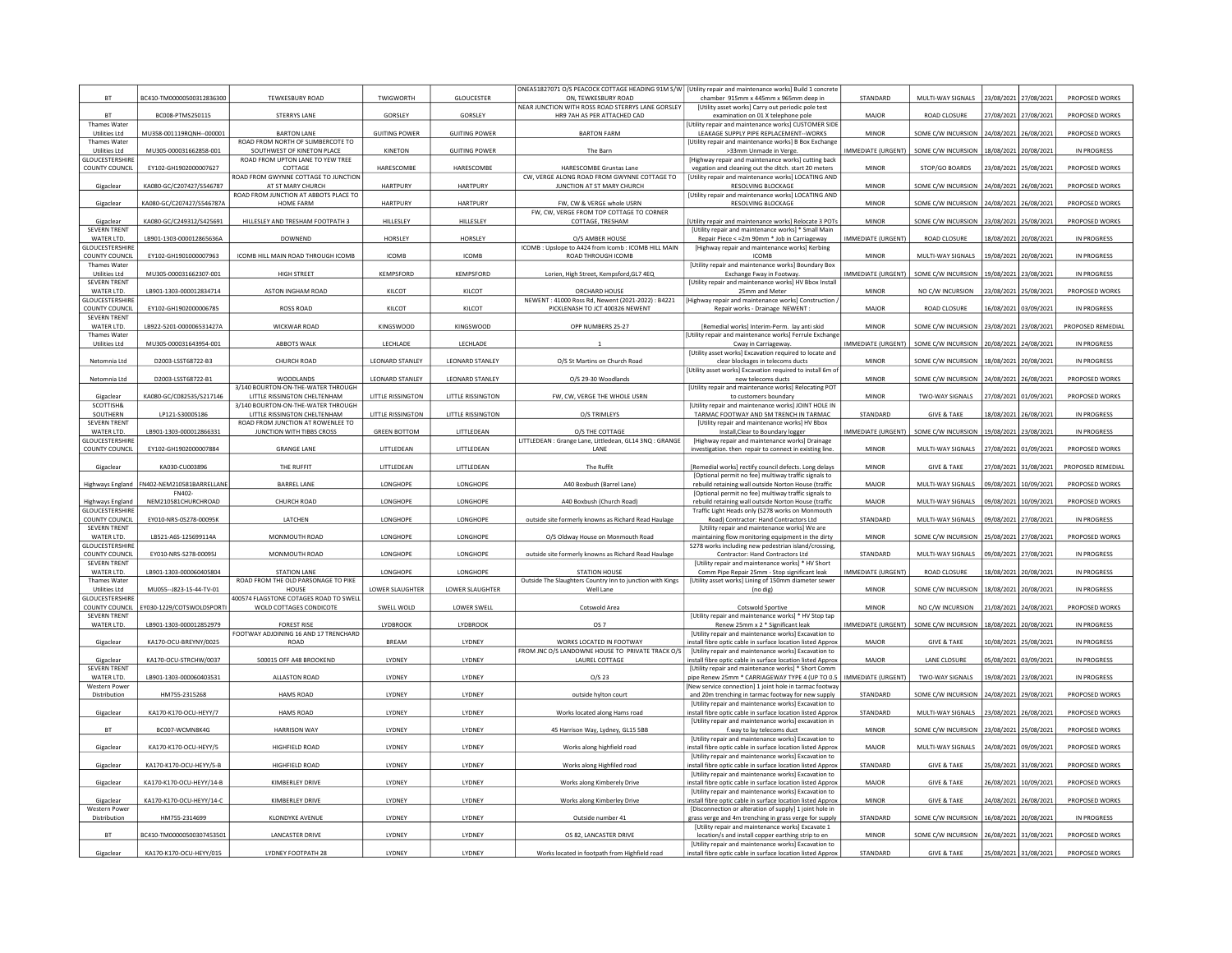| NEAR JUNCTION WITH ROSS ROAD STERRYS LANE GORSLEY<br>[Utility asset works] Carry out periodic pole test<br>HR9 7AH AS PER ATTACHED CAD<br><b>BT</b><br>BC008-PTMS250115<br><b>STERRYS LANE</b><br>GORSLEY<br>GORSLEY<br>examination on 01 X telephone pole<br><b>MAJOR</b><br>ROAD CLOSURE<br>27/08/2021 27/08/202<br>PROPOSED WORKS<br>Utility repair and maintenance works] CUSTOMER SIDE<br>Thames Water<br><b>GUITING POWER</b><br><b>GUITING POWER</b><br>24/08/2021<br>PROPOSED WORKS<br><b>Utilities Ltd</b><br>MU358-001119RQNH--000001<br><b>BARTON LANE</b><br><b>BARTON FARM</b><br>LEAKAGE SUPPLY PIPE REPLACEMENT--WORKS<br>MINOR<br>SOME C/W INCURSION<br>26/08/202<br>Thames Water<br>ROAD FROM NORTH OF SLIMBERCOTE TO<br>[Utility repair and maintenance works] B Box Exchange<br><b>IMMEDIATE (URGENT)</b><br>MU305-000031662858-001<br>SOUTHWEST OF KINETON PLACE<br>KINETON<br><b>GUITING POWER</b><br>SOME C/W INCURSION<br>18/08/2021<br>20/08/202<br>IN PROGRESS<br>Litilities Ltd<br>The Barn<br>>33mm Unmade in Verge<br><b>GLOUCESTERSHIRI</b><br>ROAD FROM UPTON LANE TO YEW TREE<br>[Highway repair and maintenance works] cutting back<br><b>COUNTY COUNCIL</b><br>EY102-GH1902000007627<br>HARESCOMBE<br>HARESCOMBE<br>HARESCOMBE Gruntas Lane<br>MINOR<br>STOP/GO BOARDS<br>23/08/2021 25/08/2021<br>PROPOSED WORKS<br>COTTAGE<br>vegation and cleaning out the ditch. start 20 meters<br>ROAD FROM GWYNNE COTTAGE TO JUNCTION<br>CW. VERGE ALONG ROAD FROM GWYNNE COTTAGE TO<br>[Utility repair and maintenance works] LOCATING AND<br>KA080-GC/C207427/S546787<br>AT ST MARY CHURCH<br>HARTPURY<br>HARTPURY<br>JUNCTION AT ST MARY CHURCH<br><b>MINOR</b><br>PROPOSED WORKS<br>Gigaclear<br><b>RESOLVING BLOCKAGE</b><br>SOME C/W INCURSION<br>24/08/2021<br>26/08/202<br>ROAD FROM JUNCTION AT ABBOTS PLACE TO<br>[Utility repair and maintenance works] LOCATING AND<br>Gigaclear<br>KA080-GC/C207427/S546787A<br>HOME FARM<br><b>HARTPURY</b><br>HARTPURY<br>FW, CW & VERGE whole USRN<br>RESOLVING BLOCKAGE<br><b>MINOR</b><br>SOME C/W INCURSION<br>24/08/2021<br>26/08/2021<br>PROPOSED WORKS<br>FW. CW. VERGE FROM TOP COTTAGE TO CORNER<br>KA080-GC/C249312/S425691<br>HILLESLEY AND TRESHAM FOOTPATH 3<br><b>HILLESLEY</b><br><b>HILLESLEY</b><br>23/08/2021 25/08/2021<br>PROPOSED WORKS<br>COTTAGE, TRESHAM<br>Utility repair and maintenance works] Relocate 3 POTs<br><b>MINOR</b><br>SOME C/W INCURSION<br>Gigaclear<br><b>SEVERN TRENT</b><br>[Utility repair and maintenance works] * Small Main<br>WATER LTD.<br>LB901-1303-000012865636A<br>HORSLEY<br>HORSLEY<br>O/S AMBER HOUSE<br><b>IMMEDIATE (URGENT)</b><br>ROAD CLOSURE<br>IN PROGRESS<br><b>DOWNEND</b><br>Repair Piece < = 2m 90mm * Job in Carriageway<br>18/08/2021<br>20/08/202<br>GLOUCESTERSHIRI<br>ICOMB : Upslope to A424 from Icomb : ICOMB HILL MAIN<br>[Highway repair and maintenance works] Kerbing<br>EY102-GH1901000007963<br>ICOMB HILL MAIN ROAD THROUGH ICOMB<br>MULTI-WAY SIGNALS<br>IN PROGRESS<br><b>COUNTY COUNCIL</b><br><b>ICOMB</b><br><b>ICOMB</b><br>ROAD THROUGH ICOMB<br><b>ICOMB</b><br><b>MINOR</b><br>19/08/2021 20/08/2021<br><b>IUtility repair and maintenance worksl Boundary Box</b><br><b>Thames Water</b><br>Utilities Ltd<br>MU305-000031662307-001<br>HIGH STREET<br>KEMPSFORD<br>KEMPSFORD<br>Lorien, High Street, Kempsford, GL7 4EQ<br>Exchange Fway in Footway.<br>IMMEDIATE (URGENT)<br>SOME C/W INCURSION<br>19/08/2021<br>23/08/2021<br>IN PROGRESS<br><b>SEVERN TRENT</b><br>[Utility repair and maintenance works] HV Bbox Install<br>ASTON INGHAM ROAD<br>KILCOT<br>PROPOSED WORKS<br>WATER ITD.<br>LB901-1303-000012834714<br>KILCOT<br>ORCHARD HOUSE<br><b>MINOR</b><br>NO C/W INCURSION<br>23/08/2021 25/08/2021<br>25mm and Meter<br><b>GLOUCESTERSHIRI</b><br>NEWENT: 41000 Ross Rd, Newent (2021-2022): B4221<br>[Highway repair and maintenance works] Construction /<br><b>COUNTY COUNCIL</b><br>EY102-GH1902000006785<br><b>ROSS ROAD</b><br>KILCOT<br>KILCOT<br>PICKLENASH TO JCT 400326 NEWENT<br>MAJOR<br>ROAD CLOSURE<br>16/08/2021<br>03/09/2021<br><b>IN PROGRESS</b><br>Repair works - Drainage NEWENT<br><b>SEVERN TRENT</b><br>LB922-5201-000006531427A<br>WICKWAR ROAD<br>KINGSWOOD<br>KINGSWOOD<br>OPP NUMBERS 25-27<br><b>MINOR</b><br>SOME C/W INCURSION<br>PROPOSED REMEDIAL<br>WATER LTD.<br>[Remedial works] Interim-Perm. lay anti skid<br>23/08/2021 23/08/2021<br><b>Thames Water</b><br>[Utility repair and maintenance works] Ferrule Exchang<br>MU305-000031643954-001<br>Utilities Ltd<br><b>ABBOTS WALK</b><br>LECHLADE<br>LECHLADE<br>Cway in Carriageway.<br>IMMEDIATE (URGENT) SOME C/W INCURSION 20/08/2021 24/08/2021<br>IN PROGRESS<br>[Utility asset works] Excavation required to locate and<br>IN PROGRESS<br>Netomnia Ltd<br>D2003-LSST68722-B3<br>CHURCH ROAD<br><b>LEONARD STANLEY</b><br><b>LEONARD STANLEY</b><br>O/S St Martins on Church Road<br>clear blockages in telecoms ducts<br><b>MINOR</b><br>SOME C/W INCURSION<br>18/08/2021<br>20/08/2021<br>[Utility asset works] Excavation required to install 6m of<br>D2003-LSST68722-B1<br><b>WOODLANDS</b><br><b>LEONARD STANLEY</b><br><b>LEONARD STANLEY</b><br><b>MINOR</b><br>SOME C/W INCURSION<br>PROPOSED WORKS<br>Netomnia Ltd<br>O/S 29-30 Woodlands<br>new telecoms ducts<br>24/08/2021<br>26/08/202<br>3/140 BOURTON-ON-THE-WATER THROUGH<br>[Utility repair and maintenance works] Relocating POT<br>KA080-GC/C082535/S217146<br>LITTLE RISSINGTON<br>LITTLE RISSINGTON<br>FW, CW, VERGE THE WHOLE USRN<br>LITTLE RISSINGTON CHELTENHAM<br><b>MINOR</b><br>TWO-WAY SIGNALS<br>27/08/2021 01/09/2021<br>PROPOSED WORKS<br>Gigaclear<br>to customers boundary<br>SCOTTISH&<br>3/140 BOURTON-ON-THE-WATER THROUGH<br>[Utility repair and maintenance works] JOINT HOLE IN<br>STANDARD<br>SOUTHERN<br>LP121-S30005186<br>LITTLE RISSINGTON CHELTENHAM<br>LITTLE RISSINGTON<br>LITTLE RISSINGTON<br>O/S TRIMLEYS<br>TARMAC FOOTWAY AND 5M TRENCH IN TARMAC<br><b>GIVE &amp; TAKE</b><br>18/08/2021<br>26/08/2021<br>IN PROGRESS<br><b>SEVERN TRENT</b><br>ROAD FROM JUNCTION AT ROWENLEE TO<br>[Utility repair and maintenance works] HV Bbox<br>WATER LTD.<br>LB901-1303-000012866331<br>JUNCTION WITH TIBBS CROSS<br><b>GREEN BOTTOM</b><br>LITTLEDEAN<br>O/S THE COTTAGE<br><b>IMMEDIATE (URGENT)</b><br>SOME C/W INCURSION<br>19/08/2021<br>23/08/2021<br>IN PROGRESS<br>Install, Clear to Boundary logger<br><b>GLOUCESTERSHIR</b><br>ITTLEDEAN: Grange Lane, Littledean, GL14 3NQ: GRANGE<br>[Highway repair and maintenance works] Drainage<br>FY102-GH1902000007884<br><b>GRANGE LANE</b><br>COUNTY COUNCIL<br>LITTLEDEAN<br>LITTLEDEAN<br><b>MINOR</b><br>MULTI-WAY SIGNALS<br>27/08/2021<br>01/09/2021<br>PROPOSED WORKS<br><b>I ANF</b><br>investigation. then repair to connect in existing line.<br>LITTLEDEAN<br>LITTLEDEAN<br>KA030-CU003896<br>THE RUFFIT<br>The Ruffit<br><b>MINOR</b><br><b>GIVE &amp; TAKE</b><br>27/08/2021<br>31/08/2021<br>PROPOSED REMEDIAL<br>[Remedial works] rectify council defects. Long delays<br>Gigaclear<br>[Optional permit no fee] multiway traffic signals to<br>Highways England FN402-NEM210581BARRELLANE<br><b>BARREL LANE</b><br>LONGHOPE<br>LONGHOPE<br>A40 Boxbush (Barrel Lane)<br>rebuild retaining wall outside Norton House (traffic<br>MAJOR<br>MULTI-WAY SIGNALS<br>09/08/2021 10/09/2021<br>PROPOSED WORKS<br>FN402-<br>[Optional permit no fee] multiway traffic signals to<br>NEM210581CHURCHROAD<br>CHURCH ROAD<br>LONGHOPE<br>LONGHOPE<br>A40 Boxbush (Church Road)<br>rebuild retaining wall outside Norton House (traffic<br>MAJOR<br>MULTI-WAY SIGNALS<br>09/08/2021<br>10/09/2021<br>PROPOSED WORKS<br>Highways England<br>GLOUCESTERSHIRE<br>Traffic Light Heads only (S278 works on Monmouth<br>COUNTY COUNCIL<br>EY010-NRS-0S278-00095K<br>LATCHEN<br><b>LONGHOPE</b><br><b>LONGHOPE</b><br>outside site formerly knowns as Richard Read Haulage<br><b>STANDARD</b><br>MULTI-WAY SIGNALS<br>09/08/2021 27/08/2021<br>IN PROGRESS<br>Road) Contractor: Hand Contractors Ltd<br><b>SEVERN TRENT</b><br>[Utility repair and maintenance works] We are<br>LB521-A6S-125699114A<br>MONMOUTH ROAD<br>LONGHOPE<br>LONGHOPE<br><b>MINOR</b><br>SOME C/W INCURSION<br>27/08/2021<br>PROPOSED WORKS<br>WATER LTD.<br>O/S Oldway House on Monmouth Road<br>25/08/2021<br>maintaining flow monitoring equipment in the dirty<br><b>GLOUCESTERSHIRE</b><br>S278 works including new pedestrian island/crossing,<br>MONMOUTH ROAD<br>COUNTY COUNCIL<br>EY010-NRS-S278-00095J<br>LONGHOPE<br>LONGHOPE<br>outside site formerly knowns as Richard Read Haulage<br>STANDARD<br>MULTI-WAY SIGNALS<br>27/08/2021<br>IN PROGRESS<br>Contractor: Hand Contractors Ltd<br>09/08/2021<br><b>SEVERN TRENT</b><br>[Utility repair and maintenance works] * HV Short<br>WATER LTD.<br>LB901-1303-000060405804<br><b>STATION LANE</b><br>LONGHOPE<br>LONGHOPE<br><b>STATION HOUSE</b><br>Comm Pipe Repair 25mm - Stop significant leak<br><b>IMMEDIATE (URGENT)</b><br>ROAD CLOSURE<br>18/08/2021 20/08/2021<br>IN PROGRESS<br>ROAD FROM THE OLD PARSONAGE TO PIKE<br>Outside The Slaughters Country Inn to junction with Kings<br>[Utility asset works] Lining of 150mm diameter sewer<br><b>Thames Water</b><br>Utilities Ltd<br>MU055--J823-15-44-TV-01<br>LOWER SLAUGHTER<br>LOWER SLAUGHTER<br>Well Lane<br><b>MINOR</b><br>SOME C/W INCURSION<br>18/08/2021<br>20/08/2021<br>IN PROGRESS<br>HOUSE<br>(no dig)<br>GLOUCESTERSHIRE<br>400574 FLAGSTONE COTAGES ROAD TO SWELL<br>EY030-1229/COTSWOLDSPORT<br>SWELL WOLD<br>LOWER SWELL<br>PROPOSED WORKS<br>COUNTY COUNCIL<br>WOLD COTTAGES CONDICOTE<br>Cotswold Area<br>Cotswold Sportive<br><b>MINOR</b><br>NO C/W INCURSION<br>21/08/2021<br>24/08/202<br>[Utility repair and maintenance works] * HV Stop tap<br><b>SEVERN TRENT</b><br>LB901-1303-000012852979<br><b>FOREST RISE</b><br>LYDBROOK<br>LYDBROOK<br>OS 7<br>Renew 25mm x 2 * Significant leak<br><b>IMMEDIATE (URGENT)</b><br>SOME C/W INCURSION<br>18/08/2021<br>20/08/2021<br>IN PROGRESS<br>WATER LTD.<br>FOOTWAY ADJOINING 16 AND 17 TRENCHARD<br>[Utility repair and maintenance works] Excavation to<br>KA170-OCU-BREYNY/0025<br><b>ROAD</b><br><b>BREAM</b><br>LYDNEY<br>WORKS LOCATED IN FOOTWAY<br>nstall fibre optic cable in surface location listed Approx<br>MAJOR<br><b>GIVE &amp; TAKE</b><br>10/08/2021<br>25/08/2021<br>IN PROGRESS<br>Gigaclear<br>FROM JNC O/S LANDOWNE HOUSE TO PRIVATE TRACK O/S<br>[Utility repair and maintenance works] Excavation to<br>KA170-OCU-STRCHW/0037<br>500015 OFF A48 BROOKEND<br>LYDNEY<br>LYDNEY<br>LAUREL COTTAGE<br>LANE CLOSURE<br>05/08/2021<br>IN PROGRESS<br>Gigaclea<br>nstall fibre optic cable in surface location listed Approx<br><b>MAJOR</b><br>03/09/202<br><b>SEVERN TRENT</b><br>[Utility repair and maintenance works] * Short Comm<br>LB901-1303-000060403531<br>ALLASTON ROAD<br>pipe Renew 25mm * CARRIAGEWAY TYPE 4 (UP TO 0.5<br>IMMEDIATE (URGENT)<br>TWO-WAY SIGNALS<br>19/08/2021<br>23/08/2021<br>IN PROGRESS<br>WATER LTD.<br>LYDNEY<br>LYDNEY<br>$O/S$ 23<br>Western Powe<br>[New service connection] 1 joint hole in tarmac footway<br>HM755-2315268<br><b>HAMS ROAD</b><br>LYDNEY<br>LYDNEY<br>STANDARD<br>SOME C/W INCURSION<br>PROPOSED WORKS<br>Distribution<br>outside hylton court<br>and 20m trenching in tarmac footway for new supply<br>24/08/2021<br>29/08/202<br>[Utility repair and maintenance works] Excavation to<br>KA170-K170-OCU-HEYY/7<br><b>HAMS ROAD</b><br>LYDNEY<br>LYDNEY<br>Works located along Hams road<br>install fibre optic cable in surface location listed Approx<br>STANDARD<br>MULTI-WAY SIGNALS<br>23/08/2021 26/08/2021<br>PROPOSED WORKS<br>Gigaclear<br>[Utility repair and maintenance works] excavation in<br>$\mathsf{BT}$<br>BC007-WCMN8K4G<br><b>HARRISON WAY</b><br>LYDNEY<br>LYDNEY<br>45 Harrison Way, Lydney, GL15 5BB<br>MINOR<br>SOME C/W INCURSION<br>23/08/2021<br>25/08/2021<br>PROPOSED WORKS<br>f.way to lay telecoms duct<br><b>IUtility repair and maintenance worksl Excavation to</b><br>KA170-K170-OCU-HEYY/5<br>HIGHFIELD ROAD<br>Gigaclear<br>LYDNEY<br>LYDNEY<br>Works along highfield road<br>nstall fibre optic cable in surface location listed Approx<br>MAJOR<br>MULTI-WAY SIGNALS<br>24/08/2021 09/09/2021<br>PROPOSED WORKS<br><b>IUtility repair and maintenance worksl Excavation to</b><br>KA170-K170-OCU-HEYY/5-B<br>HIGHFIELD ROAD<br>STANDARD<br><b>GIVE &amp; TAKE</b><br>PROPOSED WORKS<br>Gigaclear<br>LYDNEY<br>LYDNEY<br>Works along Highfiled road<br>nstall fibre optic cable in surface location listed Approx<br>25/08/2021<br>31/08/2021<br><b>IUtility repair and maintenance worksl Excavation to</b><br>KA170-K170-OCU-HEYY/14-B<br>KIMBERLEY DRIVE<br>LYDNEY<br>LYDNEY<br><b>GIVE &amp; TAKE</b><br>PROPOSED WORKS<br>Gigaclear<br>nstall fibre optic cable in surface location listed Approx<br>MAJOR<br>26/08/2021 10/09/2021<br>Works along Kimberely Drive<br>[Utility repair and maintenance works] Excavation to<br>KA170-K170-OCU-HEYY/14-C<br>KIMBERLEY DRIVE<br>LYDNEY<br>LYDNEY<br>Works along Kimberley Drive<br>install fibre optic cable in surface location listed Approx<br><b>MINOR</b><br><b>GIVE &amp; TAKE</b><br>24/08/2021 26/08/2021<br>PROPOSED WORKS<br>Gigaclear<br><b>Western Powe</b><br>[Disconnection or alteration of supply] 1 joint hole in<br>HM755-2314699<br><b>KLONDYKE AVENUE</b><br>LYDNEY<br>LYDNEY<br>Outside number 41<br>STANDARD<br>SOME C/W INCURSION<br>16/08/2021<br>20/08/2021<br>IN PROGRESS<br>Distribution<br>grass verge and 4m trenching in grass verge for supply<br>IUtility repair and maintenance works] Excavate 1<br>BC410-TM00000500307453501<br><b>BT</b><br><b>LANCASTER DRIVE</b><br>LYDNEY<br>LYDNEY<br>OS 82, LANCASTER DRIVE<br>location/s and install copper earthing strip to en<br><b>MINOR</b><br>SOME C/W INCURSION<br>26/08/2021 31/08/2021<br>PROPOSED WORKS<br>[Utility repair and maintenance works] Excavation to<br>KA170-K170-OCU-HEYY/015<br>LYDNEY FOOTPATH 28<br>25/08/2021 31/08/2021<br>PROPOSED WORKS<br>LYDNEY<br>LYDNEY<br>Works located in footpath from Highfield road<br>STANDARD<br><b>GIVE &amp; TAKE</b><br>Gigaclear<br>install fibre optic cable in surface location listed Approx | $\mathsf{BT}$ | BC410-TM00000500312836300 | TEWKESBURY ROAD | <b>TWIGWORTH</b> | <b>GLOUCESTER</b> | ONEA51827071 O/S PEACOCK COTTAGE HEADING 91M S/W   [Utility repair and maintenance works] Build 1 concrete<br>ON, TEWKESBURY ROAD | chamber 915mm x 445mm x 965mm deep in | STANDARD | MULTI-WAY SIGNALS | 23/08/2021 | 27/08/2021 | PROPOSED WORKS |
|----------------------------------------------------------------------------------------------------------------------------------------------------------------------------------------------------------------------------------------------------------------------------------------------------------------------------------------------------------------------------------------------------------------------------------------------------------------------------------------------------------------------------------------------------------------------------------------------------------------------------------------------------------------------------------------------------------------------------------------------------------------------------------------------------------------------------------------------------------------------------------------------------------------------------------------------------------------------------------------------------------------------------------------------------------------------------------------------------------------------------------------------------------------------------------------------------------------------------------------------------------------------------------------------------------------------------------------------------------------------------------------------------------------------------------------------------------------------------------------------------------------------------------------------------------------------------------------------------------------------------------------------------------------------------------------------------------------------------------------------------------------------------------------------------------------------------------------------------------------------------------------------------------------------------------------------------------------------------------------------------------------------------------------------------------------------------------------------------------------------------------------------------------------------------------------------------------------------------------------------------------------------------------------------------------------------------------------------------------------------------------------------------------------------------------------------------------------------------------------------------------------------------------------------------------------------------------------------------------------------------------------------------------------------------------------------------------------------------------------------------------------------------------------------------------------------------------------------------------------------------------------------------------------------------------------------------------------------------------------------------------------------------------------------------------------------------------------------------------------------------------------------------------------------------------------------------------------------------------------------------------------------------------------------------------------------------------------------------------------------------------------------------------------------------------------------------------------------------------------------------------------------------------------------------------------------------------------------------------------------------------------------------------------------------------------------------------------------------------------------------------------------------------------------------------------------------------------------------------------------------------------------------------------------------------------------------------------------------------------------------------------------------------------------------------------------------------------------------------------------------------------------------------------------------------------------------------------------------------------------------------------------------------------------------------------------------------------------------------------------------------------------------------------------------------------------------------------------------------------------------------------------------------------------------------------------------------------------------------------------------------------------------------------------------------------------------------------------------------------------------------------------------------------------------------------------------------------------------------------------------------------------------------------------------------------------------------------------------------------------------------------------------------------------------------------------------------------------------------------------------------------------------------------------------------------------------------------------------------------------------------------------------------------------------------------------------------------------------------------------------------------------------------------------------------------------------------------------------------------------------------------------------------------------------------------------------------------------------------------------------------------------------------------------------------------------------------------------------------------------------------------------------------------------------------------------------------------------------------------------------------------------------------------------------------------------------------------------------------------------------------------------------------------------------------------------------------------------------------------------------------------------------------------------------------------------------------------------------------------------------------------------------------------------------------------------------------------------------------------------------------------------------------------------------------------------------------------------------------------------------------------------------------------------------------------------------------------------------------------------------------------------------------------------------------------------------------------------------------------------------------------------------------------------------------------------------------------------------------------------------------------------------------------------------------------------------------------------------------------------------------------------------------------------------------------------------------------------------------------------------------------------------------------------------------------------------------------------------------------------------------------------------------------------------------------------------------------------------------------------------------------------------------------------------------------------------------------------------------------------------------------------------------------------------------------------------------------------------------------------------------------------------------------------------------------------------------------------------------------------------------------------------------------------------------------------------------------------------------------------------------------------------------------------------------------------------------------------------------------------------------------------------------------------------------------------------------------------------------------------------------------------------------------------------------------------------------------------------------------------------------------------------------------------------------------------------------------------------------------------------------------------------------------------------------------------------------------------------------------------------------------------------------------------------------------------------------------------------------------------------------------------------------------------------------------------------------------------------------------------------------------------------------------------------------------------------------------------------------------------------------------------------------------------------------------------------------------------------------------------------------------------------------------------------------------------------------------------------------------------------------------------------------------------------------------------------------------------------------------------------------------------------------------------------------------------------------------------------------------------------------------------------------------------------------------------------------------------------------------------------------------------------------------------------------------------------------------------------------------------------------------------------------------------------------------------------------------------------------------------------------------------------------------------------------------------------------------------------------------------------------------------------------------------------------------------------------------------------------------------------------------------------------------------------------------------------------------------------------------------------------------------------------------------------------------------------------------------------------------------------------------------------------------------------------------------------------------------------------------------------------------------------------------------------------------------------------------------------------------------------------------------------------------------------------------------------------------------------------------------------------------------------------------------------------------------------------------------------------------------------------------------------------------------------------------------------------------------------------------------------------------------------------------------------------------------------------------------------------------------------------------------------------------------------------------------------------------------------------------------------------------------------------------------------------------------------------------------------------------------------------------------------------------------------------------------------------------------------------------------------------------------------------------------------------------------------------------------------------------------------------------------------------------------------------------------------------------------------------------------------------------------------------------------------------------------------------------------------------------------------------------------------------------------------------------------------------------------------------------------------------------------------------------------------------------------------------------------------------------------------------------------------------------------------------------------------------------------------------------------------------------------------------------------------------------------------------------------------------------------------------------------------------------------------------------------------------------------------------------------------------------------------------------------------------------------------------------------------------------------------------------------------------------------------------------------------------------------------------------------------------------------------------------------------------------------------------------------------------------------------------------------------------------------------------------------------------------------------------------------------------------------------------------------------------------------------------------------------------------------------------------------------------------------------------------------------------------------------------------------------------------------------------------------------------------------------------------------------------------------------------------------------------------------------------------------------------------------------------------------------------------------------------------------------------------------------------------------------------------------------------------------------------------------------------------------------------------------------------------------------------------------------------------------------------------------------------------------------------------------------------------------------------------------------------------------------------------------------------------------------------------------------------------------------------------------------------------------------------------------------------------------------------------------------------------------------------------------------------------------------------------------------------------------------------------------------------------------------------------------------------------------------------------------------------------------------------------------------------------------------------------------------------|---------------|---------------------------|-----------------|------------------|-------------------|-----------------------------------------------------------------------------------------------------------------------------------|---------------------------------------|----------|-------------------|------------|------------|----------------|
|                                                                                                                                                                                                                                                                                                                                                                                                                                                                                                                                                                                                                                                                                                                                                                                                                                                                                                                                                                                                                                                                                                                                                                                                                                                                                                                                                                                                                                                                                                                                                                                                                                                                                                                                                                                                                                                                                                                                                                                                                                                                                                                                                                                                                                                                                                                                                                                                                                                                                                                                                                                                                                                                                                                                                                                                                                                                                                                                                                                                                                                                                                                                                                                                                                                                                                                                                                                                                                                                                                                                                                                                                                                                                                                                                                                                                                                                                                                                                                                                                                                                                                                                                                                                                                                                                                                                                                                                                                                                                                                                                                                                                                                                                                                                                                                                                                                                                                                                                                                                                                                                                                                                                                                                                                                                                                                                                                                                                                                                                                                                                                                                                                                                                                                                                                                                                                                                                                                                                                                                                                                                                                                                                                                                                                                                                                                                                                                                                                                                                                                                                                                                                                                                                                                                                                                                                                                                                                                                                                                                                                                                                                                                                                                                                                                                                                                                                                                                                                                                                                                                                                                                                                                                                                                                                                                                                                                                                                                                                                                                                                                                                                                                                                                                                                                                                                                                                                                                                                                                                                                                                                                                                                                                                                                                                                                                                                                                                                                                                                                                                                                                                                                                                                                                                                                                                                                                                                                                                                                                                                                                                                                                                                                                                                                                                                                                                                                                                                                                                                                                                                                                                                                                                                                                                                                                                                                                                                                                                                                                                                                                                                                                                                                                                                                                                                                                                                                                                                                                                                                                                                                                                                                                                                                                                                                                                                                                                                                                                                                                                                                                                                                                                                                                                                                                                                                                                                                                                                                                                                                                                                                                                                                                                                                                                                                                                                                                                                                                                                                                                                                                                                                                                                                                                                                                                                                                                                                                                                                                                                                                                                                                                                                                                                                                                                                                                                                                                                                                                                                                                                                                                                                                                                                                                                                                                                                                                                                                                                                                                                                                                                                                                                                                                                                                                                                                                                                                                                                                          |               |                           |                 |                  |                   |                                                                                                                                   |                                       |          |                   |            |            |                |
|                                                                                                                                                                                                                                                                                                                                                                                                                                                                                                                                                                                                                                                                                                                                                                                                                                                                                                                                                                                                                                                                                                                                                                                                                                                                                                                                                                                                                                                                                                                                                                                                                                                                                                                                                                                                                                                                                                                                                                                                                                                                                                                                                                                                                                                                                                                                                                                                                                                                                                                                                                                                                                                                                                                                                                                                                                                                                                                                                                                                                                                                                                                                                                                                                                                                                                                                                                                                                                                                                                                                                                                                                                                                                                                                                                                                                                                                                                                                                                                                                                                                                                                                                                                                                                                                                                                                                                                                                                                                                                                                                                                                                                                                                                                                                                                                                                                                                                                                                                                                                                                                                                                                                                                                                                                                                                                                                                                                                                                                                                                                                                                                                                                                                                                                                                                                                                                                                                                                                                                                                                                                                                                                                                                                                                                                                                                                                                                                                                                                                                                                                                                                                                                                                                                                                                                                                                                                                                                                                                                                                                                                                                                                                                                                                                                                                                                                                                                                                                                                                                                                                                                                                                                                                                                                                                                                                                                                                                                                                                                                                                                                                                                                                                                                                                                                                                                                                                                                                                                                                                                                                                                                                                                                                                                                                                                                                                                                                                                                                                                                                                                                                                                                                                                                                                                                                                                                                                                                                                                                                                                                                                                                                                                                                                                                                                                                                                                                                                                                                                                                                                                                                                                                                                                                                                                                                                                                                                                                                                                                                                                                                                                                                                                                                                                                                                                                                                                                                                                                                                                                                                                                                                                                                                                                                                                                                                                                                                                                                                                                                                                                                                                                                                                                                                                                                                                                                                                                                                                                                                                                                                                                                                                                                                                                                                                                                                                                                                                                                                                                                                                                                                                                                                                                                                                                                                                                                                                                                                                                                                                                                                                                                                                                                                                                                                                                                                                                                                                                                                                                                                                                                                                                                                                                                                                                                                                                                                                                                                                                                                                                                                                                                                                                                                                                                                                                                                                                                                                                          |               |                           |                 |                  |                   |                                                                                                                                   |                                       |          |                   |            |            |                |
|                                                                                                                                                                                                                                                                                                                                                                                                                                                                                                                                                                                                                                                                                                                                                                                                                                                                                                                                                                                                                                                                                                                                                                                                                                                                                                                                                                                                                                                                                                                                                                                                                                                                                                                                                                                                                                                                                                                                                                                                                                                                                                                                                                                                                                                                                                                                                                                                                                                                                                                                                                                                                                                                                                                                                                                                                                                                                                                                                                                                                                                                                                                                                                                                                                                                                                                                                                                                                                                                                                                                                                                                                                                                                                                                                                                                                                                                                                                                                                                                                                                                                                                                                                                                                                                                                                                                                                                                                                                                                                                                                                                                                                                                                                                                                                                                                                                                                                                                                                                                                                                                                                                                                                                                                                                                                                                                                                                                                                                                                                                                                                                                                                                                                                                                                                                                                                                                                                                                                                                                                                                                                                                                                                                                                                                                                                                                                                                                                                                                                                                                                                                                                                                                                                                                                                                                                                                                                                                                                                                                                                                                                                                                                                                                                                                                                                                                                                                                                                                                                                                                                                                                                                                                                                                                                                                                                                                                                                                                                                                                                                                                                                                                                                                                                                                                                                                                                                                                                                                                                                                                                                                                                                                                                                                                                                                                                                                                                                                                                                                                                                                                                                                                                                                                                                                                                                                                                                                                                                                                                                                                                                                                                                                                                                                                                                                                                                                                                                                                                                                                                                                                                                                                                                                                                                                                                                                                                                                                                                                                                                                                                                                                                                                                                                                                                                                                                                                                                                                                                                                                                                                                                                                                                                                                                                                                                                                                                                                                                                                                                                                                                                                                                                                                                                                                                                                                                                                                                                                                                                                                                                                                                                                                                                                                                                                                                                                                                                                                                                                                                                                                                                                                                                                                                                                                                                                                                                                                                                                                                                                                                                                                                                                                                                                                                                                                                                                                                                                                                                                                                                                                                                                                                                                                                                                                                                                                                                                                                                                                                                                                                                                                                                                                                                                                                                                                                                                                                                                                          |               |                           |                 |                  |                   |                                                                                                                                   |                                       |          |                   |            |            |                |
|                                                                                                                                                                                                                                                                                                                                                                                                                                                                                                                                                                                                                                                                                                                                                                                                                                                                                                                                                                                                                                                                                                                                                                                                                                                                                                                                                                                                                                                                                                                                                                                                                                                                                                                                                                                                                                                                                                                                                                                                                                                                                                                                                                                                                                                                                                                                                                                                                                                                                                                                                                                                                                                                                                                                                                                                                                                                                                                                                                                                                                                                                                                                                                                                                                                                                                                                                                                                                                                                                                                                                                                                                                                                                                                                                                                                                                                                                                                                                                                                                                                                                                                                                                                                                                                                                                                                                                                                                                                                                                                                                                                                                                                                                                                                                                                                                                                                                                                                                                                                                                                                                                                                                                                                                                                                                                                                                                                                                                                                                                                                                                                                                                                                                                                                                                                                                                                                                                                                                                                                                                                                                                                                                                                                                                                                                                                                                                                                                                                                                                                                                                                                                                                                                                                                                                                                                                                                                                                                                                                                                                                                                                                                                                                                                                                                                                                                                                                                                                                                                                                                                                                                                                                                                                                                                                                                                                                                                                                                                                                                                                                                                                                                                                                                                                                                                                                                                                                                                                                                                                                                                                                                                                                                                                                                                                                                                                                                                                                                                                                                                                                                                                                                                                                                                                                                                                                                                                                                                                                                                                                                                                                                                                                                                                                                                                                                                                                                                                                                                                                                                                                                                                                                                                                                                                                                                                                                                                                                                                                                                                                                                                                                                                                                                                                                                                                                                                                                                                                                                                                                                                                                                                                                                                                                                                                                                                                                                                                                                                                                                                                                                                                                                                                                                                                                                                                                                                                                                                                                                                                                                                                                                                                                                                                                                                                                                                                                                                                                                                                                                                                                                                                                                                                                                                                                                                                                                                                                                                                                                                                                                                                                                                                                                                                                                                                                                                                                                                                                                                                                                                                                                                                                                                                                                                                                                                                                                                                                                                                                                                                                                                                                                                                                                                                                                                                                                                                                                                                                          |               |                           |                 |                  |                   |                                                                                                                                   |                                       |          |                   |            |            |                |
|                                                                                                                                                                                                                                                                                                                                                                                                                                                                                                                                                                                                                                                                                                                                                                                                                                                                                                                                                                                                                                                                                                                                                                                                                                                                                                                                                                                                                                                                                                                                                                                                                                                                                                                                                                                                                                                                                                                                                                                                                                                                                                                                                                                                                                                                                                                                                                                                                                                                                                                                                                                                                                                                                                                                                                                                                                                                                                                                                                                                                                                                                                                                                                                                                                                                                                                                                                                                                                                                                                                                                                                                                                                                                                                                                                                                                                                                                                                                                                                                                                                                                                                                                                                                                                                                                                                                                                                                                                                                                                                                                                                                                                                                                                                                                                                                                                                                                                                                                                                                                                                                                                                                                                                                                                                                                                                                                                                                                                                                                                                                                                                                                                                                                                                                                                                                                                                                                                                                                                                                                                                                                                                                                                                                                                                                                                                                                                                                                                                                                                                                                                                                                                                                                                                                                                                                                                                                                                                                                                                                                                                                                                                                                                                                                                                                                                                                                                                                                                                                                                                                                                                                                                                                                                                                                                                                                                                                                                                                                                                                                                                                                                                                                                                                                                                                                                                                                                                                                                                                                                                                                                                                                                                                                                                                                                                                                                                                                                                                                                                                                                                                                                                                                                                                                                                                                                                                                                                                                                                                                                                                                                                                                                                                                                                                                                                                                                                                                                                                                                                                                                                                                                                                                                                                                                                                                                                                                                                                                                                                                                                                                                                                                                                                                                                                                                                                                                                                                                                                                                                                                                                                                                                                                                                                                                                                                                                                                                                                                                                                                                                                                                                                                                                                                                                                                                                                                                                                                                                                                                                                                                                                                                                                                                                                                                                                                                                                                                                                                                                                                                                                                                                                                                                                                                                                                                                                                                                                                                                                                                                                                                                                                                                                                                                                                                                                                                                                                                                                                                                                                                                                                                                                                                                                                                                                                                                                                                                                                                                                                                                                                                                                                                                                                                                                                                                                                                                                                                                                          |               |                           |                 |                  |                   |                                                                                                                                   |                                       |          |                   |            |            |                |
|                                                                                                                                                                                                                                                                                                                                                                                                                                                                                                                                                                                                                                                                                                                                                                                                                                                                                                                                                                                                                                                                                                                                                                                                                                                                                                                                                                                                                                                                                                                                                                                                                                                                                                                                                                                                                                                                                                                                                                                                                                                                                                                                                                                                                                                                                                                                                                                                                                                                                                                                                                                                                                                                                                                                                                                                                                                                                                                                                                                                                                                                                                                                                                                                                                                                                                                                                                                                                                                                                                                                                                                                                                                                                                                                                                                                                                                                                                                                                                                                                                                                                                                                                                                                                                                                                                                                                                                                                                                                                                                                                                                                                                                                                                                                                                                                                                                                                                                                                                                                                                                                                                                                                                                                                                                                                                                                                                                                                                                                                                                                                                                                                                                                                                                                                                                                                                                                                                                                                                                                                                                                                                                                                                                                                                                                                                                                                                                                                                                                                                                                                                                                                                                                                                                                                                                                                                                                                                                                                                                                                                                                                                                                                                                                                                                                                                                                                                                                                                                                                                                                                                                                                                                                                                                                                                                                                                                                                                                                                                                                                                                                                                                                                                                                                                                                                                                                                                                                                                                                                                                                                                                                                                                                                                                                                                                                                                                                                                                                                                                                                                                                                                                                                                                                                                                                                                                                                                                                                                                                                                                                                                                                                                                                                                                                                                                                                                                                                                                                                                                                                                                                                                                                                                                                                                                                                                                                                                                                                                                                                                                                                                                                                                                                                                                                                                                                                                                                                                                                                                                                                                                                                                                                                                                                                                                                                                                                                                                                                                                                                                                                                                                                                                                                                                                                                                                                                                                                                                                                                                                                                                                                                                                                                                                                                                                                                                                                                                                                                                                                                                                                                                                                                                                                                                                                                                                                                                                                                                                                                                                                                                                                                                                                                                                                                                                                                                                                                                                                                                                                                                                                                                                                                                                                                                                                                                                                                                                                                                                                                                                                                                                                                                                                                                                                                                                                                                                                                                                                          |               |                           |                 |                  |                   |                                                                                                                                   |                                       |          |                   |            |            |                |
|                                                                                                                                                                                                                                                                                                                                                                                                                                                                                                                                                                                                                                                                                                                                                                                                                                                                                                                                                                                                                                                                                                                                                                                                                                                                                                                                                                                                                                                                                                                                                                                                                                                                                                                                                                                                                                                                                                                                                                                                                                                                                                                                                                                                                                                                                                                                                                                                                                                                                                                                                                                                                                                                                                                                                                                                                                                                                                                                                                                                                                                                                                                                                                                                                                                                                                                                                                                                                                                                                                                                                                                                                                                                                                                                                                                                                                                                                                                                                                                                                                                                                                                                                                                                                                                                                                                                                                                                                                                                                                                                                                                                                                                                                                                                                                                                                                                                                                                                                                                                                                                                                                                                                                                                                                                                                                                                                                                                                                                                                                                                                                                                                                                                                                                                                                                                                                                                                                                                                                                                                                                                                                                                                                                                                                                                                                                                                                                                                                                                                                                                                                                                                                                                                                                                                                                                                                                                                                                                                                                                                                                                                                                                                                                                                                                                                                                                                                                                                                                                                                                                                                                                                                                                                                                                                                                                                                                                                                                                                                                                                                                                                                                                                                                                                                                                                                                                                                                                                                                                                                                                                                                                                                                                                                                                                                                                                                                                                                                                                                                                                                                                                                                                                                                                                                                                                                                                                                                                                                                                                                                                                                                                                                                                                                                                                                                                                                                                                                                                                                                                                                                                                                                                                                                                                                                                                                                                                                                                                                                                                                                                                                                                                                                                                                                                                                                                                                                                                                                                                                                                                                                                                                                                                                                                                                                                                                                                                                                                                                                                                                                                                                                                                                                                                                                                                                                                                                                                                                                                                                                                                                                                                                                                                                                                                                                                                                                                                                                                                                                                                                                                                                                                                                                                                                                                                                                                                                                                                                                                                                                                                                                                                                                                                                                                                                                                                                                                                                                                                                                                                                                                                                                                                                                                                                                                                                                                                                                                                                                                                                                                                                                                                                                                                                                                                                                                                                                                                                                                          |               |                           |                 |                  |                   |                                                                                                                                   |                                       |          |                   |            |            |                |
|                                                                                                                                                                                                                                                                                                                                                                                                                                                                                                                                                                                                                                                                                                                                                                                                                                                                                                                                                                                                                                                                                                                                                                                                                                                                                                                                                                                                                                                                                                                                                                                                                                                                                                                                                                                                                                                                                                                                                                                                                                                                                                                                                                                                                                                                                                                                                                                                                                                                                                                                                                                                                                                                                                                                                                                                                                                                                                                                                                                                                                                                                                                                                                                                                                                                                                                                                                                                                                                                                                                                                                                                                                                                                                                                                                                                                                                                                                                                                                                                                                                                                                                                                                                                                                                                                                                                                                                                                                                                                                                                                                                                                                                                                                                                                                                                                                                                                                                                                                                                                                                                                                                                                                                                                                                                                                                                                                                                                                                                                                                                                                                                                                                                                                                                                                                                                                                                                                                                                                                                                                                                                                                                                                                                                                                                                                                                                                                                                                                                                                                                                                                                                                                                                                                                                                                                                                                                                                                                                                                                                                                                                                                                                                                                                                                                                                                                                                                                                                                                                                                                                                                                                                                                                                                                                                                                                                                                                                                                                                                                                                                                                                                                                                                                                                                                                                                                                                                                                                                                                                                                                                                                                                                                                                                                                                                                                                                                                                                                                                                                                                                                                                                                                                                                                                                                                                                                                                                                                                                                                                                                                                                                                                                                                                                                                                                                                                                                                                                                                                                                                                                                                                                                                                                                                                                                                                                                                                                                                                                                                                                                                                                                                                                                                                                                                                                                                                                                                                                                                                                                                                                                                                                                                                                                                                                                                                                                                                                                                                                                                                                                                                                                                                                                                                                                                                                                                                                                                                                                                                                                                                                                                                                                                                                                                                                                                                                                                                                                                                                                                                                                                                                                                                                                                                                                                                                                                                                                                                                                                                                                                                                                                                                                                                                                                                                                                                                                                                                                                                                                                                                                                                                                                                                                                                                                                                                                                                                                                                                                                                                                                                                                                                                                                                                                                                                                                                                                                                                                          |               |                           |                 |                  |                   |                                                                                                                                   |                                       |          |                   |            |            |                |
|                                                                                                                                                                                                                                                                                                                                                                                                                                                                                                                                                                                                                                                                                                                                                                                                                                                                                                                                                                                                                                                                                                                                                                                                                                                                                                                                                                                                                                                                                                                                                                                                                                                                                                                                                                                                                                                                                                                                                                                                                                                                                                                                                                                                                                                                                                                                                                                                                                                                                                                                                                                                                                                                                                                                                                                                                                                                                                                                                                                                                                                                                                                                                                                                                                                                                                                                                                                                                                                                                                                                                                                                                                                                                                                                                                                                                                                                                                                                                                                                                                                                                                                                                                                                                                                                                                                                                                                                                                                                                                                                                                                                                                                                                                                                                                                                                                                                                                                                                                                                                                                                                                                                                                                                                                                                                                                                                                                                                                                                                                                                                                                                                                                                                                                                                                                                                                                                                                                                                                                                                                                                                                                                                                                                                                                                                                                                                                                                                                                                                                                                                                                                                                                                                                                                                                                                                                                                                                                                                                                                                                                                                                                                                                                                                                                                                                                                                                                                                                                                                                                                                                                                                                                                                                                                                                                                                                                                                                                                                                                                                                                                                                                                                                                                                                                                                                                                                                                                                                                                                                                                                                                                                                                                                                                                                                                                                                                                                                                                                                                                                                                                                                                                                                                                                                                                                                                                                                                                                                                                                                                                                                                                                                                                                                                                                                                                                                                                                                                                                                                                                                                                                                                                                                                                                                                                                                                                                                                                                                                                                                                                                                                                                                                                                                                                                                                                                                                                                                                                                                                                                                                                                                                                                                                                                                                                                                                                                                                                                                                                                                                                                                                                                                                                                                                                                                                                                                                                                                                                                                                                                                                                                                                                                                                                                                                                                                                                                                                                                                                                                                                                                                                                                                                                                                                                                                                                                                                                                                                                                                                                                                                                                                                                                                                                                                                                                                                                                                                                                                                                                                                                                                                                                                                                                                                                                                                                                                                                                                                                                                                                                                                                                                                                                                                                                                                                                                                                                                                                          |               |                           |                 |                  |                   |                                                                                                                                   |                                       |          |                   |            |            |                |
|                                                                                                                                                                                                                                                                                                                                                                                                                                                                                                                                                                                                                                                                                                                                                                                                                                                                                                                                                                                                                                                                                                                                                                                                                                                                                                                                                                                                                                                                                                                                                                                                                                                                                                                                                                                                                                                                                                                                                                                                                                                                                                                                                                                                                                                                                                                                                                                                                                                                                                                                                                                                                                                                                                                                                                                                                                                                                                                                                                                                                                                                                                                                                                                                                                                                                                                                                                                                                                                                                                                                                                                                                                                                                                                                                                                                                                                                                                                                                                                                                                                                                                                                                                                                                                                                                                                                                                                                                                                                                                                                                                                                                                                                                                                                                                                                                                                                                                                                                                                                                                                                                                                                                                                                                                                                                                                                                                                                                                                                                                                                                                                                                                                                                                                                                                                                                                                                                                                                                                                                                                                                                                                                                                                                                                                                                                                                                                                                                                                                                                                                                                                                                                                                                                                                                                                                                                                                                                                                                                                                                                                                                                                                                                                                                                                                                                                                                                                                                                                                                                                                                                                                                                                                                                                                                                                                                                                                                                                                                                                                                                                                                                                                                                                                                                                                                                                                                                                                                                                                                                                                                                                                                                                                                                                                                                                                                                                                                                                                                                                                                                                                                                                                                                                                                                                                                                                                                                                                                                                                                                                                                                                                                                                                                                                                                                                                                                                                                                                                                                                                                                                                                                                                                                                                                                                                                                                                                                                                                                                                                                                                                                                                                                                                                                                                                                                                                                                                                                                                                                                                                                                                                                                                                                                                                                                                                                                                                                                                                                                                                                                                                                                                                                                                                                                                                                                                                                                                                                                                                                                                                                                                                                                                                                                                                                                                                                                                                                                                                                                                                                                                                                                                                                                                                                                                                                                                                                                                                                                                                                                                                                                                                                                                                                                                                                                                                                                                                                                                                                                                                                                                                                                                                                                                                                                                                                                                                                                                                                                                                                                                                                                                                                                                                                                                                                                                                                                                                                                                          |               |                           |                 |                  |                   |                                                                                                                                   |                                       |          |                   |            |            |                |
|                                                                                                                                                                                                                                                                                                                                                                                                                                                                                                                                                                                                                                                                                                                                                                                                                                                                                                                                                                                                                                                                                                                                                                                                                                                                                                                                                                                                                                                                                                                                                                                                                                                                                                                                                                                                                                                                                                                                                                                                                                                                                                                                                                                                                                                                                                                                                                                                                                                                                                                                                                                                                                                                                                                                                                                                                                                                                                                                                                                                                                                                                                                                                                                                                                                                                                                                                                                                                                                                                                                                                                                                                                                                                                                                                                                                                                                                                                                                                                                                                                                                                                                                                                                                                                                                                                                                                                                                                                                                                                                                                                                                                                                                                                                                                                                                                                                                                                                                                                                                                                                                                                                                                                                                                                                                                                                                                                                                                                                                                                                                                                                                                                                                                                                                                                                                                                                                                                                                                                                                                                                                                                                                                                                                                                                                                                                                                                                                                                                                                                                                                                                                                                                                                                                                                                                                                                                                                                                                                                                                                                                                                                                                                                                                                                                                                                                                                                                                                                                                                                                                                                                                                                                                                                                                                                                                                                                                                                                                                                                                                                                                                                                                                                                                                                                                                                                                                                                                                                                                                                                                                                                                                                                                                                                                                                                                                                                                                                                                                                                                                                                                                                                                                                                                                                                                                                                                                                                                                                                                                                                                                                                                                                                                                                                                                                                                                                                                                                                                                                                                                                                                                                                                                                                                                                                                                                                                                                                                                                                                                                                                                                                                                                                                                                                                                                                                                                                                                                                                                                                                                                                                                                                                                                                                                                                                                                                                                                                                                                                                                                                                                                                                                                                                                                                                                                                                                                                                                                                                                                                                                                                                                                                                                                                                                                                                                                                                                                                                                                                                                                                                                                                                                                                                                                                                                                                                                                                                                                                                                                                                                                                                                                                                                                                                                                                                                                                                                                                                                                                                                                                                                                                                                                                                                                                                                                                                                                                                                                                                                                                                                                                                                                                                                                                                                                                                                                                                                                                                          |               |                           |                 |                  |                   |                                                                                                                                   |                                       |          |                   |            |            |                |
|                                                                                                                                                                                                                                                                                                                                                                                                                                                                                                                                                                                                                                                                                                                                                                                                                                                                                                                                                                                                                                                                                                                                                                                                                                                                                                                                                                                                                                                                                                                                                                                                                                                                                                                                                                                                                                                                                                                                                                                                                                                                                                                                                                                                                                                                                                                                                                                                                                                                                                                                                                                                                                                                                                                                                                                                                                                                                                                                                                                                                                                                                                                                                                                                                                                                                                                                                                                                                                                                                                                                                                                                                                                                                                                                                                                                                                                                                                                                                                                                                                                                                                                                                                                                                                                                                                                                                                                                                                                                                                                                                                                                                                                                                                                                                                                                                                                                                                                                                                                                                                                                                                                                                                                                                                                                                                                                                                                                                                                                                                                                                                                                                                                                                                                                                                                                                                                                                                                                                                                                                                                                                                                                                                                                                                                                                                                                                                                                                                                                                                                                                                                                                                                                                                                                                                                                                                                                                                                                                                                                                                                                                                                                                                                                                                                                                                                                                                                                                                                                                                                                                                                                                                                                                                                                                                                                                                                                                                                                                                                                                                                                                                                                                                                                                                                                                                                                                                                                                                                                                                                                                                                                                                                                                                                                                                                                                                                                                                                                                                                                                                                                                                                                                                                                                                                                                                                                                                                                                                                                                                                                                                                                                                                                                                                                                                                                                                                                                                                                                                                                                                                                                                                                                                                                                                                                                                                                                                                                                                                                                                                                                                                                                                                                                                                                                                                                                                                                                                                                                                                                                                                                                                                                                                                                                                                                                                                                                                                                                                                                                                                                                                                                                                                                                                                                                                                                                                                                                                                                                                                                                                                                                                                                                                                                                                                                                                                                                                                                                                                                                                                                                                                                                                                                                                                                                                                                                                                                                                                                                                                                                                                                                                                                                                                                                                                                                                                                                                                                                                                                                                                                                                                                                                                                                                                                                                                                                                                                                                                                                                                                                                                                                                                                                                                                                                                                                                                                                                                                          |               |                           |                 |                  |                   |                                                                                                                                   |                                       |          |                   |            |            |                |
|                                                                                                                                                                                                                                                                                                                                                                                                                                                                                                                                                                                                                                                                                                                                                                                                                                                                                                                                                                                                                                                                                                                                                                                                                                                                                                                                                                                                                                                                                                                                                                                                                                                                                                                                                                                                                                                                                                                                                                                                                                                                                                                                                                                                                                                                                                                                                                                                                                                                                                                                                                                                                                                                                                                                                                                                                                                                                                                                                                                                                                                                                                                                                                                                                                                                                                                                                                                                                                                                                                                                                                                                                                                                                                                                                                                                                                                                                                                                                                                                                                                                                                                                                                                                                                                                                                                                                                                                                                                                                                                                                                                                                                                                                                                                                                                                                                                                                                                                                                                                                                                                                                                                                                                                                                                                                                                                                                                                                                                                                                                                                                                                                                                                                                                                                                                                                                                                                                                                                                                                                                                                                                                                                                                                                                                                                                                                                                                                                                                                                                                                                                                                                                                                                                                                                                                                                                                                                                                                                                                                                                                                                                                                                                                                                                                                                                                                                                                                                                                                                                                                                                                                                                                                                                                                                                                                                                                                                                                                                                                                                                                                                                                                                                                                                                                                                                                                                                                                                                                                                                                                                                                                                                                                                                                                                                                                                                                                                                                                                                                                                                                                                                                                                                                                                                                                                                                                                                                                                                                                                                                                                                                                                                                                                                                                                                                                                                                                                                                                                                                                                                                                                                                                                                                                                                                                                                                                                                                                                                                                                                                                                                                                                                                                                                                                                                                                                                                                                                                                                                                                                                                                                                                                                                                                                                                                                                                                                                                                                                                                                                                                                                                                                                                                                                                                                                                                                                                                                                                                                                                                                                                                                                                                                                                                                                                                                                                                                                                                                                                                                                                                                                                                                                                                                                                                                                                                                                                                                                                                                                                                                                                                                                                                                                                                                                                                                                                                                                                                                                                                                                                                                                                                                                                                                                                                                                                                                                                                                                                                                                                                                                                                                                                                                                                                                                                                                                                                                                                                          |               |                           |                 |                  |                   |                                                                                                                                   |                                       |          |                   |            |            |                |
|                                                                                                                                                                                                                                                                                                                                                                                                                                                                                                                                                                                                                                                                                                                                                                                                                                                                                                                                                                                                                                                                                                                                                                                                                                                                                                                                                                                                                                                                                                                                                                                                                                                                                                                                                                                                                                                                                                                                                                                                                                                                                                                                                                                                                                                                                                                                                                                                                                                                                                                                                                                                                                                                                                                                                                                                                                                                                                                                                                                                                                                                                                                                                                                                                                                                                                                                                                                                                                                                                                                                                                                                                                                                                                                                                                                                                                                                                                                                                                                                                                                                                                                                                                                                                                                                                                                                                                                                                                                                                                                                                                                                                                                                                                                                                                                                                                                                                                                                                                                                                                                                                                                                                                                                                                                                                                                                                                                                                                                                                                                                                                                                                                                                                                                                                                                                                                                                                                                                                                                                                                                                                                                                                                                                                                                                                                                                                                                                                                                                                                                                                                                                                                                                                                                                                                                                                                                                                                                                                                                                                                                                                                                                                                                                                                                                                                                                                                                                                                                                                                                                                                                                                                                                                                                                                                                                                                                                                                                                                                                                                                                                                                                                                                                                                                                                                                                                                                                                                                                                                                                                                                                                                                                                                                                                                                                                                                                                                                                                                                                                                                                                                                                                                                                                                                                                                                                                                                                                                                                                                                                                                                                                                                                                                                                                                                                                                                                                                                                                                                                                                                                                                                                                                                                                                                                                                                                                                                                                                                                                                                                                                                                                                                                                                                                                                                                                                                                                                                                                                                                                                                                                                                                                                                                                                                                                                                                                                                                                                                                                                                                                                                                                                                                                                                                                                                                                                                                                                                                                                                                                                                                                                                                                                                                                                                                                                                                                                                                                                                                                                                                                                                                                                                                                                                                                                                                                                                                                                                                                                                                                                                                                                                                                                                                                                                                                                                                                                                                                                                                                                                                                                                                                                                                                                                                                                                                                                                                                                                                                                                                                                                                                                                                                                                                                                                                                                                                                                                                                          |               |                           |                 |                  |                   |                                                                                                                                   |                                       |          |                   |            |            |                |
|                                                                                                                                                                                                                                                                                                                                                                                                                                                                                                                                                                                                                                                                                                                                                                                                                                                                                                                                                                                                                                                                                                                                                                                                                                                                                                                                                                                                                                                                                                                                                                                                                                                                                                                                                                                                                                                                                                                                                                                                                                                                                                                                                                                                                                                                                                                                                                                                                                                                                                                                                                                                                                                                                                                                                                                                                                                                                                                                                                                                                                                                                                                                                                                                                                                                                                                                                                                                                                                                                                                                                                                                                                                                                                                                                                                                                                                                                                                                                                                                                                                                                                                                                                                                                                                                                                                                                                                                                                                                                                                                                                                                                                                                                                                                                                                                                                                                                                                                                                                                                                                                                                                                                                                                                                                                                                                                                                                                                                                                                                                                                                                                                                                                                                                                                                                                                                                                                                                                                                                                                                                                                                                                                                                                                                                                                                                                                                                                                                                                                                                                                                                                                                                                                                                                                                                                                                                                                                                                                                                                                                                                                                                                                                                                                                                                                                                                                                                                                                                                                                                                                                                                                                                                                                                                                                                                                                                                                                                                                                                                                                                                                                                                                                                                                                                                                                                                                                                                                                                                                                                                                                                                                                                                                                                                                                                                                                                                                                                                                                                                                                                                                                                                                                                                                                                                                                                                                                                                                                                                                                                                                                                                                                                                                                                                                                                                                                                                                                                                                                                                                                                                                                                                                                                                                                                                                                                                                                                                                                                                                                                                                                                                                                                                                                                                                                                                                                                                                                                                                                                                                                                                                                                                                                                                                                                                                                                                                                                                                                                                                                                                                                                                                                                                                                                                                                                                                                                                                                                                                                                                                                                                                                                                                                                                                                                                                                                                                                                                                                                                                                                                                                                                                                                                                                                                                                                                                                                                                                                                                                                                                                                                                                                                                                                                                                                                                                                                                                                                                                                                                                                                                                                                                                                                                                                                                                                                                                                                                                                                                                                                                                                                                                                                                                                                                                                                                                                                                                                                          |               |                           |                 |                  |                   |                                                                                                                                   |                                       |          |                   |            |            |                |
|                                                                                                                                                                                                                                                                                                                                                                                                                                                                                                                                                                                                                                                                                                                                                                                                                                                                                                                                                                                                                                                                                                                                                                                                                                                                                                                                                                                                                                                                                                                                                                                                                                                                                                                                                                                                                                                                                                                                                                                                                                                                                                                                                                                                                                                                                                                                                                                                                                                                                                                                                                                                                                                                                                                                                                                                                                                                                                                                                                                                                                                                                                                                                                                                                                                                                                                                                                                                                                                                                                                                                                                                                                                                                                                                                                                                                                                                                                                                                                                                                                                                                                                                                                                                                                                                                                                                                                                                                                                                                                                                                                                                                                                                                                                                                                                                                                                                                                                                                                                                                                                                                                                                                                                                                                                                                                                                                                                                                                                                                                                                                                                                                                                                                                                                                                                                                                                                                                                                                                                                                                                                                                                                                                                                                                                                                                                                                                                                                                                                                                                                                                                                                                                                                                                                                                                                                                                                                                                                                                                                                                                                                                                                                                                                                                                                                                                                                                                                                                                                                                                                                                                                                                                                                                                                                                                                                                                                                                                                                                                                                                                                                                                                                                                                                                                                                                                                                                                                                                                                                                                                                                                                                                                                                                                                                                                                                                                                                                                                                                                                                                                                                                                                                                                                                                                                                                                                                                                                                                                                                                                                                                                                                                                                                                                                                                                                                                                                                                                                                                                                                                                                                                                                                                                                                                                                                                                                                                                                                                                                                                                                                                                                                                                                                                                                                                                                                                                                                                                                                                                                                                                                                                                                                                                                                                                                                                                                                                                                                                                                                                                                                                                                                                                                                                                                                                                                                                                                                                                                                                                                                                                                                                                                                                                                                                                                                                                                                                                                                                                                                                                                                                                                                                                                                                                                                                                                                                                                                                                                                                                                                                                                                                                                                                                                                                                                                                                                                                                                                                                                                                                                                                                                                                                                                                                                                                                                                                                                                                                                                                                                                                                                                                                                                                                                                                                                                                                                                                                                          |               |                           |                 |                  |                   |                                                                                                                                   |                                       |          |                   |            |            |                |
|                                                                                                                                                                                                                                                                                                                                                                                                                                                                                                                                                                                                                                                                                                                                                                                                                                                                                                                                                                                                                                                                                                                                                                                                                                                                                                                                                                                                                                                                                                                                                                                                                                                                                                                                                                                                                                                                                                                                                                                                                                                                                                                                                                                                                                                                                                                                                                                                                                                                                                                                                                                                                                                                                                                                                                                                                                                                                                                                                                                                                                                                                                                                                                                                                                                                                                                                                                                                                                                                                                                                                                                                                                                                                                                                                                                                                                                                                                                                                                                                                                                                                                                                                                                                                                                                                                                                                                                                                                                                                                                                                                                                                                                                                                                                                                                                                                                                                                                                                                                                                                                                                                                                                                                                                                                                                                                                                                                                                                                                                                                                                                                                                                                                                                                                                                                                                                                                                                                                                                                                                                                                                                                                                                                                                                                                                                                                                                                                                                                                                                                                                                                                                                                                                                                                                                                                                                                                                                                                                                                                                                                                                                                                                                                                                                                                                                                                                                                                                                                                                                                                                                                                                                                                                                                                                                                                                                                                                                                                                                                                                                                                                                                                                                                                                                                                                                                                                                                                                                                                                                                                                                                                                                                                                                                                                                                                                                                                                                                                                                                                                                                                                                                                                                                                                                                                                                                                                                                                                                                                                                                                                                                                                                                                                                                                                                                                                                                                                                                                                                                                                                                                                                                                                                                                                                                                                                                                                                                                                                                                                                                                                                                                                                                                                                                                                                                                                                                                                                                                                                                                                                                                                                                                                                                                                                                                                                                                                                                                                                                                                                                                                                                                                                                                                                                                                                                                                                                                                                                                                                                                                                                                                                                                                                                                                                                                                                                                                                                                                                                                                                                                                                                                                                                                                                                                                                                                                                                                                                                                                                                                                                                                                                                                                                                                                                                                                                                                                                                                                                                                                                                                                                                                                                                                                                                                                                                                                                                                                                                                                                                                                                                                                                                                                                                                                                                                                                                                                                                                          |               |                           |                 |                  |                   |                                                                                                                                   |                                       |          |                   |            |            |                |
|                                                                                                                                                                                                                                                                                                                                                                                                                                                                                                                                                                                                                                                                                                                                                                                                                                                                                                                                                                                                                                                                                                                                                                                                                                                                                                                                                                                                                                                                                                                                                                                                                                                                                                                                                                                                                                                                                                                                                                                                                                                                                                                                                                                                                                                                                                                                                                                                                                                                                                                                                                                                                                                                                                                                                                                                                                                                                                                                                                                                                                                                                                                                                                                                                                                                                                                                                                                                                                                                                                                                                                                                                                                                                                                                                                                                                                                                                                                                                                                                                                                                                                                                                                                                                                                                                                                                                                                                                                                                                                                                                                                                                                                                                                                                                                                                                                                                                                                                                                                                                                                                                                                                                                                                                                                                                                                                                                                                                                                                                                                                                                                                                                                                                                                                                                                                                                                                                                                                                                                                                                                                                                                                                                                                                                                                                                                                                                                                                                                                                                                                                                                                                                                                                                                                                                                                                                                                                                                                                                                                                                                                                                                                                                                                                                                                                                                                                                                                                                                                                                                                                                                                                                                                                                                                                                                                                                                                                                                                                                                                                                                                                                                                                                                                                                                                                                                                                                                                                                                                                                                                                                                                                                                                                                                                                                                                                                                                                                                                                                                                                                                                                                                                                                                                                                                                                                                                                                                                                                                                                                                                                                                                                                                                                                                                                                                                                                                                                                                                                                                                                                                                                                                                                                                                                                                                                                                                                                                                                                                                                                                                                                                                                                                                                                                                                                                                                                                                                                                                                                                                                                                                                                                                                                                                                                                                                                                                                                                                                                                                                                                                                                                                                                                                                                                                                                                                                                                                                                                                                                                                                                                                                                                                                                                                                                                                                                                                                                                                                                                                                                                                                                                                                                                                                                                                                                                                                                                                                                                                                                                                                                                                                                                                                                                                                                                                                                                                                                                                                                                                                                                                                                                                                                                                                                                                                                                                                                                                                                                                                                                                                                                                                                                                                                                                                                                                                                                                                                                                          |               |                           |                 |                  |                   |                                                                                                                                   |                                       |          |                   |            |            |                |
|                                                                                                                                                                                                                                                                                                                                                                                                                                                                                                                                                                                                                                                                                                                                                                                                                                                                                                                                                                                                                                                                                                                                                                                                                                                                                                                                                                                                                                                                                                                                                                                                                                                                                                                                                                                                                                                                                                                                                                                                                                                                                                                                                                                                                                                                                                                                                                                                                                                                                                                                                                                                                                                                                                                                                                                                                                                                                                                                                                                                                                                                                                                                                                                                                                                                                                                                                                                                                                                                                                                                                                                                                                                                                                                                                                                                                                                                                                                                                                                                                                                                                                                                                                                                                                                                                                                                                                                                                                                                                                                                                                                                                                                                                                                                                                                                                                                                                                                                                                                                                                                                                                                                                                                                                                                                                                                                                                                                                                                                                                                                                                                                                                                                                                                                                                                                                                                                                                                                                                                                                                                                                                                                                                                                                                                                                                                                                                                                                                                                                                                                                                                                                                                                                                                                                                                                                                                                                                                                                                                                                                                                                                                                                                                                                                                                                                                                                                                                                                                                                                                                                                                                                                                                                                                                                                                                                                                                                                                                                                                                                                                                                                                                                                                                                                                                                                                                                                                                                                                                                                                                                                                                                                                                                                                                                                                                                                                                                                                                                                                                                                                                                                                                                                                                                                                                                                                                                                                                                                                                                                                                                                                                                                                                                                                                                                                                                                                                                                                                                                                                                                                                                                                                                                                                                                                                                                                                                                                                                                                                                                                                                                                                                                                                                                                                                                                                                                                                                                                                                                                                                                                                                                                                                                                                                                                                                                                                                                                                                                                                                                                                                                                                                                                                                                                                                                                                                                                                                                                                                                                                                                                                                                                                                                                                                                                                                                                                                                                                                                                                                                                                                                                                                                                                                                                                                                                                                                                                                                                                                                                                                                                                                                                                                                                                                                                                                                                                                                                                                                                                                                                                                                                                                                                                                                                                                                                                                                                                                                                                                                                                                                                                                                                                                                                                                                                                                                                                                                                                          |               |                           |                 |                  |                   |                                                                                                                                   |                                       |          |                   |            |            |                |
|                                                                                                                                                                                                                                                                                                                                                                                                                                                                                                                                                                                                                                                                                                                                                                                                                                                                                                                                                                                                                                                                                                                                                                                                                                                                                                                                                                                                                                                                                                                                                                                                                                                                                                                                                                                                                                                                                                                                                                                                                                                                                                                                                                                                                                                                                                                                                                                                                                                                                                                                                                                                                                                                                                                                                                                                                                                                                                                                                                                                                                                                                                                                                                                                                                                                                                                                                                                                                                                                                                                                                                                                                                                                                                                                                                                                                                                                                                                                                                                                                                                                                                                                                                                                                                                                                                                                                                                                                                                                                                                                                                                                                                                                                                                                                                                                                                                                                                                                                                                                                                                                                                                                                                                                                                                                                                                                                                                                                                                                                                                                                                                                                                                                                                                                                                                                                                                                                                                                                                                                                                                                                                                                                                                                                                                                                                                                                                                                                                                                                                                                                                                                                                                                                                                                                                                                                                                                                                                                                                                                                                                                                                                                                                                                                                                                                                                                                                                                                                                                                                                                                                                                                                                                                                                                                                                                                                                                                                                                                                                                                                                                                                                                                                                                                                                                                                                                                                                                                                                                                                                                                                                                                                                                                                                                                                                                                                                                                                                                                                                                                                                                                                                                                                                                                                                                                                                                                                                                                                                                                                                                                                                                                                                                                                                                                                                                                                                                                                                                                                                                                                                                                                                                                                                                                                                                                                                                                                                                                                                                                                                                                                                                                                                                                                                                                                                                                                                                                                                                                                                                                                                                                                                                                                                                                                                                                                                                                                                                                                                                                                                                                                                                                                                                                                                                                                                                                                                                                                                                                                                                                                                                                                                                                                                                                                                                                                                                                                                                                                                                                                                                                                                                                                                                                                                                                                                                                                                                                                                                                                                                                                                                                                                                                                                                                                                                                                                                                                                                                                                                                                                                                                                                                                                                                                                                                                                                                                                                                                                                                                                                                                                                                                                                                                                                                                                                                                                                                                                                          |               |                           |                 |                  |                   |                                                                                                                                   |                                       |          |                   |            |            |                |
|                                                                                                                                                                                                                                                                                                                                                                                                                                                                                                                                                                                                                                                                                                                                                                                                                                                                                                                                                                                                                                                                                                                                                                                                                                                                                                                                                                                                                                                                                                                                                                                                                                                                                                                                                                                                                                                                                                                                                                                                                                                                                                                                                                                                                                                                                                                                                                                                                                                                                                                                                                                                                                                                                                                                                                                                                                                                                                                                                                                                                                                                                                                                                                                                                                                                                                                                                                                                                                                                                                                                                                                                                                                                                                                                                                                                                                                                                                                                                                                                                                                                                                                                                                                                                                                                                                                                                                                                                                                                                                                                                                                                                                                                                                                                                                                                                                                                                                                                                                                                                                                                                                                                                                                                                                                                                                                                                                                                                                                                                                                                                                                                                                                                                                                                                                                                                                                                                                                                                                                                                                                                                                                                                                                                                                                                                                                                                                                                                                                                                                                                                                                                                                                                                                                                                                                                                                                                                                                                                                                                                                                                                                                                                                                                                                                                                                                                                                                                                                                                                                                                                                                                                                                                                                                                                                                                                                                                                                                                                                                                                                                                                                                                                                                                                                                                                                                                                                                                                                                                                                                                                                                                                                                                                                                                                                                                                                                                                                                                                                                                                                                                                                                                                                                                                                                                                                                                                                                                                                                                                                                                                                                                                                                                                                                                                                                                                                                                                                                                                                                                                                                                                                                                                                                                                                                                                                                                                                                                                                                                                                                                                                                                                                                                                                                                                                                                                                                                                                                                                                                                                                                                                                                                                                                                                                                                                                                                                                                                                                                                                                                                                                                                                                                                                                                                                                                                                                                                                                                                                                                                                                                                                                                                                                                                                                                                                                                                                                                                                                                                                                                                                                                                                                                                                                                                                                                                                                                                                                                                                                                                                                                                                                                                                                                                                                                                                                                                                                                                                                                                                                                                                                                                                                                                                                                                                                                                                                                                                                                                                                                                                                                                                                                                                                                                                                                                                                                                                                                                          |               |                           |                 |                  |                   |                                                                                                                                   |                                       |          |                   |            |            |                |
|                                                                                                                                                                                                                                                                                                                                                                                                                                                                                                                                                                                                                                                                                                                                                                                                                                                                                                                                                                                                                                                                                                                                                                                                                                                                                                                                                                                                                                                                                                                                                                                                                                                                                                                                                                                                                                                                                                                                                                                                                                                                                                                                                                                                                                                                                                                                                                                                                                                                                                                                                                                                                                                                                                                                                                                                                                                                                                                                                                                                                                                                                                                                                                                                                                                                                                                                                                                                                                                                                                                                                                                                                                                                                                                                                                                                                                                                                                                                                                                                                                                                                                                                                                                                                                                                                                                                                                                                                                                                                                                                                                                                                                                                                                                                                                                                                                                                                                                                                                                                                                                                                                                                                                                                                                                                                                                                                                                                                                                                                                                                                                                                                                                                                                                                                                                                                                                                                                                                                                                                                                                                                                                                                                                                                                                                                                                                                                                                                                                                                                                                                                                                                                                                                                                                                                                                                                                                                                                                                                                                                                                                                                                                                                                                                                                                                                                                                                                                                                                                                                                                                                                                                                                                                                                                                                                                                                                                                                                                                                                                                                                                                                                                                                                                                                                                                                                                                                                                                                                                                                                                                                                                                                                                                                                                                                                                                                                                                                                                                                                                                                                                                                                                                                                                                                                                                                                                                                                                                                                                                                                                                                                                                                                                                                                                                                                                                                                                                                                                                                                                                                                                                                                                                                                                                                                                                                                                                                                                                                                                                                                                                                                                                                                                                                                                                                                                                                                                                                                                                                                                                                                                                                                                                                                                                                                                                                                                                                                                                                                                                                                                                                                                                                                                                                                                                                                                                                                                                                                                                                                                                                                                                                                                                                                                                                                                                                                                                                                                                                                                                                                                                                                                                                                                                                                                                                                                                                                                                                                                                                                                                                                                                                                                                                                                                                                                                                                                                                                                                                                                                                                                                                                                                                                                                                                                                                                                                                                                                                                                                                                                                                                                                                                                                                                                                                                                                                                                                                                                          |               |                           |                 |                  |                   |                                                                                                                                   |                                       |          |                   |            |            |                |
|                                                                                                                                                                                                                                                                                                                                                                                                                                                                                                                                                                                                                                                                                                                                                                                                                                                                                                                                                                                                                                                                                                                                                                                                                                                                                                                                                                                                                                                                                                                                                                                                                                                                                                                                                                                                                                                                                                                                                                                                                                                                                                                                                                                                                                                                                                                                                                                                                                                                                                                                                                                                                                                                                                                                                                                                                                                                                                                                                                                                                                                                                                                                                                                                                                                                                                                                                                                                                                                                                                                                                                                                                                                                                                                                                                                                                                                                                                                                                                                                                                                                                                                                                                                                                                                                                                                                                                                                                                                                                                                                                                                                                                                                                                                                                                                                                                                                                                                                                                                                                                                                                                                                                                                                                                                                                                                                                                                                                                                                                                                                                                                                                                                                                                                                                                                                                                                                                                                                                                                                                                                                                                                                                                                                                                                                                                                                                                                                                                                                                                                                                                                                                                                                                                                                                                                                                                                                                                                                                                                                                                                                                                                                                                                                                                                                                                                                                                                                                                                                                                                                                                                                                                                                                                                                                                                                                                                                                                                                                                                                                                                                                                                                                                                                                                                                                                                                                                                                                                                                                                                                                                                                                                                                                                                                                                                                                                                                                                                                                                                                                                                                                                                                                                                                                                                                                                                                                                                                                                                                                                                                                                                                                                                                                                                                                                                                                                                                                                                                                                                                                                                                                                                                                                                                                                                                                                                                                                                                                                                                                                                                                                                                                                                                                                                                                                                                                                                                                                                                                                                                                                                                                                                                                                                                                                                                                                                                                                                                                                                                                                                                                                                                                                                                                                                                                                                                                                                                                                                                                                                                                                                                                                                                                                                                                                                                                                                                                                                                                                                                                                                                                                                                                                                                                                                                                                                                                                                                                                                                                                                                                                                                                                                                                                                                                                                                                                                                                                                                                                                                                                                                                                                                                                                                                                                                                                                                                                                                                                                                                                                                                                                                                                                                                                                                                                                                                                                                                                                                          |               |                           |                 |                  |                   |                                                                                                                                   |                                       |          |                   |            |            |                |
|                                                                                                                                                                                                                                                                                                                                                                                                                                                                                                                                                                                                                                                                                                                                                                                                                                                                                                                                                                                                                                                                                                                                                                                                                                                                                                                                                                                                                                                                                                                                                                                                                                                                                                                                                                                                                                                                                                                                                                                                                                                                                                                                                                                                                                                                                                                                                                                                                                                                                                                                                                                                                                                                                                                                                                                                                                                                                                                                                                                                                                                                                                                                                                                                                                                                                                                                                                                                                                                                                                                                                                                                                                                                                                                                                                                                                                                                                                                                                                                                                                                                                                                                                                                                                                                                                                                                                                                                                                                                                                                                                                                                                                                                                                                                                                                                                                                                                                                                                                                                                                                                                                                                                                                                                                                                                                                                                                                                                                                                                                                                                                                                                                                                                                                                                                                                                                                                                                                                                                                                                                                                                                                                                                                                                                                                                                                                                                                                                                                                                                                                                                                                                                                                                                                                                                                                                                                                                                                                                                                                                                                                                                                                                                                                                                                                                                                                                                                                                                                                                                                                                                                                                                                                                                                                                                                                                                                                                                                                                                                                                                                                                                                                                                                                                                                                                                                                                                                                                                                                                                                                                                                                                                                                                                                                                                                                                                                                                                                                                                                                                                                                                                                                                                                                                                                                                                                                                                                                                                                                                                                                                                                                                                                                                                                                                                                                                                                                                                                                                                                                                                                                                                                                                                                                                                                                                                                                                                                                                                                                                                                                                                                                                                                                                                                                                                                                                                                                                                                                                                                                                                                                                                                                                                                                                                                                                                                                                                                                                                                                                                                                                                                                                                                                                                                                                                                                                                                                                                                                                                                                                                                                                                                                                                                                                                                                                                                                                                                                                                                                                                                                                                                                                                                                                                                                                                                                                                                                                                                                                                                                                                                                                                                                                                                                                                                                                                                                                                                                                                                                                                                                                                                                                                                                                                                                                                                                                                                                                                                                                                                                                                                                                                                                                                                                                                                                                                                                                                                                          |               |                           |                 |                  |                   |                                                                                                                                   |                                       |          |                   |            |            |                |
|                                                                                                                                                                                                                                                                                                                                                                                                                                                                                                                                                                                                                                                                                                                                                                                                                                                                                                                                                                                                                                                                                                                                                                                                                                                                                                                                                                                                                                                                                                                                                                                                                                                                                                                                                                                                                                                                                                                                                                                                                                                                                                                                                                                                                                                                                                                                                                                                                                                                                                                                                                                                                                                                                                                                                                                                                                                                                                                                                                                                                                                                                                                                                                                                                                                                                                                                                                                                                                                                                                                                                                                                                                                                                                                                                                                                                                                                                                                                                                                                                                                                                                                                                                                                                                                                                                                                                                                                                                                                                                                                                                                                                                                                                                                                                                                                                                                                                                                                                                                                                                                                                                                                                                                                                                                                                                                                                                                                                                                                                                                                                                                                                                                                                                                                                                                                                                                                                                                                                                                                                                                                                                                                                                                                                                                                                                                                                                                                                                                                                                                                                                                                                                                                                                                                                                                                                                                                                                                                                                                                                                                                                                                                                                                                                                                                                                                                                                                                                                                                                                                                                                                                                                                                                                                                                                                                                                                                                                                                                                                                                                                                                                                                                                                                                                                                                                                                                                                                                                                                                                                                                                                                                                                                                                                                                                                                                                                                                                                                                                                                                                                                                                                                                                                                                                                                                                                                                                                                                                                                                                                                                                                                                                                                                                                                                                                                                                                                                                                                                                                                                                                                                                                                                                                                                                                                                                                                                                                                                                                                                                                                                                                                                                                                                                                                                                                                                                                                                                                                                                                                                                                                                                                                                                                                                                                                                                                                                                                                                                                                                                                                                                                                                                                                                                                                                                                                                                                                                                                                                                                                                                                                                                                                                                                                                                                                                                                                                                                                                                                                                                                                                                                                                                                                                                                                                                                                                                                                                                                                                                                                                                                                                                                                                                                                                                                                                                                                                                                                                                                                                                                                                                                                                                                                                                                                                                                                                                                                                                                                                                                                                                                                                                                                                                                                                                                                                                                                                                                                          |               |                           |                 |                  |                   |                                                                                                                                   |                                       |          |                   |            |            |                |
|                                                                                                                                                                                                                                                                                                                                                                                                                                                                                                                                                                                                                                                                                                                                                                                                                                                                                                                                                                                                                                                                                                                                                                                                                                                                                                                                                                                                                                                                                                                                                                                                                                                                                                                                                                                                                                                                                                                                                                                                                                                                                                                                                                                                                                                                                                                                                                                                                                                                                                                                                                                                                                                                                                                                                                                                                                                                                                                                                                                                                                                                                                                                                                                                                                                                                                                                                                                                                                                                                                                                                                                                                                                                                                                                                                                                                                                                                                                                                                                                                                                                                                                                                                                                                                                                                                                                                                                                                                                                                                                                                                                                                                                                                                                                                                                                                                                                                                                                                                                                                                                                                                                                                                                                                                                                                                                                                                                                                                                                                                                                                                                                                                                                                                                                                                                                                                                                                                                                                                                                                                                                                                                                                                                                                                                                                                                                                                                                                                                                                                                                                                                                                                                                                                                                                                                                                                                                                                                                                                                                                                                                                                                                                                                                                                                                                                                                                                                                                                                                                                                                                                                                                                                                                                                                                                                                                                                                                                                                                                                                                                                                                                                                                                                                                                                                                                                                                                                                                                                                                                                                                                                                                                                                                                                                                                                                                                                                                                                                                                                                                                                                                                                                                                                                                                                                                                                                                                                                                                                                                                                                                                                                                                                                                                                                                                                                                                                                                                                                                                                                                                                                                                                                                                                                                                                                                                                                                                                                                                                                                                                                                                                                                                                                                                                                                                                                                                                                                                                                                                                                                                                                                                                                                                                                                                                                                                                                                                                                                                                                                                                                                                                                                                                                                                                                                                                                                                                                                                                                                                                                                                                                                                                                                                                                                                                                                                                                                                                                                                                                                                                                                                                                                                                                                                                                                                                                                                                                                                                                                                                                                                                                                                                                                                                                                                                                                                                                                                                                                                                                                                                                                                                                                                                                                                                                                                                                                                                                                                                                                                                                                                                                                                                                                                                                                                                                                                                                                                                                          |               |                           |                 |                  |                   |                                                                                                                                   |                                       |          |                   |            |            |                |
|                                                                                                                                                                                                                                                                                                                                                                                                                                                                                                                                                                                                                                                                                                                                                                                                                                                                                                                                                                                                                                                                                                                                                                                                                                                                                                                                                                                                                                                                                                                                                                                                                                                                                                                                                                                                                                                                                                                                                                                                                                                                                                                                                                                                                                                                                                                                                                                                                                                                                                                                                                                                                                                                                                                                                                                                                                                                                                                                                                                                                                                                                                                                                                                                                                                                                                                                                                                                                                                                                                                                                                                                                                                                                                                                                                                                                                                                                                                                                                                                                                                                                                                                                                                                                                                                                                                                                                                                                                                                                                                                                                                                                                                                                                                                                                                                                                                                                                                                                                                                                                                                                                                                                                                                                                                                                                                                                                                                                                                                                                                                                                                                                                                                                                                                                                                                                                                                                                                                                                                                                                                                                                                                                                                                                                                                                                                                                                                                                                                                                                                                                                                                                                                                                                                                                                                                                                                                                                                                                                                                                                                                                                                                                                                                                                                                                                                                                                                                                                                                                                                                                                                                                                                                                                                                                                                                                                                                                                                                                                                                                                                                                                                                                                                                                                                                                                                                                                                                                                                                                                                                                                                                                                                                                                                                                                                                                                                                                                                                                                                                                                                                                                                                                                                                                                                                                                                                                                                                                                                                                                                                                                                                                                                                                                                                                                                                                                                                                                                                                                                                                                                                                                                                                                                                                                                                                                                                                                                                                                                                                                                                                                                                                                                                                                                                                                                                                                                                                                                                                                                                                                                                                                                                                                                                                                                                                                                                                                                                                                                                                                                                                                                                                                                                                                                                                                                                                                                                                                                                                                                                                                                                                                                                                                                                                                                                                                                                                                                                                                                                                                                                                                                                                                                                                                                                                                                                                                                                                                                                                                                                                                                                                                                                                                                                                                                                                                                                                                                                                                                                                                                                                                                                                                                                                                                                                                                                                                                                                                                                                                                                                                                                                                                                                                                                                                                                                                                                                                                                          |               |                           |                 |                  |                   |                                                                                                                                   |                                       |          |                   |            |            |                |
|                                                                                                                                                                                                                                                                                                                                                                                                                                                                                                                                                                                                                                                                                                                                                                                                                                                                                                                                                                                                                                                                                                                                                                                                                                                                                                                                                                                                                                                                                                                                                                                                                                                                                                                                                                                                                                                                                                                                                                                                                                                                                                                                                                                                                                                                                                                                                                                                                                                                                                                                                                                                                                                                                                                                                                                                                                                                                                                                                                                                                                                                                                                                                                                                                                                                                                                                                                                                                                                                                                                                                                                                                                                                                                                                                                                                                                                                                                                                                                                                                                                                                                                                                                                                                                                                                                                                                                                                                                                                                                                                                                                                                                                                                                                                                                                                                                                                                                                                                                                                                                                                                                                                                                                                                                                                                                                                                                                                                                                                                                                                                                                                                                                                                                                                                                                                                                                                                                                                                                                                                                                                                                                                                                                                                                                                                                                                                                                                                                                                                                                                                                                                                                                                                                                                                                                                                                                                                                                                                                                                                                                                                                                                                                                                                                                                                                                                                                                                                                                                                                                                                                                                                                                                                                                                                                                                                                                                                                                                                                                                                                                                                                                                                                                                                                                                                                                                                                                                                                                                                                                                                                                                                                                                                                                                                                                                                                                                                                                                                                                                                                                                                                                                                                                                                                                                                                                                                                                                                                                                                                                                                                                                                                                                                                                                                                                                                                                                                                                                                                                                                                                                                                                                                                                                                                                                                                                                                                                                                                                                                                                                                                                                                                                                                                                                                                                                                                                                                                                                                                                                                                                                                                                                                                                                                                                                                                                                                                                                                                                                                                                                                                                                                                                                                                                                                                                                                                                                                                                                                                                                                                                                                                                                                                                                                                                                                                                                                                                                                                                                                                                                                                                                                                                                                                                                                                                                                                                                                                                                                                                                                                                                                                                                                                                                                                                                                                                                                                                                                                                                                                                                                                                                                                                                                                                                                                                                                                                                                                                                                                                                                                                                                                                                                                                                                                                                                                                                                                                                          |               |                           |                 |                  |                   |                                                                                                                                   |                                       |          |                   |            |            |                |
|                                                                                                                                                                                                                                                                                                                                                                                                                                                                                                                                                                                                                                                                                                                                                                                                                                                                                                                                                                                                                                                                                                                                                                                                                                                                                                                                                                                                                                                                                                                                                                                                                                                                                                                                                                                                                                                                                                                                                                                                                                                                                                                                                                                                                                                                                                                                                                                                                                                                                                                                                                                                                                                                                                                                                                                                                                                                                                                                                                                                                                                                                                                                                                                                                                                                                                                                                                                                                                                                                                                                                                                                                                                                                                                                                                                                                                                                                                                                                                                                                                                                                                                                                                                                                                                                                                                                                                                                                                                                                                                                                                                                                                                                                                                                                                                                                                                                                                                                                                                                                                                                                                                                                                                                                                                                                                                                                                                                                                                                                                                                                                                                                                                                                                                                                                                                                                                                                                                                                                                                                                                                                                                                                                                                                                                                                                                                                                                                                                                                                                                                                                                                                                                                                                                                                                                                                                                                                                                                                                                                                                                                                                                                                                                                                                                                                                                                                                                                                                                                                                                                                                                                                                                                                                                                                                                                                                                                                                                                                                                                                                                                                                                                                                                                                                                                                                                                                                                                                                                                                                                                                                                                                                                                                                                                                                                                                                                                                                                                                                                                                                                                                                                                                                                                                                                                                                                                                                                                                                                                                                                                                                                                                                                                                                                                                                                                                                                                                                                                                                                                                                                                                                                                                                                                                                                                                                                                                                                                                                                                                                                                                                                                                                                                                                                                                                                                                                                                                                                                                                                                                                                                                                                                                                                                                                                                                                                                                                                                                                                                                                                                                                                                                                                                                                                                                                                                                                                                                                                                                                                                                                                                                                                                                                                                                                                                                                                                                                                                                                                                                                                                                                                                                                                                                                                                                                                                                                                                                                                                                                                                                                                                                                                                                                                                                                                                                                                                                                                                                                                                                                                                                                                                                                                                                                                                                                                                                                                                                                                                                                                                                                                                                                                                                                                                                                                                                                                                                                                                          |               |                           |                 |                  |                   |                                                                                                                                   |                                       |          |                   |            |            |                |
|                                                                                                                                                                                                                                                                                                                                                                                                                                                                                                                                                                                                                                                                                                                                                                                                                                                                                                                                                                                                                                                                                                                                                                                                                                                                                                                                                                                                                                                                                                                                                                                                                                                                                                                                                                                                                                                                                                                                                                                                                                                                                                                                                                                                                                                                                                                                                                                                                                                                                                                                                                                                                                                                                                                                                                                                                                                                                                                                                                                                                                                                                                                                                                                                                                                                                                                                                                                                                                                                                                                                                                                                                                                                                                                                                                                                                                                                                                                                                                                                                                                                                                                                                                                                                                                                                                                                                                                                                                                                                                                                                                                                                                                                                                                                                                                                                                                                                                                                                                                                                                                                                                                                                                                                                                                                                                                                                                                                                                                                                                                                                                                                                                                                                                                                                                                                                                                                                                                                                                                                                                                                                                                                                                                                                                                                                                                                                                                                                                                                                                                                                                                                                                                                                                                                                                                                                                                                                                                                                                                                                                                                                                                                                                                                                                                                                                                                                                                                                                                                                                                                                                                                                                                                                                                                                                                                                                                                                                                                                                                                                                                                                                                                                                                                                                                                                                                                                                                                                                                                                                                                                                                                                                                                                                                                                                                                                                                                                                                                                                                                                                                                                                                                                                                                                                                                                                                                                                                                                                                                                                                                                                                                                                                                                                                                                                                                                                                                                                                                                                                                                                                                                                                                                                                                                                                                                                                                                                                                                                                                                                                                                                                                                                                                                                                                                                                                                                                                                                                                                                                                                                                                                                                                                                                                                                                                                                                                                                                                                                                                                                                                                                                                                                                                                                                                                                                                                                                                                                                                                                                                                                                                                                                                                                                                                                                                                                                                                                                                                                                                                                                                                                                                                                                                                                                                                                                                                                                                                                                                                                                                                                                                                                                                                                                                                                                                                                                                                                                                                                                                                                                                                                                                                                                                                                                                                                                                                                                                                                                                                                                                                                                                                                                                                                                                                                                                                                                                                                                                          |               |                           |                 |                  |                   |                                                                                                                                   |                                       |          |                   |            |            |                |
|                                                                                                                                                                                                                                                                                                                                                                                                                                                                                                                                                                                                                                                                                                                                                                                                                                                                                                                                                                                                                                                                                                                                                                                                                                                                                                                                                                                                                                                                                                                                                                                                                                                                                                                                                                                                                                                                                                                                                                                                                                                                                                                                                                                                                                                                                                                                                                                                                                                                                                                                                                                                                                                                                                                                                                                                                                                                                                                                                                                                                                                                                                                                                                                                                                                                                                                                                                                                                                                                                                                                                                                                                                                                                                                                                                                                                                                                                                                                                                                                                                                                                                                                                                                                                                                                                                                                                                                                                                                                                                                                                                                                                                                                                                                                                                                                                                                                                                                                                                                                                                                                                                                                                                                                                                                                                                                                                                                                                                                                                                                                                                                                                                                                                                                                                                                                                                                                                                                                                                                                                                                                                                                                                                                                                                                                                                                                                                                                                                                                                                                                                                                                                                                                                                                                                                                                                                                                                                                                                                                                                                                                                                                                                                                                                                                                                                                                                                                                                                                                                                                                                                                                                                                                                                                                                                                                                                                                                                                                                                                                                                                                                                                                                                                                                                                                                                                                                                                                                                                                                                                                                                                                                                                                                                                                                                                                                                                                                                                                                                                                                                                                                                                                                                                                                                                                                                                                                                                                                                                                                                                                                                                                                                                                                                                                                                                                                                                                                                                                                                                                                                                                                                                                                                                                                                                                                                                                                                                                                                                                                                                                                                                                                                                                                                                                                                                                                                                                                                                                                                                                                                                                                                                                                                                                                                                                                                                                                                                                                                                                                                                                                                                                                                                                                                                                                                                                                                                                                                                                                                                                                                                                                                                                                                                                                                                                                                                                                                                                                                                                                                                                                                                                                                                                                                                                                                                                                                                                                                                                                                                                                                                                                                                                                                                                                                                                                                                                                                                                                                                                                                                                                                                                                                                                                                                                                                                                                                                                                                                                                                                                                                                                                                                                                                                                                                                                                                                                                                                                          |               |                           |                 |                  |                   |                                                                                                                                   |                                       |          |                   |            |            |                |
|                                                                                                                                                                                                                                                                                                                                                                                                                                                                                                                                                                                                                                                                                                                                                                                                                                                                                                                                                                                                                                                                                                                                                                                                                                                                                                                                                                                                                                                                                                                                                                                                                                                                                                                                                                                                                                                                                                                                                                                                                                                                                                                                                                                                                                                                                                                                                                                                                                                                                                                                                                                                                                                                                                                                                                                                                                                                                                                                                                                                                                                                                                                                                                                                                                                                                                                                                                                                                                                                                                                                                                                                                                                                                                                                                                                                                                                                                                                                                                                                                                                                                                                                                                                                                                                                                                                                                                                                                                                                                                                                                                                                                                                                                                                                                                                                                                                                                                                                                                                                                                                                                                                                                                                                                                                                                                                                                                                                                                                                                                                                                                                                                                                                                                                                                                                                                                                                                                                                                                                                                                                                                                                                                                                                                                                                                                                                                                                                                                                                                                                                                                                                                                                                                                                                                                                                                                                                                                                                                                                                                                                                                                                                                                                                                                                                                                                                                                                                                                                                                                                                                                                                                                                                                                                                                                                                                                                                                                                                                                                                                                                                                                                                                                                                                                                                                                                                                                                                                                                                                                                                                                                                                                                                                                                                                                                                                                                                                                                                                                                                                                                                                                                                                                                                                                                                                                                                                                                                                                                                                                                                                                                                                                                                                                                                                                                                                                                                                                                                                                                                                                                                                                                                                                                                                                                                                                                                                                                                                                                                                                                                                                                                                                                                                                                                                                                                                                                                                                                                                                                                                                                                                                                                                                                                                                                                                                                                                                                                                                                                                                                                                                                                                                                                                                                                                                                                                                                                                                                                                                                                                                                                                                                                                                                                                                                                                                                                                                                                                                                                                                                                                                                                                                                                                                                                                                                                                                                                                                                                                                                                                                                                                                                                                                                                                                                                                                                                                                                                                                                                                                                                                                                                                                                                                                                                                                                                                                                                                                                                                                                                                                                                                                                                                                                                                                                                                                                                                                                                          |               |                           |                 |                  |                   |                                                                                                                                   |                                       |          |                   |            |            |                |
|                                                                                                                                                                                                                                                                                                                                                                                                                                                                                                                                                                                                                                                                                                                                                                                                                                                                                                                                                                                                                                                                                                                                                                                                                                                                                                                                                                                                                                                                                                                                                                                                                                                                                                                                                                                                                                                                                                                                                                                                                                                                                                                                                                                                                                                                                                                                                                                                                                                                                                                                                                                                                                                                                                                                                                                                                                                                                                                                                                                                                                                                                                                                                                                                                                                                                                                                                                                                                                                                                                                                                                                                                                                                                                                                                                                                                                                                                                                                                                                                                                                                                                                                                                                                                                                                                                                                                                                                                                                                                                                                                                                                                                                                                                                                                                                                                                                                                                                                                                                                                                                                                                                                                                                                                                                                                                                                                                                                                                                                                                                                                                                                                                                                                                                                                                                                                                                                                                                                                                                                                                                                                                                                                                                                                                                                                                                                                                                                                                                                                                                                                                                                                                                                                                                                                                                                                                                                                                                                                                                                                                                                                                                                                                                                                                                                                                                                                                                                                                                                                                                                                                                                                                                                                                                                                                                                                                                                                                                                                                                                                                                                                                                                                                                                                                                                                                                                                                                                                                                                                                                                                                                                                                                                                                                                                                                                                                                                                                                                                                                                                                                                                                                                                                                                                                                                                                                                                                                                                                                                                                                                                                                                                                                                                                                                                                                                                                                                                                                                                                                                                                                                                                                                                                                                                                                                                                                                                                                                                                                                                                                                                                                                                                                                                                                                                                                                                                                                                                                                                                                                                                                                                                                                                                                                                                                                                                                                                                                                                                                                                                                                                                                                                                                                                                                                                                                                                                                                                                                                                                                                                                                                                                                                                                                                                                                                                                                                                                                                                                                                                                                                                                                                                                                                                                                                                                                                                                                                                                                                                                                                                                                                                                                                                                                                                                                                                                                                                                                                                                                                                                                                                                                                                                                                                                                                                                                                                                                                                                                                                                                                                                                                                                                                                                                                                                                                                                                                                                                                          |               |                           |                 |                  |                   |                                                                                                                                   |                                       |          |                   |            |            |                |
|                                                                                                                                                                                                                                                                                                                                                                                                                                                                                                                                                                                                                                                                                                                                                                                                                                                                                                                                                                                                                                                                                                                                                                                                                                                                                                                                                                                                                                                                                                                                                                                                                                                                                                                                                                                                                                                                                                                                                                                                                                                                                                                                                                                                                                                                                                                                                                                                                                                                                                                                                                                                                                                                                                                                                                                                                                                                                                                                                                                                                                                                                                                                                                                                                                                                                                                                                                                                                                                                                                                                                                                                                                                                                                                                                                                                                                                                                                                                                                                                                                                                                                                                                                                                                                                                                                                                                                                                                                                                                                                                                                                                                                                                                                                                                                                                                                                                                                                                                                                                                                                                                                                                                                                                                                                                                                                                                                                                                                                                                                                                                                                                                                                                                                                                                                                                                                                                                                                                                                                                                                                                                                                                                                                                                                                                                                                                                                                                                                                                                                                                                                                                                                                                                                                                                                                                                                                                                                                                                                                                                                                                                                                                                                                                                                                                                                                                                                                                                                                                                                                                                                                                                                                                                                                                                                                                                                                                                                                                                                                                                                                                                                                                                                                                                                                                                                                                                                                                                                                                                                                                                                                                                                                                                                                                                                                                                                                                                                                                                                                                                                                                                                                                                                                                                                                                                                                                                                                                                                                                                                                                                                                                                                                                                                                                                                                                                                                                                                                                                                                                                                                                                                                                                                                                                                                                                                                                                                                                                                                                                                                                                                                                                                                                                                                                                                                                                                                                                                                                                                                                                                                                                                                                                                                                                                                                                                                                                                                                                                                                                                                                                                                                                                                                                                                                                                                                                                                                                                                                                                                                                                                                                                                                                                                                                                                                                                                                                                                                                                                                                                                                                                                                                                                                                                                                                                                                                                                                                                                                                                                                                                                                                                                                                                                                                                                                                                                                                                                                                                                                                                                                                                                                                                                                                                                                                                                                                                                                                                                                                                                                                                                                                                                                                                                                                                                                                                                                                                                                          |               |                           |                 |                  |                   |                                                                                                                                   |                                       |          |                   |            |            |                |
|                                                                                                                                                                                                                                                                                                                                                                                                                                                                                                                                                                                                                                                                                                                                                                                                                                                                                                                                                                                                                                                                                                                                                                                                                                                                                                                                                                                                                                                                                                                                                                                                                                                                                                                                                                                                                                                                                                                                                                                                                                                                                                                                                                                                                                                                                                                                                                                                                                                                                                                                                                                                                                                                                                                                                                                                                                                                                                                                                                                                                                                                                                                                                                                                                                                                                                                                                                                                                                                                                                                                                                                                                                                                                                                                                                                                                                                                                                                                                                                                                                                                                                                                                                                                                                                                                                                                                                                                                                                                                                                                                                                                                                                                                                                                                                                                                                                                                                                                                                                                                                                                                                                                                                                                                                                                                                                                                                                                                                                                                                                                                                                                                                                                                                                                                                                                                                                                                                                                                                                                                                                                                                                                                                                                                                                                                                                                                                                                                                                                                                                                                                                                                                                                                                                                                                                                                                                                                                                                                                                                                                                                                                                                                                                                                                                                                                                                                                                                                                                                                                                                                                                                                                                                                                                                                                                                                                                                                                                                                                                                                                                                                                                                                                                                                                                                                                                                                                                                                                                                                                                                                                                                                                                                                                                                                                                                                                                                                                                                                                                                                                                                                                                                                                                                                                                                                                                                                                                                                                                                                                                                                                                                                                                                                                                                                                                                                                                                                                                                                                                                                                                                                                                                                                                                                                                                                                                                                                                                                                                                                                                                                                                                                                                                                                                                                                                                                                                                                                                                                                                                                                                                                                                                                                                                                                                                                                                                                                                                                                                                                                                                                                                                                                                                                                                                                                                                                                                                                                                                                                                                                                                                                                                                                                                                                                                                                                                                                                                                                                                                                                                                                                                                                                                                                                                                                                                                                                                                                                                                                                                                                                                                                                                                                                                                                                                                                                                                                                                                                                                                                                                                                                                                                                                                                                                                                                                                                                                                                                                                                                                                                                                                                                                                                                                                                                                                                                                                                                                                          |               |                           |                 |                  |                   |                                                                                                                                   |                                       |          |                   |            |            |                |
|                                                                                                                                                                                                                                                                                                                                                                                                                                                                                                                                                                                                                                                                                                                                                                                                                                                                                                                                                                                                                                                                                                                                                                                                                                                                                                                                                                                                                                                                                                                                                                                                                                                                                                                                                                                                                                                                                                                                                                                                                                                                                                                                                                                                                                                                                                                                                                                                                                                                                                                                                                                                                                                                                                                                                                                                                                                                                                                                                                                                                                                                                                                                                                                                                                                                                                                                                                                                                                                                                                                                                                                                                                                                                                                                                                                                                                                                                                                                                                                                                                                                                                                                                                                                                                                                                                                                                                                                                                                                                                                                                                                                                                                                                                                                                                                                                                                                                                                                                                                                                                                                                                                                                                                                                                                                                                                                                                                                                                                                                                                                                                                                                                                                                                                                                                                                                                                                                                                                                                                                                                                                                                                                                                                                                                                                                                                                                                                                                                                                                                                                                                                                                                                                                                                                                                                                                                                                                                                                                                                                                                                                                                                                                                                                                                                                                                                                                                                                                                                                                                                                                                                                                                                                                                                                                                                                                                                                                                                                                                                                                                                                                                                                                                                                                                                                                                                                                                                                                                                                                                                                                                                                                                                                                                                                                                                                                                                                                                                                                                                                                                                                                                                                                                                                                                                                                                                                                                                                                                                                                                                                                                                                                                                                                                                                                                                                                                                                                                                                                                                                                                                                                                                                                                                                                                                                                                                                                                                                                                                                                                                                                                                                                                                                                                                                                                                                                                                                                                                                                                                                                                                                                                                                                                                                                                                                                                                                                                                                                                                                                                                                                                                                                                                                                                                                                                                                                                                                                                                                                                                                                                                                                                                                                                                                                                                                                                                                                                                                                                                                                                                                                                                                                                                                                                                                                                                                                                                                                                                                                                                                                                                                                                                                                                                                                                                                                                                                                                                                                                                                                                                                                                                                                                                                                                                                                                                                                                                                                                                                                                                                                                                                                                                                                                                                                                                                                                                                                                                                          |               |                           |                 |                  |                   |                                                                                                                                   |                                       |          |                   |            |            |                |
|                                                                                                                                                                                                                                                                                                                                                                                                                                                                                                                                                                                                                                                                                                                                                                                                                                                                                                                                                                                                                                                                                                                                                                                                                                                                                                                                                                                                                                                                                                                                                                                                                                                                                                                                                                                                                                                                                                                                                                                                                                                                                                                                                                                                                                                                                                                                                                                                                                                                                                                                                                                                                                                                                                                                                                                                                                                                                                                                                                                                                                                                                                                                                                                                                                                                                                                                                                                                                                                                                                                                                                                                                                                                                                                                                                                                                                                                                                                                                                                                                                                                                                                                                                                                                                                                                                                                                                                                                                                                                                                                                                                                                                                                                                                                                                                                                                                                                                                                                                                                                                                                                                                                                                                                                                                                                                                                                                                                                                                                                                                                                                                                                                                                                                                                                                                                                                                                                                                                                                                                                                                                                                                                                                                                                                                                                                                                                                                                                                                                                                                                                                                                                                                                                                                                                                                                                                                                                                                                                                                                                                                                                                                                                                                                                                                                                                                                                                                                                                                                                                                                                                                                                                                                                                                                                                                                                                                                                                                                                                                                                                                                                                                                                                                                                                                                                                                                                                                                                                                                                                                                                                                                                                                                                                                                                                                                                                                                                                                                                                                                                                                                                                                                                                                                                                                                                                                                                                                                                                                                                                                                                                                                                                                                                                                                                                                                                                                                                                                                                                                                                                                                                                                                                                                                                                                                                                                                                                                                                                                                                                                                                                                                                                                                                                                                                                                                                                                                                                                                                                                                                                                                                                                                                                                                                                                                                                                                                                                                                                                                                                                                                                                                                                                                                                                                                                                                                                                                                                                                                                                                                                                                                                                                                                                                                                                                                                                                                                                                                                                                                                                                                                                                                                                                                                                                                                                                                                                                                                                                                                                                                                                                                                                                                                                                                                                                                                                                                                                                                                                                                                                                                                                                                                                                                                                                                                                                                                                                                                                                                                                                                                                                                                                                                                                                                                                                                                                                                                                                          |               |                           |                 |                  |                   |                                                                                                                                   |                                       |          |                   |            |            |                |
|                                                                                                                                                                                                                                                                                                                                                                                                                                                                                                                                                                                                                                                                                                                                                                                                                                                                                                                                                                                                                                                                                                                                                                                                                                                                                                                                                                                                                                                                                                                                                                                                                                                                                                                                                                                                                                                                                                                                                                                                                                                                                                                                                                                                                                                                                                                                                                                                                                                                                                                                                                                                                                                                                                                                                                                                                                                                                                                                                                                                                                                                                                                                                                                                                                                                                                                                                                                                                                                                                                                                                                                                                                                                                                                                                                                                                                                                                                                                                                                                                                                                                                                                                                                                                                                                                                                                                                                                                                                                                                                                                                                                                                                                                                                                                                                                                                                                                                                                                                                                                                                                                                                                                                                                                                                                                                                                                                                                                                                                                                                                                                                                                                                                                                                                                                                                                                                                                                                                                                                                                                                                                                                                                                                                                                                                                                                                                                                                                                                                                                                                                                                                                                                                                                                                                                                                                                                                                                                                                                                                                                                                                                                                                                                                                                                                                                                                                                                                                                                                                                                                                                                                                                                                                                                                                                                                                                                                                                                                                                                                                                                                                                                                                                                                                                                                                                                                                                                                                                                                                                                                                                                                                                                                                                                                                                                                                                                                                                                                                                                                                                                                                                                                                                                                                                                                                                                                                                                                                                                                                                                                                                                                                                                                                                                                                                                                                                                                                                                                                                                                                                                                                                                                                                                                                                                                                                                                                                                                                                                                                                                                                                                                                                                                                                                                                                                                                                                                                                                                                                                                                                                                                                                                                                                                                                                                                                                                                                                                                                                                                                                                                                                                                                                                                                                                                                                                                                                                                                                                                                                                                                                                                                                                                                                                                                                                                                                                                                                                                                                                                                                                                                                                                                                                                                                                                                                                                                                                                                                                                                                                                                                                                                                                                                                                                                                                                                                                                                                                                                                                                                                                                                                                                                                                                                                                                                                                                                                                                                                                                                                                                                                                                                                                                                                                                                                                                                                                                                                                          |               |                           |                 |                  |                   |                                                                                                                                   |                                       |          |                   |            |            |                |
|                                                                                                                                                                                                                                                                                                                                                                                                                                                                                                                                                                                                                                                                                                                                                                                                                                                                                                                                                                                                                                                                                                                                                                                                                                                                                                                                                                                                                                                                                                                                                                                                                                                                                                                                                                                                                                                                                                                                                                                                                                                                                                                                                                                                                                                                                                                                                                                                                                                                                                                                                                                                                                                                                                                                                                                                                                                                                                                                                                                                                                                                                                                                                                                                                                                                                                                                                                                                                                                                                                                                                                                                                                                                                                                                                                                                                                                                                                                                                                                                                                                                                                                                                                                                                                                                                                                                                                                                                                                                                                                                                                                                                                                                                                                                                                                                                                                                                                                                                                                                                                                                                                                                                                                                                                                                                                                                                                                                                                                                                                                                                                                                                                                                                                                                                                                                                                                                                                                                                                                                                                                                                                                                                                                                                                                                                                                                                                                                                                                                                                                                                                                                                                                                                                                                                                                                                                                                                                                                                                                                                                                                                                                                                                                                                                                                                                                                                                                                                                                                                                                                                                                                                                                                                                                                                                                                                                                                                                                                                                                                                                                                                                                                                                                                                                                                                                                                                                                                                                                                                                                                                                                                                                                                                                                                                                                                                                                                                                                                                                                                                                                                                                                                                                                                                                                                                                                                                                                                                                                                                                                                                                                                                                                                                                                                                                                                                                                                                                                                                                                                                                                                                                                                                                                                                                                                                                                                                                                                                                                                                                                                                                                                                                                                                                                                                                                                                                                                                                                                                                                                                                                                                                                                                                                                                                                                                                                                                                                                                                                                                                                                                                                                                                                                                                                                                                                                                                                                                                                                                                                                                                                                                                                                                                                                                                                                                                                                                                                                                                                                                                                                                                                                                                                                                                                                                                                                                                                                                                                                                                                                                                                                                                                                                                                                                                                                                                                                                                                                                                                                                                                                                                                                                                                                                                                                                                                                                                                                                                                                                                                                                                                                                                                                                                                                                                                                                                                                                                                                          |               |                           |                 |                  |                   |                                                                                                                                   |                                       |          |                   |            |            |                |
|                                                                                                                                                                                                                                                                                                                                                                                                                                                                                                                                                                                                                                                                                                                                                                                                                                                                                                                                                                                                                                                                                                                                                                                                                                                                                                                                                                                                                                                                                                                                                                                                                                                                                                                                                                                                                                                                                                                                                                                                                                                                                                                                                                                                                                                                                                                                                                                                                                                                                                                                                                                                                                                                                                                                                                                                                                                                                                                                                                                                                                                                                                                                                                                                                                                                                                                                                                                                                                                                                                                                                                                                                                                                                                                                                                                                                                                                                                                                                                                                                                                                                                                                                                                                                                                                                                                                                                                                                                                                                                                                                                                                                                                                                                                                                                                                                                                                                                                                                                                                                                                                                                                                                                                                                                                                                                                                                                                                                                                                                                                                                                                                                                                                                                                                                                                                                                                                                                                                                                                                                                                                                                                                                                                                                                                                                                                                                                                                                                                                                                                                                                                                                                                                                                                                                                                                                                                                                                                                                                                                                                                                                                                                                                                                                                                                                                                                                                                                                                                                                                                                                                                                                                                                                                                                                                                                                                                                                                                                                                                                                                                                                                                                                                                                                                                                                                                                                                                                                                                                                                                                                                                                                                                                                                                                                                                                                                                                                                                                                                                                                                                                                                                                                                                                                                                                                                                                                                                                                                                                                                                                                                                                                                                                                                                                                                                                                                                                                                                                                                                                                                                                                                                                                                                                                                                                                                                                                                                                                                                                                                                                                                                                                                                                                                                                                                                                                                                                                                                                                                                                                                                                                                                                                                                                                                                                                                                                                                                                                                                                                                                                                                                                                                                                                                                                                                                                                                                                                                                                                                                                                                                                                                                                                                                                                                                                                                                                                                                                                                                                                                                                                                                                                                                                                                                                                                                                                                                                                                                                                                                                                                                                                                                                                                                                                                                                                                                                                                                                                                                                                                                                                                                                                                                                                                                                                                                                                                                                                                                                                                                                                                                                                                                                                                                                                                                                                                                                                                                                          |               |                           |                 |                  |                   |                                                                                                                                   |                                       |          |                   |            |            |                |
|                                                                                                                                                                                                                                                                                                                                                                                                                                                                                                                                                                                                                                                                                                                                                                                                                                                                                                                                                                                                                                                                                                                                                                                                                                                                                                                                                                                                                                                                                                                                                                                                                                                                                                                                                                                                                                                                                                                                                                                                                                                                                                                                                                                                                                                                                                                                                                                                                                                                                                                                                                                                                                                                                                                                                                                                                                                                                                                                                                                                                                                                                                                                                                                                                                                                                                                                                                                                                                                                                                                                                                                                                                                                                                                                                                                                                                                                                                                                                                                                                                                                                                                                                                                                                                                                                                                                                                                                                                                                                                                                                                                                                                                                                                                                                                                                                                                                                                                                                                                                                                                                                                                                                                                                                                                                                                                                                                                                                                                                                                                                                                                                                                                                                                                                                                                                                                                                                                                                                                                                                                                                                                                                                                                                                                                                                                                                                                                                                                                                                                                                                                                                                                                                                                                                                                                                                                                                                                                                                                                                                                                                                                                                                                                                                                                                                                                                                                                                                                                                                                                                                                                                                                                                                                                                                                                                                                                                                                                                                                                                                                                                                                                                                                                                                                                                                                                                                                                                                                                                                                                                                                                                                                                                                                                                                                                                                                                                                                                                                                                                                                                                                                                                                                                                                                                                                                                                                                                                                                                                                                                                                                                                                                                                                                                                                                                                                                                                                                                                                                                                                                                                                                                                                                                                                                                                                                                                                                                                                                                                                                                                                                                                                                                                                                                                                                                                                                                                                                                                                                                                                                                                                                                                                                                                                                                                                                                                                                                                                                                                                                                                                                                                                                                                                                                                                                                                                                                                                                                                                                                                                                                                                                                                                                                                                                                                                                                                                                                                                                                                                                                                                                                                                                                                                                                                                                                                                                                                                                                                                                                                                                                                                                                                                                                                                                                                                                                                                                                                                                                                                                                                                                                                                                                                                                                                                                                                                                                                                                                                                                                                                                                                                                                                                                                                                                                                                                                                                                                                          |               |                           |                 |                  |                   |                                                                                                                                   |                                       |          |                   |            |            |                |
|                                                                                                                                                                                                                                                                                                                                                                                                                                                                                                                                                                                                                                                                                                                                                                                                                                                                                                                                                                                                                                                                                                                                                                                                                                                                                                                                                                                                                                                                                                                                                                                                                                                                                                                                                                                                                                                                                                                                                                                                                                                                                                                                                                                                                                                                                                                                                                                                                                                                                                                                                                                                                                                                                                                                                                                                                                                                                                                                                                                                                                                                                                                                                                                                                                                                                                                                                                                                                                                                                                                                                                                                                                                                                                                                                                                                                                                                                                                                                                                                                                                                                                                                                                                                                                                                                                                                                                                                                                                                                                                                                                                                                                                                                                                                                                                                                                                                                                                                                                                                                                                                                                                                                                                                                                                                                                                                                                                                                                                                                                                                                                                                                                                                                                                                                                                                                                                                                                                                                                                                                                                                                                                                                                                                                                                                                                                                                                                                                                                                                                                                                                                                                                                                                                                                                                                                                                                                                                                                                                                                                                                                                                                                                                                                                                                                                                                                                                                                                                                                                                                                                                                                                                                                                                                                                                                                                                                                                                                                                                                                                                                                                                                                                                                                                                                                                                                                                                                                                                                                                                                                                                                                                                                                                                                                                                                                                                                                                                                                                                                                                                                                                                                                                                                                                                                                                                                                                                                                                                                                                                                                                                                                                                                                                                                                                                                                                                                                                                                                                                                                                                                                                                                                                                                                                                                                                                                                                                                                                                                                                                                                                                                                                                                                                                                                                                                                                                                                                                                                                                                                                                                                                                                                                                                                                                                                                                                                                                                                                                                                                                                                                                                                                                                                                                                                                                                                                                                                                                                                                                                                                                                                                                                                                                                                                                                                                                                                                                                                                                                                                                                                                                                                                                                                                                                                                                                                                                                                                                                                                                                                                                                                                                                                                                                                                                                                                                                                                                                                                                                                                                                                                                                                                                                                                                                                                                                                                                                                                                                                                                                                                                                                                                                                                                                                                                                                                                                                                                                                          |               |                           |                 |                  |                   |                                                                                                                                   |                                       |          |                   |            |            |                |
|                                                                                                                                                                                                                                                                                                                                                                                                                                                                                                                                                                                                                                                                                                                                                                                                                                                                                                                                                                                                                                                                                                                                                                                                                                                                                                                                                                                                                                                                                                                                                                                                                                                                                                                                                                                                                                                                                                                                                                                                                                                                                                                                                                                                                                                                                                                                                                                                                                                                                                                                                                                                                                                                                                                                                                                                                                                                                                                                                                                                                                                                                                                                                                                                                                                                                                                                                                                                                                                                                                                                                                                                                                                                                                                                                                                                                                                                                                                                                                                                                                                                                                                                                                                                                                                                                                                                                                                                                                                                                                                                                                                                                                                                                                                                                                                                                                                                                                                                                                                                                                                                                                                                                                                                                                                                                                                                                                                                                                                                                                                                                                                                                                                                                                                                                                                                                                                                                                                                                                                                                                                                                                                                                                                                                                                                                                                                                                                                                                                                                                                                                                                                                                                                                                                                                                                                                                                                                                                                                                                                                                                                                                                                                                                                                                                                                                                                                                                                                                                                                                                                                                                                                                                                                                                                                                                                                                                                                                                                                                                                                                                                                                                                                                                                                                                                                                                                                                                                                                                                                                                                                                                                                                                                                                                                                                                                                                                                                                                                                                                                                                                                                                                                                                                                                                                                                                                                                                                                                                                                                                                                                                                                                                                                                                                                                                                                                                                                                                                                                                                                                                                                                                                                                                                                                                                                                                                                                                                                                                                                                                                                                                                                                                                                                                                                                                                                                                                                                                                                                                                                                                                                                                                                                                                                                                                                                                                                                                                                                                                                                                                                                                                                                                                                                                                                                                                                                                                                                                                                                                                                                                                                                                                                                                                                                                                                                                                                                                                                                                                                                                                                                                                                                                                                                                                                                                                                                                                                                                                                                                                                                                                                                                                                                                                                                                                                                                                                                                                                                                                                                                                                                                                                                                                                                                                                                                                                                                                                                                                                                                                                                                                                                                                                                                                                                                                                                                                                                                                                          |               |                           |                 |                  |                   |                                                                                                                                   |                                       |          |                   |            |            |                |
|                                                                                                                                                                                                                                                                                                                                                                                                                                                                                                                                                                                                                                                                                                                                                                                                                                                                                                                                                                                                                                                                                                                                                                                                                                                                                                                                                                                                                                                                                                                                                                                                                                                                                                                                                                                                                                                                                                                                                                                                                                                                                                                                                                                                                                                                                                                                                                                                                                                                                                                                                                                                                                                                                                                                                                                                                                                                                                                                                                                                                                                                                                                                                                                                                                                                                                                                                                                                                                                                                                                                                                                                                                                                                                                                                                                                                                                                                                                                                                                                                                                                                                                                                                                                                                                                                                                                                                                                                                                                                                                                                                                                                                                                                                                                                                                                                                                                                                                                                                                                                                                                                                                                                                                                                                                                                                                                                                                                                                                                                                                                                                                                                                                                                                                                                                                                                                                                                                                                                                                                                                                                                                                                                                                                                                                                                                                                                                                                                                                                                                                                                                                                                                                                                                                                                                                                                                                                                                                                                                                                                                                                                                                                                                                                                                                                                                                                                                                                                                                                                                                                                                                                                                                                                                                                                                                                                                                                                                                                                                                                                                                                                                                                                                                                                                                                                                                                                                                                                                                                                                                                                                                                                                                                                                                                                                                                                                                                                                                                                                                                                                                                                                                                                                                                                                                                                                                                                                                                                                                                                                                                                                                                                                                                                                                                                                                                                                                                                                                                                                                                                                                                                                                                                                                                                                                                                                                                                                                                                                                                                                                                                                                                                                                                                                                                                                                                                                                                                                                                                                                                                                                                                                                                                                                                                                                                                                                                                                                                                                                                                                                                                                                                                                                                                                                                                                                                                                                                                                                                                                                                                                                                                                                                                                                                                                                                                                                                                                                                                                                                                                                                                                                                                                                                                                                                                                                                                                                                                                                                                                                                                                                                                                                                                                                                                                                                                                                                                                                                                                                                                                                                                                                                                                                                                                                                                                                                                                                                                                                                                                                                                                                                                                                                                                                                                                                                                                                                                                                                          |               |                           |                 |                  |                   |                                                                                                                                   |                                       |          |                   |            |            |                |
|                                                                                                                                                                                                                                                                                                                                                                                                                                                                                                                                                                                                                                                                                                                                                                                                                                                                                                                                                                                                                                                                                                                                                                                                                                                                                                                                                                                                                                                                                                                                                                                                                                                                                                                                                                                                                                                                                                                                                                                                                                                                                                                                                                                                                                                                                                                                                                                                                                                                                                                                                                                                                                                                                                                                                                                                                                                                                                                                                                                                                                                                                                                                                                                                                                                                                                                                                                                                                                                                                                                                                                                                                                                                                                                                                                                                                                                                                                                                                                                                                                                                                                                                                                                                                                                                                                                                                                                                                                                                                                                                                                                                                                                                                                                                                                                                                                                                                                                                                                                                                                                                                                                                                                                                                                                                                                                                                                                                                                                                                                                                                                                                                                                                                                                                                                                                                                                                                                                                                                                                                                                                                                                                                                                                                                                                                                                                                                                                                                                                                                                                                                                                                                                                                                                                                                                                                                                                                                                                                                                                                                                                                                                                                                                                                                                                                                                                                                                                                                                                                                                                                                                                                                                                                                                                                                                                                                                                                                                                                                                                                                                                                                                                                                                                                                                                                                                                                                                                                                                                                                                                                                                                                                                                                                                                                                                                                                                                                                                                                                                                                                                                                                                                                                                                                                                                                                                                                                                                                                                                                                                                                                                                                                                                                                                                                                                                                                                                                                                                                                                                                                                                                                                                                                                                                                                                                                                                                                                                                                                                                                                                                                                                                                                                                                                                                                                                                                                                                                                                                                                                                                                                                                                                                                                                                                                                                                                                                                                                                                                                                                                                                                                                                                                                                                                                                                                                                                                                                                                                                                                                                                                                                                                                                                                                                                                                                                                                                                                                                                                                                                                                                                                                                                                                                                                                                                                                                                                                                                                                                                                                                                                                                                                                                                                                                                                                                                                                                                                                                                                                                                                                                                                                                                                                                                                                                                                                                                                                                                                                                                                                                                                                                                                                                                                                                                                                                                                                                                                                          |               |                           |                 |                  |                   |                                                                                                                                   |                                       |          |                   |            |            |                |
|                                                                                                                                                                                                                                                                                                                                                                                                                                                                                                                                                                                                                                                                                                                                                                                                                                                                                                                                                                                                                                                                                                                                                                                                                                                                                                                                                                                                                                                                                                                                                                                                                                                                                                                                                                                                                                                                                                                                                                                                                                                                                                                                                                                                                                                                                                                                                                                                                                                                                                                                                                                                                                                                                                                                                                                                                                                                                                                                                                                                                                                                                                                                                                                                                                                                                                                                                                                                                                                                                                                                                                                                                                                                                                                                                                                                                                                                                                                                                                                                                                                                                                                                                                                                                                                                                                                                                                                                                                                                                                                                                                                                                                                                                                                                                                                                                                                                                                                                                                                                                                                                                                                                                                                                                                                                                                                                                                                                                                                                                                                                                                                                                                                                                                                                                                                                                                                                                                                                                                                                                                                                                                                                                                                                                                                                                                                                                                                                                                                                                                                                                                                                                                                                                                                                                                                                                                                                                                                                                                                                                                                                                                                                                                                                                                                                                                                                                                                                                                                                                                                                                                                                                                                                                                                                                                                                                                                                                                                                                                                                                                                                                                                                                                                                                                                                                                                                                                                                                                                                                                                                                                                                                                                                                                                                                                                                                                                                                                                                                                                                                                                                                                                                                                                                                                                                                                                                                                                                                                                                                                                                                                                                                                                                                                                                                                                                                                                                                                                                                                                                                                                                                                                                                                                                                                                                                                                                                                                                                                                                                                                                                                                                                                                                                                                                                                                                                                                                                                                                                                                                                                                                                                                                                                                                                                                                                                                                                                                                                                                                                                                                                                                                                                                                                                                                                                                                                                                                                                                                                                                                                                                                                                                                                                                                                                                                                                                                                                                                                                                                                                                                                                                                                                                                                                                                                                                                                                                                                                                                                                                                                                                                                                                                                                                                                                                                                                                                                                                                                                                                                                                                                                                                                                                                                                                                                                                                                                                                                                                                                                                                                                                                                                                                                                                                                                                                                                                                                                                                          |               |                           |                 |                  |                   |                                                                                                                                   |                                       |          |                   |            |            |                |
|                                                                                                                                                                                                                                                                                                                                                                                                                                                                                                                                                                                                                                                                                                                                                                                                                                                                                                                                                                                                                                                                                                                                                                                                                                                                                                                                                                                                                                                                                                                                                                                                                                                                                                                                                                                                                                                                                                                                                                                                                                                                                                                                                                                                                                                                                                                                                                                                                                                                                                                                                                                                                                                                                                                                                                                                                                                                                                                                                                                                                                                                                                                                                                                                                                                                                                                                                                                                                                                                                                                                                                                                                                                                                                                                                                                                                                                                                                                                                                                                                                                                                                                                                                                                                                                                                                                                                                                                                                                                                                                                                                                                                                                                                                                                                                                                                                                                                                                                                                                                                                                                                                                                                                                                                                                                                                                                                                                                                                                                                                                                                                                                                                                                                                                                                                                                                                                                                                                                                                                                                                                                                                                                                                                                                                                                                                                                                                                                                                                                                                                                                                                                                                                                                                                                                                                                                                                                                                                                                                                                                                                                                                                                                                                                                                                                                                                                                                                                                                                                                                                                                                                                                                                                                                                                                                                                                                                                                                                                                                                                                                                                                                                                                                                                                                                                                                                                                                                                                                                                                                                                                                                                                                                                                                                                                                                                                                                                                                                                                                                                                                                                                                                                                                                                                                                                                                                                                                                                                                                                                                                                                                                                                                                                                                                                                                                                                                                                                                                                                                                                                                                                                                                                                                                                                                                                                                                                                                                                                                                                                                                                                                                                                                                                                                                                                                                                                                                                                                                                                                                                                                                                                                                                                                                                                                                                                                                                                                                                                                                                                                                                                                                                                                                                                                                                                                                                                                                                                                                                                                                                                                                                                                                                                                                                                                                                                                                                                                                                                                                                                                                                                                                                                                                                                                                                                                                                                                                                                                                                                                                                                                                                                                                                                                                                                                                                                                                                                                                                                                                                                                                                                                                                                                                                                                                                                                                                                                                                                                                                                                                                                                                                                                                                                                                                                                                                                                                                                                                                          |               |                           |                 |                  |                   |                                                                                                                                   |                                       |          |                   |            |            |                |
|                                                                                                                                                                                                                                                                                                                                                                                                                                                                                                                                                                                                                                                                                                                                                                                                                                                                                                                                                                                                                                                                                                                                                                                                                                                                                                                                                                                                                                                                                                                                                                                                                                                                                                                                                                                                                                                                                                                                                                                                                                                                                                                                                                                                                                                                                                                                                                                                                                                                                                                                                                                                                                                                                                                                                                                                                                                                                                                                                                                                                                                                                                                                                                                                                                                                                                                                                                                                                                                                                                                                                                                                                                                                                                                                                                                                                                                                                                                                                                                                                                                                                                                                                                                                                                                                                                                                                                                                                                                                                                                                                                                                                                                                                                                                                                                                                                                                                                                                                                                                                                                                                                                                                                                                                                                                                                                                                                                                                                                                                                                                                                                                                                                                                                                                                                                                                                                                                                                                                                                                                                                                                                                                                                                                                                                                                                                                                                                                                                                                                                                                                                                                                                                                                                                                                                                                                                                                                                                                                                                                                                                                                                                                                                                                                                                                                                                                                                                                                                                                                                                                                                                                                                                                                                                                                                                                                                                                                                                                                                                                                                                                                                                                                                                                                                                                                                                                                                                                                                                                                                                                                                                                                                                                                                                                                                                                                                                                                                                                                                                                                                                                                                                                                                                                                                                                                                                                                                                                                                                                                                                                                                                                                                                                                                                                                                                                                                                                                                                                                                                                                                                                                                                                                                                                                                                                                                                                                                                                                                                                                                                                                                                                                                                                                                                                                                                                                                                                                                                                                                                                                                                                                                                                                                                                                                                                                                                                                                                                                                                                                                                                                                                                                                                                                                                                                                                                                                                                                                                                                                                                                                                                                                                                                                                                                                                                                                                                                                                                                                                                                                                                                                                                                                                                                                                                                                                                                                                                                                                                                                                                                                                                                                                                                                                                                                                                                                                                                                                                                                                                                                                                                                                                                                                                                                                                                                                                                                                                                                                                                                                                                                                                                                                                                                                                                                                                                                                                                                                                          |               |                           |                 |                  |                   |                                                                                                                                   |                                       |          |                   |            |            |                |
|                                                                                                                                                                                                                                                                                                                                                                                                                                                                                                                                                                                                                                                                                                                                                                                                                                                                                                                                                                                                                                                                                                                                                                                                                                                                                                                                                                                                                                                                                                                                                                                                                                                                                                                                                                                                                                                                                                                                                                                                                                                                                                                                                                                                                                                                                                                                                                                                                                                                                                                                                                                                                                                                                                                                                                                                                                                                                                                                                                                                                                                                                                                                                                                                                                                                                                                                                                                                                                                                                                                                                                                                                                                                                                                                                                                                                                                                                                                                                                                                                                                                                                                                                                                                                                                                                                                                                                                                                                                                                                                                                                                                                                                                                                                                                                                                                                                                                                                                                                                                                                                                                                                                                                                                                                                                                                                                                                                                                                                                                                                                                                                                                                                                                                                                                                                                                                                                                                                                                                                                                                                                                                                                                                                                                                                                                                                                                                                                                                                                                                                                                                                                                                                                                                                                                                                                                                                                                                                                                                                                                                                                                                                                                                                                                                                                                                                                                                                                                                                                                                                                                                                                                                                                                                                                                                                                                                                                                                                                                                                                                                                                                                                                                                                                                                                                                                                                                                                                                                                                                                                                                                                                                                                                                                                                                                                                                                                                                                                                                                                                                                                                                                                                                                                                                                                                                                                                                                                                                                                                                                                                                                                                                                                                                                                                                                                                                                                                                                                                                                                                                                                                                                                                                                                                                                                                                                                                                                                                                                                                                                                                                                                                                                                                                                                                                                                                                                                                                                                                                                                                                                                                                                                                                                                                                                                                                                                                                                                                                                                                                                                                                                                                                                                                                                                                                                                                                                                                                                                                                                                                                                                                                                                                                                                                                                                                                                                                                                                                                                                                                                                                                                                                                                                                                                                                                                                                                                                                                                                                                                                                                                                                                                                                                                                                                                                                                                                                                                                                                                                                                                                                                                                                                                                                                                                                                                                                                                                                                                                                                                                                                                                                                                                                                                                                                                                                                                                                                                                                          |               |                           |                 |                  |                   |                                                                                                                                   |                                       |          |                   |            |            |                |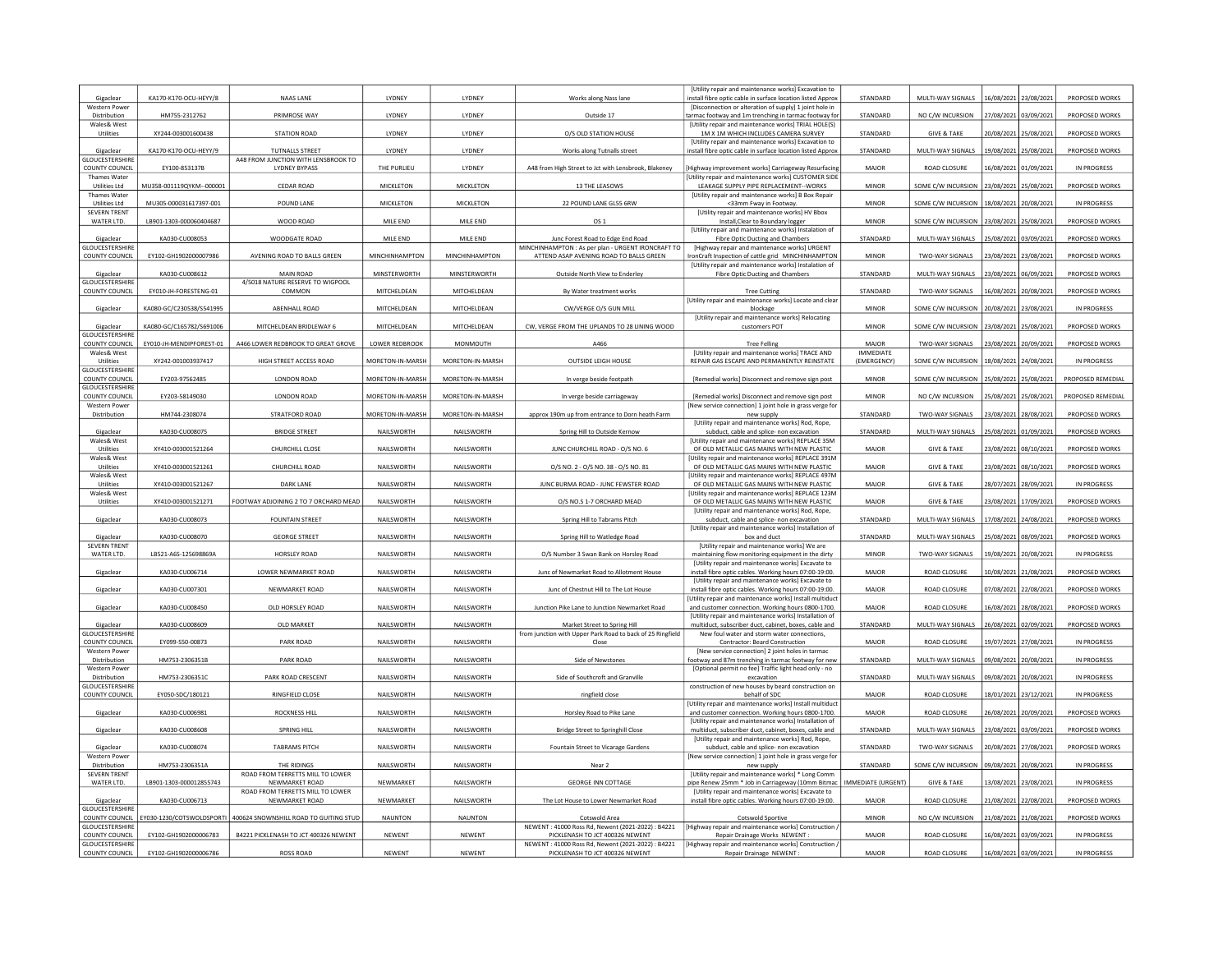| Gigaclea                                        | KA170-K170-OCU-HEYY/8     | <b>NAAS LANE</b>                                       | LYDNEY             | LYDNEY           | Works along Nass lane                                                                      | [Utility repair and maintenance works] Excavation to<br>nstall fibre optic cable in surface location listed Approx | STANDARD                        | MULTI-WAY SIGNALS                        | 16/08/2021            | 23/08/2021            | PROPOSED WORKS     |
|-------------------------------------------------|---------------------------|--------------------------------------------------------|--------------------|------------------|--------------------------------------------------------------------------------------------|--------------------------------------------------------------------------------------------------------------------|---------------------------------|------------------------------------------|-----------------------|-----------------------|--------------------|
| <b>Western Power</b>                            |                           |                                                        |                    |                  |                                                                                            | [Disconnection or alteration of supply] 1 joint hole in                                                            |                                 |                                          |                       |                       |                    |
| Distribution<br>Wales& West                     | HM755-2312762             | PRIMROSE WAY                                           | LYDNEY             | LYDNEY           | Outside 17                                                                                 | tarmac footway and 1m trenching in tarmac footway for<br>[Utility repair and maintenance works] TRIAL HOLE(S)      | STANDARD                        | NO C/W INCURSION                         | 27/08/2021            | 03/09/2021            | PROPOSED WORKS     |
| Utilities                                       | XY244-003001600438        | <b>STATION ROAD</b>                                    | LYDNEY             | LYDNEY           | O/S OLD STATION HOUSE                                                                      | 1M X 1M WHICH INCLUDES CAMERA SURVEY<br>[Utility repair and maintenance works] Excavation to                       | STANDARD                        | <b>GIVE &amp; TAKE</b>                   | 20/08/2021            | 25/08/2021            | PROPOSED WORKS     |
| Gigaclear<br><b>GLOUCESTERSHIRE</b>             | KA170-K170-OCU-HEYY/9     | TUTNALLS STREET<br>A48 FROM JUNCTION WITH LENSBROOK TO | LYDNEY             | LYDNEY           | Works along Tutnalls street                                                                | install fibre optic cable in surface location listed Approx                                                        | STANDARD                        | MULTI-WAY SIGNALS                        | 19/08/2021            | 25/08/2021            | PROPOSED WORKS     |
| <b>COUNTY COUNCIL</b>                           | EY100-853137B             | <b>LYDNEY BYPASS</b>                                   | THE PURLIEU        | LYDNEY           | A48 from High Street to Jct with Lensbrook, Blakeney                                       | Highway improvement works] Carriageway Resurfacing                                                                 | MAJOR                           | ROAD CLOSURE                             |                       | 16/08/2021 01/09/2021 | <b>IN PROGRESS</b> |
| <b>Thames Water</b><br><b>Utilities Ltd</b>     | MU358-001119QYKM-00000    | CEDAR ROAD                                             | <b>MICKLETON</b>   | MICKLETON        | 13 THE LEASOWS                                                                             | Utility repair and maintenance works] CUSTOMER SIDE<br>LEAKAGE SUPPLY PIPE REPLACEMENT--WORKS                      | <b>MINOR</b>                    | SOME C/W INCURSION                       | 23/08/2021            | 25/08/2021            | PROPOSED WORKS     |
| Thames Water<br><b>Utilities Ltd</b>            | MU305-000031617397-001    |                                                        |                    | MICKLETON        |                                                                                            | [Utility repair and maintenance works] B Box Repair                                                                | <b>MINOR</b>                    |                                          |                       |                       | IN PROGRESS        |
| <b>SEVERN TRENT</b>                             |                           | POUND LANE                                             | MICKLETON          |                  | 22 POUND LANE GL55 6RW                                                                     | <33mm Fway in Footway<br>[Utility repair and maintenance works] HV Bbox                                            |                                 | SOME C/W INCURSION                       | 18/08/2021            | 20/08/202             |                    |
| WATER LTD.                                      | LB901-1303-000060404687   | WOOD ROAD                                              | MILE END           | MILE END         | OS 1                                                                                       | Install, Clear to Boundary logger<br>[Utility repair and maintenance works] Instalation of                         | <b>MINOR</b>                    | SOME C/W INCURSION                       | 23/08/2021 25/08/2021 |                       | PROPOSED WORKS     |
| Gigaclear<br><b>GLOUCESTERSHIRE</b>             | KA030-CU008053            | WOODGATE ROAD                                          | MILE END           | MILE END         | Junc Forest Road to Edge End Road<br>MINCHINHAMPTON : As per plan - URGENT IRONCRAFT TO    | Fibre Optic Ducting and Chambers<br>[Highway repair and maintenance works] URGENT                                  | STANDARD                        | MULTI-WAY SIGNALS                        | 25/08/2021            | 03/09/2021            | PROPOSED WORKS     |
| <b>COUNTY COUNCIL</b>                           | EY102-GH1902000007986     | AVENING ROAD TO BALLS GREEN                            | MINCHINHAMPTON     | MINCHINHAMPTON   | ATTEND ASAP AVENING ROAD TO BALLS GREEN                                                    | ronCraft Inspection of cattle grid MINCHINHAMPTON                                                                  | <b>MINOR</b>                    | TWO-WAY SIGNALS                          | 23/08/2021            | 23/08/2021            | PROPOSED WORKS     |
| Gigaclear                                       | KA030-CU008612            | MAIN ROAD                                              | MINSTERWORTH       | MINSTERWORTH     | Outside North View to Enderley                                                             | [Utility repair and maintenance works] Instalation of<br>Fibre Optic Ducting and Chambers                          | STANDARD                        | MULTI-WAY SIGNALS                        | 23/08/2021            | 06/09/2021            | PROPOSED WORKS     |
| GLOUCESTERSHIRE<br><b>COUNTY COUNCIL</b>        | EY010-JH-FORESTENG-01     | 4/5018 NATURE RESERVE TO WIGPOOL<br>COMMON             | MITCHELDEAN        | MITCHELDEAN      | By Water treatment works                                                                   | <b>Tree Cutting</b>                                                                                                | STANDARD                        | TWO-WAY SIGNALS                          | 16/08/2021            | 20/08/202             | PROPOSED WORKS     |
|                                                 |                           |                                                        |                    |                  |                                                                                            | [Utility repair and maintenance works] Locate and clear                                                            |                                 |                                          |                       |                       |                    |
| Gigaclear                                       | KA080-GC/C230538/S541995  | ABENHALL ROAD                                          | MITCHELDEAN        | MITCHELDEAN      | CW/VERGE O/S GUN MILL                                                                      | blockage<br>[Utility repair and maintenance works] Relocating                                                      | <b>MINOR</b>                    | SOME C/W INCURSION 20/08/2021 23/08/2021 |                       |                       | IN PROGRESS        |
| Gigaclear                                       | KA080-GC/C165782/S691006  | MITCHELDEAN BRIDLEWAY 6                                | <b>MITCHELDEAN</b> | MITCHELDEAN      | CW, VERGE FROM THE UPLANDS TO 28 LINING WOOD                                               | customers POT                                                                                                      | <b>MINOR</b>                    | SOME C/W INCURSION                       | 23/08/2021            | 25/08/2021            | PROPOSED WORKS     |
| <b>GLOUCESTERSHIRI</b><br>COUNTY COUNCIL        | EY010-JH-MENDIPFOREST-01  | A466 LOWER REDBROOK TO GREAT GROVE                     | LOWER REDBROOK     | MONMOUTH         | A466                                                                                       | <b>Tree Felling</b>                                                                                                | MAJOR                           | TWO-WAY SIGNALS                          | 23/08/2021            | 20/09/2021            | PROPOSED WORKS     |
| Wales& West<br>Utilities                        | XY242-001003937417        | HIGH STREET ACCESS ROAD                                | MORETON-IN-MARSH   | MORETON-IN-MARSH | <b>OUTSIDE LEIGH HOUSE</b>                                                                 | [Utility repair and maintenance works] TRACE AND<br>REPAIR GAS ESCAPE AND PERMANENTLY REINSTATE                    | <b>IMMEDIATE</b><br>(EMERGENCY) | SOME C/W INCURSION                       | 18/08/2021            | 24/08/2021            | IN PROGRESS        |
| <b>GLOUCESTERSHIRI</b>                          |                           |                                                        |                    |                  |                                                                                            |                                                                                                                    |                                 |                                          |                       |                       |                    |
| COUNTY COUNCIL<br><b>GLOUCESTERSHIRE</b>        | EY203-97562485            | LONDON ROAD                                            | MORETON-IN-MARSH   | MORETON-IN-MARSH | In verge beside footpath                                                                   | [Remedial works] Disconnect and remove sign post                                                                   | <b>MINOR</b>                    | SOME C/W INCURSION                       | 25/08/2021            | 25/08/2021            | PROPOSED REMEDIAL  |
| COUNTY COUNCIL<br><b>Western Power</b>          | EY203-58149030            | LONDON ROAD                                            | MORETON-IN-MARSH   | MORETON-IN-MARSH | In verge beside carriageway                                                                | [Remedial works] Disconnect and remove sign post<br>[New service connection] 1 joint hole in grass verge for       | MINOR                           | NO C/W INCURSION                         |                       | 25/08/2021 25/08/2021 | PROPOSED REMEDIAL  |
| Distribution                                    | HM744-2308074             | STRATFORD ROAD                                         | MORETON-IN-MARSH   | MORETON-IN-MARSH | approx 190m up from entrance to Dorn heath Farm                                            | new supply                                                                                                         | STANDARD                        | TWO-WAY SIGNALS                          | 13/08/2021            | 28/08/2021            | PROPOSED WORKS     |
| Gigaclear                                       | KA030-CU008075            | <b>BRIDGE STREET</b>                                   | NAILSWORTH         | NAILSWORTH       | Spring Hill to Outside Kernow                                                              | [Utility repair and maintenance works] Rod, Rope,<br>subduct, cable and splice- non excavation                     | STANDARD                        | MULTI-WAY SIGNALS                        | 25/08/2021            | 01/09/2021            | PROPOSED WORKS     |
| Wales& West<br>Utilities                        | XY410-003001521264        | CHURCHILL CLOSE                                        | NAILSWORTH         | NAILSWORTH       | JUNC CHURCHILL ROAD - O/S NO. 6                                                            | [Utility repair and maintenance works] REPLACE 35M<br>OF OLD METALLIC GAS MAINS WITH NEW PLASTIC                   | MAJOR                           | <b>GIVE &amp; TAKE</b>                   | 23/08/2021            | 08/10/2021            | PROPOSED WORKS     |
| Wales& West                                     |                           |                                                        |                    |                  |                                                                                            | [Utility repair and maintenance works] REPLACE 391M                                                                |                                 |                                          |                       |                       |                    |
| Utilities<br>Wales& West                        | XY410-003001521261        | CHURCHILL ROAD                                         | NAILSWORTH         | NAILSWORTH       | 0/S NO. 2 - 0/S NO. 38 - 0/S NO. 81                                                        | OF OLD METALLIC GAS MAINS WITH NEW PLASTIC<br>[Utility repair and maintenance works] REPLACE 497M                  | MAJOR                           | <b>GIVE &amp; TAKE</b>                   |                       | 23/08/2021 08/10/2021 | PROPOSED WORKS     |
| Utilities<br>Wales& West                        | XY410-003001521267        | DARK LANE                                              | NAILSWORTH         | NAILSWORTH       | JUNC BURMA ROAD - JUNC FEWSTER ROAD                                                        | OF OLD METALLIC GAS MAINS WITH NEW PLASTIC                                                                         | <b>MAJOR</b>                    | <b>GIVE &amp; TAKE</b>                   | 28/07/2021            | 28/09/202             | IN PROGRESS        |
| Utilities                                       | XY410-003001521271        | FOOTWAY ADJOINING 2 TO 7 ORCHARD MEAD                  | NAILSWORTH         | NAILSWORTH       | O/S NO.S 1-7 ORCHARD MEAD                                                                  | Utility repair and maintenance works] REPLACE 123M<br>OF OLD METALLIC GAS MAINS WITH NEW PLASTIC                   | MAIOR                           | <b>GIVE &amp; TAKE</b>                   | 23/08/2021            | 17/09/2021            | PROPOSED WORKS     |
| Gigaclear                                       | KA030-CU008073            | <b>FOUNTAIN STREET</b>                                 | NAILSWORTH         | NAILSWORTH       | Spring Hill to Tabrams Pitch                                                               | [Utility repair and maintenance works] Rod, Rope,<br>subduct, cable and splice- non excavation                     | STANDARD                        | MULTI-WAY SIGNALS                        | 17/08/2021            | 24/08/2021            | PROPOSED WORKS     |
| Gigaclear                                       | KA030-CU008070            | <b>GEORGE STREET</b>                                   | NAILSWORTH         | NAILSWORTH       |                                                                                            | [Utility repair and maintenance works] Installation of<br>box and duct                                             | STANDARD                        | MULTI-WAY SIGNALS                        |                       | 25/08/2021 08/09/2021 | PROPOSED WORKS     |
| <b>SEVERN TRENT</b>                             |                           |                                                        |                    |                  | Spring Hill to Watledge Road                                                               | [Utility repair and maintenance works] We are                                                                      |                                 |                                          |                       |                       |                    |
| WATER LTD.                                      | LB521-A6S-125698869A      | HORSLEY ROAD                                           | NAILSWORTH         | NAILSWORTH       | O/S Number 3 Swan Bank on Horsley Road                                                     | maintaining flow monitoring equipment in the dirty<br>[Utility repair and maintenance works] Excavate to           | <b>MINOR</b>                    | TWO-WAY SIGNALS                          | 19/08/2021            | 20/08/2021            | IN PROGRESS        |
| Gigaclear                                       | KA030-CU006714            | LOWER NEWMARKET ROAD                                   | NAILSWORTH         | NAILSWORTH       | Junc of Newmarket Road to Allotment House                                                  | install fibre optic cables. Working hours 07:00-19:00.                                                             | MAJOR                           | ROAD CLOSURE                             | 10/08/2021            | 21/08/202             | PROPOSED WORKS     |
| Gigaclear                                       | KA030-CU007301            | NEWMARKET ROAD                                         | NAILSWORTH         | NAILSWORTH       | Junc of Chestnut Hill to The Lot House                                                     | [Utility repair and maintenance works] Excavate to<br>install fibre optic cables. Working hours 07:00-19:00.       | MAJOR                           | <b>ROAD CLOSURE</b>                      | 07/08/2021            | 22/08/2021            | PROPOSED WORKS     |
| Gigaclear                                       | KA030-CU008450            | OLD HORSLEY ROAD                                       | NAILSWORTH         | NAILSWORTH       | Junction Pike Lane to Junction Newmarket Road                                              | Utility repair and maintenance works] Install multiduct<br>and customer connection. Working hours 0800-1700.       | MAJOR                           | <b>ROAD CLOSURE</b>                      | 16/08/2021            | 28/08/202             | PROPOSED WORKS     |
|                                                 |                           |                                                        |                    |                  |                                                                                            | [Utility repair and maintenance works] Installation of                                                             |                                 |                                          |                       |                       |                    |
| Gigaclear<br><b>GLOUCESTERSHIR</b>              | KA030-CU008609            | OLD MARKET                                             | NAILSWORTH         | NAILSWORTH       | Market Street to Spring Hill<br>from junction with Upper Park Road to back of 25 Ringfield | multiduct, subscriber duct, cabinet, boxes, cable and<br>New foul water and storm water connections.               | STANDARD                        | MULTI-WAY SIGNALS                        | 26/08/2021 02/09/2021 |                       | PROPOSED WORKS     |
| COUNTY COUNCIL<br><b>Western Power</b>          | EY099-S50-00873           | PARK ROAD                                              | NAILSWORTH         | NAILSWORTH       | Close                                                                                      | Contractor: Beard Construction<br>[New service connection] 2 joint holes in tarmac                                 | MAJOR                           | ROAD CLOSURE                             | 19/07/2021            | 27/08/2021            | IN PROGRESS        |
| Distribution                                    | HM753-2306351B            | <b>PARK ROAD</b>                                       | NAILSWORTH         | NAILSWORTH       | Side of Newstones                                                                          | ootway and 87m trenching in tarmac footway for new                                                                 | STANDARD                        | MULTI-WAY SIGNALS                        | 09/08/2021            | 20/08/202             | IN PROGRESS        |
| <b>Western Power</b><br>Distribution            | HM753-2306351C            | PARK ROAD CRESCENT                                     | NAILSWORTH         | NAILSWORTH       | Side of Southcroft and Granville                                                           | [Optional permit no fee] Traffic light head only - no<br>excavation                                                | STANDARD                        | MULTI-WAY SIGNALS                        | 09/08/2021            | 20/08/2021            | IN PROGRESS        |
| GLOUCESTERSHIRE<br>COUNTY COUNCIL               | EY050-SDC/180121          | RINGFIELD CLOSE                                        | NAILSWORTH         | NAILSWORTH       | ringfield close                                                                            | construction of new houses by beard construction on<br>behalf of SDC                                               | MAJOR                           | ROAD CLOSURE                             |                       | 18/01/2021 23/12/2021 | IN PROGRESS        |
|                                                 | KA030-CU006981            | <b>ROCKNESS HILL</b>                                   | NAILSWORTH         | NAILSWORTH       | Horsley Road to Pike Lane                                                                  | [Utility repair and maintenance works] Install multiduct                                                           | <b>MAJOR</b>                    | ROAD CLOSURE                             |                       | 26/08/2021 20/09/2021 | PROPOSED WORKS     |
| Gigaclear                                       |                           |                                                        |                    |                  |                                                                                            | and customer connection. Working hours 0800-1700.<br><b>IUtility repair and maintenance works] Installation of</b> |                                 |                                          |                       |                       |                    |
| Gigaclear                                       | KA030-CU008608            | <b>SPRING HILL</b>                                     | NAILSWORTH         | NAILSWORTH       | Bridge Street to Springhill Close                                                          | multiduct, subscriber duct, cabinet, boxes, cable and<br>[Utility repair and maintenance works] Rod, Rope,         | STANDARD                        | MULTI-WAY SIGNALS                        | 23/08/2021            | 03/09/2021            | PROPOSED WORKS     |
| Gigaclear                                       | KA030-CU008074            | <b>TABRAMS PITCH</b>                                   | NAILSWORTH         | NAILSWORTH       | Fountain Street to Vicarage Gardens                                                        | subduct, cable and splice- non excavation                                                                          | STANDARD                        | TWO-WAY SIGNALS                          | 20/08/2021            | 27/08/202             | PROPOSED WORKS     |
| Western Powe                                    | HM753-2306351A            | THE RIDINGS                                            | NAILSWORTH         | NAILSWORTH       | Near <sub>2</sub>                                                                          | [New service connection] 1 joint hole in grass verge for<br>new supply                                             | STANDARD                        | SOME C/W INCURSION                       | 09/08/2021            | 20/08/2021            | IN PROGRESS        |
| Distribution                                    |                           | ROAD FROM TERRETTS MILL TO LOWER<br>NEWMARKET ROAD     | NEWMARKET          | NAILSWORTH       | <b>GEORGE INN COTTAGE</b>                                                                  | [Utility repair and maintenance works] * Long Comm<br>pipe Renew 25mm * Job in Carriageway (10mm Bitmac            | IMMEDIATE (URGENT)              | <b>GIVE &amp; TAKE</b>                   | 13/08/2021 23/08/2021 |                       | IN PROGRESS        |
| <b>SEVERN TRENT</b>                             |                           |                                                        |                    |                  |                                                                                            |                                                                                                                    |                                 |                                          |                       |                       |                    |
| WATER LTD.                                      | LB901-1303-000012855743   | ROAD FROM TERRETTS MILL TO LOWER                       |                    |                  |                                                                                            | [Utility repair and maintenance works] Excavate to                                                                 |                                 |                                          |                       |                       |                    |
| Gigaclear<br><b>GLOUCESTERSHIRE</b>             | KA030-CU006713            | NEWMARKET ROAD                                         | NEWMARKET          | NAILSWORTH       | The Lot House to Lower Newmarket Road                                                      | install fibre optic cables. Working hours 07:00-19:00.                                                             | <b>MAJOR</b>                    | <b>ROAD CLOSURE</b>                      |                       | 21/08/2021 22/08/2021 | PROPOSED WORKS     |
| COUNTY COUNCIL                                  | EY030-1230/COTSWOLDSPORTI | 400624 SNOWNSHILL ROAD TO GUITING STUD                 | <b>NAUNTON</b>     | <b>NAUNTON</b>   | Cotswold Area                                                                              | <b>Cotswold Sportive</b>                                                                                           | <b>MINOR</b>                    | NO C/W INCURSION                         | 21/08/2021            | 21/08/2021            | PROPOSED WORKS     |
| <b>GLOUCESTERSHIRI</b><br><b>COUNTY COUNCIL</b> | EY102-GH1902000006783     | B4221 PICKLENASH TO JCT 400326 NEWENT                  | NEWENT             | NEWENT           | NEWENT: 41000 Ross Rd. Newent (2021-2022): B4221<br>PICKLENASH TO JCT 400326 NEWENT        | Highway repair and maintenance works] Construction,<br>Repair Drainage Works NEWENT:                               | MAJOR                           | <b>ROAD CLOSURE</b>                      | 16/08/2021            | 03/09/202             | IN PROGRESS        |
| <b>GLOUCESTERSHIRE</b><br><b>COUNTY COUNCIL</b> | EY102-GH1902000006786     | <b>ROSS ROAD</b>                                       | NEWENT             | <b>NEWENT</b>    | NEWENT: 41000 Ross Rd, Newent (2021-2022): B4221<br>PICKLENASH TO JCT 400326 NEWENT        | [Highway repair and maintenance works] Construction /<br>Repair Drainage NEWENT:                                   | MAJOR                           | ROAD CLOSURE                             | 16/08/2021 03/09/2021 |                       | IN PROGRESS        |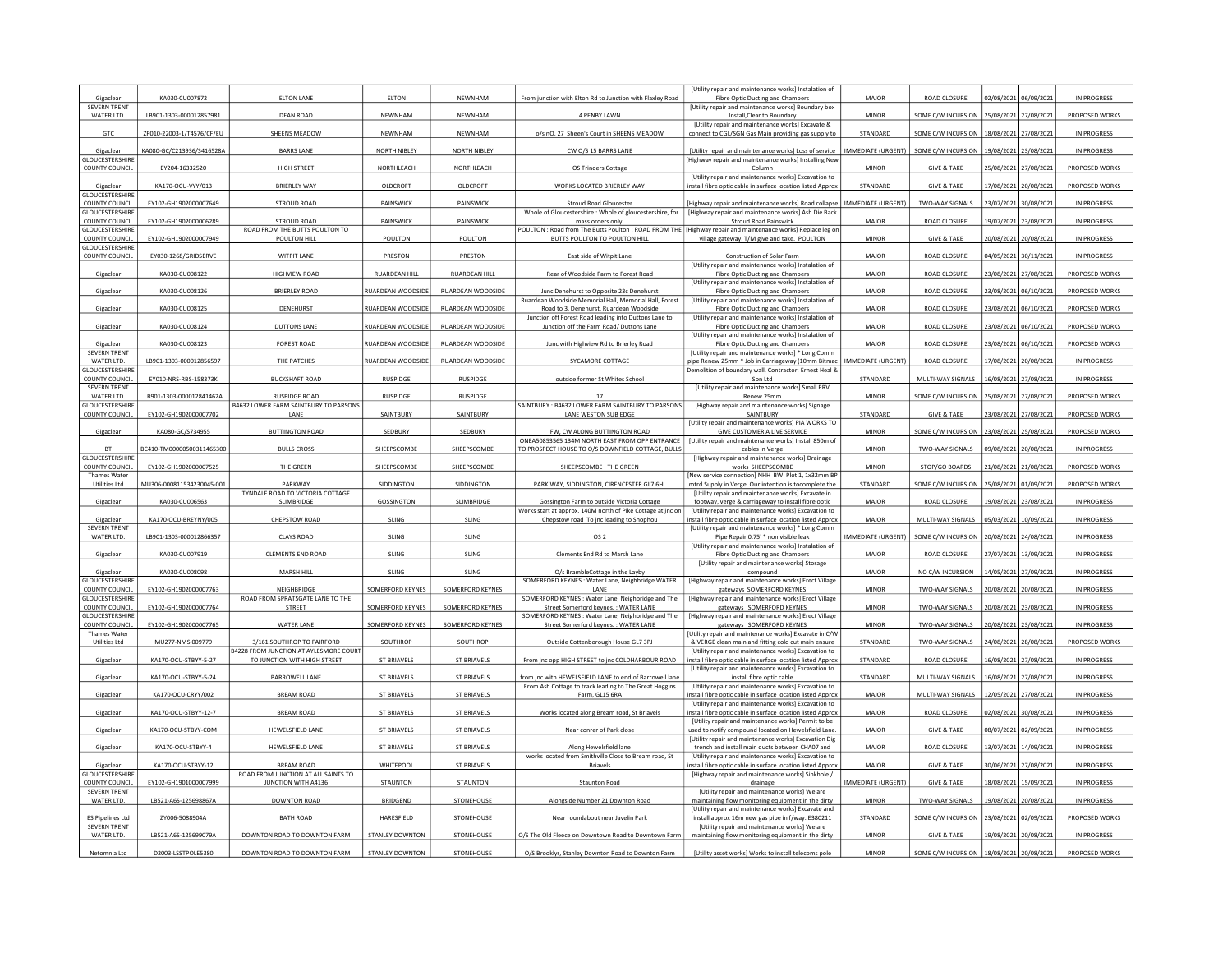| Gigaclear                                       | KA030-CU007872            | <b>ELTON LANE</b>                                                      | ELTON                    | NEWNHAM                  | From junction with Elton Rd to Junction with Flaxley Road                                                                         | [Utility repair and maintenance works] Instalation of<br>Fibre Optic Ducting and Chambers                           | MAJOR                     | <b>ROAD CLOSURE</b>    | 02/08/2021<br>06/09/2021                     | IN PROGRESS        |
|-------------------------------------------------|---------------------------|------------------------------------------------------------------------|--------------------------|--------------------------|-----------------------------------------------------------------------------------------------------------------------------------|---------------------------------------------------------------------------------------------------------------------|---------------------------|------------------------|----------------------------------------------|--------------------|
| <b>SEVERN TRENT</b><br>WATER LTD.               | LB901-1303-000012857981   | <b>DEAN ROAD</b>                                                       | NEWNHAM                  | NEWNHAM                  | 4 PENBY LAWN                                                                                                                      | [Utility repair and maintenance works] Boundary box<br>Install, Clear to Boundary                                   | <b>MINOR</b>              |                        | SOME C/W INCURSION   25/08/2021   27/08/2021 | PROPOSED WORKS     |
| GTC                                             | ZP010-22003-1/T4576/CF/EU | SHEENS MEADOW                                                          | NFWNHAM                  | <b>NFWNHAM</b>           | o/s nO. 27 Sheen's Court in SHEENS MEADOW                                                                                         | <b>IUtility repair and maintenance worksl Excavate &amp;</b><br>connect to CGL/SGN Gas Main providing gas supply to | <b>STANDARD</b>           | SOME C/W INCURSION     | 18/08/2021<br>27/08/2021                     | IN PROGRESS        |
| Gigaclear                                       | KA080-GC/C213936/S416528A | <b>BARRS LANE</b>                                                      | NORTH NIBLEY             | NORTH NIBLEY             | CW O/S 15 BARRS LANE                                                                                                              | [Utility repair and maintenance works] Loss of service                                                              | <b>IMMEDIATE (URGENT)</b> | SOME C/W INCURSION     | 19/08/2021 23/08/202:                        | IN PROGRESS        |
| GLOUCESTERSHIRE<br><b>COUNTY COUNCIL</b>        | EY204-16332520            | HIGH STREET                                                            | NORTHLEACH               | NORTHLEACH               | OS Trinders Cottage                                                                                                               | Highway repair and maintenance works] Installing Nev<br>Column                                                      | <b>MINOR</b>              | <b>GIVE &amp; TAKE</b> | 25/08/2021 27/08/2021                        | PROPOSED WORKS     |
|                                                 |                           |                                                                        |                          |                          |                                                                                                                                   | [Utility repair and maintenance works] Excavation to                                                                |                           |                        |                                              |                    |
| Gigaclear<br><b>GLOUCESTERSHIRE</b>             | KA170-OCU-VYY/013         | <b>BRIERLEY WAY</b>                                                    | OLDCROFT                 | OLDCROFT                 | WORKS LOCATED BRIERLEY WAY                                                                                                        | install fibre optic cable in surface location listed Approx                                                         | STANDARD                  | <b>GIVE &amp; TAKE</b> | 17/08/2021<br>20/08/2021                     | PROPOSED WORKS     |
| <b>COUNTY COUNCIL</b><br><b>GLOUCESTERSHIRE</b> | EY102-GH1902000007649     | <b>STROUD ROAD</b>                                                     | PAINSWICK                | PAINSWICK                | Stroud Road Gloucester<br>Whole of Gloucestershire : Whole of gloucestershire, for                                                | [Highway repair and maintenance works] Road collapse<br>[Highway repair and maintenance works] Ash Die Back         | IMMEDIATE (URGENT)        | TWO-WAY SIGNALS        | 23/07/2021 30/08/2021                        | IN PROGRESS        |
| COUNTY COUNCIL<br>GLOUCESTERSHIRE               | FY102-GH1902000006289     | STROUD ROAD<br>ROAD FROM THE BUTTS POULTON TO                          | PAINSWICK                | <b>PAINSWICK</b>         | mass orders only<br>POULTON : Road from The Butts Poulton : ROAD FROM THE   [Highway repair and maintenance works] Replace leg on | <b>Stroud Road Painswick</b>                                                                                        | MAIOR                     | <b>ROAD CLOSURE</b>    | 19/07/2021 23/08/2021                        | IN PROGRESS        |
| <b>COUNTY COUNCIL</b>                           | EY102-GH1902000007949     | POULTON HILL                                                           | POULTON                  | POULTON                  | BUTTS POULTON TO POULTON HILL                                                                                                     | village gateway. T/M give and take. POULTON                                                                         | <b>MINOR</b>              | <b>GIVE &amp; TAKE</b> | 20/08/2021<br>20/08/2021                     | IN PROGRESS        |
| GLOUCESTERSHIRE<br>COUNTY COUNCIL               | EY030-1268/GRIDSERVE      | WITPIT LANE                                                            | PRESTON                  | PRESTON                  | East side of Witpit Lane                                                                                                          | Construction of Solar Farm                                                                                          | MAJOR                     | <b>ROAD CLOSURE</b>    | 04/05/2021 30/11/2021                        | IN PROGRESS        |
| Gigaclear                                       | KA030-CU008122            | HIGHVIEW ROAD                                                          | <b>RUARDEAN HILL</b>     | RUARDEAN HILL            | Rear of Woodside Farm to Forest Road                                                                                              | [Utility repair and maintenance works] Instalation of<br>Fibre Optic Ducting and Chambers                           | MAJOR                     | ROAD CLOSURE           | 23/08/2021<br>27/08/2021                     | PROPOSED WORKS     |
| Gigaclear                                       | KA030-CU008126            | BRIERI FY ROAD                                                         | <b>RUARDEAN WOODSIDE</b> | <b>RUARDEAN WOODSIDE</b> | Junc Denehurst to Opposite 23c Denehurst                                                                                          | [Utility repair and maintenance works] Instalation of<br>Fibre Optic Ducting and Chambers                           | MAIOR                     | <b>ROAD CLOSURE</b>    | 23/08/2021 06/10/2021                        | PROPOSED WORKS     |
| Gigaclear                                       | KA030-CU008125            | DENEHURST                                                              | RUARDEAN WOODSIDE        | RUARDEAN WOODSIDE        | Ruardean Woodside Memorial Hall, Memorial Hall, Forest<br>Road to 3. Denehurst, Ruardean Woodside                                 | [Utility repair and maintenance works] Instalation of<br>Fibre Optic Ducting and Chambers                           | MAJOR                     | <b>ROAD CLOSURE</b>    | 23/08/2021 06/10/2021                        | PROPOSED WORKS     |
| Gigaclear                                       | KA030-CU008124            | <b>DUTTONS LANE</b>                                                    | RUARDEAN WOODSIDE        | <b>RUARDEAN WOODSIDE</b> | Junction off Forest Road leading into Duttons Lane to<br>Junction off the Farm Road/ Duttons Lane                                 | [Utility repair and maintenance works] Instalation of<br>Fibre Optic Ducting and Chambers                           | <b>MAJOR</b>              | <b>ROAD CLOSURE</b>    | 23/08/2021<br>06/10/2021                     | PROPOSED WORKS     |
|                                                 |                           |                                                                        |                          |                          |                                                                                                                                   | [Utility repair and maintenance works] Instalation of                                                               |                           |                        |                                              |                    |
| Gigaclear<br><b>SEVERN TRENT</b>                | KA030-CU008123            | <b>FOREST ROAD</b>                                                     | RUARDEAN WOODSIDE        | RUARDEAN WOODSIDE        | Junc with Highview Rd to Brierley Road                                                                                            | Fibre Optic Ducting and Chambers<br>[Utility repair and maintenance works] * Long Comm                              | MAJOR                     | ROAD CLOSURE           | 23/08/2021 06/10/2021                        | PROPOSED WORKS     |
| WATER LTD.<br>GLOUCESTERSHIRI                   | LB901-1303-000012856597   | THE PATCHES                                                            | RUARDEAN WOODSIDE        | RUARDEAN WOODSIDE        | SYCAMORE COTTAGE                                                                                                                  | pipe Renew 25mm * Job in Carriageway (10mm Bitmac<br>Demolition of boundary wall, Contractor: Ernest Heal &         | IMMEDIATE (URGENT)        | ROAD CLOSURE           | 17/08/2021<br>20/08/2021                     | IN PROGRESS        |
| COUNTY COUNCIL<br><b>SEVERN TRENT</b>           | EY010-NRS-RBS-158373K     | <b>BUCKSHAFT ROAD</b>                                                  | <b>RUSPIDGE</b>          | <b>RUSPIDGE</b>          | outside former St Whites School                                                                                                   | Son Ltd<br>[Utility repair and maintenance works] Small PRV                                                         | STANDARD                  | MULTI-WAY SIGNALS      | 16/08/2021 27/08/202:                        | <b>IN PROGRESS</b> |
| WATER LTD.                                      | LB901-1303-000012841462A  | <b>RUSPIDGE ROAD</b>                                                   | <b>RUSPIDGE</b>          | <b>RUSPIDGE</b>          | 17<br>SAINTBURY: B4632 LOWER FARM SAINTBURY TO PARSONS                                                                            | Renew 25mm                                                                                                          | <b>MINOR</b>              | SOME C/W INCURSION     | 25/08/2021 27/08/2021                        | PROPOSED WORKS     |
| GLOUCESTERSHIRE<br>COUNTY COUNCIL               | EY102-GH1902000007702     | B4632 LOWER FARM SAINTBURY TO PARSONS<br>LANE                          | SAINTBURY                | SAINTBURY                | LANE WESTON SUB EDGE                                                                                                              | [Highway repair and maintenance works] Signage<br>SAINTBURY                                                         | <b>STANDARD</b>           | <b>GIVE &amp; TAKE</b> | 23/08/2021<br>27/08/2021                     | PROPOSED WORKS     |
| Gigaclear                                       | KA080-GC/S734955          | <b>BUTTINGTON ROAD</b>                                                 | SEDBURY                  | SEDBURY                  | FW, CW ALONG BUTTINGTON ROAD                                                                                                      | [Utility repair and maintenance works] PIA WORKS TO<br>GIVE CUSTOMER A LIVE SERVICE                                 | <b>MINOR</b>              | SOME C/W INCURSION     | 23/08/2021 25/08/2021                        | PROPOSED WORKS     |
| <b>BT</b>                                       | BC410-TM00000500311465300 | <b>BULLS CROSS</b>                                                     | SHEEPSCOMBE              | SHEEPSCOMBE              | ONEA50853565 134M NORTH EAST FROM OPP ENTRANCE<br>TO PROSPECT HOUSE TO O/S DOWNFIELD COTTAGE, BULLS                               | [Utility repair and maintenance works] Install 850m of<br>cables in Verge                                           | <b>MINOR</b>              | TWO-WAY SIGNALS        | 09/08/2021<br>20/08/2021                     | IN PROGRESS        |
| <b>GLOUCESTERSHIRE</b><br>COUNTY COUNCIL        | EY102-GH1902000007525     | THE GREEN                                                              | SHEEPSCOMBE              | SHEEPSCOMBE              | SHEEPSCOMBE: THE GREEN                                                                                                            | [Highway repair and maintenance works] Drainage<br>works SHEEPSCOMBE                                                | <b>MINOR</b>              | STOP/GO BOARDS         | 21/08/2021<br>21/08/2021                     | PROPOSED WORKS     |
| Thames Water<br><b>Utilities Ltd</b>            | MU306-000811534230045-001 | PARKWAY                                                                | SIDDINGTON               | SIDDINGTON               | PARK WAY, SIDDINGTON, CIRENCESTER GL7 6HL                                                                                         | New service connection] NHH BW Plot 1, 1x32mm BP<br>mtrd Supply in Verge. Our intention is tocomplete the           | STANDARD                  | SOME C/W INCURSION     | 25/08/2021 01/09/2021                        | PROPOSED WORKS     |
|                                                 |                           | TYNDALE ROAD TO VICTORIA COTTAGE                                       |                          |                          |                                                                                                                                   | [Utility repair and maintenance works] Excavate in                                                                  |                           |                        |                                              |                    |
| Gigaclear                                       | KA030-CU006563            | SLIMBRIDGE                                                             | GOSSINGTON               | SLIMBRIDGE               | Gossington Farm to outside Victoria Cottage<br>Works start at approx, 140M north of Pike Cottage at inc on                        | footway, verge & carriageway to install fibre optic<br><b>IUtility repair and maintenance works] Excavation to</b>  | MAJOR                     | ROAD CLOSURE           | 19/08/2021<br>23/08/2021                     | IN PROGRESS        |
| Gigaclear<br><b>SEVERN TRENT</b>                | KA170-OCU-BREYNY/005      | CHEPSTOW ROAD                                                          | SLING                    | SLING                    | Chepstow road To jnc leading to Shophou                                                                                           | nstall fibre optic cable in surface location listed Approx<br>[Utility repair and maintenance works] * Long Comm    | MAJOR                     | MULTI-WAY SIGNALS      | 05/03/2021 10/09/2021                        | IN PROGRESS        |
| WATER LTD.                                      | LB901-1303-000012866357   | CLAYS ROAD                                                             | <b>SLING</b>             | <b>SLING</b>             | <b>OS2</b>                                                                                                                        | Pipe Repair 0.75' * non visible leak<br>[Utility repair and maintenance works] Instalation of                       | IMMEDIATE (URGENT)        | SOME C/W INCURSION     | 20/08/2021<br>24/08/2021                     | IN PROGRESS        |
| Gigaclear                                       | KA030-CU007919            | CLEMENTS END ROAD                                                      | SLING                    | <b>SLING</b>             | Clements End Rd to Marsh Lane                                                                                                     | Fibre Optic Ducting and Chambers<br>[Utility repair and maintenance works] Storage                                  | MAJOR                     | <b>ROAD CLOSURE</b>    | 27/07/2021<br>13/09/2021                     | IN PROGRESS        |
| Gigaclear<br><b>GLOUCESTERSHIRE</b>             | KA030-CU008098            | MARSH HILL                                                             | SLING                    | SLING                    | O/s BrambleCottage in the Layby                                                                                                   | compound                                                                                                            | MAJOR                     | NO C/W INCURSION       | 14/05/2021 27/09/2021                        | IN PROGRESS        |
| COUNTY COUNCIL                                  | EY102-GH1902000007763     | NEIGHBRIDGE                                                            | SOMERFORD KEYNES         | SOMERFORD KEYNES         | SOMERFORD KEYNES : Water Lane, Neighbridge WATER<br>LANE                                                                          | [Highway repair and maintenance works] Erect Village<br>gateways SOMERFORD KEYNES                                   | MINOR                     | TWO-WAY SIGNALS        | 20/08/2021<br>20/08/2021                     | IN PROGRESS        |
| <b>GLOUCESTERSHIRE</b><br><b>COUNTY COUNCIL</b> | EY102-GH1902000007764     | ROAD FROM SPRATSGATE LANE TO THE<br>STREET                             | SOMERFORD KEYNES         | <b>SOMERFORD KEYNES</b>  | SOMERFORD KEYNES : Water Lane, Neighbridge and The<br>Street Somerford keynes.: WATER LANE                                        | [Highway repair and maintenance works] Erect Village<br>gateways SOMERFORD KEYNES                                   | <b>MINOR</b>              | TWO-WAY SIGNALS        | 20/08/2021<br>23/08/2021                     | <b>IN PROGRESS</b> |
| <b>GLOUCESTERSHIRE</b><br><b>COUNTY COUNCIL</b> | EY102-GH1902000007765     | WATER LANE                                                             | SOMERFORD KEYNES         | SOMERFORD KEYNES         | SOMERFORD KEYNES : Water Lane, Neighbridge and The<br>Street Somerford keynes.: WATER LANE                                        | [Highway repair and maintenance works] Erect Village<br>gateways SOMERFORD KEYNES                                   | <b>MINOR</b>              | TWO-WAY SIGNALS        | 20/08/2021<br>23/08/2021                     | IN PROGRESS        |
| <b>Thames Water</b><br><b>Utilities Ltd</b>     | MU277-NMSI009779          | 3/161 SOUTHROP TO FAIRFORD                                             | SOUTHROP                 | SOUTHROP                 | Outside Cottenborough House GL7 3PJ                                                                                               | [Utility repair and maintenance works] Excavate in C/W<br>& VERGE clean main and fitting cold cut main ensure       | STANDARD                  | TWO-WAY SIGNALS        | 24/08/2021 28/08/2021                        | PROPOSED WORKS     |
| Gigaclear                                       | KA170-OCU-STBYY-5-27      | B4228 FROM JUNCTION AT AYLESMORE COURT<br>TO JUNCTION WITH HIGH STREET | <b>ST BRIAVELS</b>       | <b>ST BRIAVELS</b>       | From jnc opp HIGH STREET to jnc COLDHARBOUR ROAD                                                                                  | [Utility repair and maintenance works] Excavation to<br>install fibre optic cable in surface location listed Approx | STANDARD                  | <b>ROAD CLOSURE</b>    | 16/08/2021 27/08/202:                        | IN PROGRESS        |
|                                                 |                           |                                                                        |                          |                          |                                                                                                                                   | <b>IUtility repair and maintenance works] Excavation to</b>                                                         |                           |                        |                                              |                    |
| Gigaclear                                       | KA170-OCU-STBYY-5-24      | <b>BARROWELL LANE</b>                                                  | <b>ST BRIAVELS</b>       | <b>ST BRIAVELS</b>       | from jnc with HEWELSFIELD LANE to end of Barrowell lane<br>From Ash Cottage to track leading to The Great Hoggins                 | install fibre optic cable<br>[Utility repair and maintenance works] Excavation to                                   | STANDARD                  | MULTI-WAY SIGNALS      | 6/08/2021<br>27/08/2021                      | IN PROGRESS        |
| Gigaclear                                       | KA170-OCU-CRYY/002        | <b>BREAM ROAD</b>                                                      | <b>ST BRIAVELS</b>       | ST BRIAVELS              | Farm, GL15 6RA                                                                                                                    | nstall fibre optic cable in surface location listed Approx<br>[Utility repair and maintenance works] Excavation to  | MAIOR                     | MULTI-WAY SIGNALS      | 12/05/2021<br>27/08/2021                     | IN PROGRESS        |
| Gigaclear                                       | KA170-OCU-STBYY-12-7      | <b>BREAM ROAD</b>                                                      | <b>ST BRIAVELS</b>       | <b>ST BRIAVELS</b>       | Works located along Bream road, St Briavels                                                                                       | install fibre optic cable in surface location listed Approx<br>[Utility repair and maintenance works] Permit to be  | MAJOR                     | <b>ROAD CLOSURE</b>    | 02/08/2021<br>30/08/2021                     | IN PROGRESS        |
| Gigaclear                                       | KA170-OCU-STBYY-COM       | HEWELSFIELD LANE                                                       | ST BRIAVELS              | <b>ST BRIAVELS</b>       | Near conrer of Park close                                                                                                         | used to notify compound located on Hewelsfield Lane.<br>[Utility repair and maintenance works] Excavation Dig       | MAJOR                     | <b>GIVE &amp; TAKE</b> | 08/07/2021 02/09/202:                        | IN PROGRESS        |
| Gigaclear                                       | KA170-OCU-STBYY-4         | HEWELSFIELD LANE                                                       | ST BRIAVELS              | ST BRIAVELS              | Along Hewelsfield lane<br>works located from Smithville Close to Bream road, St                                                   | trench and install main ducts between CHA07 and<br>[Utility repair and maintenance works] Excavation to             | MAJOR                     | ROAD CLOSURE           | 13/07/2021 14/09/2021                        | IN PROGRESS        |
| Gigaclear                                       | KA170-OCU-STBYY-12        | <b>BREAM ROAD</b>                                                      | WHITEPOOL                | <b>ST BRIAVELS</b>       | <b>Briavels</b>                                                                                                                   | stall fibre optic cable in surface location listed Approx                                                           | MAJOR                     | <b>GIVE &amp; TAKE</b> | 30/06/2021<br>27/08/2021                     | IN PROGRESS        |
| GLOUCESTERSHIRE<br>COUNTY COUNCIL               | EY102-GH1901000007999     | ROAD FROM JUNCTION AT ALL SAINTS TO<br>JUNCTION WITH A4136             | STAUNTON                 | <b>STAUNTON</b>          | <b>Staunton Road</b>                                                                                                              | [Highway repair and maintenance works] Sinkhole /<br>drainage                                                       | IMMEDIATE (URGENT)        | <b>GIVE &amp; TAKE</b> | 18/08/2021<br>15/09/2021                     | IN PROGRESS        |
| <b>SEVERN TRENT</b><br>WATER LTD.               | LB521-A6S-125698867A      | DOWNTON ROAD                                                           | <b>BRIDGEND</b>          | STONEHOUSE               | Alongside Number 21 Downton Road                                                                                                  | [Utility repair and maintenance works] We are<br>maintaining flow monitoring equipment in the dirty                 | <b>MINOR</b>              | TWO-WAY SIGNALS        | 19/08/2021 20/08/2021                        | IN PROGRESS        |
| <b>ES Pipelines Ltd</b>                         | ZY006-5088904A            | BATH ROAD                                                              | HARESFIELD               | STONEHOUSE               | Near roundabout near Javelin Park                                                                                                 | [Utility repair and maintenance works] Excavate and<br>install approx 16m new gas pipe in f/way. E380211            | STANDARD                  | SOME C/W INCURSION     | 23/08/2021 02/09/2021                        | PROPOSED WORKS     |
| <b>SEVERN TRENT</b><br>WATER LTD.               | LB521-A6S-125699079A      | DOWNTON ROAD TO DOWNTON FARM                                           | STANLEY DOWNTON          | STONEHOUSE               | O/S The Old Fleece on Downtown Road to Downtown Farm                                                                              | <b>IUtility repair and maintenance works) We are</b>                                                                | <b>MINOR</b>              | <b>GIVE &amp; TAKE</b> | 19/08/2021 20/08/202:                        | IN PROGRESS        |
|                                                 |                           |                                                                        |                          |                          |                                                                                                                                   | maintaining flow monitoring equipment in the dirty                                                                  |                           |                        |                                              |                    |
| Netomnia Ltd                                    | D2003-LSSTPOLE5380        | DOWNTON ROAD TO DOWNTON FARM                                           | <b>STANLEY DOWNTON</b>   | STONEHOUSE               | O/S Brooklyr, Stanley Downton Road to Downton Farm                                                                                | [Utility asset works] Works to install telecoms pole                                                                | <b>MINOR</b>              | SOME C/W INCURSION     | 18/08/2021 20/08/2021                        | PROPOSED WORKS     |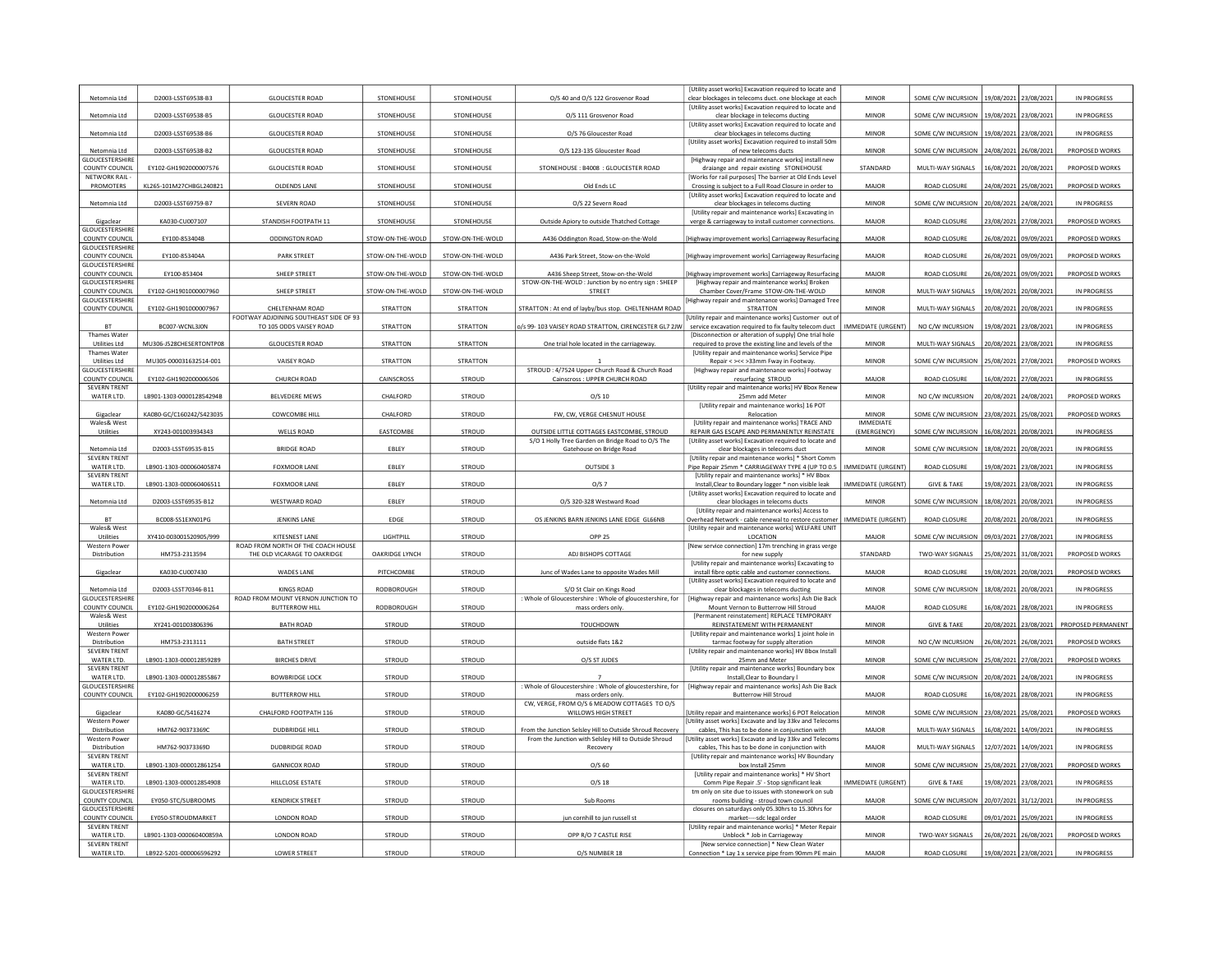|                                          |                          |                                                                    |                  |                  |                                                                                                | [Utility asset works] Excavation required to locate and                                                             |                    |                                            |                       |                       |                    |
|------------------------------------------|--------------------------|--------------------------------------------------------------------|------------------|------------------|------------------------------------------------------------------------------------------------|---------------------------------------------------------------------------------------------------------------------|--------------------|--------------------------------------------|-----------------------|-----------------------|--------------------|
| Netomnia Ltd                             | D2003-LSST69538-B3       | <b>GLOUCESTER ROAD</b>                                             | STONEHOUSE       | STONEHOUSE       | O/S 40 and O/S 122 Grosvenor Road                                                              | clear blockages in telecoms duct. one blockage at each<br>[Utility asset works] Excavation required to locate and   | <b>MINOR</b>       | SOME C/W INCURSION                         | 19/08/2021            | 23/08/2021            | IN PROGRESS        |
| Netomnia Ltd                             | D2003-LSST69538-B5       | <b>GLOUCESTER ROAD</b>                                             | STONEHOUSE       | STONEHOUSE       | O/S 111 Grosvenor Road                                                                         | clear blockage in telecoms ducting                                                                                  | MINOR              | SOME C/W INCURSION   19/08/2021 23/08/2021 |                       |                       | IN PROGRESS        |
| Netomnia Ltd                             | D2003-LSST69538-B6       | <b>GLOUCESTER ROAD</b>                                             | STONEHOUSE       | STONEHOUSE       | O/S 76 Gloucester Road                                                                         | [Utility asset works] Excavation required to locate and<br>clear blockages in telecoms ducting                      | MINOR              | SOME C/W INCURSION                         | 19/08/2021            | 23/08/2021            | IN PROGRESS        |
|                                          |                          |                                                                    |                  |                  |                                                                                                | [Utility asset works] Excavation required to install 50m                                                            |                    |                                            |                       |                       |                    |
| Netomnia Ltd<br>GLOUCESTERSHIRI          | D2003-LSST69538-B2       | <b>GLOUCESTER ROAD</b>                                             | STONEHOUSE       | STONEHOUSE       | O/S 123-135 Gloucester Road                                                                    | of new telecoms ducts<br>[Highway repair and maintenance works] install new                                         | <b>MINOR</b>       | SOME C/W INCURSION                         | 24/08/2021            | 26/08/2021            | PROPOSED WORKS     |
| <b>COUNTY COUNCIL</b>                    | EY102-GH1902000007576    | <b>GLOUCESTER ROAD</b>                                             | STONEHOUSE       | STONEHOUSE       | STONEHOUSE: B4008: GLOUCESTER ROAD                                                             | draiange and repair existing STONEHOUSE                                                                             | STANDARD           | MULTI-WAY SIGNALS                          | 16/08/2021            | 20/08/2021            | PROPOSED WORKS     |
| NETWORK RAIL<br>PROMOTERS                | KL265-101M27CHBGL240821  | OLDENDS LANE                                                       | STONEHOUSE       | STONEHOUSE       | Old Ends LC                                                                                    | [Works for rail purposes] The barrier at Old Ends Level<br>Crossing is subject to a Full Road Closure in order to   | MAJOR              | ROAD CLOSURE                               | 24/08/2021            | 25/08/2021            | PROPOSED WORKS     |
|                                          |                          |                                                                    |                  |                  |                                                                                                | [Utility asset works] Excavation required to locate and                                                             |                    |                                            |                       |                       |                    |
| Netomnia Ltd                             | D2003-LSST69759-B7       | SEVERN ROAD                                                        | STONEHOUSE       | STONEHOUSE       | O/S 22 Severn Road                                                                             | clear blockages in telecoms ducting<br>[Utility repair and maintenance works] Excavating in                         | MINOR              | SOME C/W INCURSION                         | 20/08/2021            | 24/08/202             | IN PROGRESS        |
| Gigaclear                                | KA030-CU007107           | STANDISH FOOTPATH 11                                               | STONEHOUSE       | STONEHOUSE       | Outside Apiory to outside Thatched Cottage                                                     | verge & carriageway to install customer connections                                                                 | MAJOR              | <b>ROAD CLOSURE</b>                        | 23/08/2021            | 27/08/202             | PROPOSED WORKS     |
| <b>GLOUCESTERSHIRE</b><br>COUNTY COUNCIL | EY100-853404B            | <b>ODDINGTON ROAD</b>                                              |                  |                  |                                                                                                |                                                                                                                     | MAJOR              | <b>ROAD CLOSURE</b>                        |                       |                       |                    |
| <b>GLOUCESTERSHIRE</b>                   |                          |                                                                    | STOW-ON-THE-WOLD | STOW-ON-THE-WOLD | A436 Oddington Road, Stow-on-the-Wold                                                          | [Highway improvement works] Carriageway Resurfacing                                                                 |                    |                                            | 26/08/2021            | 09/09/202             | PROPOSED WORKS     |
| COUNTY COUNCIL                           | EY100-853404A            | PARK STREET                                                        | STOW-ON-THE-WOLD | STOW-ON-THE-WOLD | A436 Park Street, Stow-on-the-Wold                                                             | [Highway improvement works] Carriageway Resurfacing                                                                 | MAJOR              | ROAD CLOSURE                               | 26/08/2021            | 09/09/2021            | PROPOSED WORKS     |
| GLOUCESTERSHIRI<br>COUNTY COUNCIL        | EY100-853404             | SHEEP STREET                                                       | STOW-ON-THE-WOLD | STOW-ON-THE-WOLD | A436 Sheep Street, Stow-on-the-Wold                                                            | Highway improvement works] Carriageway Resurfacing                                                                  | MAJOR              | ROAD CLOSURE                               | 26/08/2021            | 09/09/2021            | PROPOSED WORKS     |
| <b>GLOUCESTERSHIRE</b>                   |                          |                                                                    |                  |                  | STOW-ON-THE-WOLD : Junction by no entry sign : SHEEP                                           | [Highway repair and maintenance works] Broken                                                                       |                    |                                            |                       |                       |                    |
| COUNTY COUNCIL<br><b>GLOUCESTERSHIRE</b> | EY102-GH1901000007960    | SHEEP STREET                                                       | STOW-ON-THE-WOLD | STOW-ON-THE-WOLD | STREET                                                                                         | Chamber Cover/Frame STOW-ON-THE-WOLD<br>[Highway repair and maintenance works] Damaged Tree                         | <b>MINOR</b>       | MULTI-WAY SIGNALS                          | 19/08/2021            | 20/08/2021            | IN PROGRESS        |
| COUNTY COUNCIL                           | EY102-GH1901000007967    | CHELTENHAM ROAD                                                    | <b>STRATTON</b>  | <b>STRATTON</b>  | STRATTON : At end of layby/bus stop. CHELTENHAM ROAD                                           | <b>STRATTON</b>                                                                                                     | <b>MINOR</b>       | MULTI-WAY SIGNALS                          | 20/08/2021            | 20/08/2021            | IN PROGRESS        |
| <b>BT</b>                                | BC007-WCNL3J0N           | FOOTWAY ADJOINING SOUTHEAST SIDE OF 93<br>TO 105 ODDS VAISEY ROAD  | STRATTON         | STRATTON         | o/s 99-103 VAISEY ROAD STRATTON, CIRENCESTER GL7 2JW                                           | Utility repair and maintenance works] Customer out of<br>service excavation required to fix faulty telecom duct     | IMMEDIATE (URGENT) | NO C/W INCURSION                           | 19/08/2021            | 23/08/2021            | IN PROGRESS        |
| <b>Thames Water</b>                      |                          |                                                                    |                  |                  |                                                                                                | [Disconnection or alteration of supply] One trial hole                                                              |                    |                                            |                       |                       |                    |
| Utilities Ltd<br><b>Thames Water</b>     | MU306-J528CHESERTONTP08  | <b>GLOUCESTER ROAD</b>                                             | STRATTON         | STRATTON         | One trial hole located in the carriageway.                                                     | required to prove the existing line and levels of the<br>[Utility repair and maintenance works] Service Pipe        | <b>MINOR</b>       | MULTI-WAY SIGNALS                          | 20/08/2021 23/08/2021 |                       | IN PROGRESS        |
| <b>Utilities Ltd</b>                     | MU305-000031632514-001   | VAISEY ROAD                                                        | STRATTON         | STRATTON         |                                                                                                | Repair < ><< > ><< > 33mm Fway in Footway.                                                                          | MINOR              | SOME C/W INCURSION                         | 15/08/2021            | 27/08/2021            | PROPOSED WORKS     |
| GLOUCESTERSHIRI<br>COUNTY COUNCIL        | EY102-GH1902000006506    | CHURCH ROAD                                                        | CAINSCROSS       | STROUD           | STROUD: 4/7524 Upper Church Road & Church Road<br>Cainscross : UPPER CHURCH ROAD               | [Highway repair and maintenance works] Footway                                                                      | MAJOR              | <b>ROAD CLOSURE</b>                        | 16/08/2021            | 27/08/202             | <b>IN PROGRESS</b> |
| <b>SEVERN TRENT</b>                      |                          |                                                                    |                  |                  |                                                                                                | resurfacing STROUD<br>[Utility repair and maintenance works] HV Bbox Renew                                          |                    |                                            |                       |                       |                    |
| WATER LTD.                               | LB901-1303-000012854294B | <b>BELVEDERE MEWS</b>                                              | CHALFORD         | STROUD           | $O/S$ 10                                                                                       | 25mm add Meter                                                                                                      | <b>MINOR</b>       | NO C/W INCURSION                           | 20/08/2021            | 24/08/2021            | PROPOSED WORKS     |
| Gigaclear                                | KA080-GC/C160242/S423035 | COWCOMBE HILL                                                      | CHALFORD         | STROUD           | FW, CW, VERGE CHESNUT HOUSE                                                                    | [Utility repair and maintenance works] 16 POT<br>Relocation                                                         | <b>MINOR</b>       | SOME C/W INCURSION                         | 23/08/2021            | 25/08/2021            | PROPOSED WORKS     |
| Wales& West                              |                          |                                                                    |                  |                  |                                                                                                | [Utility repair and maintenance works] TRACE AND                                                                    | <b>IMMFDIATE</b>   |                                            |                       |                       |                    |
| Utilities                                | XY243-001003934343       | WELLS ROAD                                                         | EASTCOMBE        | STROUD           | OUTSIDE LITTLE COTTAGES EASTCOMBE, STROUD<br>S/O 1 Holly Tree Garden on Bridge Road to O/S The | REPAIR GAS ESCAPE AND PERMANENTLY REINSTATE<br>Utility asset works] Excavation required to locate and               | (EMERGENCY)        | SOME C/W INCURSION                         | 16/08/2021            | 20/08/202             | <b>IN PROGRESS</b> |
| Netomnia Ltd                             | D2003-LSST69535-B15      | <b>BRIDGE ROAD</b>                                                 | EBLEY            | STROUD           | Gatehouse on Bridge Road                                                                       | clear blockages in telecoms duct                                                                                    | MINOR              | SOME C/W INCURSION                         | 18/08/2021            | 20/08/202             | <b>IN PROGRESS</b> |
| <b>SEVERN TRENT</b><br>WATER LTD.        | LB901-1303-000060405874  | <b>FOXMOOR LANE</b>                                                | EBLEY            | STROUD           | OUTSIDE 3                                                                                      | [Utility repair and maintenance works] * Short Comm<br>Pipe Repair 25mm * CARRIAGEWAY TYPE 4 (UP TO 0.5)            | IMMEDIATE (URGENT) | ROAD CLOSURE                               | 19/08/2021            | 23/08/202             | IN PROGRESS        |
| <b>SEVERN TRENT</b>                      |                          |                                                                    |                  |                  |                                                                                                | [Utility repair and maintenance works] * HV Bbox                                                                    |                    |                                            |                       |                       |                    |
| WATER LTD.                               | LB901-1303-000060406511  | FOXMOOR LANE                                                       | EBLEY            | STROUD           | O/S 7                                                                                          | Install, Clear to Boundary logger * non visible leak                                                                | IMMEDIATE (URGENT) | <b>GIVE &amp; TAKE</b>                     | 19/08/2021            | 23/08/2021            | IN PROGRESS        |
| Netomnia Ltd                             | D2003-LSST69535-B12      | WESTWARD ROAD                                                      | EBLEY            | STROUD           | O/S 320-328 Westward Road                                                                      | <b>IUtility asset works] Excavation required to locate and</b><br>clear blockages in telecoms ducts                 | <b>MINOR</b>       | SOME C/W INCURSION                         | 18/08/2021            | 20/08/202             | <b>IN PROGRESS</b> |
| <b>BT</b>                                |                          |                                                                    |                  |                  |                                                                                                | <b>IUtility repair and maintenance works] Access to</b>                                                             |                    |                                            |                       |                       |                    |
| Wales& West                              | BC008-SS1EXN01PG         | JENKINS LANE                                                       | EDGE             | STROUD           | OS JENKINS BARN JENKINS LANE EDGE GL66NB                                                       | Overhead Network - cable renewal to restore customer<br>[Utility repair and maintenance works] WELFARE UNIT         | IMMEDIATE (URGENT) | ROAD CLOSURE                               | 20/08/2021            | 20/08/2021            | IN PROGRESS        |
| Utilities                                | XY410-003001520905/999   | <b>KITESNEST LANE</b>                                              | LIGHTPILL        | STROUD           | <b>OPP 25</b>                                                                                  | LOCATION                                                                                                            | MAJOR              | SOME C/W INCURSION                         | 09/03/2021            | 27/08/202             | IN PROGRESS        |
| <b>Western Power</b><br>Distribution     | HM753-2313594            | ROAD FROM NORTH OF THE COACH HOUSE<br>THE OLD VICARAGE TO OAKRIDGE | OAKRIDGE LYNCH   | STROUD           | ADJ BISHOPS COTTAGE                                                                            | [New service connection] 17m trenching in grass verge<br>for new supply                                             | STANDARD           | TWO-WAY SIGNALS                            |                       | 31/08/202             | PROPOSED WORKS     |
|                                          |                          |                                                                    |                  |                  |                                                                                                |                                                                                                                     |                    |                                            | 25/08/2021            |                       |                    |
| Gigaclear                                |                          |                                                                    |                  |                  |                                                                                                | [Utility repair and maintenance works] Excavating to                                                                |                    |                                            |                       |                       |                    |
|                                          | KA030-CU007430           | WADES LANE                                                         | PITCHCOMBE       | STROUD           | Junc of Wades Lane to opposite Wades Mill                                                      | install fibre optic cable and customer connections.                                                                 | MAJOR              | ROAD CLOSURE                               |                       | 19/08/2021 20/08/2021 | PROPOSED WORKS     |
| Netomnia Ltd                             | D2003-LSST70346-B11      | <b>KINGS ROAD</b>                                                  | RODBOROUGH       | STROUD           | S/O St Clair on Kings Road                                                                     | [Utility asset works] Excavation required to locate and<br>clear blockages in telecoms ducting                      | MINOR              | SOME C/W INCURSION                         | 18/08/2021            | 20/08/202             | IN PROGRESS        |
| GLOUCESTERSHIRE                          |                          | ROAD FROM MOUNT VERNON JUNCTION TO                                 |                  |                  | : Whole of Gloucestershire : Whole of gloucestershire, for                                     | [Highway repair and maintenance works] Ash Die Back                                                                 |                    |                                            |                       |                       |                    |
| COUNTY COUNCIL<br>Wales& West            | EY102-GH1902000006264    | <b>BUTTERROW HILL</b>                                              | RODBOROUGH       | STROUD           | mass orders only.                                                                              | Mount Vernon to Butterrow Hill Stroud<br>[Permanent reinstatement] REPLACE TEMPORARY                                | MAJOR              | <b>ROAD CLOSURE</b>                        | 16/08/2021            | 28/08/2021            | IN PROGRESS        |
| Utilities                                | XY241-001003806396       | <b>BATH ROAD</b>                                                   | <b>STROUD</b>    | STROUD           | TOUCHDOWN                                                                                      | REINSTATEMENT WITH PERMANENT                                                                                        | <b>MINOR</b>       | <b>GIVE &amp; TAKE</b>                     | 20/08/2021            | 23/08/2021            | PROPOSED PERMANENT |
| <b>Western Power</b><br>Distribution     | HM753-2313111            | <b>BATH STREET</b>                                                 | STROUD           | STROUD           | outside flats 1&2                                                                              | [Utility repair and maintenance works] 1 joint hole in<br>tarmac footway for supply alteration                      | <b>MINOR</b>       | NO C/W INCURSION                           | 26/08/2021            | 26/08/2021            | PROPOSED WORKS     |
| <b>SEVERN TRENT</b>                      |                          |                                                                    |                  |                  |                                                                                                | [Utility repair and maintenance works] HV Bbox Install                                                              |                    |                                            |                       |                       |                    |
| WATER LTD.<br><b>SEVERN TRENT</b>        | LB901-1303-000012859289  | <b>BIRCHES DRIVE</b>                                               | STROUD           | STROUD           | O/S ST JUDES                                                                                   | 25mm and Meter<br><b>IUtility repair and maintenance works] Boundary box</b>                                        | MINOR              | SOME C/W INCURSION                         | 25/08/2021            | 27/08/2021            | PROPOSED WORKS     |
| WATER LTD.                               | LB901-1303-000012855867  | <b>BOWBRIDGE LOCK</b>                                              | STROUD           | STROUD           |                                                                                                | Install, Clear to Boundary I                                                                                        | MINOR              | SOME C/W INCURSION                         | 20/08/2021            | 24/08/202             | IN PROGRESS        |
| GLOUCESTERSHIRI<br>COUNTY COUNCIL        | EY102-GH1902000006259    | <b>BUTTERROW HILL</b>                                              | <b>STROUD</b>    | STROUD           | Whole of Gloucestershire : Whole of gloucestershire, for<br>mass orders only.                  | [Highway repair and maintenance works] Ash Die Back<br><b>Butterrow Hill Stroud</b>                                 | MAJOR              | <b>ROAD CLOSURE</b>                        | 16/08/2021            | 28/08/202             | IN PROGRESS        |
|                                          |                          |                                                                    |                  |                  | CW, VERGE, FROM O/S 6 MEADOW COTTAGES TO O/S                                                   |                                                                                                                     |                    |                                            |                       |                       |                    |
| Gigaclear<br><b>Western Power</b>        | KA080-GC/S416274         | CHALFORD FOOTPATH 116                                              | STROUD           | STROUD           | WILLOWS HIGH STREET                                                                            | [Utility repair and maintenance works] 6 POT Relocation<br>[Utility asset works] Excavate and lay 33ky and Telecoms | <b>MINOR</b>       | SOME C/W INCURSION                         |                       | 23/08/2021 25/08/2021 | PROPOSED WORKS     |
| Distribution                             | HM762-90373369C          | <b>DUDBRIDGE HILL</b>                                              | STROUD           | STROUD           | From the Junction Selsley Hill to Outside Shroud Recovery                                      | cables, This has to be done in conjunction with                                                                     | MAJOR              | MULTI-WAY SIGNALS                          | 16/08/2021            | 14/09/2021            | <b>IN PROGRESS</b> |
| <b>Western Power</b><br>Distribution     | HM762-90373369D          | DUDBRIDGE ROAD                                                     | <b>STROUD</b>    | STROUD           | From the Junction with Selsley Hill to Outside Shroud                                          | <b>IUtility asset worksl Excavate and lay 33ky and Telecoms</b>                                                     | MAJOR              | MULTI-WAY SIGNALS                          | 12/07/2021            |                       | <b>IN PROGRESS</b> |
| <b>SEVERN TRENT</b>                      |                          |                                                                    |                  |                  | Recovery                                                                                       | cables, This has to be done in conjunction with<br><b>IUtility repair and maintenance worksl HV Boundary</b>        |                    |                                            |                       | 14/09/2021            |                    |
| WATER LTD.<br><b>SEVERN TRENT</b>        | LB901-1303-000012861254  | <b>GANNICOX ROAD</b>                                               | STROUD           | STROUD           | $O/S$ 60                                                                                       | box Install 25mm                                                                                                    | MINOR              | SOME C/W INCURSION                         | !5/08/2021            | 27/08/202             | PROPOSED WORKS     |
| WATER LTD.                               | LB901-1303-000012854908  | HILLCLOSE ESTATE                                                   | STROUD           | STROUD           | $O/S$ 18                                                                                       | [Utility repair and maintenance works] * HV Short<br>Comm Pipe Repair .5' - Stop significant leak                   | IMMEDIATE (URGENT) | <b>GIVE &amp; TAKE</b>                     | 19/08/2021            | 23/08/202             | <b>IN PROGRESS</b> |
| GLOUCESTERSHIRE                          |                          |                                                                    |                  |                  |                                                                                                | tm only on site due to issues with stonework on sub                                                                 |                    |                                            |                       |                       |                    |
| COUNTY COUNCIL<br><b>GLOUCESTERSHIRE</b> | EY050-STC/SUBROOMS       | <b>KENDRICK STREET</b>                                             | STROUD           | STROUD           | Sub Rooms                                                                                      | rooms building - stroud town council<br>closures on saturdays only 05.30hrs to 15.30hrs for                         | MAJOR              | SOME C/W INCURSION 20/07/2021 31/12/2021   |                       |                       | IN PROGRESS        |
| COUNTY COUNCIL                           | EY050-STROUDMARKET       | LONDON ROAD                                                        | <b>STROUD</b>    | STROUD           | jun cornhill to jun russell st                                                                 | market----sdc legal order                                                                                           | MAJOR              | ROAD CLOSURE                               | 09/01/2021            | 25/09/2021            | IN PROGRESS        |
| <b>SEVERN TRENT</b><br>WATER LTD.        | LB901-1303-000060400859A | LONDON ROAD                                                        | STROUD           | STROUD           | OPP R/O 7 CASTLE RISE                                                                          | [Utility repair and maintenance works] * Meter Repair<br>Unblock * Job in Carriageway                               | <b>MINOR</b>       | TWO-WAY SIGNALS                            | 26/08/2021            | 26/08/2021            | PROPOSED WORKS     |
| <b>SEVERN TRENT</b><br>WATER LTD.        | LB922-5201-000006596292  | <b>LOWER STREET</b>                                                | <b>STROUD</b>    | STROUD           | O/S NUMBER 18                                                                                  | [New service connection] * New Clean Water<br>Connection * Lay 1 x service pipe from 90mm PE main                   | MAJOR              | ROAD CLOSURE                               |                       | 19/08/2021 23/08/2021 | <b>IN PROGRESS</b> |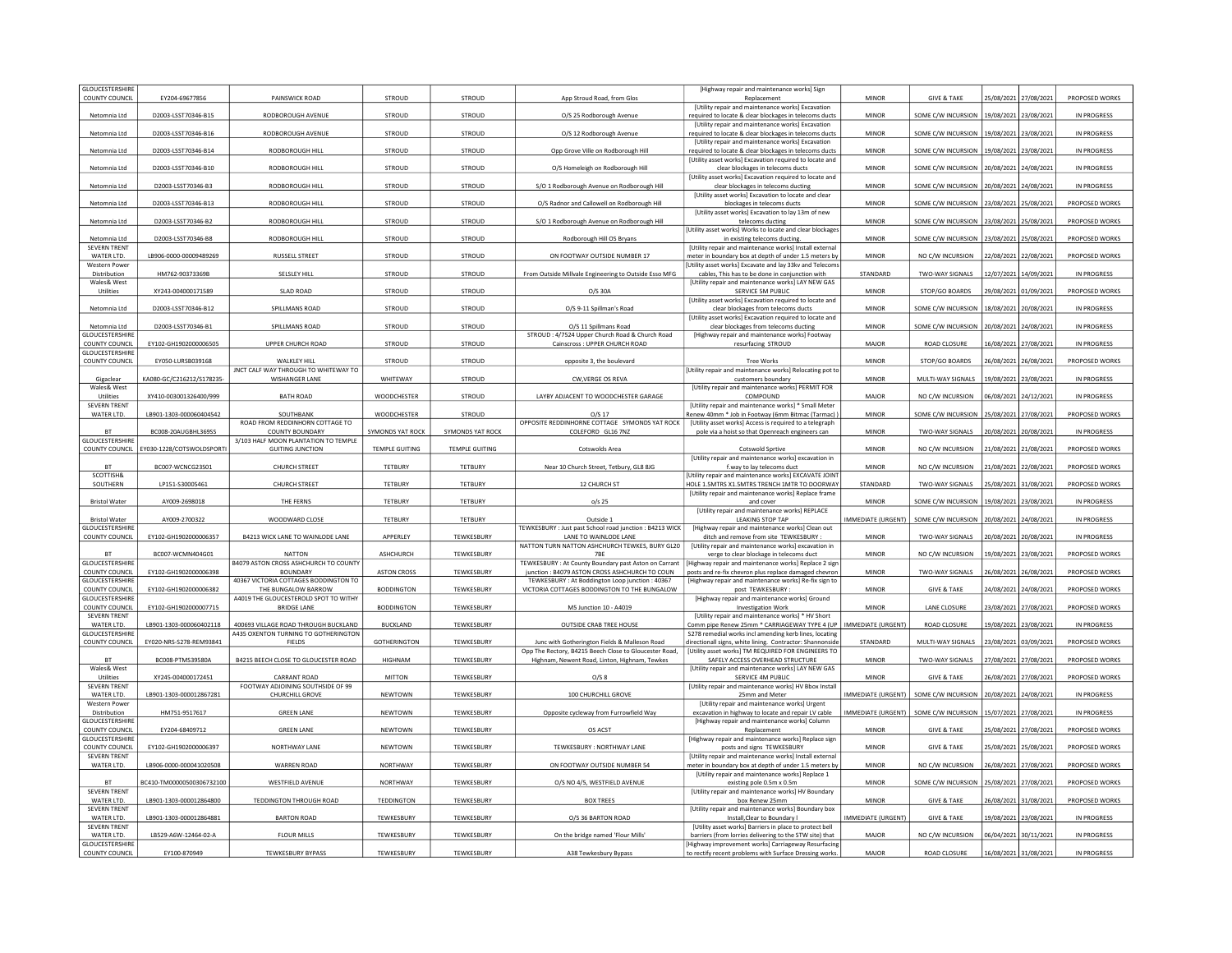| <b>GLOUCESTERSHIRE</b><br>COUNTY COUNCIL | EY204-69677856            | PAINSWICK ROAD                                                  | <b>STROUD</b>         | STROUD                  | App Stroud Road, from Glos                                                                                                                                     | [Highway repair and maintenance works] Sign<br>Replacement                                                          | <b>MINOR</b>       | <b>GIVE &amp; TAKE</b>                   | 25/08/2021            | 27/08/2021            | PROPOSED WORKS     |
|------------------------------------------|---------------------------|-----------------------------------------------------------------|-----------------------|-------------------------|----------------------------------------------------------------------------------------------------------------------------------------------------------------|---------------------------------------------------------------------------------------------------------------------|--------------------|------------------------------------------|-----------------------|-----------------------|--------------------|
|                                          |                           |                                                                 |                       |                         |                                                                                                                                                                | [Utility repair and maintenance works] Excavation                                                                   |                    |                                          |                       |                       |                    |
| Netomnia Ltd                             | D2003-LSST70346-B15       | RODBOROUGH AVENUE                                               | STROUD                | STROUD                  | O/S 25 Rodborough Avenue                                                                                                                                       | required to locate & clear blockages in telecoms ducts<br>[Utility repair and maintenance works] Excavation         | <b>MINOR</b>       | SOME C/W INCURSION 19/08/2021 23/08/2021 |                       |                       | IN PROGRESS        |
| Netomnia Ltd                             | D2003-LSST70346-B16       | RODBOROUGH AVENUE                                               | <b>STROUD</b>         | STROUD                  | O/S 12 Rodborough Avenue                                                                                                                                       | equired to locate & clear blockages in telecoms ducts<br><b>IUtility repair and maintenance works] Excavation</b>   | MINOR              | SOME C/W INCURSION                       | 19/08/2021            | 23/08/2021            | <b>IN PROGRESS</b> |
| Netomnia Ltd                             | D2003-LSST70346-B14       | RODBOROUGH HILL                                                 | <b>STROUD</b>         | <b>STROUD</b>           | Opp Grove Ville on Rodborough Hill                                                                                                                             | required to locate & clear blockages in telecoms ducts                                                              | <b>MINOR</b>       | SOME C/W INCURSION                       |                       | 19/08/2021 23/08/2021 | IN PROGRESS        |
| Netomnia Ltd                             | D2003-LSST70346-B10       | RODBOROUGH HILL                                                 | <b>STROUD</b>         | STROUD                  | O/S Homeleigh on Rodborough Hill                                                                                                                               | [Utility asset works] Excavation required to locate and<br>clear blockages in telecoms ducts                        | <b>MINOR</b>       | SOME C/W INCURSION                       | 20/08/2021            | 24/08/2021            | IN PROGRESS        |
| Netomnia Ltd                             | D2003-LSST70346-B3        | RODBOROUGH HILL                                                 | <b>STROUD</b>         | STROUD                  | S/O 1 Rodborough Avenue on Rodborough Hill                                                                                                                     | [Utility asset works] Excavation required to locate and<br>clear blockages in telecoms ducting                      | MINOR              | SOME C/W INCURSION                       | 20/08/2021 24/08/2021 |                       | IN PROGRESS        |
|                                          |                           |                                                                 |                       |                         |                                                                                                                                                                | [Utility asset works] Excavation to locate and clear                                                                |                    |                                          |                       |                       |                    |
| Netomnia Ltd                             | D2003-LSST70346-B13       | RODBOROUGH HILL                                                 | STROUD                | STROUD                  | O/S Radnor and Callowell on Rodborough Hill                                                                                                                    | blockages in telecoms ducts<br>fUtility asset works] Excavation to lay 13m of new                                   | <b>MINOR</b>       | SOME C/W INCURSION 23/08/2021 25/08/2021 |                       |                       | PROPOSED WORKS     |
| Netomnia Ltd                             | D2003-LSST70346-B2        | RODBOROUGH HILL                                                 | STROUD                | STROUD                  | S/O 1 Rodborough Avenue on Rodborough Hill                                                                                                                     | telecoms ducting<br>[Utility asset works] Works to locate and clear blockages                                       | <b>MINOR</b>       | SOME C/W INCURSION                       | 23/08/2021            | 25/08/2021            | PROPOSED WORKS     |
| Netomnia Ltd<br><b>SEVERN TRENT</b>      | D2003-LSST70346-B8        | RODBOROUGH HILL                                                 | STROUD                | STROUD                  | Rodborough Hill OS Bryans                                                                                                                                      | in existing telecoms ducting<br>[Utility repair and maintenance works] Install external                             | <b>MINOR</b>       | SOME C/W INCURSION                       | 23/08/2021            | 25/08/2021            | PROPOSED WORKS     |
| WATER LTD.                               | LB906-0000-00009489269    | <b>RUSSELL STREET</b>                                           | STROUD                | STROUD                  | ON FOOTWAY OUTSIDE NUMBER 17                                                                                                                                   | meter in boundary box at depth of under 1.5 meters by                                                               | MINOR              | NO C/W INCURSION                         |                       | 22/08/2021 22/08/2021 | PROPOSED WORKS     |
| <b>Western Power</b><br>Distribution     | HM762-90373369B           | SELSLEY HILL                                                    | <b>STROUD</b>         | STROUD                  | From Outside Millvale Engineering to Outside Esso MFG                                                                                                          | Utility asset works] Excavate and lay 33kv and Telecoms<br>cables, This has to be done in conjunction with          | STANDARD           | TWO-WAY SIGNALS                          | 12/07/2021            | 14/09/2021            | IN PROGRESS        |
| Wales& West<br>Utilities                 | XY243-004000171589        | <b>SLAD ROAD</b>                                                | <b>STROUD</b>         | STROUD                  | O/S 30A                                                                                                                                                        | [Utility repair and maintenance works] LAY NEW GAS<br>SERVICE 5M PUBLIC                                             | <b>MINOR</b>       | STOP/GO BOARDS                           |                       | 29/08/2021 01/09/2021 | PROPOSED WORKS     |
|                                          |                           |                                                                 |                       |                         |                                                                                                                                                                | [Utility asset works] Excavation required to locate and                                                             |                    |                                          |                       |                       |                    |
| Netomnia Ltd                             | D2003-LSST70346-B12       | SPILLMANS ROAD                                                  | STROUD                | STROUD                  | O/S 9-11 Spillman's Road                                                                                                                                       | clear blockages from telecoms ducts<br>[Utility asset works] Excavation required to locate and                      | <b>MINOR</b>       | SOME C/W INCURSION                       | 18/08/2021 20/08/2021 |                       | IN PROGRESS        |
| Netomnia Ltd<br><b>GLOUCESTERSHIRE</b>   | D2003-LSST70346-B1        | SPILLMANS ROAD                                                  | STROUD                | <b>STROUD</b>           | O/S 11 Spillmans Road<br>STROUD: 4/7524 Upper Church Road & Church Road                                                                                        | clear blockages from telecoms ducting<br>[Highway repair and maintenance works] Footway                             | <b>MINOR</b>       | SOME C/W INCURSION                       | 20/08/2021            | 24/08/2021            | IN PROGRESS        |
| COUNTY COUNCIL                           | EY102-GH1902000006505     | UPPER CHURCH ROAD                                               | STROUD                | STROUD                  | Cainscross : UPPER CHURCH ROAD                                                                                                                                 | resurfacing STROUD                                                                                                  | MAJOR              | ROAD CLOSURE                             | 16/08/2021 27/08/2021 |                       | IN PROGRESS        |
| <b>GLOUCESTERSHIRE</b><br>COUNTY COUNCIL | EY050-LURSB039168         | <b>WALKLEY HILL</b>                                             | <b>STROUD</b>         | STROUD                  | opposite 3, the boulevard                                                                                                                                      | <b>Tree Works</b>                                                                                                   | MINOR              | STOP/GO BOARDS                           | 26/08/2021            | 26/08/2021            | PROPOSED WORKS     |
| Gigaclear                                | KA080-GC/C216212/S178235- | JNCT CALF WAY THROUGH TO WHITEWAY TO<br>WISHANGER LANE          | WHITEWAY              | <b>STROUD</b>           | CW, VERGE OS REVA                                                                                                                                              | [Utility repair and maintenance works] Relocating pot to<br>customers boundary                                      | <b>MINOR</b>       | MULTI-WAY SIGNALS                        |                       | 19/08/2021 23/08/2021 | IN PROGRESS        |
| Wales& West                              |                           |                                                                 |                       |                         |                                                                                                                                                                | [Utility repair and maintenance works] PERMIT FOR                                                                   |                    |                                          |                       |                       |                    |
| Utilities<br><b>SEVERN TRENT</b>         | XY410-003001326400/999    | <b>BATH ROAD</b>                                                | WOODCHESTER           | <b>STROUD</b>           | LAYBY ADJACENT TO WOODCHESTER GARAGE                                                                                                                           | COMPOUND<br>[Utility repair and maintenance works] * Small Meter                                                    | <b>MAJOR</b>       | NO C/W INCURSION                         | 06/08/2021            | 24/12/2021            | IN PROGRESS        |
| WATER LTD.                               | LB901-1303-000060404542   | SOUTHBANK<br>ROAD FROM REDDINHORN COTTAGE TO                    | WOODCHESTER           | STROUD                  | $O/S$ 17<br>OPPOSITE REDDINHORNE COTTAGE SYMONDS YAT ROCK                                                                                                      | tenew 40mm * Job in Footway (6mm Bitmac (Tarmac)<br>[Utility asset works] Access is required to a telegraph         | MINOR              | SOME C/W INCURSION                       | 25/08/2021 27/08/2021 |                       | PROPOSED WORKS     |
| <b>BT</b>                                | BC008-20AUGBHL369SS       | <b>COUNTY BOUNDARY</b>                                          | SYMONDS YAT ROCK      | <b>SYMONDS YAT ROCK</b> | COLEFORD GL16 7NZ                                                                                                                                              | pole via a hoist so that Openreach engineers can                                                                    | <b>MINOR</b>       | TWO-WAY SIGNALS                          |                       | 20/08/2021 20/08/2021 | IN PROGRESS        |
| <b>GLOUCESTERSHIRE</b><br>COUNTY COUNCIL | EY030-1228/COTSWOLDSPORT  | 3/103 HALF MOON PLANTATION TO TEMPLE<br><b>GUITING JUNCTION</b> | <b>TEMPLE GUITING</b> | <b>TEMPLE GUITING</b>   | Cotswolds Area                                                                                                                                                 | Cotswold Sprtive                                                                                                    | <b>MINOR</b>       | NO C/W INCURSION                         | 21/08/2021            | 21/08/2021            | PROPOSED WORKS     |
| <b>BT</b>                                | BC007-WCNCG23S01          | <b>CHURCH STREET</b>                                            | <b>TETBURY</b>        | TETBURY                 | Near 10 Church Street, Tetbury, GL8 8JG                                                                                                                        | [Utility repair and maintenance works] excavation in<br>f.way to lay telecoms duct                                  | <b>MINOR</b>       | NO C/W INCURSION                         | 21/08/2021            | 22/08/2021            | PROPOSED WORKS     |
| SCOTTISH&<br>SOUTHERN                    | LP151-S30005461           | CHURCH STREET                                                   | TETBURY               | TETBURY                 | 12 CHURCH ST                                                                                                                                                   | Utility repair and maintenance works] EXCAVATE JOINT<br>HOLE 1.5MTRS X1.5MTRS TRENCH 1MTR TO DOORWAY                | STANDARD           | TWO-WAY SIGNALS                          |                       | 25/08/2021 31/08/2021 | PROPOSED WORKS     |
|                                          |                           |                                                                 |                       |                         |                                                                                                                                                                | [Utility repair and maintenance works] Replace frame                                                                |                    |                                          |                       |                       |                    |
| <b>Bristol Water</b>                     | AY009-2698018             | THE FERNS                                                       | TETBURY               | TETBURY                 | $o/s$ 25                                                                                                                                                       | and cover<br>[Utility repair and maintenance works] REPLACE                                                         | <b>MINOR</b>       | SOME C/W INCURSION                       | 19/08/2021            | 23/08/2021            | IN PROGRESS        |
| <b>Bristol Water</b><br>GLOUCESTERSHIRI  | AY009-2700322             | WOODWARD CLOSE                                                  | TETBURY               | TETBURY                 | Outside 1<br>FEWKESBURY : Just past School road junction : B4213 WICK                                                                                          | <b>LEAKING STOP TAP</b><br>[Highway repair and maintenance works] Clean out                                         | IMMEDIATE (URGENT) | SOME C/W INCURSION                       | 20/08/2021 24/08/2021 |                       | <b>IN PROGRESS</b> |
| COUNTY COUNCIL                           | EY102-GH1902000006357     | <b>B4213 WICK LANE TO WAINLODE LANE</b>                         | APPERLEY              | TEWKESBURY              | LANE TO WAINLODE LANE                                                                                                                                          | ditch and remove from site TEWKESBURY                                                                               | <b>MINOR</b>       | TWO-WAY SIGNALS                          |                       | 20/08/2021 20/08/2021 | IN PROGRESS        |
| <b>BT</b>                                | BC007-WCMN404G01          | <b>NATTON</b>                                                   | <b>ASHCHURCH</b>      | TEWKESBURY              | NATTON TURN NATTON ASHCHURCH TEWKES, BURY GL20<br>7BE                                                                                                          | [Utility repair and maintenance works] excavation in<br>verge to clear blockage in telecoms duct                    | <b>MINOR</b>       | NO C/W INCURSION                         |                       | 19/08/2021 23/08/2021 | PROPOSED WORKS     |
| <b>GLOUCESTERSHIRE</b><br>COUNTY COUNCIL | EY102-GH1902000006398     | B4079 ASTON CROSS ASHCHURCH TO COUNTY<br><b>BOUNDARY</b>        | <b>ASTON CROSS</b>    | TEWKESBURY              | TEWKESBURY : At County Boundary past Aston on Carrant   [Highway repair and maintenance works] Replace 2 sigr<br>junction: B4079 ASTON CROSS ASHCHURCH TO COUN | posts and re-fix chevron plus replace damaged chevron                                                               | <b>MINOR</b>       | TWO-WAY SIGNALS                          | 26/08/2021 26/08/2021 |                       | PROPOSED WORKS     |
| <b>GLOUCESTERSHIRE</b>                   |                           | 40367 VICTORIA COTTAGES BODDINGTON TO                           |                       |                         | TEWKESBURY: At Boddington Loop junction: 40367                                                                                                                 | [Highway repair and maintenance works] Re-fix sign to                                                               |                    |                                          |                       |                       |                    |
| COUNTY COUNCIL<br><b>GLOUCESTERSHIRE</b> | EY102-GH1902000006382     | THE BUNGALOW BARROW<br>A4019 THE GLOUCESTEROLD SPOT TO WITHY    | <b>BODDINGTON</b>     | TEWKESBURY              | VICTORIA COTTAGES BODDINGTON TO THE BUNGALOW                                                                                                                   | post TEWKESBURY<br>[Highway repair and maintenance works] Ground                                                    | MINOR              | <b>GIVE &amp; TAKE</b>                   | 24/08/2021            | 24/08/202             | PROPOSED WORKS     |
| COUNTY COUNCIL<br><b>SEVERN TRENT</b>    | EY102-GH1902000007715     | <b>BRIDGE LANE</b>                                              | <b>BODDINGTON</b>     | TEWKESBURY              | M5 Junction 10 - A4019                                                                                                                                         | <b>Investigation Work</b><br>[Utility repair and maintenance works] * HV Short                                      | <b>MINOR</b>       | LANE CLOSURE                             | 23/08/2021            | 27/08/2021            | PROPOSED WORKS     |
| WATER LTD.                               | LB901-1303-000060402118   | 400693 VILLAGE ROAD THROUGH BUCKLAND                            | <b>BUCKLAND</b>       | TEWKESBURY              | OUTSIDE CRAB TREE HOUSE                                                                                                                                        | Comm pipe Renew 25mm * CARRIAGEWAY TYPE 4 (UP                                                                       | IMMEDIATE (URGENT) | ROAD CLOSURE                             | 19/08/2021            | 23/08/2021            | IN PROGRESS        |
| GLOUCESTERSHIRE<br>COUNTY COUNCIL        | EY020-NRS-S278-REM93841   | A435 OXENTON TURNING TO GOTHERINGTON<br><b>FIELDS</b>           | <b>GOTHERINGTON</b>   | TEWKESBURY              | Junc with Gotherington Fields & Malleson Road                                                                                                                  | S278 remedial works incl amending kerb lines, locating<br>directionall signs, white lining. Contractor: Shannonside | STANDARD           | MULTI-WAY SIGNALS                        | 23/08/2021 03/09/2021 |                       | PROPOSED WORKS     |
| <b>BT</b>                                | BC008-PTMS39580A          | B4215 BEECH CLOSE TO GLOUCESTER ROAD                            | <b>HIGHNAM</b>        | TEWKESBURY              | Opp The Rectory, B4215 Beech Close to Gloucester Road,<br>Highnam, Newent Road, Linton, Highnam, Tewkes                                                        | [Utility asset works] TM REQUIRED FOR ENGINEERS TO<br>SAFELY ACCESS OVERHEAD STRUCTURE                              | <b>MINOR</b>       | TWO-WAY SIGNALS                          |                       | 27/08/2021 27/08/2021 | PROPOSED WORKS     |
| Wales& West<br>Utilities                 | XY245-004000172451        | CARRANT ROAD                                                    | <b>MITTON</b>         | TEWKESBURY              | O/S 8                                                                                                                                                          | <b>IUtility repair and maintenance worksl LAY NEW GAS</b><br>SERVICE 4M PUBLIC                                      | <b>MINOR</b>       | <b>GIVE &amp; TAKE</b>                   | 26/08/2021            | 27/08/2021            | PROPOSED WORKS     |
| <b>SEVERN TRENT</b>                      |                           | FOOTWAY ADJOINING SOUTHSIDE OF 99                               |                       |                         |                                                                                                                                                                | [Utility repair and maintenance works] HV Bbox Install                                                              |                    |                                          |                       |                       |                    |
| WATER LTD.<br>Western Powe               | LB901-1303-000012867281   | <b>CHURCHILL GROVE</b>                                          | NEWTOWN               | TEWKESBURY              | 100 CHURCHILL GROVE                                                                                                                                            | 25mm and Meter<br>[Utility repair and maintenance works] Urgent                                                     | IMMEDIATE (URGENT) | SOME C/W INCURSION                       | 20/08/2021            | 24/08/202             | <b>IN PROGRESS</b> |
| Distribution<br><b>GLOUCESTERSHIRE</b>   | HM751-9517617             | <b>GREEN LANE</b>                                               | NEWTOWN               | TEWKESBURY              | Opposite cycleway from Furrowfield Way                                                                                                                         | excavation in highway to locate and repair LV cable<br>[Highway repair and maintenance works] Column                | IMMEDIATE (URGENT) | SOME C/W INCURSION                       | 15/07/2021 27/08/2021 |                       | IN PROGRESS        |
| COUNTY COUNCIL                           | EY204-68409712            | <b>GREEN LANE</b>                                               | <b>NEWTOWN</b>        | TEWKESBURY              | OS ACST                                                                                                                                                        | Replacement                                                                                                         | <b>MINOR</b>       | <b>GIVE &amp; TAKE</b>                   | 25/08/2021            | 27/08/2021            | PROPOSED WORKS     |
| <b>GLOUCESTERSHIRE</b><br>COUNTY COUNCIL | EY102-GH1902000006397     | NORTHWAY LANE                                                   | NEWTOWN               | TEWKESBURY              | TEWKESBURY: NORTHWAY LANE                                                                                                                                      | [Highway repair and maintenance works] Replace sign<br>posts and signs TEWKESBURY                                   | <b>MINOR</b>       | <b>GIVE &amp; TAKE</b>                   |                       | 25/08/2021 25/08/2021 | PROPOSED WORKS     |
| <b>SEVERN TRENT</b><br>WATER LTD.        | LB906-0000-000041020508   | <b>WARREN ROAD</b>                                              | NORTHWAY              | TEWKESBURY              | ON FOOTWAY OUTSIDE NUMBER 54                                                                                                                                   | [Utility repair and maintenance works] Install external<br>neter in boundary box at depth of under 1.5 meters by    | <b>MINOR</b>       | NO C/W INCURSION                         | 26/08/2021            | 27/08/2021            | PROPOSED WORKS     |
|                                          |                           |                                                                 |                       |                         |                                                                                                                                                                | [Utility repair and maintenance works] Replace 1                                                                    |                    |                                          |                       |                       |                    |
| <b>BT</b><br><b>SEVERN TRENT</b>         | BC410-TM00000500306732100 | WESTFIELD AVENUE                                                | NORTHWAY              | TEWKESBURY              | O/S NO 4/5, WESTFIELD AVENUE                                                                                                                                   | existing pole 0.5m x 0.5m<br>[Utility repair and maintenance works] HV Boundary                                     | <b>MINOR</b>       | SOME C/W INCURSION                       | 25/08/2021 27/08/2021 |                       | PROPOSED WORKS     |
| WATER LTD.<br><b>SEVERN TRENT</b>        | LB901-1303-000012864800   | TEDDINGTON THROUGH ROAD                                         | TEDDINGTON            | TEWKESBURY              | <b>BOX TREES</b>                                                                                                                                               | box Renew 25mm<br>[Utility repair and maintenance works] Boundary box                                               | MINOR              | <b>GIVE &amp; TAKE</b>                   |                       | 26/08/2021 31/08/2021 | PROPOSED WORKS     |
| WATER LTD.<br><b>SEVERN TRENT</b>        | LB901-1303-000012864881   | <b>BARTON ROAD</b>                                              | TEWKESBURY            | TEWKESBURY              | O/S 36 BARTON ROAD                                                                                                                                             | Install, Clear to Boundary<br>[Utility asset works] Barriers in place to protect bell                               | MMEDIATE (URGENT)  | <b>GIVE &amp; TAKE</b>                   | 19/08/2021            | 23/08/202             | IN PROGRESS        |
| WATER LTD.                               | LB529-A6W-12464-02-A      | <b>FLOUR MILLS</b>                                              | TEWKESBURY            | TEWKESBURY              | On the bridge named 'Flour Mills'                                                                                                                              | barriers (from lorries delivering to the STW site) that                                                             | MAJOR              | NO C/W INCURSION                         | 06/04/2021 30/11/2021 |                       | IN PROGRESS        |
| <b>GLOUCESTERSHIRE</b><br>COUNTY COUNCIL | EY100-870949              | <b>TEWKESBURY BYPASS</b>                                        | TEWKESBURY            | TEWKESBURY              | A38 Tewkesbury Bypass                                                                                                                                          | Highway improvement works] Carriageway Resurfacing<br>to rectify recent problems with Surface Dressing works.       | MAJOR              | ROAD CLOSURE                             | 16/08/2021 31/08/2021 |                       | IN PROGRESS        |